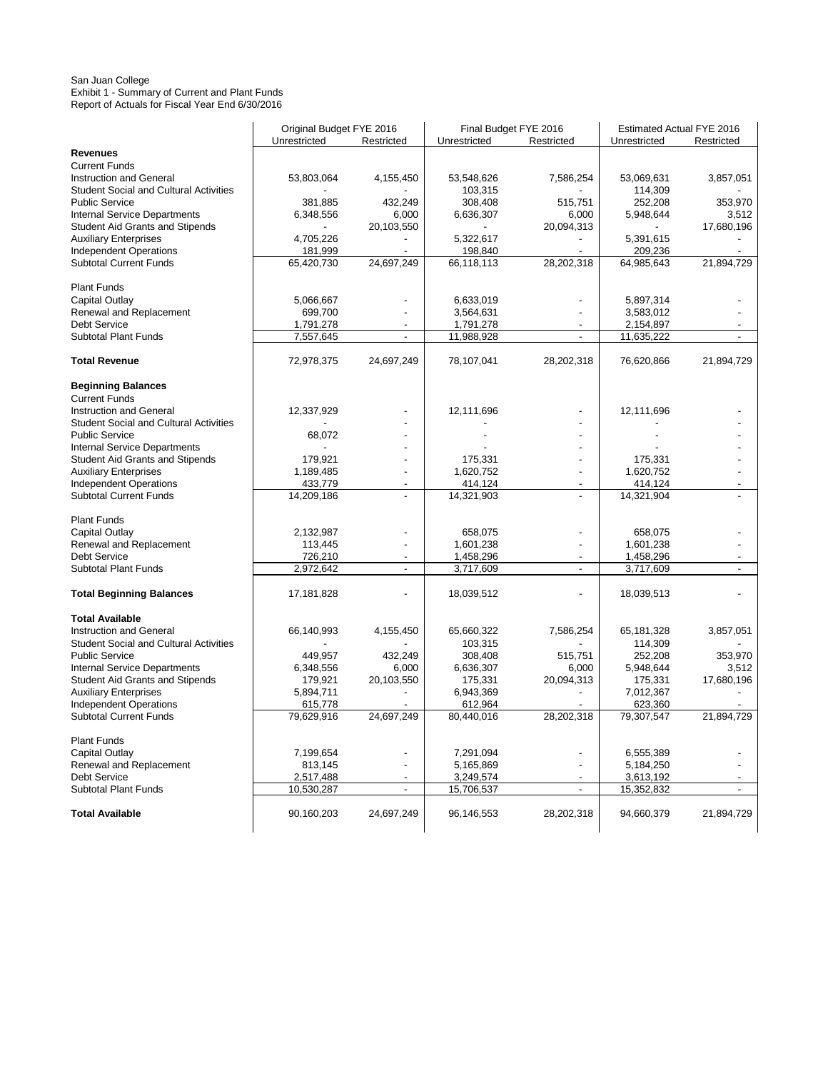#### San Juan College Exhibit 1 - Summary of Current and Plant Funds Report of Actuals for Fiscal Year End 6/30/2016

|                                               | Original Budget FYE 2016 |                          | Final Budget FYE 2016  |                          | Estimated Actual FYE 2016 |            |
|-----------------------------------------------|--------------------------|--------------------------|------------------------|--------------------------|---------------------------|------------|
|                                               | Unrestricted             | Restricted               | Unrestricted           | Restricted               | Unrestricted              | Restricted |
| <b>Revenues</b>                               |                          |                          |                        |                          |                           |            |
| <b>Current Funds</b>                          |                          |                          |                        |                          |                           |            |
| <b>Instruction and General</b>                | 53,803,064               | 4,155,450                | 53,548,626             | 7,586,254                | 53,069,631                | 3,857,051  |
| <b>Student Social and Cultural Activities</b> |                          |                          | 103,315                |                          | 114,309                   |            |
| <b>Public Service</b>                         | 381,885                  | 432,249                  | 308,408                | 515,751                  | 252,208                   | 353,970    |
| Internal Service Departments                  | 6,348,556                | 6,000                    | 6,636,307              | 6,000                    | 5,948,644                 | 3,512      |
| <b>Student Aid Grants and Stipends</b>        |                          | 20,103,550               |                        | 20,094,313               |                           | 17,680,196 |
| <b>Auxiliary Enterprises</b>                  | 4,705,226                |                          | 5,322,617              |                          | 5,391,615                 |            |
| Independent Operations                        | 181,999                  |                          | 198,840                |                          | 209,236                   |            |
| <b>Subtotal Current Funds</b>                 | 65,420,730               | 24,697,249               | 66,118,113             | 28,202,318               | 64,985,643                | 21,894,729 |
| <b>Plant Funds</b>                            |                          |                          |                        |                          |                           |            |
| Capital Outlay                                | 5,066,667                |                          | 6,633,019              |                          | 5,897,314                 |            |
| Renewal and Replacement                       | 699,700                  |                          | 3,564,631              | $\overline{a}$           | 3,583,012                 |            |
| <b>Debt Service</b>                           | 1,791,278                |                          | 1,791,278              |                          | 2,154,897                 |            |
| <b>Subtotal Plant Funds</b>                   | 7,557,645                | ä,                       | 11,988,928             | Ĭ.                       | 11,635,222                |            |
| <b>Total Revenue</b>                          | 72,978,375               | 24,697,249               | 78,107,041             | 28,202,318               | 76,620,866                | 21,894,729 |
| <b>Beginning Balances</b>                     |                          |                          |                        |                          |                           |            |
| <b>Current Funds</b>                          |                          |                          |                        |                          |                           |            |
| <b>Instruction and General</b>                | 12,337,929               |                          | 12,111,696             |                          | 12,111,696                |            |
| <b>Student Social and Cultural Activities</b> |                          |                          |                        |                          |                           |            |
| <b>Public Service</b>                         | 68,072                   |                          |                        |                          |                           |            |
| Internal Service Departments                  |                          |                          |                        |                          |                           |            |
| Student Aid Grants and Stipends               | 179,921                  |                          | 175,331                | $\overline{\phantom{a}}$ | 175,331                   |            |
| <b>Auxiliary Enterprises</b>                  | 1,189,485                |                          | 1,620,752              | $\overline{\phantom{a}}$ | 1,620,752                 |            |
| <b>Independent Operations</b>                 | 433,779                  | $\overline{\phantom{a}}$ | 414,124                | $\overline{\phantom{a}}$ | 414,124                   |            |
| <b>Subtotal Current Funds</b>                 | 14,209,186               | $\overline{\phantom{a}}$ | 14,321,903             | $\overline{a}$           | 14,321,904                |            |
|                                               |                          |                          |                        |                          |                           |            |
| <b>Plant Funds</b>                            |                          |                          |                        |                          |                           |            |
| Capital Outlay                                | 2,132,987                |                          | 658,075                | ٠                        | 658,075                   |            |
| Renewal and Replacement                       | 113,445                  |                          | 1,601,238              | $\overline{\phantom{a}}$ | 1,601,238                 |            |
| Debt Service                                  | 726,210                  | $\overline{\phantom{a}}$ | 1,458,296              | $\overline{\phantom{a}}$ | 1,458,296                 |            |
| <b>Subtotal Plant Funds</b>                   | 2,972,642                | $\blacksquare$           | 3,717,609              | $\overline{a}$           | 3,717,609                 |            |
| <b>Total Beginning Balances</b>               | 17,181,828               |                          | 18,039,512             |                          | 18,039,513                |            |
| <b>Total Available</b>                        |                          |                          |                        |                          |                           |            |
| <b>Instruction and General</b>                | 66,140,993               | 4,155,450                | 65,660,322             | 7,586,254                | 65,181,328                | 3,857,051  |
| <b>Student Social and Cultural Activities</b> |                          |                          | 103,315                |                          | 114,309                   |            |
| <b>Public Service</b>                         | 449,957                  | 432,249                  | 308,408                | 515,751                  | 252,208                   | 353,970    |
| <b>Internal Service Departments</b>           | 6,348,556                | 6,000                    | 6,636,307              | 6,000                    | 5,948,644                 | 3,512      |
| <b>Student Aid Grants and Stipends</b>        | 179,921                  | 20,103,550               | 175,331                | 20,094,313               | 175,331                   | 17,680,196 |
| <b>Auxiliary Enterprises</b>                  | 5,894,711                |                          | 6,943,369              |                          | 7,012,367                 |            |
| <b>Independent Operations</b>                 | 615,778                  |                          | 612,964                |                          | 623,360                   |            |
| <b>Subtotal Current Funds</b>                 | 79,629,916               | 24,697,249               | 80,440,016             | 28,202,318               | 79,307,547                | 21,894,729 |
|                                               |                          |                          |                        |                          |                           |            |
| <b>Plant Funds</b>                            |                          |                          |                        |                          |                           |            |
| Capital Outlay                                | 7,199,654                |                          | 7,291,094              |                          | 6,555,389                 |            |
| Renewal and Replacement                       | 813,145                  |                          | 5,165,869<br>3,249,574 |                          | 5,184,250                 |            |
| <b>Debt Service</b><br>Subtotal Plant Funds   | 2,517,488<br>10,530,287  | $\blacksquare$           | 15,706,537             | $\overline{a}$           | 3,613,192<br>15,352,832   |            |
|                                               |                          |                          |                        |                          |                           |            |
| <b>Total Available</b>                        | 90,160,203               | 24,697,249               | 96,146,553             | 28,202,318               | 94,660,379                | 21,894,729 |
|                                               |                          |                          |                        |                          |                           |            |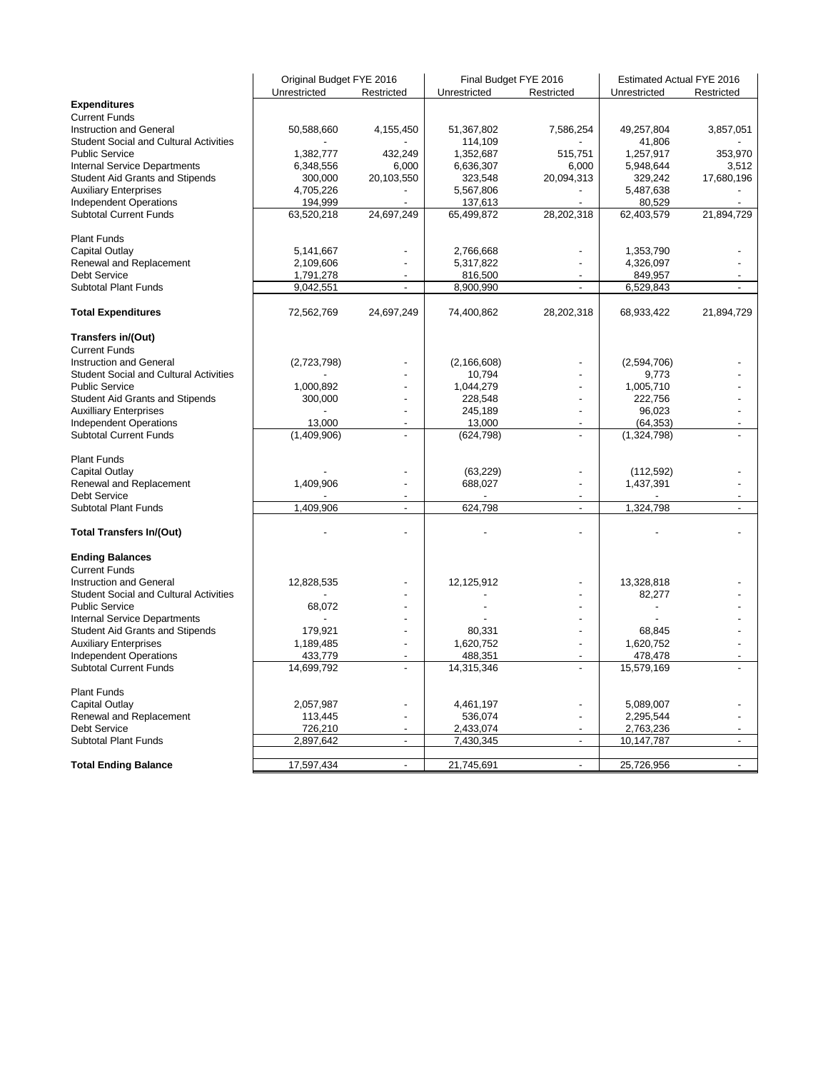| Unrestricted<br>Restricted<br>Unrestricted<br>Restricted<br>Unrestricted<br>Restricted<br><b>Expenditures</b><br><b>Current Funds</b><br>4,155,450<br>51,367,802<br>7,586,254<br>49,257,804<br>Instruction and General<br>50,588,660<br>3,857,051<br><b>Student Social and Cultural Activities</b><br>114,109<br>41,806<br>1,352,687<br><b>Public Service</b><br>1,382,777<br>432,249<br>515,751<br>1,257,917<br>353,970<br>Internal Service Departments<br>6,348,556<br>6,000<br>6,636,307<br>5,948,644<br>6,000<br>3,512<br><b>Student Aid Grants and Stipends</b><br>20,103,550<br>323,548<br>329,242<br>300,000<br>20,094,313<br>17,680,196<br><b>Auxiliary Enterprises</b><br>5,567,806<br>5,487,638<br>4,705,226<br>$\centering \label{eq:reduced}$<br><b>Independent Operations</b><br>194,999<br>137,613<br>80,529<br><b>Subtotal Current Funds</b><br>21,894,729<br>63,520,218<br>24,697,249<br>65,499,872<br>28,202,318<br>62,403,579<br><b>Plant Funds</b><br>5,141,667<br>2,766,668<br>1,353,790<br>Capital Outlay<br>Renewal and Replacement<br>2,109,606<br>5,317,822<br>4,326,097<br><b>Debt Service</b><br>816,500<br>1,791,278<br>849,957<br><b>Subtotal Plant Funds</b><br>9,042,551<br>8,900,990<br>6,529,843<br>$\overline{\phantom{a}}$<br>$\mathbf{r}$<br>72,562,769<br>24,697,249<br>74,400,862<br>28,202,318<br>68,933,422<br><b>Total Expenditures</b><br>21,894,729<br>Transfers in/(Out)<br><b>Current Funds</b><br>Instruction and General<br>(2,723,798)<br>(2, 166, 608)<br>(2,594,706)<br>Student Social and Cultural Activities<br>10,794<br>9,773<br><b>Public Service</b><br>1,000,892<br>1,044,279<br>1,005,710<br>Student Aid Grants and Stipends<br>228,548<br>222,756<br>300,000<br>÷,<br>96,023<br><b>Auxilliary Enterprises</b><br>245,189<br>÷,<br><b>Independent Operations</b><br>13,000<br>13,000<br>(64, 353)<br>Ĭ.<br><b>Subtotal Current Funds</b><br>(1,409,906)<br>L,<br>(624, 798)<br>(1,324,798)<br>l,<br><b>Plant Funds</b><br>(63, 229)<br>Capital Outlay<br>(112, 592)<br>Renewal and Replacement<br>1,409,906<br>688,027<br>1,437,391<br>÷,<br><b>Debt Service</b><br>1.409.906<br>624,798<br>1,324,798<br><b>Subtotal Plant Funds</b><br>$\overline{\phantom{a}}$<br>$\overline{\phantom{a}}$<br><b>Total Transfers In/(Out)</b><br><b>Ending Balances</b><br><b>Current Funds</b><br>Instruction and General<br>12,828,535<br>12,125,912<br>13,328,818<br><b>Student Social and Cultural Activities</b><br>82,277<br><b>Public Service</b><br>68,072<br>Internal Service Departments<br>Student Aid Grants and Stipends<br>179,921<br>80,331<br>68,845<br>L.<br><b>Auxiliary Enterprises</b><br>1,620,752<br>1,620,752<br>1,189,485<br>$\overline{a}$<br>$\overline{a}$<br><b>Independent Operations</b><br>433,779<br>488,351<br>478,478<br><b>Subtotal Current Funds</b><br>14,699,792<br>14,315,346<br>15,579,169<br>÷,<br>L<br><b>Plant Funds</b><br>Capital Outlay<br>2,057,987<br>4,461,197<br>5,089,007<br>Renewal and Replacement<br>113,445<br>536,074<br>2,295,544<br>$\overline{a}$<br>$\overline{a}$<br><b>Debt Service</b><br>726,210<br>2,433,074<br>2,763,236<br>$\overline{a}$<br>$\overline{a}$<br>$\blacksquare$<br>7,430,345<br><b>Subtotal Plant Funds</b><br>2,897,642<br>10,147,787<br>$\overline{\phantom{a}}$<br>$\overline{a}$<br>17,597,434<br>21,745,691<br>25,726,956<br><b>Total Ending Balance</b><br>$\overline{\phantom{a}}$<br>$\overline{\phantom{a}}$<br>$\overline{\phantom{a}}$ | Original Budget FYE 2016 |  | Final Budget FYE 2016 | Estimated Actual FYE 2016 |  |
|-------------------------------------------------------------------------------------------------------------------------------------------------------------------------------------------------------------------------------------------------------------------------------------------------------------------------------------------------------------------------------------------------------------------------------------------------------------------------------------------------------------------------------------------------------------------------------------------------------------------------------------------------------------------------------------------------------------------------------------------------------------------------------------------------------------------------------------------------------------------------------------------------------------------------------------------------------------------------------------------------------------------------------------------------------------------------------------------------------------------------------------------------------------------------------------------------------------------------------------------------------------------------------------------------------------------------------------------------------------------------------------------------------------------------------------------------------------------------------------------------------------------------------------------------------------------------------------------------------------------------------------------------------------------------------------------------------------------------------------------------------------------------------------------------------------------------------------------------------------------------------------------------------------------------------------------------------------------------------------------------------------------------------------------------------------------------------------------------------------------------------------------------------------------------------------------------------------------------------------------------------------------------------------------------------------------------------------------------------------------------------------------------------------------------------------------------------------------------------------------------------------------------------------------------------------------------------------------------------------------------------------------------------------------------------------------------------------------------------------------------------------------------------------------------------------------------------------------------------------------------------------------------------------------------------------------------------------------------------------------------------------------------------------------------------------------------------------------------------------------------------------------------------------------------------------------------------------------------------------------------------------------------------------------------------------------------------------------------------------------------------------------------------------------------------------------------------------------------------|--------------------------|--|-----------------------|---------------------------|--|
|                                                                                                                                                                                                                                                                                                                                                                                                                                                                                                                                                                                                                                                                                                                                                                                                                                                                                                                                                                                                                                                                                                                                                                                                                                                                                                                                                                                                                                                                                                                                                                                                                                                                                                                                                                                                                                                                                                                                                                                                                                                                                                                                                                                                                                                                                                                                                                                                                                                                                                                                                                                                                                                                                                                                                                                                                                                                                                                                                                                                                                                                                                                                                                                                                                                                                                                                                                                                                                                                               |                          |  |                       |                           |  |
|                                                                                                                                                                                                                                                                                                                                                                                                                                                                                                                                                                                                                                                                                                                                                                                                                                                                                                                                                                                                                                                                                                                                                                                                                                                                                                                                                                                                                                                                                                                                                                                                                                                                                                                                                                                                                                                                                                                                                                                                                                                                                                                                                                                                                                                                                                                                                                                                                                                                                                                                                                                                                                                                                                                                                                                                                                                                                                                                                                                                                                                                                                                                                                                                                                                                                                                                                                                                                                                                               |                          |  |                       |                           |  |
|                                                                                                                                                                                                                                                                                                                                                                                                                                                                                                                                                                                                                                                                                                                                                                                                                                                                                                                                                                                                                                                                                                                                                                                                                                                                                                                                                                                                                                                                                                                                                                                                                                                                                                                                                                                                                                                                                                                                                                                                                                                                                                                                                                                                                                                                                                                                                                                                                                                                                                                                                                                                                                                                                                                                                                                                                                                                                                                                                                                                                                                                                                                                                                                                                                                                                                                                                                                                                                                                               |                          |  |                       |                           |  |
|                                                                                                                                                                                                                                                                                                                                                                                                                                                                                                                                                                                                                                                                                                                                                                                                                                                                                                                                                                                                                                                                                                                                                                                                                                                                                                                                                                                                                                                                                                                                                                                                                                                                                                                                                                                                                                                                                                                                                                                                                                                                                                                                                                                                                                                                                                                                                                                                                                                                                                                                                                                                                                                                                                                                                                                                                                                                                                                                                                                                                                                                                                                                                                                                                                                                                                                                                                                                                                                                               |                          |  |                       |                           |  |
|                                                                                                                                                                                                                                                                                                                                                                                                                                                                                                                                                                                                                                                                                                                                                                                                                                                                                                                                                                                                                                                                                                                                                                                                                                                                                                                                                                                                                                                                                                                                                                                                                                                                                                                                                                                                                                                                                                                                                                                                                                                                                                                                                                                                                                                                                                                                                                                                                                                                                                                                                                                                                                                                                                                                                                                                                                                                                                                                                                                                                                                                                                                                                                                                                                                                                                                                                                                                                                                                               |                          |  |                       |                           |  |
|                                                                                                                                                                                                                                                                                                                                                                                                                                                                                                                                                                                                                                                                                                                                                                                                                                                                                                                                                                                                                                                                                                                                                                                                                                                                                                                                                                                                                                                                                                                                                                                                                                                                                                                                                                                                                                                                                                                                                                                                                                                                                                                                                                                                                                                                                                                                                                                                                                                                                                                                                                                                                                                                                                                                                                                                                                                                                                                                                                                                                                                                                                                                                                                                                                                                                                                                                                                                                                                                               |                          |  |                       |                           |  |
|                                                                                                                                                                                                                                                                                                                                                                                                                                                                                                                                                                                                                                                                                                                                                                                                                                                                                                                                                                                                                                                                                                                                                                                                                                                                                                                                                                                                                                                                                                                                                                                                                                                                                                                                                                                                                                                                                                                                                                                                                                                                                                                                                                                                                                                                                                                                                                                                                                                                                                                                                                                                                                                                                                                                                                                                                                                                                                                                                                                                                                                                                                                                                                                                                                                                                                                                                                                                                                                                               |                          |  |                       |                           |  |
|                                                                                                                                                                                                                                                                                                                                                                                                                                                                                                                                                                                                                                                                                                                                                                                                                                                                                                                                                                                                                                                                                                                                                                                                                                                                                                                                                                                                                                                                                                                                                                                                                                                                                                                                                                                                                                                                                                                                                                                                                                                                                                                                                                                                                                                                                                                                                                                                                                                                                                                                                                                                                                                                                                                                                                                                                                                                                                                                                                                                                                                                                                                                                                                                                                                                                                                                                                                                                                                                               |                          |  |                       |                           |  |
|                                                                                                                                                                                                                                                                                                                                                                                                                                                                                                                                                                                                                                                                                                                                                                                                                                                                                                                                                                                                                                                                                                                                                                                                                                                                                                                                                                                                                                                                                                                                                                                                                                                                                                                                                                                                                                                                                                                                                                                                                                                                                                                                                                                                                                                                                                                                                                                                                                                                                                                                                                                                                                                                                                                                                                                                                                                                                                                                                                                                                                                                                                                                                                                                                                                                                                                                                                                                                                                                               |                          |  |                       |                           |  |
|                                                                                                                                                                                                                                                                                                                                                                                                                                                                                                                                                                                                                                                                                                                                                                                                                                                                                                                                                                                                                                                                                                                                                                                                                                                                                                                                                                                                                                                                                                                                                                                                                                                                                                                                                                                                                                                                                                                                                                                                                                                                                                                                                                                                                                                                                                                                                                                                                                                                                                                                                                                                                                                                                                                                                                                                                                                                                                                                                                                                                                                                                                                                                                                                                                                                                                                                                                                                                                                                               |                          |  |                       |                           |  |
|                                                                                                                                                                                                                                                                                                                                                                                                                                                                                                                                                                                                                                                                                                                                                                                                                                                                                                                                                                                                                                                                                                                                                                                                                                                                                                                                                                                                                                                                                                                                                                                                                                                                                                                                                                                                                                                                                                                                                                                                                                                                                                                                                                                                                                                                                                                                                                                                                                                                                                                                                                                                                                                                                                                                                                                                                                                                                                                                                                                                                                                                                                                                                                                                                                                                                                                                                                                                                                                                               |                          |  |                       |                           |  |
|                                                                                                                                                                                                                                                                                                                                                                                                                                                                                                                                                                                                                                                                                                                                                                                                                                                                                                                                                                                                                                                                                                                                                                                                                                                                                                                                                                                                                                                                                                                                                                                                                                                                                                                                                                                                                                                                                                                                                                                                                                                                                                                                                                                                                                                                                                                                                                                                                                                                                                                                                                                                                                                                                                                                                                                                                                                                                                                                                                                                                                                                                                                                                                                                                                                                                                                                                                                                                                                                               |                          |  |                       |                           |  |
|                                                                                                                                                                                                                                                                                                                                                                                                                                                                                                                                                                                                                                                                                                                                                                                                                                                                                                                                                                                                                                                                                                                                                                                                                                                                                                                                                                                                                                                                                                                                                                                                                                                                                                                                                                                                                                                                                                                                                                                                                                                                                                                                                                                                                                                                                                                                                                                                                                                                                                                                                                                                                                                                                                                                                                                                                                                                                                                                                                                                                                                                                                                                                                                                                                                                                                                                                                                                                                                                               |                          |  |                       |                           |  |
|                                                                                                                                                                                                                                                                                                                                                                                                                                                                                                                                                                                                                                                                                                                                                                                                                                                                                                                                                                                                                                                                                                                                                                                                                                                                                                                                                                                                                                                                                                                                                                                                                                                                                                                                                                                                                                                                                                                                                                                                                                                                                                                                                                                                                                                                                                                                                                                                                                                                                                                                                                                                                                                                                                                                                                                                                                                                                                                                                                                                                                                                                                                                                                                                                                                                                                                                                                                                                                                                               |                          |  |                       |                           |  |
|                                                                                                                                                                                                                                                                                                                                                                                                                                                                                                                                                                                                                                                                                                                                                                                                                                                                                                                                                                                                                                                                                                                                                                                                                                                                                                                                                                                                                                                                                                                                                                                                                                                                                                                                                                                                                                                                                                                                                                                                                                                                                                                                                                                                                                                                                                                                                                                                                                                                                                                                                                                                                                                                                                                                                                                                                                                                                                                                                                                                                                                                                                                                                                                                                                                                                                                                                                                                                                                                               |                          |  |                       |                           |  |
|                                                                                                                                                                                                                                                                                                                                                                                                                                                                                                                                                                                                                                                                                                                                                                                                                                                                                                                                                                                                                                                                                                                                                                                                                                                                                                                                                                                                                                                                                                                                                                                                                                                                                                                                                                                                                                                                                                                                                                                                                                                                                                                                                                                                                                                                                                                                                                                                                                                                                                                                                                                                                                                                                                                                                                                                                                                                                                                                                                                                                                                                                                                                                                                                                                                                                                                                                                                                                                                                               |                          |  |                       |                           |  |
|                                                                                                                                                                                                                                                                                                                                                                                                                                                                                                                                                                                                                                                                                                                                                                                                                                                                                                                                                                                                                                                                                                                                                                                                                                                                                                                                                                                                                                                                                                                                                                                                                                                                                                                                                                                                                                                                                                                                                                                                                                                                                                                                                                                                                                                                                                                                                                                                                                                                                                                                                                                                                                                                                                                                                                                                                                                                                                                                                                                                                                                                                                                                                                                                                                                                                                                                                                                                                                                                               |                          |  |                       |                           |  |
|                                                                                                                                                                                                                                                                                                                                                                                                                                                                                                                                                                                                                                                                                                                                                                                                                                                                                                                                                                                                                                                                                                                                                                                                                                                                                                                                                                                                                                                                                                                                                                                                                                                                                                                                                                                                                                                                                                                                                                                                                                                                                                                                                                                                                                                                                                                                                                                                                                                                                                                                                                                                                                                                                                                                                                                                                                                                                                                                                                                                                                                                                                                                                                                                                                                                                                                                                                                                                                                                               |                          |  |                       |                           |  |
|                                                                                                                                                                                                                                                                                                                                                                                                                                                                                                                                                                                                                                                                                                                                                                                                                                                                                                                                                                                                                                                                                                                                                                                                                                                                                                                                                                                                                                                                                                                                                                                                                                                                                                                                                                                                                                                                                                                                                                                                                                                                                                                                                                                                                                                                                                                                                                                                                                                                                                                                                                                                                                                                                                                                                                                                                                                                                                                                                                                                                                                                                                                                                                                                                                                                                                                                                                                                                                                                               |                          |  |                       |                           |  |
|                                                                                                                                                                                                                                                                                                                                                                                                                                                                                                                                                                                                                                                                                                                                                                                                                                                                                                                                                                                                                                                                                                                                                                                                                                                                                                                                                                                                                                                                                                                                                                                                                                                                                                                                                                                                                                                                                                                                                                                                                                                                                                                                                                                                                                                                                                                                                                                                                                                                                                                                                                                                                                                                                                                                                                                                                                                                                                                                                                                                                                                                                                                                                                                                                                                                                                                                                                                                                                                                               |                          |  |                       |                           |  |
|                                                                                                                                                                                                                                                                                                                                                                                                                                                                                                                                                                                                                                                                                                                                                                                                                                                                                                                                                                                                                                                                                                                                                                                                                                                                                                                                                                                                                                                                                                                                                                                                                                                                                                                                                                                                                                                                                                                                                                                                                                                                                                                                                                                                                                                                                                                                                                                                                                                                                                                                                                                                                                                                                                                                                                                                                                                                                                                                                                                                                                                                                                                                                                                                                                                                                                                                                                                                                                                                               |                          |  |                       |                           |  |
|                                                                                                                                                                                                                                                                                                                                                                                                                                                                                                                                                                                                                                                                                                                                                                                                                                                                                                                                                                                                                                                                                                                                                                                                                                                                                                                                                                                                                                                                                                                                                                                                                                                                                                                                                                                                                                                                                                                                                                                                                                                                                                                                                                                                                                                                                                                                                                                                                                                                                                                                                                                                                                                                                                                                                                                                                                                                                                                                                                                                                                                                                                                                                                                                                                                                                                                                                                                                                                                                               |                          |  |                       |                           |  |
|                                                                                                                                                                                                                                                                                                                                                                                                                                                                                                                                                                                                                                                                                                                                                                                                                                                                                                                                                                                                                                                                                                                                                                                                                                                                                                                                                                                                                                                                                                                                                                                                                                                                                                                                                                                                                                                                                                                                                                                                                                                                                                                                                                                                                                                                                                                                                                                                                                                                                                                                                                                                                                                                                                                                                                                                                                                                                                                                                                                                                                                                                                                                                                                                                                                                                                                                                                                                                                                                               |                          |  |                       |                           |  |
|                                                                                                                                                                                                                                                                                                                                                                                                                                                                                                                                                                                                                                                                                                                                                                                                                                                                                                                                                                                                                                                                                                                                                                                                                                                                                                                                                                                                                                                                                                                                                                                                                                                                                                                                                                                                                                                                                                                                                                                                                                                                                                                                                                                                                                                                                                                                                                                                                                                                                                                                                                                                                                                                                                                                                                                                                                                                                                                                                                                                                                                                                                                                                                                                                                                                                                                                                                                                                                                                               |                          |  |                       |                           |  |
|                                                                                                                                                                                                                                                                                                                                                                                                                                                                                                                                                                                                                                                                                                                                                                                                                                                                                                                                                                                                                                                                                                                                                                                                                                                                                                                                                                                                                                                                                                                                                                                                                                                                                                                                                                                                                                                                                                                                                                                                                                                                                                                                                                                                                                                                                                                                                                                                                                                                                                                                                                                                                                                                                                                                                                                                                                                                                                                                                                                                                                                                                                                                                                                                                                                                                                                                                                                                                                                                               |                          |  |                       |                           |  |
|                                                                                                                                                                                                                                                                                                                                                                                                                                                                                                                                                                                                                                                                                                                                                                                                                                                                                                                                                                                                                                                                                                                                                                                                                                                                                                                                                                                                                                                                                                                                                                                                                                                                                                                                                                                                                                                                                                                                                                                                                                                                                                                                                                                                                                                                                                                                                                                                                                                                                                                                                                                                                                                                                                                                                                                                                                                                                                                                                                                                                                                                                                                                                                                                                                                                                                                                                                                                                                                                               |                          |  |                       |                           |  |
|                                                                                                                                                                                                                                                                                                                                                                                                                                                                                                                                                                                                                                                                                                                                                                                                                                                                                                                                                                                                                                                                                                                                                                                                                                                                                                                                                                                                                                                                                                                                                                                                                                                                                                                                                                                                                                                                                                                                                                                                                                                                                                                                                                                                                                                                                                                                                                                                                                                                                                                                                                                                                                                                                                                                                                                                                                                                                                                                                                                                                                                                                                                                                                                                                                                                                                                                                                                                                                                                               |                          |  |                       |                           |  |
|                                                                                                                                                                                                                                                                                                                                                                                                                                                                                                                                                                                                                                                                                                                                                                                                                                                                                                                                                                                                                                                                                                                                                                                                                                                                                                                                                                                                                                                                                                                                                                                                                                                                                                                                                                                                                                                                                                                                                                                                                                                                                                                                                                                                                                                                                                                                                                                                                                                                                                                                                                                                                                                                                                                                                                                                                                                                                                                                                                                                                                                                                                                                                                                                                                                                                                                                                                                                                                                                               |                          |  |                       |                           |  |
|                                                                                                                                                                                                                                                                                                                                                                                                                                                                                                                                                                                                                                                                                                                                                                                                                                                                                                                                                                                                                                                                                                                                                                                                                                                                                                                                                                                                                                                                                                                                                                                                                                                                                                                                                                                                                                                                                                                                                                                                                                                                                                                                                                                                                                                                                                                                                                                                                                                                                                                                                                                                                                                                                                                                                                                                                                                                                                                                                                                                                                                                                                                                                                                                                                                                                                                                                                                                                                                                               |                          |  |                       |                           |  |
|                                                                                                                                                                                                                                                                                                                                                                                                                                                                                                                                                                                                                                                                                                                                                                                                                                                                                                                                                                                                                                                                                                                                                                                                                                                                                                                                                                                                                                                                                                                                                                                                                                                                                                                                                                                                                                                                                                                                                                                                                                                                                                                                                                                                                                                                                                                                                                                                                                                                                                                                                                                                                                                                                                                                                                                                                                                                                                                                                                                                                                                                                                                                                                                                                                                                                                                                                                                                                                                                               |                          |  |                       |                           |  |
|                                                                                                                                                                                                                                                                                                                                                                                                                                                                                                                                                                                                                                                                                                                                                                                                                                                                                                                                                                                                                                                                                                                                                                                                                                                                                                                                                                                                                                                                                                                                                                                                                                                                                                                                                                                                                                                                                                                                                                                                                                                                                                                                                                                                                                                                                                                                                                                                                                                                                                                                                                                                                                                                                                                                                                                                                                                                                                                                                                                                                                                                                                                                                                                                                                                                                                                                                                                                                                                                               |                          |  |                       |                           |  |
|                                                                                                                                                                                                                                                                                                                                                                                                                                                                                                                                                                                                                                                                                                                                                                                                                                                                                                                                                                                                                                                                                                                                                                                                                                                                                                                                                                                                                                                                                                                                                                                                                                                                                                                                                                                                                                                                                                                                                                                                                                                                                                                                                                                                                                                                                                                                                                                                                                                                                                                                                                                                                                                                                                                                                                                                                                                                                                                                                                                                                                                                                                                                                                                                                                                                                                                                                                                                                                                                               |                          |  |                       |                           |  |
|                                                                                                                                                                                                                                                                                                                                                                                                                                                                                                                                                                                                                                                                                                                                                                                                                                                                                                                                                                                                                                                                                                                                                                                                                                                                                                                                                                                                                                                                                                                                                                                                                                                                                                                                                                                                                                                                                                                                                                                                                                                                                                                                                                                                                                                                                                                                                                                                                                                                                                                                                                                                                                                                                                                                                                                                                                                                                                                                                                                                                                                                                                                                                                                                                                                                                                                                                                                                                                                                               |                          |  |                       |                           |  |
|                                                                                                                                                                                                                                                                                                                                                                                                                                                                                                                                                                                                                                                                                                                                                                                                                                                                                                                                                                                                                                                                                                                                                                                                                                                                                                                                                                                                                                                                                                                                                                                                                                                                                                                                                                                                                                                                                                                                                                                                                                                                                                                                                                                                                                                                                                                                                                                                                                                                                                                                                                                                                                                                                                                                                                                                                                                                                                                                                                                                                                                                                                                                                                                                                                                                                                                                                                                                                                                                               |                          |  |                       |                           |  |
|                                                                                                                                                                                                                                                                                                                                                                                                                                                                                                                                                                                                                                                                                                                                                                                                                                                                                                                                                                                                                                                                                                                                                                                                                                                                                                                                                                                                                                                                                                                                                                                                                                                                                                                                                                                                                                                                                                                                                                                                                                                                                                                                                                                                                                                                                                                                                                                                                                                                                                                                                                                                                                                                                                                                                                                                                                                                                                                                                                                                                                                                                                                                                                                                                                                                                                                                                                                                                                                                               |                          |  |                       |                           |  |
|                                                                                                                                                                                                                                                                                                                                                                                                                                                                                                                                                                                                                                                                                                                                                                                                                                                                                                                                                                                                                                                                                                                                                                                                                                                                                                                                                                                                                                                                                                                                                                                                                                                                                                                                                                                                                                                                                                                                                                                                                                                                                                                                                                                                                                                                                                                                                                                                                                                                                                                                                                                                                                                                                                                                                                                                                                                                                                                                                                                                                                                                                                                                                                                                                                                                                                                                                                                                                                                                               |                          |  |                       |                           |  |
|                                                                                                                                                                                                                                                                                                                                                                                                                                                                                                                                                                                                                                                                                                                                                                                                                                                                                                                                                                                                                                                                                                                                                                                                                                                                                                                                                                                                                                                                                                                                                                                                                                                                                                                                                                                                                                                                                                                                                                                                                                                                                                                                                                                                                                                                                                                                                                                                                                                                                                                                                                                                                                                                                                                                                                                                                                                                                                                                                                                                                                                                                                                                                                                                                                                                                                                                                                                                                                                                               |                          |  |                       |                           |  |
|                                                                                                                                                                                                                                                                                                                                                                                                                                                                                                                                                                                                                                                                                                                                                                                                                                                                                                                                                                                                                                                                                                                                                                                                                                                                                                                                                                                                                                                                                                                                                                                                                                                                                                                                                                                                                                                                                                                                                                                                                                                                                                                                                                                                                                                                                                                                                                                                                                                                                                                                                                                                                                                                                                                                                                                                                                                                                                                                                                                                                                                                                                                                                                                                                                                                                                                                                                                                                                                                               |                          |  |                       |                           |  |
|                                                                                                                                                                                                                                                                                                                                                                                                                                                                                                                                                                                                                                                                                                                                                                                                                                                                                                                                                                                                                                                                                                                                                                                                                                                                                                                                                                                                                                                                                                                                                                                                                                                                                                                                                                                                                                                                                                                                                                                                                                                                                                                                                                                                                                                                                                                                                                                                                                                                                                                                                                                                                                                                                                                                                                                                                                                                                                                                                                                                                                                                                                                                                                                                                                                                                                                                                                                                                                                                               |                          |  |                       |                           |  |
|                                                                                                                                                                                                                                                                                                                                                                                                                                                                                                                                                                                                                                                                                                                                                                                                                                                                                                                                                                                                                                                                                                                                                                                                                                                                                                                                                                                                                                                                                                                                                                                                                                                                                                                                                                                                                                                                                                                                                                                                                                                                                                                                                                                                                                                                                                                                                                                                                                                                                                                                                                                                                                                                                                                                                                                                                                                                                                                                                                                                                                                                                                                                                                                                                                                                                                                                                                                                                                                                               |                          |  |                       |                           |  |
|                                                                                                                                                                                                                                                                                                                                                                                                                                                                                                                                                                                                                                                                                                                                                                                                                                                                                                                                                                                                                                                                                                                                                                                                                                                                                                                                                                                                                                                                                                                                                                                                                                                                                                                                                                                                                                                                                                                                                                                                                                                                                                                                                                                                                                                                                                                                                                                                                                                                                                                                                                                                                                                                                                                                                                                                                                                                                                                                                                                                                                                                                                                                                                                                                                                                                                                                                                                                                                                                               |                          |  |                       |                           |  |
|                                                                                                                                                                                                                                                                                                                                                                                                                                                                                                                                                                                                                                                                                                                                                                                                                                                                                                                                                                                                                                                                                                                                                                                                                                                                                                                                                                                                                                                                                                                                                                                                                                                                                                                                                                                                                                                                                                                                                                                                                                                                                                                                                                                                                                                                                                                                                                                                                                                                                                                                                                                                                                                                                                                                                                                                                                                                                                                                                                                                                                                                                                                                                                                                                                                                                                                                                                                                                                                                               |                          |  |                       |                           |  |
|                                                                                                                                                                                                                                                                                                                                                                                                                                                                                                                                                                                                                                                                                                                                                                                                                                                                                                                                                                                                                                                                                                                                                                                                                                                                                                                                                                                                                                                                                                                                                                                                                                                                                                                                                                                                                                                                                                                                                                                                                                                                                                                                                                                                                                                                                                                                                                                                                                                                                                                                                                                                                                                                                                                                                                                                                                                                                                                                                                                                                                                                                                                                                                                                                                                                                                                                                                                                                                                                               |                          |  |                       |                           |  |
|                                                                                                                                                                                                                                                                                                                                                                                                                                                                                                                                                                                                                                                                                                                                                                                                                                                                                                                                                                                                                                                                                                                                                                                                                                                                                                                                                                                                                                                                                                                                                                                                                                                                                                                                                                                                                                                                                                                                                                                                                                                                                                                                                                                                                                                                                                                                                                                                                                                                                                                                                                                                                                                                                                                                                                                                                                                                                                                                                                                                                                                                                                                                                                                                                                                                                                                                                                                                                                                                               |                          |  |                       |                           |  |
|                                                                                                                                                                                                                                                                                                                                                                                                                                                                                                                                                                                                                                                                                                                                                                                                                                                                                                                                                                                                                                                                                                                                                                                                                                                                                                                                                                                                                                                                                                                                                                                                                                                                                                                                                                                                                                                                                                                                                                                                                                                                                                                                                                                                                                                                                                                                                                                                                                                                                                                                                                                                                                                                                                                                                                                                                                                                                                                                                                                                                                                                                                                                                                                                                                                                                                                                                                                                                                                                               |                          |  |                       |                           |  |
|                                                                                                                                                                                                                                                                                                                                                                                                                                                                                                                                                                                                                                                                                                                                                                                                                                                                                                                                                                                                                                                                                                                                                                                                                                                                                                                                                                                                                                                                                                                                                                                                                                                                                                                                                                                                                                                                                                                                                                                                                                                                                                                                                                                                                                                                                                                                                                                                                                                                                                                                                                                                                                                                                                                                                                                                                                                                                                                                                                                                                                                                                                                                                                                                                                                                                                                                                                                                                                                                               |                          |  |                       |                           |  |
|                                                                                                                                                                                                                                                                                                                                                                                                                                                                                                                                                                                                                                                                                                                                                                                                                                                                                                                                                                                                                                                                                                                                                                                                                                                                                                                                                                                                                                                                                                                                                                                                                                                                                                                                                                                                                                                                                                                                                                                                                                                                                                                                                                                                                                                                                                                                                                                                                                                                                                                                                                                                                                                                                                                                                                                                                                                                                                                                                                                                                                                                                                                                                                                                                                                                                                                                                                                                                                                                               |                          |  |                       |                           |  |
|                                                                                                                                                                                                                                                                                                                                                                                                                                                                                                                                                                                                                                                                                                                                                                                                                                                                                                                                                                                                                                                                                                                                                                                                                                                                                                                                                                                                                                                                                                                                                                                                                                                                                                                                                                                                                                                                                                                                                                                                                                                                                                                                                                                                                                                                                                                                                                                                                                                                                                                                                                                                                                                                                                                                                                                                                                                                                                                                                                                                                                                                                                                                                                                                                                                                                                                                                                                                                                                                               |                          |  |                       |                           |  |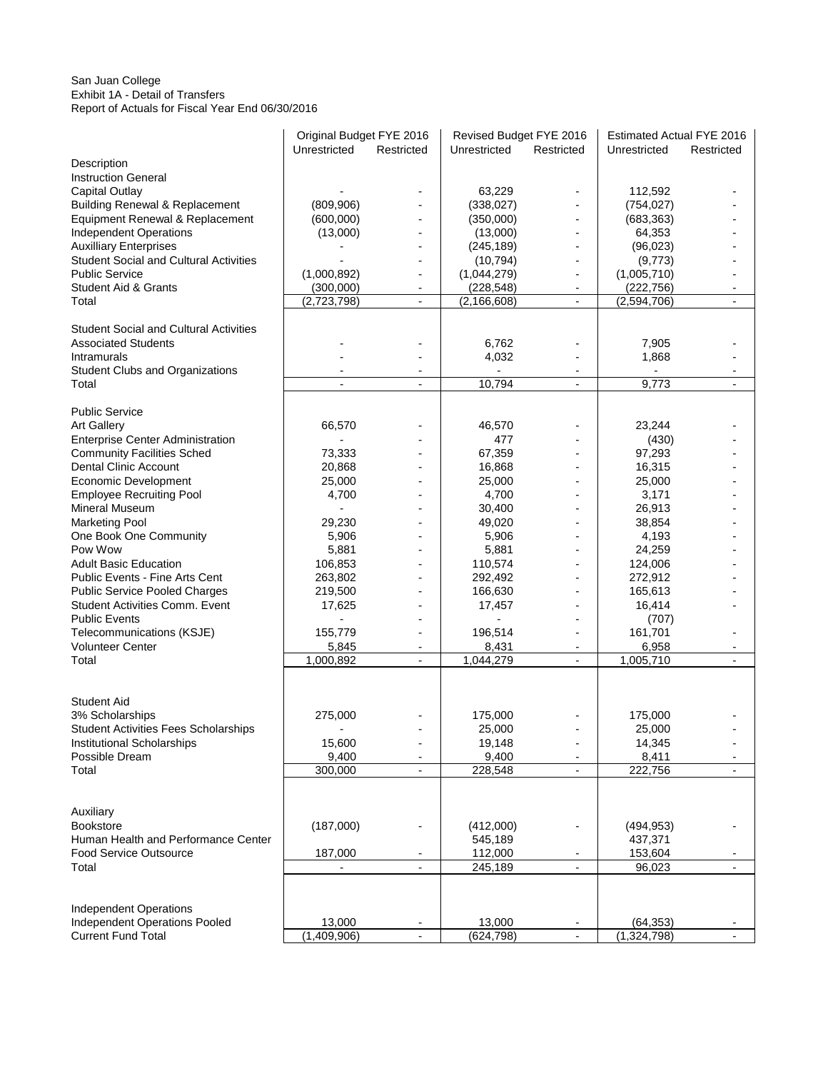#### San Juan College Exhibit 1A - Detail of Transfers Report of Actuals for Fiscal Year End 06/30/2016

|                                                 | Original Budget FYE 2016 |                                            | Revised Budget FYE 2016 |                                            | <b>Estimated Actual FYE 2016</b>  |                |
|-------------------------------------------------|--------------------------|--------------------------------------------|-------------------------|--------------------------------------------|-----------------------------------|----------------|
|                                                 | Unrestricted             | Restricted                                 | Unrestricted            | Restricted                                 | Unrestricted                      | Restricted     |
| Description                                     |                          |                                            |                         |                                            |                                   |                |
| <b>Instruction General</b>                      |                          |                                            |                         |                                            |                                   |                |
| Capital Outlay                                  |                          |                                            | 63,229                  |                                            | 112,592                           |                |
| <b>Building Renewal &amp; Replacement</b>       | (809,906)                |                                            | (338, 027)              |                                            | (754, 027)                        |                |
| Equipment Renewal & Replacement                 | (600,000)                |                                            | (350,000)               | $\blacksquare$                             | (683, 363)                        |                |
| <b>Independent Operations</b>                   | (13,000)                 |                                            | (13,000)                | $\blacksquare$                             | 64,353                            |                |
| <b>Auxilliary Enterprises</b>                   |                          |                                            | (245, 189)              |                                            | (96, 023)                         |                |
| <b>Student Social and Cultural Activities</b>   |                          |                                            | (10, 794)               |                                            | (9,773)                           |                |
| <b>Public Service</b>                           | (1,000,892)              |                                            | (1,044,279)             | $\overline{\phantom{a}}$                   | (1,005,710)                       |                |
| <b>Student Aid &amp; Grants</b>                 | (300,000)                | $\overline{\phantom{a}}$                   | (228, 548)              | $\overline{\phantom{a}}$                   | (222, 756)                        |                |
| Total                                           | (2,723,798)              | $\blacksquare$                             | (2, 166, 608)           | $\blacksquare$                             | (2,594,706)                       |                |
| <b>Student Social and Cultural Activities</b>   |                          |                                            |                         |                                            |                                   |                |
| <b>Associated Students</b>                      |                          |                                            | 6,762                   |                                            | 7,905                             |                |
| Intramurals                                     |                          |                                            | 4,032                   |                                            | 1,868                             |                |
|                                                 |                          |                                            | $\blacksquare$          |                                            |                                   |                |
| <b>Student Clubs and Organizations</b><br>Total | $\blacksquare$           | $\overline{\phantom{a}}$<br>$\blacksquare$ | 10,794                  | $\overline{\phantom{a}}$<br>$\blacksquare$ | $\overline{\phantom{a}}$<br>9,773 | $\blacksquare$ |
|                                                 |                          |                                            |                         |                                            |                                   |                |
| <b>Public Service</b>                           |                          |                                            |                         |                                            |                                   |                |
| <b>Art Gallery</b>                              | 66,570                   |                                            | 46,570                  | $\blacksquare$                             | 23,244                            |                |
| <b>Enterprise Center Administration</b>         |                          |                                            | 477                     |                                            |                                   |                |
| <b>Community Facilities Sched</b>               | 73,333                   |                                            | 67,359                  |                                            | (430)<br>97,293                   |                |
| <b>Dental Clinic Account</b>                    | 20,868                   |                                            | 16,868                  |                                            | 16,315                            |                |
| Economic Development                            | 25,000                   |                                            | 25,000                  |                                            | 25,000                            |                |
| <b>Employee Recruiting Pool</b>                 | 4,700                    |                                            | 4,700                   |                                            | 3,171                             |                |
| Mineral Museum                                  |                          |                                            | 30,400                  | $\overline{a}$                             | 26,913                            |                |
| <b>Marketing Pool</b>                           | 29,230                   |                                            | 49,020                  |                                            | 38,854                            |                |
| One Book One Community                          | 5,906                    |                                            | 5,906                   |                                            | 4,193                             |                |
| Pow Wow                                         | 5,881                    |                                            | 5,881                   | $\overline{a}$                             | 24,259                            |                |
| <b>Adult Basic Education</b>                    | 106,853                  |                                            | 110,574                 | $\blacksquare$                             | 124,006                           |                |
| Public Events - Fine Arts Cent                  | 263,802                  |                                            | 292,492                 |                                            | 272,912                           |                |
| <b>Public Service Pooled Charges</b>            | 219,500                  |                                            | 166,630                 | $\overline{a}$                             | 165,613                           |                |
| <b>Student Activities Comm. Event</b>           | 17,625                   |                                            | 17,457                  | $\overline{\phantom{m}}$                   | 16,414                            |                |
| <b>Public Events</b>                            |                          |                                            |                         |                                            | (707)                             |                |
| Telecommunications (KSJE)                       | 155,779                  |                                            | 196,514                 | $\overline{\phantom{a}}$                   | 161,701                           |                |
| <b>Volunteer Center</b>                         | 5,845                    | $\blacksquare$                             | 8,431                   | $\blacksquare$                             | 6,958                             |                |
| Total                                           | 1,000,892                | $\overline{\phantom{a}}$                   | 1,044,279               | $\overline{\phantom{a}}$                   | 1,005,710                         | $\blacksquare$ |
|                                                 |                          |                                            |                         |                                            |                                   |                |
|                                                 |                          |                                            |                         |                                            |                                   |                |
| <b>Student Aid</b>                              |                          |                                            |                         |                                            |                                   |                |
| 3% Scholarships                                 | 275,000                  |                                            | 175,000                 |                                            | 175,000                           |                |
| <b>Student Activities Fees Scholarships</b>     |                          |                                            | 25,000                  |                                            | 25,000                            |                |
| Institutional Scholarships                      | 15,600                   |                                            | 19,148                  | $\overline{\phantom{a}}$                   | 14,345                            |                |
| Possible Dream                                  | 9,400                    |                                            | 9,400                   |                                            | 8,411                             |                |
| Total                                           | 300,000                  |                                            | 228,548                 |                                            | 222,756                           |                |
|                                                 |                          |                                            |                         |                                            |                                   |                |
|                                                 |                          |                                            |                         |                                            |                                   |                |
| Auxiliary                                       |                          |                                            |                         |                                            |                                   |                |
| <b>Bookstore</b>                                | (187,000)                |                                            | (412,000)               |                                            | (494, 953)                        |                |
| Human Health and Performance Center             |                          |                                            | 545,189                 |                                            | 437,371                           |                |
| Food Service Outsource                          | 187,000                  | $\overline{\phantom{a}}$                   | 112,000                 |                                            | 153,604                           |                |
| Total                                           |                          | ÷.                                         | 245,189                 | $\mathbf{r}$                               | 96,023                            | $\blacksquare$ |
|                                                 |                          |                                            |                         |                                            |                                   |                |
|                                                 |                          |                                            |                         |                                            |                                   |                |
| <b>Independent Operations</b>                   |                          |                                            |                         |                                            |                                   |                |
| Independent Operations Pooled                   | 13,000                   | $\overline{\phantom{a}}$                   | 13,000                  |                                            | (64, 353)                         |                |
| <b>Current Fund Total</b>                       | (1,409,906)              |                                            | (624, 798)              |                                            | (1,324,798)                       |                |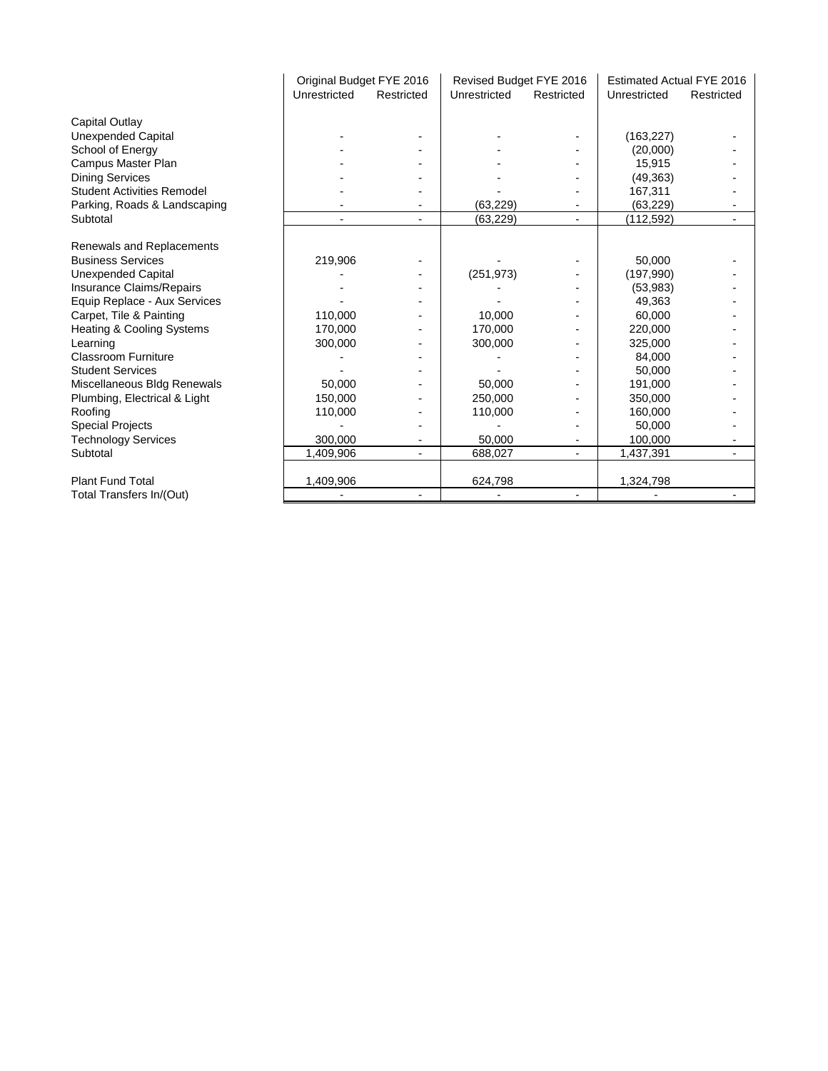|                                      | Original Budget FYE 2016 |            | Revised Budget FYE 2016 |            | <b>Estimated Actual FYE 2016</b> |            |
|--------------------------------------|--------------------------|------------|-------------------------|------------|----------------------------------|------------|
|                                      | Unrestricted             | Restricted | Unrestricted            | Restricted | Unrestricted                     | Restricted |
| Capital Outlay                       |                          |            |                         |            |                                  |            |
| <b>Unexpended Capital</b>            |                          |            |                         |            | (163, 227)                       |            |
| School of Energy                     |                          |            |                         |            | (20,000)                         |            |
| Campus Master Plan                   |                          |            |                         |            | 15,915                           |            |
| <b>Dining Services</b>               |                          |            |                         |            | (49, 363)                        |            |
| <b>Student Activities Remodel</b>    |                          |            |                         |            | 167,311                          |            |
| Parking, Roads & Landscaping         |                          |            | (63, 229)               |            | (63, 229)                        |            |
| Subtotal                             |                          |            | (63, 229)               |            | (112, 592)                       |            |
| Renewals and Replacements            |                          |            |                         |            |                                  |            |
| <b>Business Services</b>             | 219,906                  |            |                         |            | 50,000                           |            |
| <b>Unexpended Capital</b>            |                          |            | (251, 973)              |            | (197,990)                        |            |
| Insurance Claims/Repairs             |                          |            |                         |            | (53,983)                         |            |
| Equip Replace - Aux Services         |                          |            |                         |            | 49,363                           |            |
| Carpet, Tile & Painting              | 110,000                  |            | 10,000                  |            | 60,000                           |            |
| <b>Heating &amp; Cooling Systems</b> | 170.000                  |            | 170.000                 |            | 220,000                          |            |
| Learning                             | 300,000                  |            | 300,000                 |            | 325,000                          |            |
| Classroom Furniture                  |                          |            |                         |            | 84,000                           |            |
| <b>Student Services</b>              |                          |            |                         |            | 50,000                           |            |
| Miscellaneous Bldg Renewals          | 50,000                   |            | 50,000                  |            | 191,000                          |            |
| Plumbing, Electrical & Light         | 150,000                  |            | 250,000                 |            | 350,000                          |            |
| Roofing                              | 110,000                  |            | 110,000                 |            | 160,000                          |            |
| <b>Special Projects</b>              |                          |            |                         |            | 50,000                           |            |
| <b>Technology Services</b>           | 300,000                  |            | 50.000                  |            | 100,000                          |            |
| Subtotal                             | 1,409,906                |            | 688,027                 |            | 1,437,391                        |            |
| <b>Plant Fund Total</b>              | 1,409,906                |            | 624,798                 |            | 1,324,798                        |            |
| Total Transfers In/(Out)             |                          |            |                         |            |                                  |            |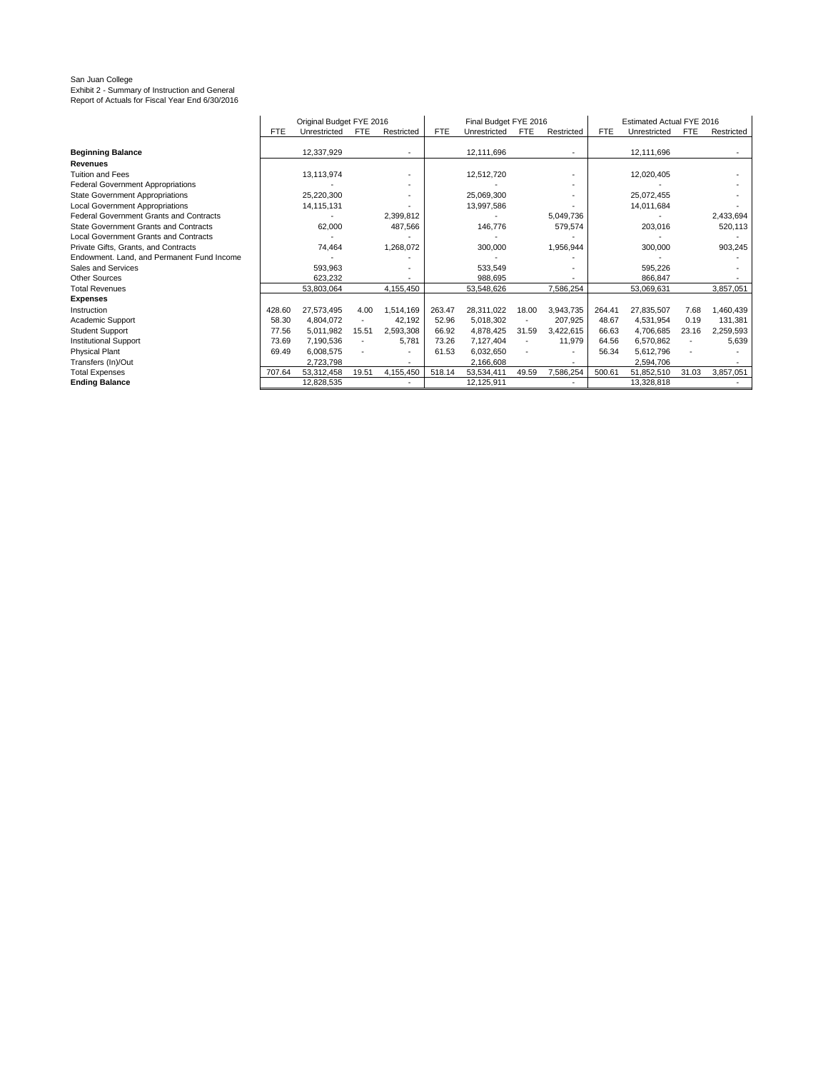# San Juan College Exhibit 2 - Summary of Instruction and General Report of Actuals for Fiscal Year End 6/30/2016

|                                                | Original Budget FYE 2016 |              |                          | Final Budget FYE 2016    |            |              |                          | Estimated Actual FYE 2016 |            |              |       |            |
|------------------------------------------------|--------------------------|--------------|--------------------------|--------------------------|------------|--------------|--------------------------|---------------------------|------------|--------------|-------|------------|
|                                                | <b>FTE</b>               | Unrestricted | <b>FTE</b>               | Restricted               | <b>FTE</b> | Unrestricted | <b>FTE</b>               | Restricted                | <b>FTE</b> | Unrestricted | FTE   | Restricted |
|                                                |                          |              |                          |                          |            |              |                          |                           |            |              |       |            |
| <b>Beginning Balance</b>                       |                          | 12,337,929   |                          |                          |            | 12,111,696   |                          |                           |            | 12,111,696   |       |            |
| <b>Revenues</b>                                |                          |              |                          |                          |            |              |                          |                           |            |              |       |            |
| Tuition and Fees                               |                          | 13,113,974   |                          |                          |            | 12,512,720   |                          |                           |            | 12,020,405   |       |            |
| <b>Federal Government Appropriations</b>       |                          |              |                          |                          |            |              |                          |                           |            |              |       |            |
| <b>State Government Appropriations</b>         |                          | 25.220.300   |                          |                          |            | 25.069.300   |                          |                           |            | 25.072.455   |       |            |
| <b>Local Government Appropriations</b>         |                          | 14, 115, 131 |                          |                          |            | 13,997,586   |                          |                           |            | 14,011,684   |       |            |
| <b>Federal Government Grants and Contracts</b> |                          |              |                          | 2,399,812                |            |              |                          | 5,049,736                 |            |              |       | 2,433,694  |
| State Government Grants and Contracts          |                          | 62,000       |                          | 487,566                  |            | 146,776      |                          | 579,574                   |            | 203,016      |       | 520,113    |
| <b>Local Government Grants and Contracts</b>   |                          |              |                          |                          |            |              |                          |                           |            |              |       |            |
| Private Gifts, Grants, and Contracts           |                          | 74.464       |                          | 1,268,072                |            | 300.000      |                          | 1,956,944                 |            | 300,000      |       | 903,245    |
| Endowment. Land, and Permanent Fund Income     |                          |              |                          |                          |            |              |                          |                           |            |              |       |            |
| Sales and Services                             |                          | 593,963      |                          |                          |            | 533,549      |                          |                           |            | 595,226      |       |            |
| <b>Other Sources</b>                           |                          | 623.232      |                          |                          |            | 988.695      |                          |                           |            | 866.847      |       |            |
| <b>Total Revenues</b>                          |                          | 53,803,064   |                          | 4,155,450                |            | 53,548,626   |                          | 7,586,254                 |            | 53,069,631   |       | 3,857,051  |
| <b>Expenses</b>                                |                          |              |                          |                          |            |              |                          |                           |            |              |       |            |
| Instruction                                    | 428.60                   | 27.573.495   | 4.00                     | 1,514,169                | 263.47     | 28.311.022   | 18.00                    | 3.943.735                 | 264.41     | 27.835.507   | 7.68  | 1.460.439  |
| Academic Support                               | 58.30                    | 4.804.072    | $\overline{\phantom{a}}$ | 42,192                   | 52.96      | 5,018,302    | $\overline{\phantom{a}}$ | 207.925                   | 48.67      | 4.531.954    | 0.19  | 131,381    |
| <b>Student Support</b>                         | 77.56                    | 5.011.982    | 15.51                    | 2.593.308                | 66.92      | 4,878,425    | 31.59                    | 3,422,615                 | 66.63      | 4,706,685    | 23.16 | 2,259,593  |
| <b>Institutional Support</b>                   | 73.69                    | 7.190.536    | $\overline{\phantom{a}}$ | 5.781                    | 73.26      | 7.127.404    | ٠                        | 11,979                    | 64.56      | 6.570.862    |       | 5,639      |
| <b>Physical Plant</b>                          | 69.49                    | 6,008,575    |                          | $\overline{\phantom{a}}$ | 61.53      | 6,032,650    |                          |                           | 56.34      | 5,612,796    |       |            |
| Transfers (In)/Out                             |                          | 2,723,798    |                          |                          |            | 2,166,608    |                          |                           |            | 2,594,706    |       |            |
| <b>Total Expenses</b>                          | 707.64                   | 53,312,458   | 19.51                    | 4,155,450                | 518.14     | 53,534,411   | 49.59                    | 7,586,254                 | 500.61     | 51,852,510   | 31.03 | 3,857,051  |
| <b>Ending Balance</b>                          |                          | 12,828,535   |                          | $\overline{\phantom{a}}$ |            | 12,125,911   |                          |                           |            | 13,328,818   |       |            |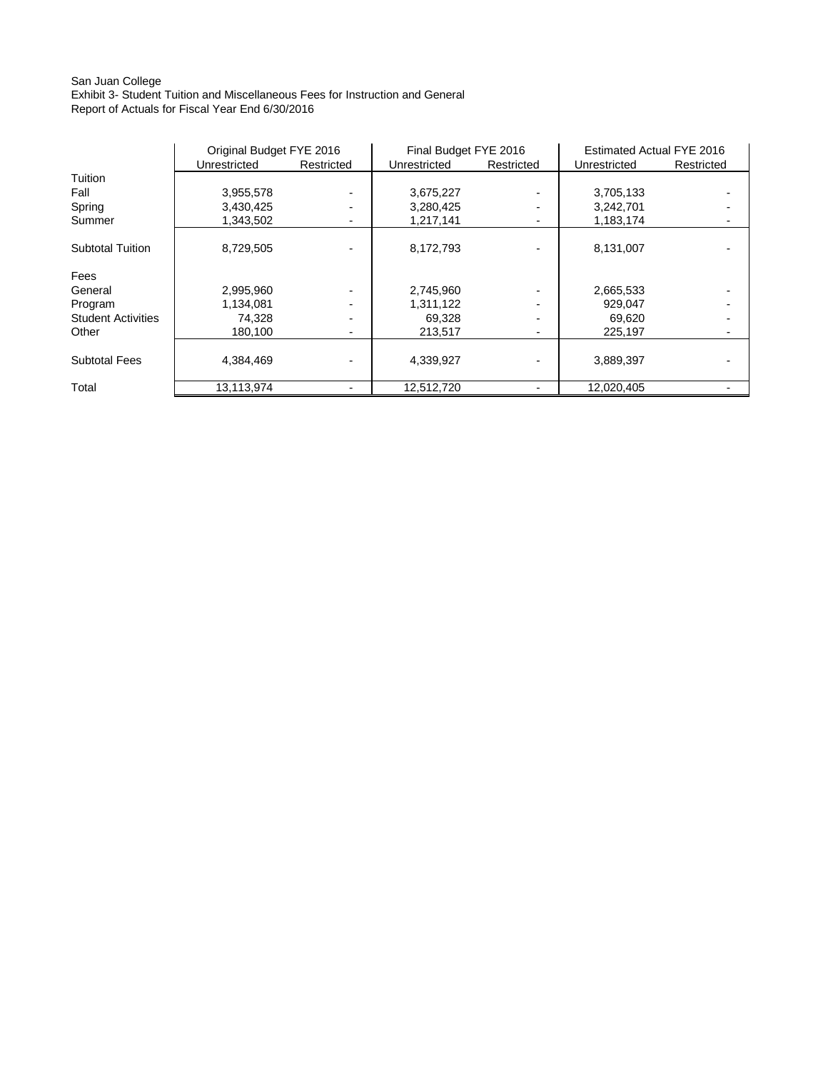#### San Juan College Exhibit 3- Student Tuition and Miscellaneous Fees for Instruction and General

Report of Actuals for Fiscal Year End 6/30/2016

|                           | Original Budget FYE 2016 |            | Final Budget FYE 2016 |                | Estimated Actual FYE 2016 |            |  |
|---------------------------|--------------------------|------------|-----------------------|----------------|---------------------------|------------|--|
|                           | Unrestricted             | Restricted | Unrestricted          | Restricted     | Unrestricted              | Restricted |  |
| Tuition                   |                          |            |                       |                |                           |            |  |
| Fall                      | 3,955,578                |            | 3,675,227             |                | 3,705,133                 |            |  |
| Spring                    | 3,430,425                |            | 3,280,425             |                | 3,242,701                 |            |  |
| Summer                    | 1,343,502                |            | 1,217,141             |                | 1,183,174                 |            |  |
| <b>Subtotal Tuition</b>   | 8,729,505                |            | 8,172,793             |                | 8,131,007                 |            |  |
| Fees                      |                          |            |                       |                |                           |            |  |
| General                   | 2,995,960                |            | 2,745,960             |                | 2,665,533                 |            |  |
| Program                   | 1,134,081                |            | 1,311,122             |                | 929,047                   |            |  |
| <b>Student Activities</b> | 74,328                   |            | 69,328                |                | 69,620                    |            |  |
| Other                     | 180,100                  |            | 213,517               | $\blacksquare$ | 225,197                   |            |  |
| <b>Subtotal Fees</b>      | 4,384,469                |            | 4,339,927             |                | 3,889,397                 |            |  |
| Total                     | 13,113,974               |            | 12,512,720            |                | 12,020,405                |            |  |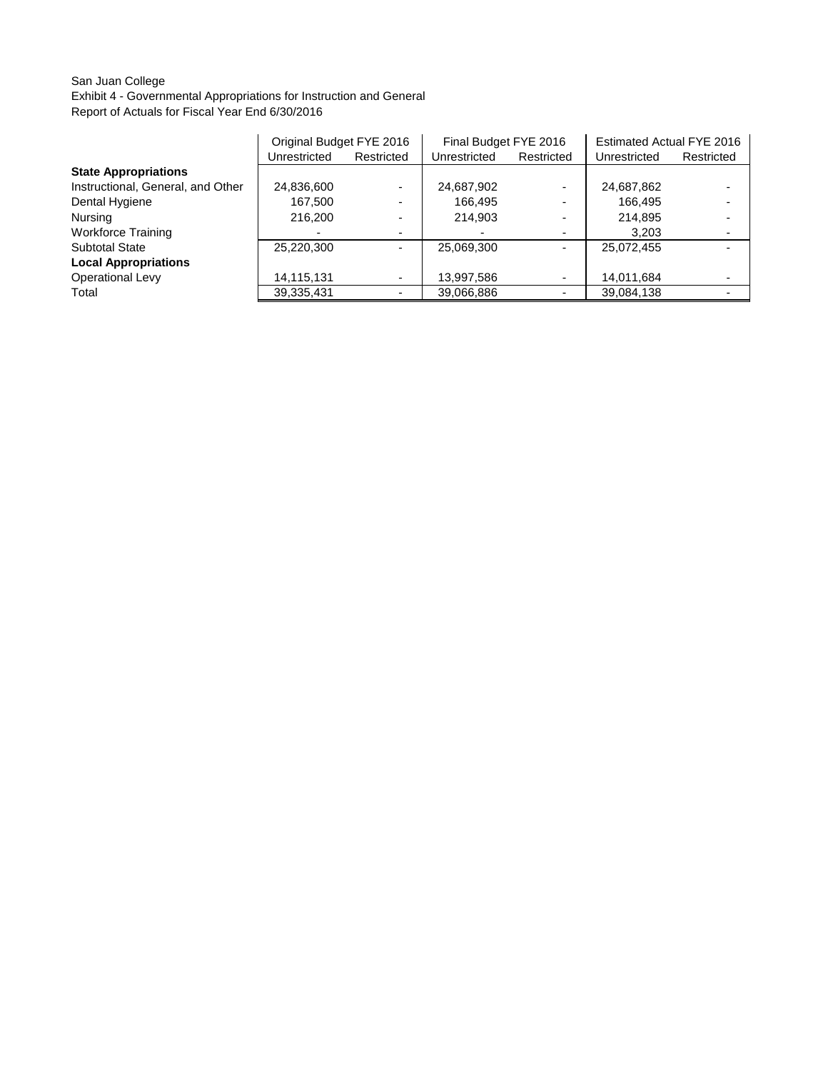# San Juan College

Exhibit 4 - Governmental Appropriations for Instruction and General Report of Actuals for Fiscal Year End 6/30/2016

|                                   | Original Budget FYE 2016 |                          | Final Budget FYE 2016 |                          | <b>Estimated Actual FYE 2016</b> |            |
|-----------------------------------|--------------------------|--------------------------|-----------------------|--------------------------|----------------------------------|------------|
|                                   | Unrestricted             | Restricted               | Unrestricted          | Restricted               | Unrestricted                     | Restricted |
| <b>State Appropriations</b>       |                          |                          |                       |                          |                                  |            |
| Instructional, General, and Other | 24,836,600               | Ξ.                       | 24,687,902            | $\overline{\phantom{0}}$ | 24,687,862                       |            |
| Dental Hygiene                    | 167,500                  | $\overline{\phantom{0}}$ | 166.495               | $\overline{\phantom{0}}$ | 166.495                          |            |
| Nursing                           | 216,200                  | $\overline{\phantom{0}}$ | 214,903               | $\overline{\phantom{0}}$ | 214,895                          |            |
| <b>Workforce Training</b>         |                          | ۰.                       |                       | ۰                        | 3,203                            |            |
| <b>Subtotal State</b>             | 25.220.300               | Ξ.                       | 25,069,300            | -                        | 25.072.455                       |            |
| <b>Local Appropriations</b>       |                          |                          |                       |                          |                                  |            |
| <b>Operational Levy</b>           | 14,115,131               | ۰                        | 13,997,586            | ۰                        | 14,011,684                       |            |
| Total                             | 39,335,431               | ۰.                       | 39,066,886            | ۰                        | 39,084,138                       |            |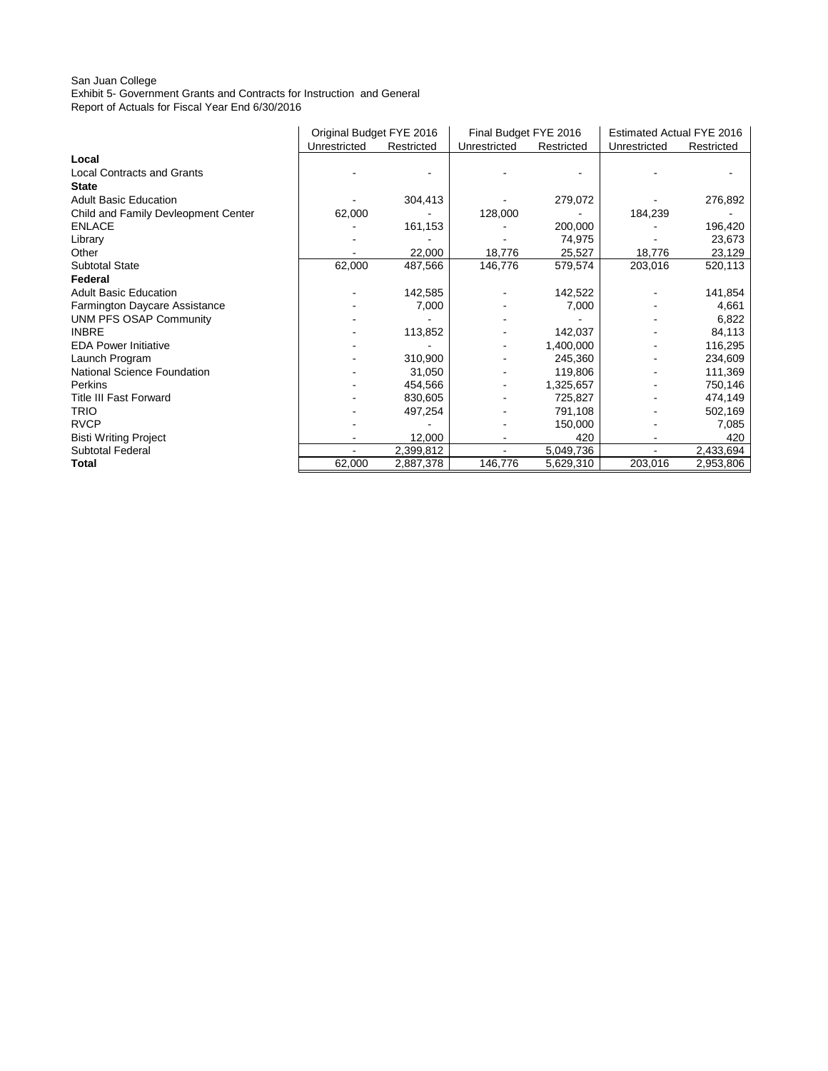## San Juan College

Exhibit 5- Government Grants and Contracts for Instruction and General

Report of Actuals for Fiscal Year End 6/30/2016

|                                     | Original Budget FYE 2016 |            | Final Budget FYE 2016 |            | Estimated Actual FYE 2016 |            |
|-------------------------------------|--------------------------|------------|-----------------------|------------|---------------------------|------------|
|                                     | Unrestricted             | Restricted | Unrestricted          | Restricted | Unrestricted              | Restricted |
| Local                               |                          |            |                       |            |                           |            |
| <b>Local Contracts and Grants</b>   |                          |            |                       |            |                           |            |
| <b>State</b>                        |                          |            |                       |            |                           |            |
| <b>Adult Basic Education</b>        |                          | 304,413    |                       | 279,072    |                           | 276,892    |
| Child and Family Devleopment Center | 62,000                   |            | 128,000               |            | 184,239                   |            |
| <b>ENLACE</b>                       |                          | 161,153    |                       | 200,000    |                           | 196,420    |
| Library                             |                          |            |                       | 74,975     |                           | 23,673     |
| Other                               |                          | 22,000     | 18,776                | 25,527     | 18,776                    | 23,129     |
| <b>Subtotal State</b>               | 62,000                   | 487,566    | 146,776               | 579,574    | 203,016                   | 520,113    |
| Federal                             |                          |            |                       |            |                           |            |
| <b>Adult Basic Education</b>        |                          | 142,585    |                       | 142,522    |                           | 141,854    |
| Farmington Daycare Assistance       |                          | 7,000      |                       | 7,000      |                           | 4,661      |
| <b>UNM PFS OSAP Community</b>       |                          |            |                       |            |                           | 6,822      |
| <b>INBRE</b>                        |                          | 113,852    |                       | 142,037    |                           | 84,113     |
| <b>EDA Power Initiative</b>         |                          |            |                       | 1,400,000  |                           | 116,295    |
| Launch Program                      |                          | 310,900    |                       | 245,360    |                           | 234,609    |
| National Science Foundation         |                          | 31,050     |                       | 119,806    |                           | 111,369    |
| Perkins                             |                          | 454,566    |                       | 1,325,657  |                           | 750,146    |
| <b>Title III Fast Forward</b>       |                          | 830,605    |                       | 725,827    |                           | 474,149    |
| <b>TRIO</b>                         |                          | 497,254    |                       | 791,108    |                           | 502,169    |
| <b>RVCP</b>                         |                          |            |                       | 150,000    |                           | 7,085      |
| <b>Bisti Writing Project</b>        |                          | 12,000     |                       | 420        |                           | 420        |
| <b>Subtotal Federal</b>             |                          | 2,399,812  |                       | 5,049,736  |                           | 2,433,694  |
| <b>Total</b>                        | 62,000                   | 2,887,378  | 146,776               | 5,629,310  | 203,016                   | 2,953,806  |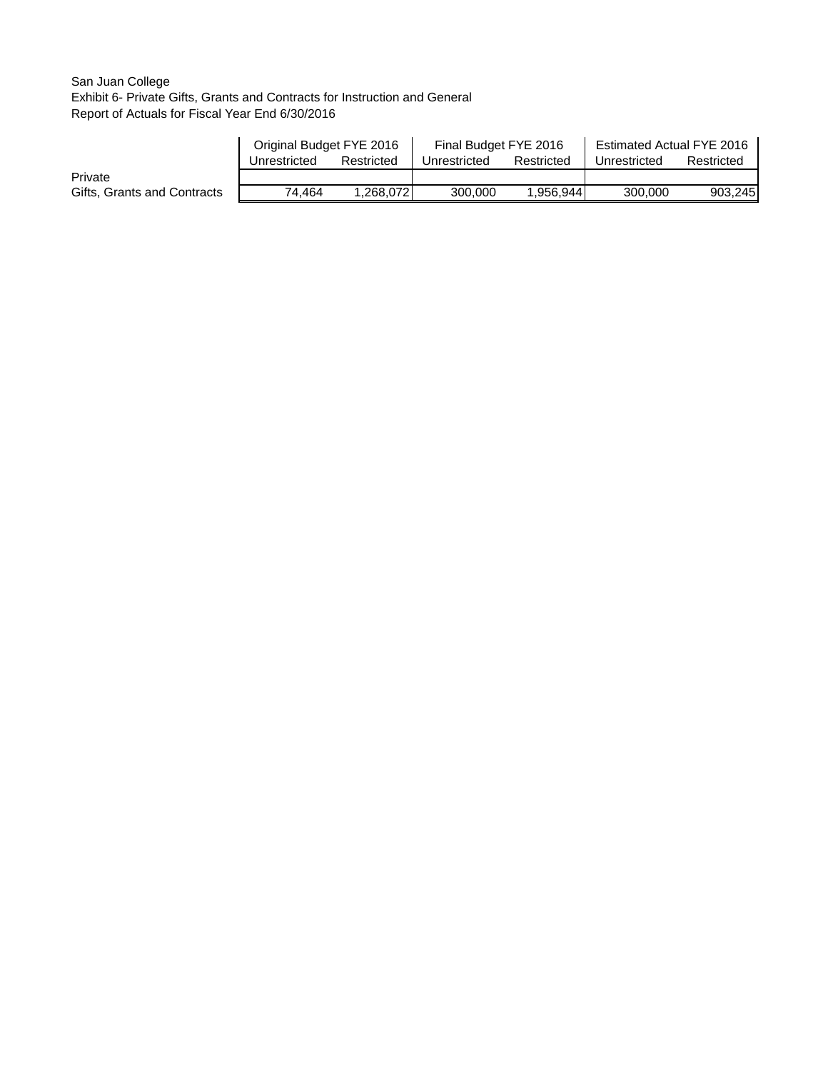## San Juan College Exhibit 6- Private Gifts, Grants and Contracts for Instruction and General Report of Actuals for Fiscal Year End 6/30/2016

|                             | Original Budget FYE 2016 |            | Final Budget FYE 2016 |            | Estimated Actual FYE 2016 |            |  |
|-----------------------------|--------------------------|------------|-----------------------|------------|---------------------------|------------|--|
|                             | Unrestricted             | Restricted | Unrestricted          | Restricted | Unrestricted              | Restricted |  |
| Private                     |                          |            |                       |            |                           |            |  |
| Gifts, Grants and Contracts | 74.464                   | 1.268.072  | 300,000               | 1,956,944  | 300,000                   | 903,245    |  |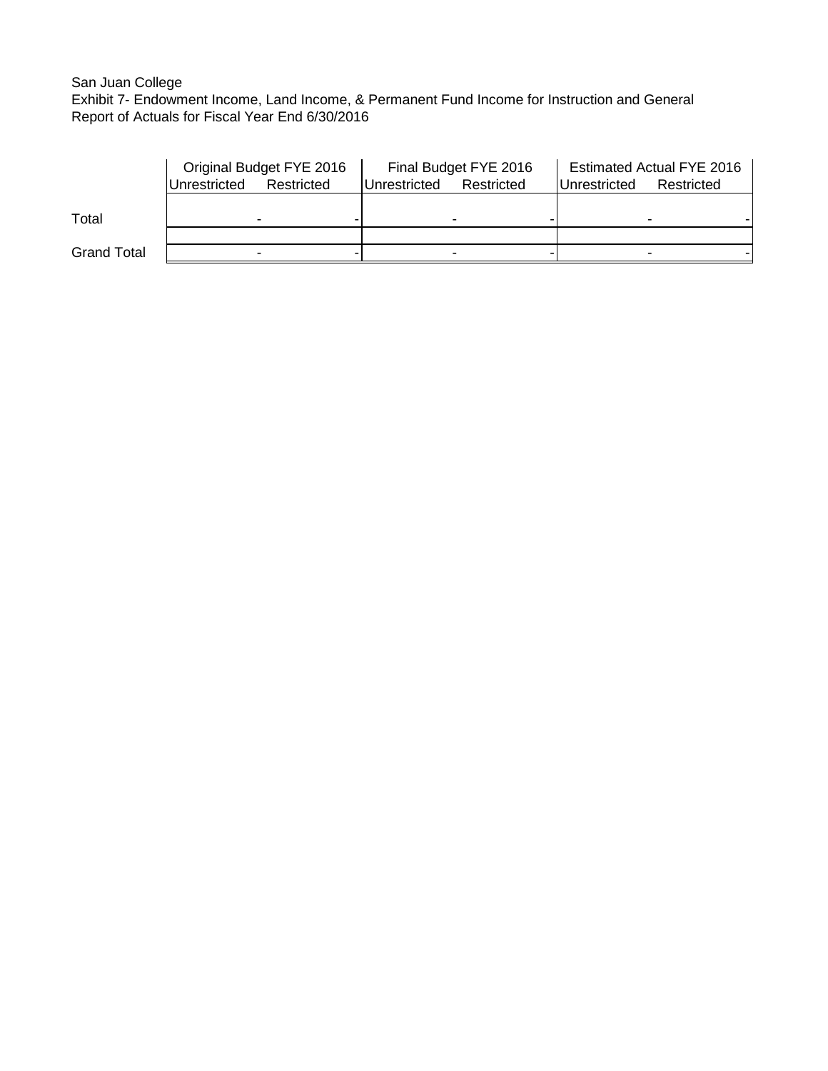# San Juan College

Exhibit 7- Endowment Income, Land Income, & Permanent Fund Income for Instruction and General Report of Actuals for Fiscal Year End 6/30/2016

|                    | Original Budget FYE 2016   |  |              | Final Budget FYE 2016 | <b>Estimated Actual FYE 2016</b> |            |  |
|--------------------|----------------------------|--|--------------|-----------------------|----------------------------------|------------|--|
|                    | Unrestricted<br>Restricted |  | Unrestricted | Restricted            | Unrestricted                     | Restricted |  |
|                    |                            |  |              |                       |                                  |            |  |
| Total              |                            |  |              |                       |                                  |            |  |
|                    |                            |  |              |                       |                                  |            |  |
| <b>Grand Total</b> |                            |  |              |                       |                                  |            |  |
|                    |                            |  |              |                       |                                  |            |  |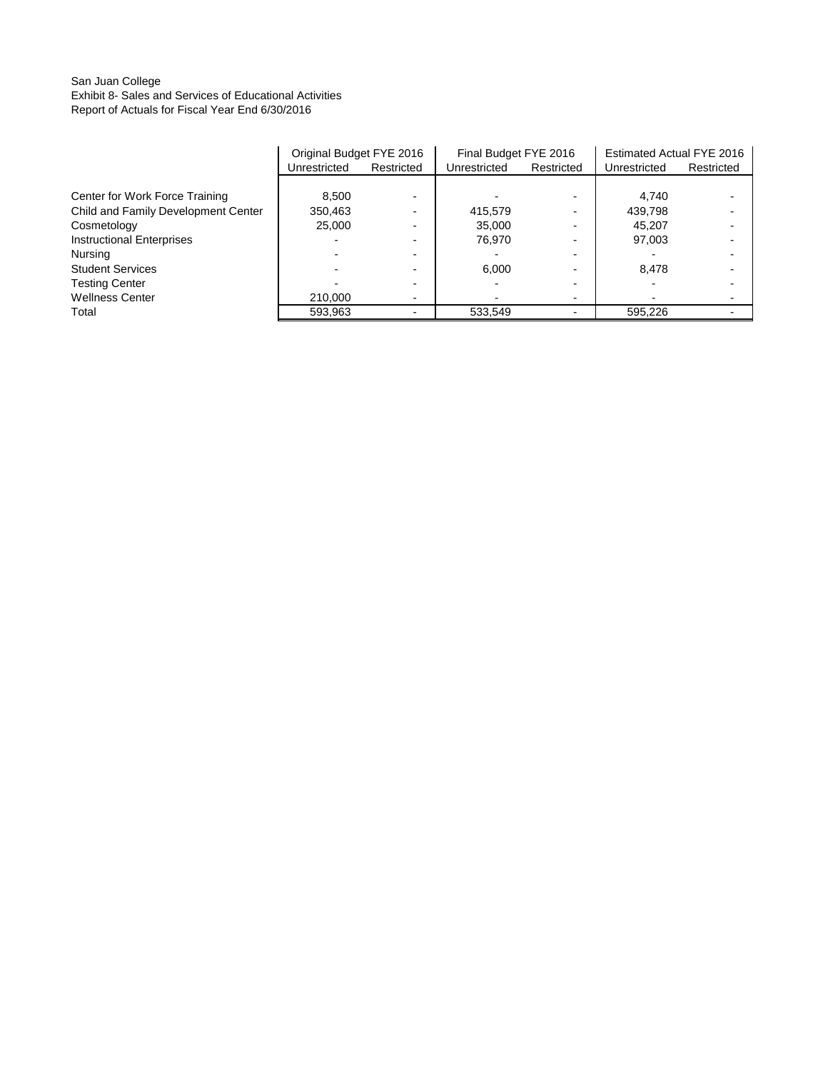## San Juan College Exhibit 8- Sales and Services of Educational Activities Report of Actuals for Fiscal Year End 6/30/2016

|                                     | Original Budget FYE 2016 |            | Final Budget FYE 2016 |                          | Estimated Actual FYE 2016 |            |
|-------------------------------------|--------------------------|------------|-----------------------|--------------------------|---------------------------|------------|
|                                     | Unrestricted             | Restricted | Unrestricted          | Restricted               | Unrestricted              | Restricted |
|                                     |                          |            |                       |                          |                           |            |
| Center for Work Force Training      | 8.500                    |            |                       |                          | 4.740                     |            |
| Child and Family Development Center | 350,463                  |            | 415.579               |                          | 439,798                   |            |
| Cosmetology                         | 25.000                   |            | 35.000                | $\overline{\phantom{0}}$ | 45.207                    |            |
| <b>Instructional Enterprises</b>    |                          |            | 76.970                | $\overline{\phantom{0}}$ | 97,003                    |            |
| Nursing                             |                          |            |                       |                          |                           |            |
| <b>Student Services</b>             |                          |            | 6.000                 | $\overline{\phantom{0}}$ | 8.478                     |            |
| <b>Testing Center</b>               |                          |            |                       |                          |                           |            |
| <b>Wellness Center</b>              | 210,000                  |            |                       | $\overline{\phantom{0}}$ |                           |            |
| Total                               | 593,963                  |            | 533,549               |                          | 595,226                   |            |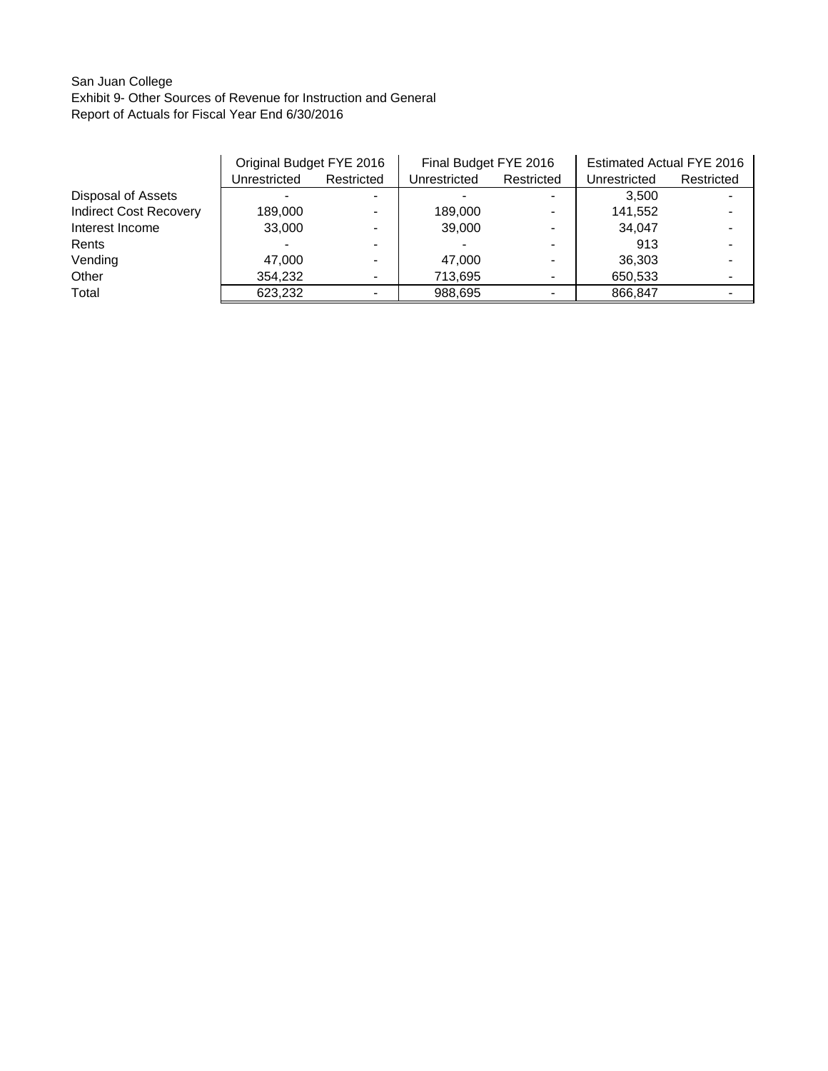## San Juan College Exhibit 9- Other Sources of Revenue for Instruction and General Report of Actuals for Fiscal Year End 6/30/2016

|                               | Original Budget FYE 2016 |            | Final Budget FYE 2016 |            | Estimated Actual FYE 2016 |            |
|-------------------------------|--------------------------|------------|-----------------------|------------|---------------------------|------------|
|                               | Unrestricted             | Restricted | Unrestricted          | Restricted | Unrestricted              | Restricted |
| Disposal of Assets            |                          |            |                       |            | 3.500                     |            |
| <b>Indirect Cost Recovery</b> | 189,000                  |            | 189,000               |            | 141,552                   |            |
| Interest Income               | 33,000                   |            | 39,000                |            | 34,047                    |            |
| Rents                         |                          |            |                       |            | 913                       |            |
| Vending                       | 47.000                   |            | 47.000                |            | 36,303                    |            |
| Other                         | 354,232                  |            | 713,695               |            | 650,533                   |            |
| Total                         | 623.232                  |            | 988,695               |            | 866.847                   |            |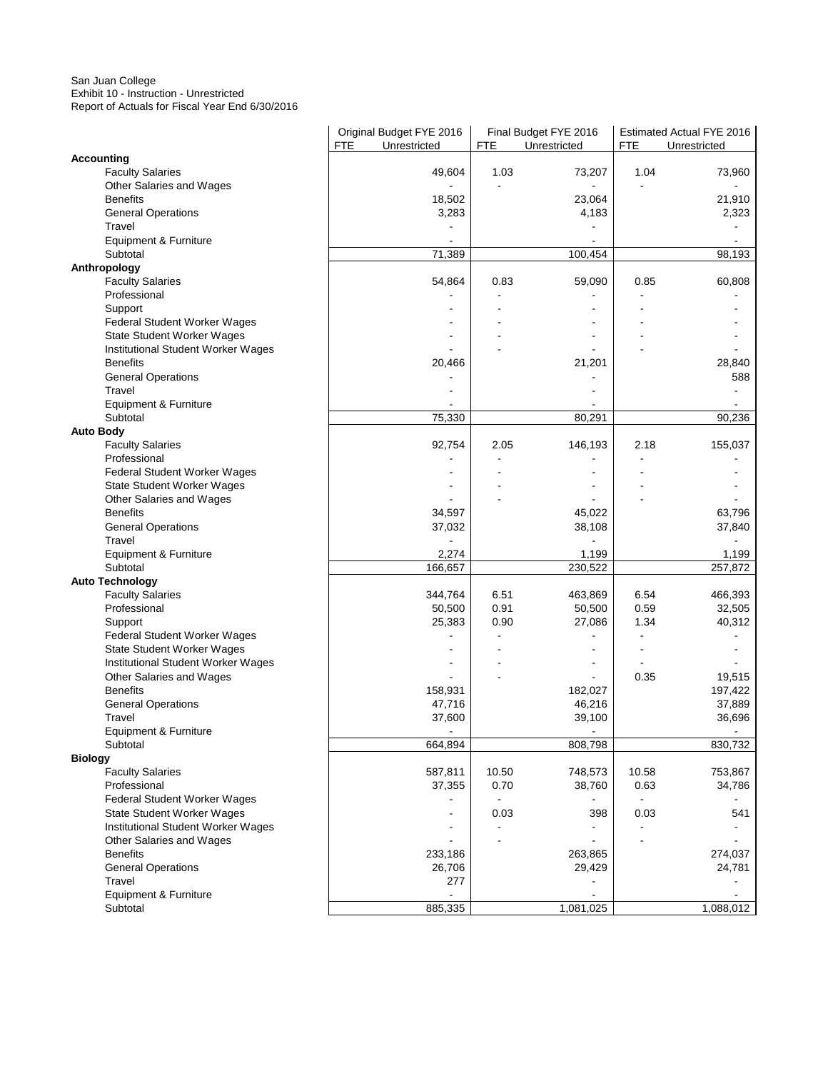#### San Juan College Exhibit 10 - Instruction - Unrestricted Report of Actuals for Fiscal Year End 6/30/2016

|                                           | Original Budget FYE 2016<br>FTE<br>Unrestricted | <b>FTE</b> | Final Budget FYE 2016<br>Unrestricted | FTE   | Estimated Actual FYE 2016<br>Unrestricted |
|-------------------------------------------|-------------------------------------------------|------------|---------------------------------------|-------|-------------------------------------------|
| <b>Accounting</b>                         |                                                 |            |                                       |       |                                           |
| <b>Faculty Salaries</b>                   | 49,604                                          | 1.03       | 73,207                                | 1.04  | 73,960                                    |
| Other Salaries and Wages                  |                                                 |            |                                       |       |                                           |
| <b>Benefits</b>                           | 18,502                                          |            | 23,064                                |       | 21,910                                    |
| <b>General Operations</b>                 | 3,283                                           |            | 4,183                                 |       | 2,323                                     |
| Travel                                    |                                                 |            |                                       |       |                                           |
| Equipment & Furniture                     |                                                 |            |                                       |       |                                           |
| Subtotal                                  | 71,389                                          |            | 100,454                               |       | 98,193                                    |
| Anthropology                              |                                                 |            |                                       |       |                                           |
| <b>Faculty Salaries</b>                   | 54,864                                          | 0.83       | 59,090                                | 0.85  | 60,808                                    |
| Professional                              |                                                 |            |                                       |       |                                           |
| Support                                   |                                                 |            |                                       |       |                                           |
| Federal Student Worker Wages              |                                                 |            |                                       |       |                                           |
| State Student Worker Wages                |                                                 |            |                                       |       |                                           |
| Institutional Student Worker Wages        |                                                 |            |                                       |       |                                           |
| <b>Benefits</b>                           | 20,466                                          |            | 21,201                                |       | 28,840                                    |
| <b>General Operations</b><br>Travel       |                                                 |            |                                       |       | 588                                       |
| Equipment & Furniture                     |                                                 |            |                                       |       |                                           |
| Subtotal                                  | 75,330                                          |            | 80,291                                |       | 90,236                                    |
| <b>Auto Body</b>                          |                                                 |            |                                       |       |                                           |
| <b>Faculty Salaries</b>                   | 92,754                                          | 2.05       | 146,193                               | 2.18  | 155,037                                   |
| Professional                              |                                                 |            |                                       |       |                                           |
| Federal Student Worker Wages              |                                                 |            |                                       |       |                                           |
| State Student Worker Wages                |                                                 |            |                                       |       |                                           |
| Other Salaries and Wages                  |                                                 |            |                                       |       |                                           |
| <b>Benefits</b>                           | 34,597                                          |            | 45,022                                |       | 63,796                                    |
| <b>General Operations</b>                 | 37,032                                          |            | 38,108                                |       | 37,840                                    |
| Travel                                    |                                                 |            |                                       |       |                                           |
| Equipment & Furniture                     | 2,274                                           |            | 1,199                                 |       | 1,199                                     |
| Subtotal                                  | 166,657                                         |            | 230,522                               |       | 257,872                                   |
| <b>Auto Technology</b>                    |                                                 |            |                                       |       |                                           |
| <b>Faculty Salaries</b>                   | 344,764                                         | 6.51       | 463,869                               | 6.54  | 466,393                                   |
| Professional                              | 50,500                                          | 0.91       | 50,500                                | 0.59  | 32,505                                    |
| Support                                   | 25,383                                          | 0.90       | 27,086                                | 1.34  | 40,312                                    |
| Federal Student Worker Wages              |                                                 |            |                                       |       |                                           |
| State Student Worker Wages                |                                                 |            |                                       |       |                                           |
| Institutional Student Worker Wages        |                                                 |            |                                       |       |                                           |
| Other Salaries and Wages                  |                                                 |            | ä,                                    | 0.35  | 19,515                                    |
| <b>Benefits</b>                           | 158,931                                         |            | 182,027                               |       | 197,422                                   |
| <b>General Operations</b>                 | 47,716                                          |            | 46,216                                |       | 37,889                                    |
| Travel                                    | 37,600                                          |            | 39,100                                |       | 36,696                                    |
| Equipment & Furniture                     |                                                 |            |                                       |       |                                           |
| Subtotal                                  | 664,894                                         |            | 808,798                               |       | 830,732                                   |
| <b>Biology</b><br><b>Faculty Salaries</b> | 587,811                                         | 10.50      | 748,573                               | 10.58 | 753,867                                   |
| Professional                              | 37,355                                          | 0.70       | 38,760                                | 0.63  | 34,786                                    |
| Federal Student Worker Wages              |                                                 |            |                                       |       |                                           |
| State Student Worker Wages                |                                                 | 0.03       | 398                                   | 0.03  | 541                                       |
| Institutional Student Worker Wages        |                                                 |            |                                       |       |                                           |
| Other Salaries and Wages                  |                                                 |            |                                       |       |                                           |
| <b>Benefits</b>                           | 233,186                                         |            | 263,865                               |       | 274,037                                   |
| <b>General Operations</b>                 | 26,706                                          |            | 29,429                                |       | 24,781                                    |
| Travel                                    | 277                                             |            |                                       |       |                                           |
| Equipment & Furniture                     |                                                 |            |                                       |       |                                           |
| Subtotal                                  | 885,335                                         |            | 1,081,025                             |       | 1,088,012                                 |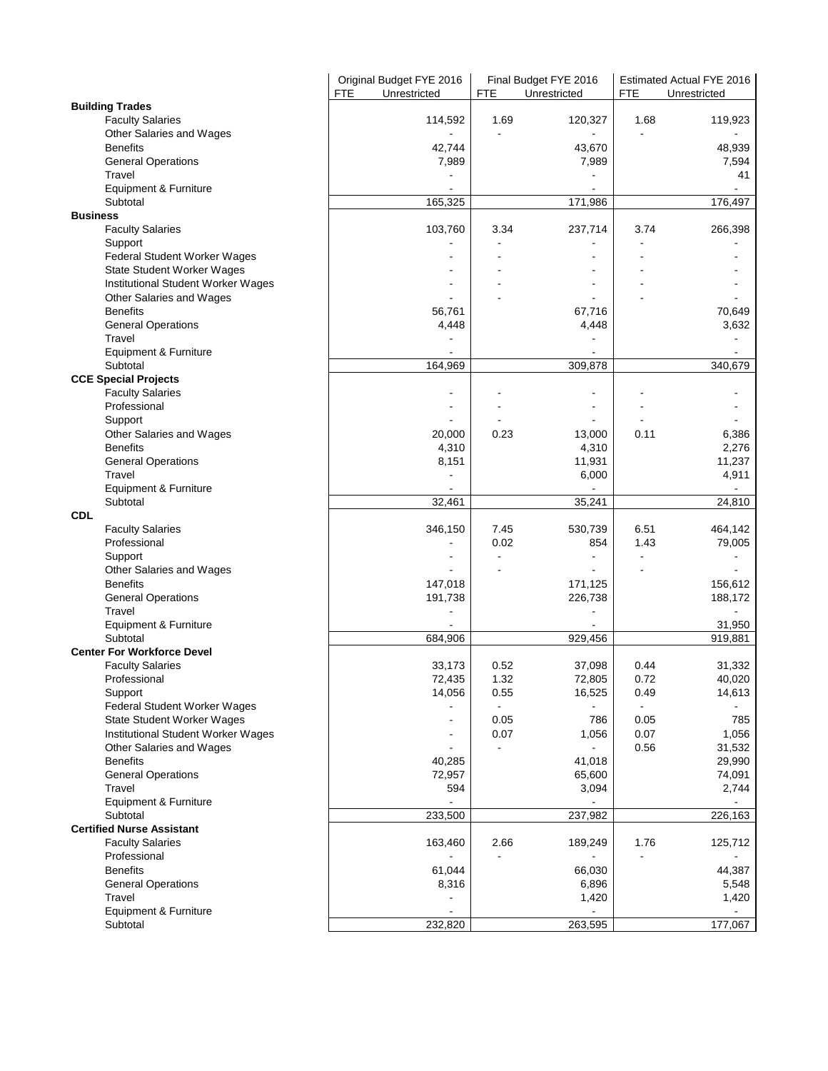|                                             | Original Budget FYE 2016<br><b>FTE</b><br>Unrestricted | Final Budget FYE 2016<br>Unrestricted |                          |            | Estimated Actual FYE 2016 |
|---------------------------------------------|--------------------------------------------------------|---------------------------------------|--------------------------|------------|---------------------------|
| <b>Building Trades</b>                      |                                                        | <b>FTE</b>                            |                          | <b>FTE</b> | Unrestricted              |
| <b>Faculty Salaries</b>                     | 114,592                                                | 1.69                                  | 120,327                  | 1.68       | 119,923                   |
| Other Salaries and Wages                    |                                                        |                                       |                          |            |                           |
| <b>Benefits</b>                             | 42,744                                                 |                                       | 43,670                   |            | 48,939                    |
| <b>General Operations</b>                   | 7,989                                                  |                                       | 7,989                    |            | 7,594                     |
| Travel                                      |                                                        |                                       |                          |            | 41                        |
| Equipment & Furniture                       |                                                        |                                       |                          |            |                           |
| Subtotal                                    | 165,325                                                |                                       | 171,986                  |            | 176,497                   |
| <b>Business</b>                             |                                                        |                                       |                          |            |                           |
| <b>Faculty Salaries</b>                     | 103,760                                                | 3.34                                  | 237,714                  | 3.74       | 266,398                   |
| Support                                     |                                                        |                                       |                          |            |                           |
| <b>Federal Student Worker Wages</b>         |                                                        |                                       |                          |            |                           |
| State Student Worker Wages                  |                                                        |                                       |                          |            |                           |
| Institutional Student Worker Wages          |                                                        |                                       |                          |            |                           |
| Other Salaries and Wages<br><b>Benefits</b> | 56,761                                                 |                                       | 67,716                   |            | 70,649                    |
| <b>General Operations</b>                   | 4,448                                                  |                                       | 4,448                    |            | 3,632                     |
| Travel                                      |                                                        |                                       |                          |            |                           |
| Equipment & Furniture                       |                                                        |                                       |                          |            |                           |
| Subtotal                                    | 164,969                                                |                                       | 309,878                  |            | 340,679                   |
| <b>CCE Special Projects</b>                 |                                                        |                                       |                          |            |                           |
| <b>Faculty Salaries</b>                     |                                                        |                                       |                          |            |                           |
| Professional                                |                                                        |                                       |                          |            |                           |
| Support                                     |                                                        |                                       | $\blacksquare$           |            |                           |
| Other Salaries and Wages                    | 20,000                                                 | 0.23                                  | 13,000                   | 0.11       | 6,386                     |
| <b>Benefits</b>                             | 4,310                                                  |                                       | 4,310                    |            | 2,276                     |
| <b>General Operations</b>                   | 8,151                                                  |                                       | 11,931                   |            | 11,237                    |
| Travel                                      |                                                        |                                       | 6,000                    |            | 4,911                     |
| Equipment & Furniture                       |                                                        |                                       |                          |            |                           |
| Subtotal                                    | 32,461                                                 |                                       | 35,241                   |            | 24,810                    |
| <b>CDL</b>                                  |                                                        |                                       |                          |            |                           |
| <b>Faculty Salaries</b>                     | 346,150                                                | 7.45                                  | 530,739                  | 6.51       | 464,142                   |
| Professional                                |                                                        | 0.02                                  | 854                      | 1.43       | 79,005                    |
| Support                                     |                                                        |                                       | $\overline{\phantom{a}}$ |            |                           |
| Other Salaries and Wages<br><b>Benefits</b> | 147,018                                                |                                       | 171,125                  |            | 156,612                   |
| <b>General Operations</b>                   | 191,738                                                |                                       | 226,738                  |            | 188,172                   |
| Travel                                      |                                                        |                                       |                          |            | $\sim$                    |
| Equipment & Furniture                       |                                                        |                                       |                          |            | 31,950                    |
| Subtotal                                    | 684,906                                                |                                       | 929,456                  |            | 919,881                   |
| <b>Center For Workforce Devel</b>           |                                                        |                                       |                          |            |                           |
| <b>Faculty Salaries</b>                     | 33,173                                                 | 0.52                                  | 37,098                   | 0.44       | 31,332                    |
| Professional                                | 72,435                                                 | 1.32                                  | 72,805                   | 0.72       | 40,020                    |
| Support                                     | 14,056                                                 | 0.55                                  | 16,525                   | 0.49       | 14,613                    |
| Federal Student Worker Wages                |                                                        |                                       |                          |            |                           |
| State Student Worker Wages                  |                                                        | 0.05                                  | 786                      | 0.05       | 785                       |
| Institutional Student Worker Wages          |                                                        | 0.07                                  | 1,056                    | 0.07       | 1,056                     |
| Other Salaries and Wages                    |                                                        |                                       |                          | 0.56       | 31,532                    |
| <b>Benefits</b>                             | 40,285                                                 |                                       | 41,018                   |            | 29,990                    |
| <b>General Operations</b>                   | 72,957                                                 |                                       | 65,600                   |            | 74,091                    |
| Travel                                      | 594                                                    |                                       | 3,094                    |            | 2,744                     |
| Equipment & Furniture                       |                                                        |                                       |                          |            |                           |
| Subtotal                                    | 233,500                                                |                                       | 237,982                  |            | 226,163                   |
| <b>Certified Nurse Assistant</b>            |                                                        |                                       |                          |            | 125,712                   |
| <b>Faculty Salaries</b>                     | 163,460                                                | 2.66                                  | 189,249                  | 1.76       |                           |
| Professional<br><b>Benefits</b>             | 61,044                                                 |                                       | 66,030                   |            | 44,387                    |
| <b>General Operations</b>                   | 8,316                                                  |                                       | 6,896                    |            | 5,548                     |
| Travel                                      |                                                        |                                       | 1,420                    |            | 1,420                     |
| Equipment & Furniture                       |                                                        |                                       | $\blacksquare$           |            |                           |
| Subtotal                                    | 232,820                                                |                                       | 263,595                  |            | 177,067                   |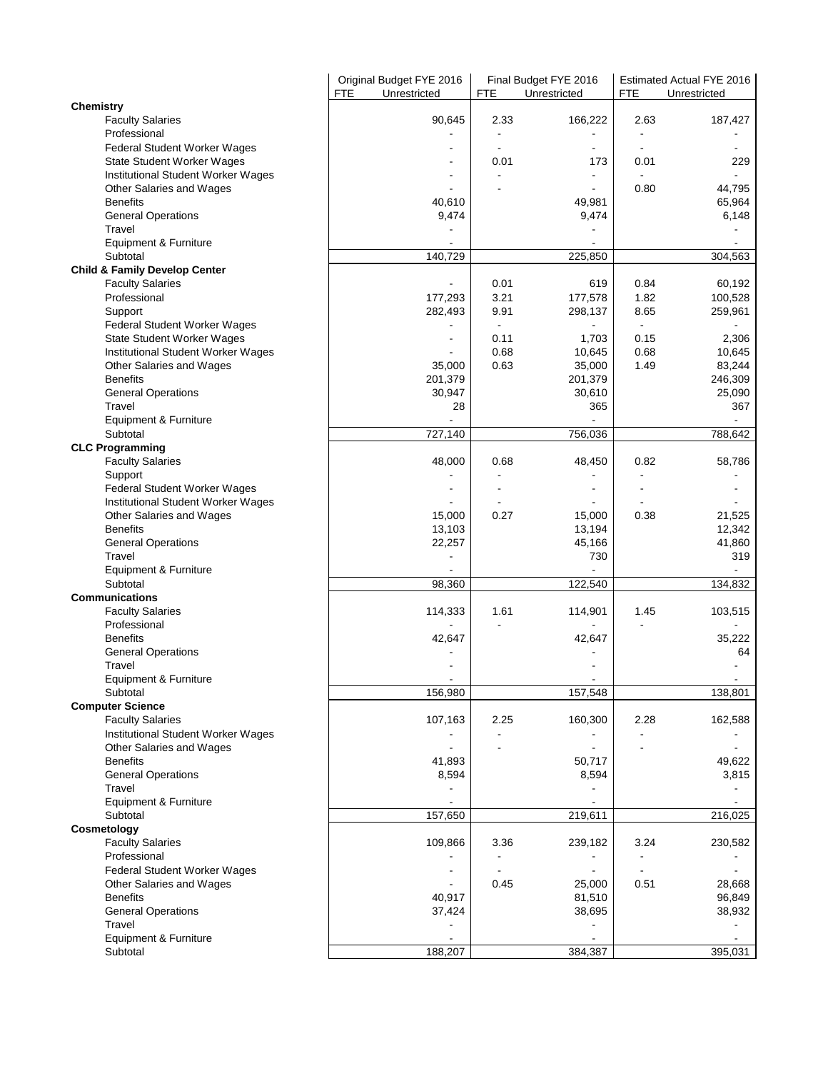|                                                   | Original Budget FYE 2016<br><b>FTE</b><br>Unrestricted | Final Budget FYE 2016<br><b>FTE</b><br>Unrestricted |                          | Estimated Actual FYE 2016<br><b>FTE</b><br>Unrestricted |         |
|---------------------------------------------------|--------------------------------------------------------|-----------------------------------------------------|--------------------------|---------------------------------------------------------|---------|
| <b>Chemistry</b>                                  |                                                        |                                                     |                          |                                                         |         |
| <b>Faculty Salaries</b>                           | 90,645                                                 | 2.33                                                | 166,222                  | 2.63                                                    | 187,427 |
| Professional                                      |                                                        |                                                     |                          |                                                         |         |
| Federal Student Worker Wages                      |                                                        | $\blacksquare$                                      | $\overline{\phantom{a}}$ |                                                         |         |
| <b>State Student Worker Wages</b>                 |                                                        | 0.01                                                | 173                      | 0.01                                                    | 229     |
| Institutional Student Worker Wages                |                                                        |                                                     |                          |                                                         |         |
| Other Salaries and Wages                          |                                                        |                                                     |                          | 0.80                                                    | 44,795  |
| <b>Benefits</b>                                   | 40,610                                                 |                                                     | 49,981                   |                                                         | 65,964  |
| <b>General Operations</b>                         | 9,474                                                  |                                                     | 9,474                    |                                                         | 6,148   |
| Travel                                            |                                                        |                                                     |                          |                                                         |         |
| Equipment & Furniture                             |                                                        |                                                     |                          |                                                         |         |
| Subtotal                                          | 140,729                                                |                                                     | 225,850                  |                                                         | 304,563 |
| <b>Child &amp; Family Develop Center</b>          |                                                        |                                                     |                          |                                                         |         |
| <b>Faculty Salaries</b>                           |                                                        | 0.01                                                | 619                      | 0.84                                                    | 60,192  |
| Professional                                      | 177,293                                                | 3.21                                                | 177,578                  | 1.82                                                    | 100,528 |
| Support                                           | 282,493                                                | 9.91                                                | 298,137                  | 8.65                                                    | 259,961 |
| Federal Student Worker Wages                      |                                                        |                                                     |                          | $\blacksquare$                                          |         |
| State Student Worker Wages                        |                                                        | 0.11                                                | 1,703                    | 0.15                                                    | 2,306   |
| Institutional Student Worker Wages                |                                                        | 0.68                                                | 10,645                   | 0.68                                                    | 10,645  |
| Other Salaries and Wages                          | 35,000                                                 | 0.63                                                | 35,000                   | 1.49                                                    | 83,244  |
| <b>Benefits</b>                                   | 201,379                                                |                                                     | 201,379                  |                                                         | 246,309 |
| <b>General Operations</b>                         | 30,947                                                 |                                                     | 30,610                   |                                                         | 25,090  |
| Travel                                            | 28                                                     |                                                     | 365                      |                                                         | 367     |
| <b>Equipment &amp; Furniture</b><br>Subtotal      | 727,140                                                |                                                     |                          |                                                         | 788,642 |
|                                                   |                                                        |                                                     | 756,036                  |                                                         |         |
| <b>CLC Programming</b><br><b>Faculty Salaries</b> | 48,000                                                 | 0.68                                                | 48,450                   | 0.82                                                    | 58,786  |
| Support                                           |                                                        |                                                     |                          |                                                         |         |
| Federal Student Worker Wages                      |                                                        |                                                     | $\overline{a}$           |                                                         |         |
| Institutional Student Worker Wages                |                                                        |                                                     |                          |                                                         |         |
| Other Salaries and Wages                          | 15,000                                                 | 0.27                                                | 15,000                   | 0.38                                                    | 21,525  |
| <b>Benefits</b>                                   | 13,103                                                 |                                                     | 13,194                   |                                                         | 12,342  |
| <b>General Operations</b>                         | 22,257                                                 |                                                     | 45,166                   |                                                         | 41,860  |
| Travel                                            |                                                        |                                                     | 730                      |                                                         | 319     |
| Equipment & Furniture                             |                                                        |                                                     |                          |                                                         |         |
| Subtotal                                          | 98,360                                                 |                                                     | 122,540                  |                                                         | 134,832 |
| <b>Communications</b>                             |                                                        |                                                     |                          |                                                         |         |
| <b>Faculty Salaries</b>                           | 114,333                                                | 1.61                                                | 114,901                  | 1.45                                                    | 103,515 |
| Professional                                      |                                                        |                                                     |                          |                                                         |         |
| <b>Benefits</b>                                   | 42,647                                                 |                                                     | 42,647                   |                                                         | 35,222  |
| <b>General Operations</b>                         |                                                        |                                                     |                          |                                                         | 64      |
| Travel                                            |                                                        |                                                     |                          |                                                         |         |
| Equipment & Furniture                             |                                                        |                                                     |                          |                                                         |         |
| Subtotal                                          | 156,980                                                |                                                     | 157,548                  |                                                         | 138,801 |
| <b>Computer Science</b>                           |                                                        |                                                     |                          |                                                         |         |
| <b>Faculty Salaries</b>                           | 107,163                                                | 2.25                                                | 160,300                  | 2.28                                                    | 162,588 |
| Institutional Student Worker Wages                |                                                        |                                                     |                          |                                                         |         |
| Other Salaries and Wages                          |                                                        |                                                     |                          |                                                         |         |
| <b>Benefits</b>                                   | 41,893                                                 |                                                     | 50,717                   |                                                         | 49,622  |
| <b>General Operations</b>                         | 8,594                                                  |                                                     | 8,594                    |                                                         | 3,815   |
| Travel                                            |                                                        |                                                     |                          |                                                         |         |
| Equipment & Furniture                             |                                                        |                                                     |                          |                                                         |         |
| Subtotal                                          | 157,650                                                |                                                     | 219,611                  |                                                         | 216,025 |
| Cosmetology                                       |                                                        |                                                     |                          |                                                         |         |
| <b>Faculty Salaries</b>                           | 109,866                                                | 3.36                                                | 239,182                  | 3.24                                                    | 230,582 |
| Professional                                      |                                                        |                                                     |                          |                                                         |         |
| Federal Student Worker Wages                      |                                                        |                                                     | $\overline{\phantom{a}}$ |                                                         |         |
| Other Salaries and Wages                          |                                                        | 0.45                                                | 25,000                   | 0.51                                                    | 28,668  |
| <b>Benefits</b>                                   | 40,917                                                 |                                                     | 81,510                   |                                                         | 96,849  |
| <b>General Operations</b>                         | 37,424                                                 |                                                     | 38,695                   |                                                         | 38,932  |
| Travel                                            |                                                        |                                                     |                          |                                                         |         |
| Equipment & Furniture                             |                                                        |                                                     |                          |                                                         |         |
| Subtotal                                          | 188,207                                                |                                                     | 384,387                  |                                                         | 395,031 |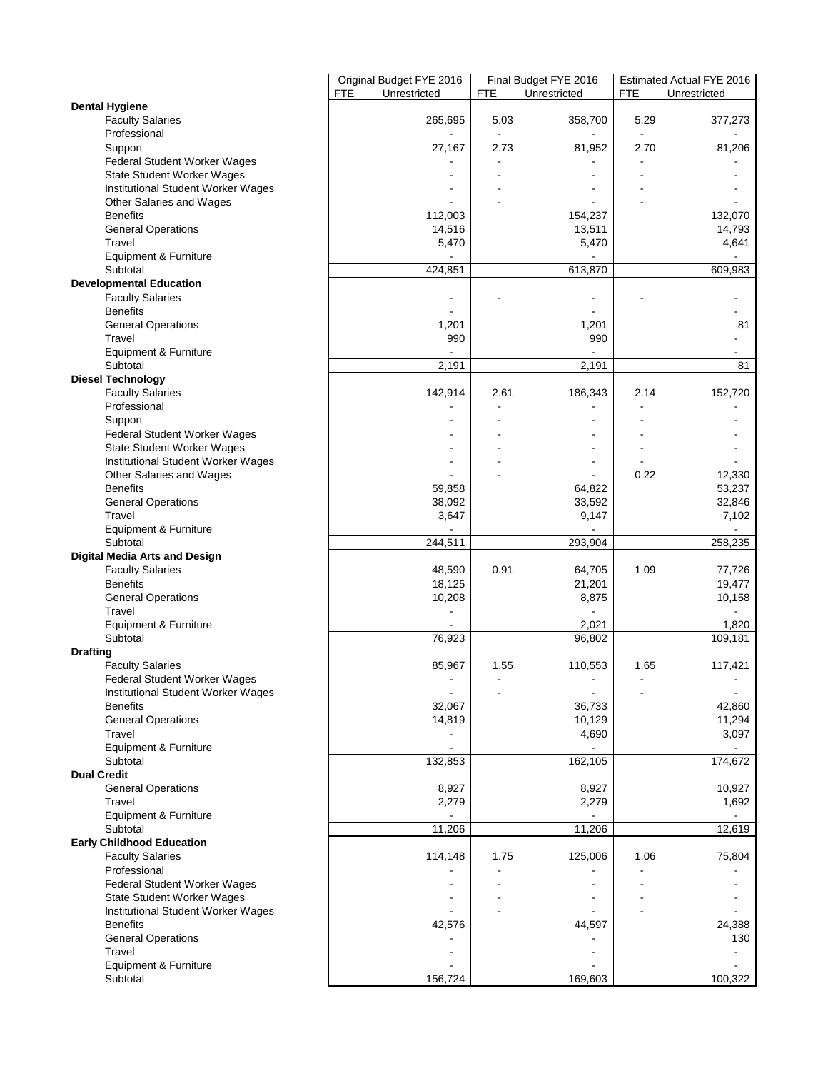|                                         |     | Original Budget FYE 2016 |            | Final Budget FYE 2016        |      | Estimated Actual FYE 2016 |
|-----------------------------------------|-----|--------------------------|------------|------------------------------|------|---------------------------|
| <b>Dental Hygiene</b>                   | FTE | Unrestricted             | <b>FTE</b> | Unrestricted                 | FTE  | Unrestricted              |
| <b>Faculty Salaries</b>                 |     | 265,695                  | 5.03       | 358,700                      | 5.29 | 377,273                   |
| Professional                            |     |                          |            |                              |      |                           |
| Support                                 |     | 27,167                   | 2.73       | 81,952                       | 2.70 | 81,206                    |
| Federal Student Worker Wages            |     |                          |            |                              |      |                           |
| State Student Worker Wages              |     |                          |            |                              |      |                           |
| Institutional Student Worker Wages      |     |                          |            |                              |      |                           |
| Other Salaries and Wages                |     |                          |            |                              |      |                           |
| <b>Benefits</b>                         |     | 112,003                  |            | 154,237                      |      | 132,070                   |
| <b>General Operations</b><br>Travel     |     | 14,516<br>5,470          |            | 13,511<br>5,470              |      | 14,793<br>4,641           |
| Equipment & Furniture                   |     |                          |            |                              |      | $\blacksquare$            |
| Subtotal                                |     | 424,851                  |            | 613,870                      |      | 609,983                   |
| <b>Developmental Education</b>          |     |                          |            |                              |      |                           |
| <b>Faculty Salaries</b>                 |     |                          |            | ÷,                           |      |                           |
| <b>Benefits</b>                         |     |                          |            |                              |      |                           |
| <b>General Operations</b>               |     | 1,201                    |            | 1,201                        |      | 81                        |
| Travel                                  |     | 990                      |            | 990                          |      |                           |
| Equipment & Furniture                   |     |                          |            |                              |      |                           |
| Subtotal                                |     | 2,191                    |            | 2,191                        |      | 81                        |
| <b>Diesel Technology</b>                |     |                          |            |                              |      |                           |
| <b>Faculty Salaries</b>                 |     | 142,914                  | 2.61       | 186,343                      | 2.14 | 152,720                   |
| Professional                            |     |                          |            |                              |      |                           |
| Support<br>Federal Student Worker Wages |     |                          |            | $\qquad \qquad \blacksquare$ |      |                           |
| State Student Worker Wages              |     |                          |            | $\blacksquare$               |      |                           |
| Institutional Student Worker Wages      |     |                          |            | $\blacksquare$               |      |                           |
| Other Salaries and Wages                |     |                          |            |                              | 0.22 | 12,330                    |
| <b>Benefits</b>                         |     | 59,858                   |            | 64,822                       |      | 53,237                    |
| <b>General Operations</b>               |     | 38,092                   |            | 33,592                       |      | 32,846                    |
| Travel                                  |     | 3,647                    |            | 9,147                        |      | 7,102                     |
| Equipment & Furniture                   |     |                          |            |                              |      | $\blacksquare$            |
| Subtotal                                |     | 244,511                  |            | 293,904                      |      | 258,235                   |
| <b>Digital Media Arts and Design</b>    |     |                          |            |                              |      |                           |
| <b>Faculty Salaries</b>                 |     | 48,590                   | 0.91       | 64,705                       | 1.09 | 77,726                    |
| <b>Benefits</b>                         |     | 18,125                   |            | 21,201                       |      | 19,477                    |
| <b>General Operations</b><br>Travel     |     | 10,208                   |            | 8,875                        |      | 10,158                    |
| Equipment & Furniture                   |     |                          |            | 2,021                        |      | 1,820                     |
| Subtotal                                |     | 76,923                   |            | 96,802                       |      | 109, 181                  |
| <b>Drafting</b>                         |     |                          |            |                              |      |                           |
| <b>Faculty Salaries</b>                 |     | 85,967                   | 1.55       | 110,553                      | 1.65 | 117,421                   |
| Federal Student Worker Wages            |     |                          |            |                              |      |                           |
| Institutional Student Worker Wages      |     |                          |            |                              |      |                           |
| <b>Benefits</b>                         |     | 32,067                   |            | 36,733                       |      | 42,860                    |
| <b>General Operations</b>               |     | 14,819                   |            | 10,129                       |      | 11,294                    |
| Travel                                  |     |                          |            | 4,690                        |      | 3,097                     |
| Equipment & Furniture                   |     |                          |            |                              |      |                           |
| Subtotal<br><b>Dual Credit</b>          |     | 132,853                  |            | 162,105                      |      | 174,672                   |
| <b>General Operations</b>               |     | 8,927                    |            | 8,927                        |      | 10,927                    |
| Travel                                  |     | 2,279                    |            | 2,279                        |      | 1,692                     |
| Equipment & Furniture                   |     |                          |            |                              |      | $\sim$                    |
| Subtotal                                |     | 11,206                   |            | 11,206                       |      | 12,619                    |
| <b>Early Childhood Education</b>        |     |                          |            |                              |      |                           |
| <b>Faculty Salaries</b>                 |     | 114,148                  | 1.75       | 125,006                      | 1.06 | 75,804                    |
| Professional                            |     |                          |            |                              |      |                           |
| Federal Student Worker Wages            |     |                          |            |                              |      |                           |
| <b>State Student Worker Wages</b>       |     |                          |            |                              |      |                           |
| Institutional Student Worker Wages      |     |                          |            |                              |      |                           |
| <b>Benefits</b>                         |     | 42,576                   |            | 44,597                       |      | 24,388                    |
| <b>General Operations</b>               |     |                          |            |                              |      | 130                       |
| Travel                                  |     |                          |            |                              |      |                           |
| Equipment & Furniture<br>Subtotal       |     | 156,724                  |            | 169,603                      |      | 100,322                   |
|                                         |     |                          |            |                              |      |                           |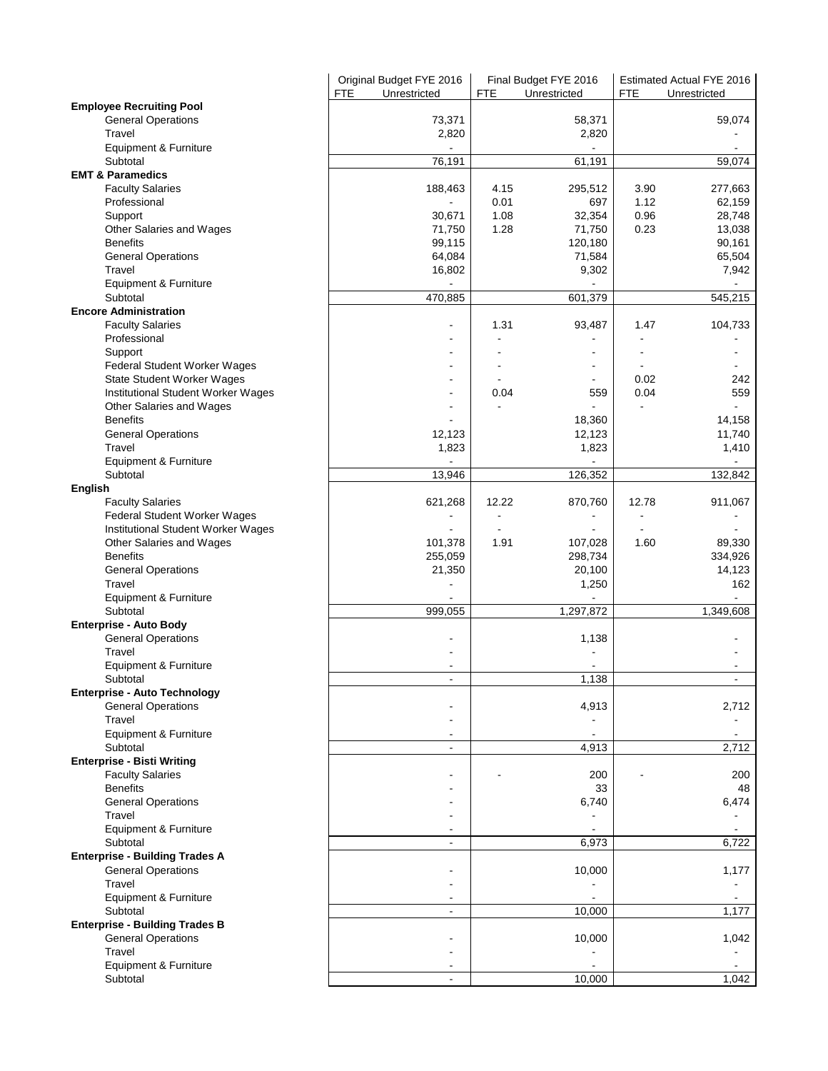|                                       | Original Budget FYE 2016   | Final Budget FYE 2016 |                | <b>Estimated Actual FYE 2016</b> |                |
|---------------------------------------|----------------------------|-----------------------|----------------|----------------------------------|----------------|
|                                       | <b>FTE</b><br>Unrestricted | <b>FTE</b>            | Unrestricted   | <b>FTE</b>                       | Unrestricted   |
| <b>Employee Recruiting Pool</b>       |                            |                       |                |                                  |                |
| <b>General Operations</b>             | 73,371                     |                       | 58,371         |                                  | 59,074         |
| Travel                                | 2,820                      |                       | 2,820          |                                  |                |
| Equipment & Furniture                 |                            |                       |                |                                  |                |
| Subtotal                              | 76,191                     |                       | 61,191         |                                  | 59,074         |
| <b>EMT &amp; Paramedics</b>           |                            |                       |                |                                  |                |
| <b>Faculty Salaries</b>               | 188,463                    | 4.15                  | 295,512        | 3.90                             | 277,663        |
| Professional                          |                            | 0.01                  | 697            | 1.12                             | 62,159         |
| Support                               | 30,671                     | 1.08                  | 32,354         | 0.96                             | 28,748         |
| Other Salaries and Wages              | 71,750                     | 1.28                  | 71,750         | 0.23                             | 13,038         |
| <b>Benefits</b>                       | 99,115                     |                       | 120,180        |                                  | 90,161         |
| <b>General Operations</b>             | 64,084                     |                       | 71,584         |                                  | 65,504         |
| Travel                                | 16,802                     |                       | 9,302          |                                  | 7,942          |
| Equipment & Furniture                 |                            |                       |                |                                  |                |
| Subtotal                              | 470,885                    |                       | 601,379        |                                  | 545,215        |
| <b>Encore Administration</b>          |                            |                       |                |                                  |                |
| <b>Faculty Salaries</b>               | ٠                          | 1.31                  | 93,487         | 1.47                             | 104,733        |
| Professional                          |                            |                       |                |                                  |                |
| Support                               | ۰                          |                       | $\blacksquare$ |                                  |                |
| Federal Student Worker Wages          | ÷,                         |                       | $\blacksquare$ |                                  |                |
|                                       |                            |                       |                |                                  |                |
| State Student Worker Wages            |                            | 0.04                  | 559            | 0.02<br>0.04                     | 242<br>559     |
| Institutional Student Worker Wages    |                            |                       |                |                                  | $\blacksquare$ |
| Other Salaries and Wages              |                            |                       |                |                                  |                |
| <b>Benefits</b>                       |                            |                       | 18,360         |                                  | 14,158         |
| <b>General Operations</b>             | 12,123                     |                       | 12,123         |                                  | 11,740         |
| Travel                                | 1,823                      |                       | 1,823          |                                  | 1,410          |
| Equipment & Furniture                 |                            |                       |                |                                  |                |
| Subtotal                              | 13,946                     |                       | 126,352        |                                  | 132,842        |
| English                               |                            |                       |                |                                  |                |
| <b>Faculty Salaries</b>               | 621,268                    | 12.22                 | 870,760        | 12.78                            | 911,067        |
| Federal Student Worker Wages          |                            | ٠                     |                |                                  |                |
| Institutional Student Worker Wages    |                            |                       |                |                                  |                |
| Other Salaries and Wages              | 101,378                    | 1.91                  | 107,028        | 1.60                             | 89,330         |
| <b>Benefits</b>                       | 255,059                    |                       | 298,734        |                                  | 334,926        |
| <b>General Operations</b>             | 21,350                     |                       | 20,100         |                                  | 14,123         |
| Travel                                |                            |                       | 1,250          |                                  | 162            |
| Equipment & Furniture                 |                            |                       |                |                                  |                |
| Subtotal                              | 999,055                    |                       | 1,297,872      |                                  | 1,349,608      |
| <b>Enterprise - Auto Body</b>         |                            |                       |                |                                  |                |
| <b>General Operations</b>             |                            |                       | 1,138          |                                  |                |
| Travel                                |                            |                       |                |                                  |                |
| Equipment & Furniture                 |                            |                       |                |                                  |                |
| Subtotal                              |                            |                       | 1,138          |                                  |                |
| <b>Enterprise - Auto Technology</b>   |                            |                       |                |                                  |                |
| <b>General Operations</b>             |                            |                       | 4,913          |                                  | 2,712          |
| Travel                                |                            |                       |                |                                  |                |
| Equipment & Furniture                 |                            |                       |                |                                  |                |
| Subtotal                              | $\blacksquare$             |                       | 4,913          |                                  | 2,712          |
| <b>Enterprise - Bisti Writing</b>     |                            |                       |                |                                  |                |
| <b>Faculty Salaries</b>               |                            |                       | 200            |                                  | 200            |
| <b>Benefits</b>                       |                            |                       | 33             |                                  | 48             |
| <b>General Operations</b>             |                            |                       | 6,740          |                                  | 6,474          |
| Travel                                |                            |                       |                |                                  |                |
| Equipment & Furniture                 |                            |                       |                |                                  |                |
| Subtotal                              | $\overline{\phantom{a}}$   |                       | 6,973          |                                  | 6,722          |
| <b>Enterprise - Building Trades A</b> |                            |                       |                |                                  |                |
| <b>General Operations</b>             |                            |                       | 10,000         |                                  | 1,177          |
| Travel                                | ۰                          |                       | $\blacksquare$ |                                  |                |
| Equipment & Furniture                 |                            |                       |                |                                  |                |
| Subtotal                              | $\overline{\phantom{a}}$   |                       | 10,000         |                                  | 1,177          |
| <b>Enterprise - Building Trades B</b> |                            |                       |                |                                  |                |
| <b>General Operations</b>             |                            |                       | 10,000         |                                  | 1,042          |
| Travel                                |                            |                       |                |                                  |                |
| Equipment & Furniture                 |                            |                       |                |                                  |                |
| Subtotal                              |                            |                       | 10,000         |                                  | 1,042          |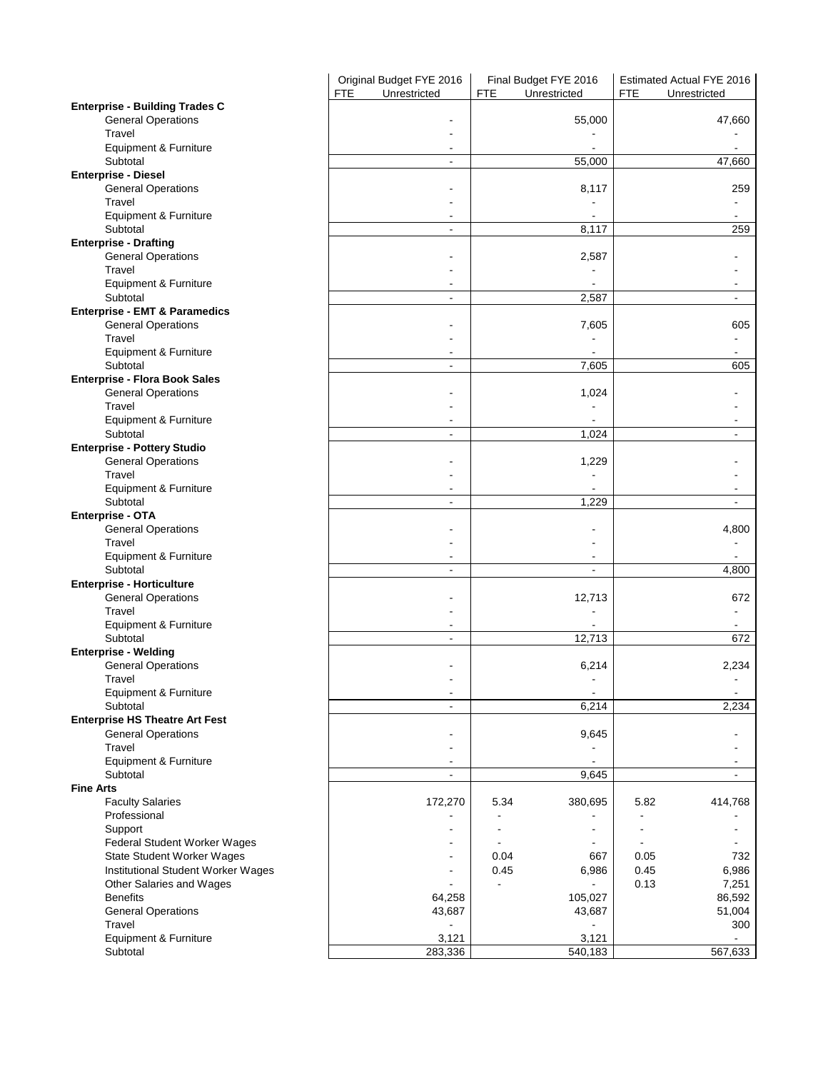|                                              | Original Budget FYE 2016   | Final Budget FYE 2016                          | Estimated Actual FYE 2016    |
|----------------------------------------------|----------------------------|------------------------------------------------|------------------------------|
| <b>Enterprise - Building Trades C</b>        | <b>FTE</b><br>Unrestricted | <b>FTE</b><br>Unrestricted                     | <b>FTE</b><br>Unrestricted   |
| <b>General Operations</b>                    |                            | 55,000                                         | 47,660                       |
| Travel                                       |                            |                                                |                              |
| Equipment & Furniture                        |                            |                                                |                              |
| Subtotal                                     | $\blacksquare$             | 55,000                                         | 47,660                       |
| <b>Enterprise - Diesel</b>                   |                            |                                                |                              |
| <b>General Operations</b>                    |                            | 8,117                                          | 259                          |
| Travel                                       |                            |                                                |                              |
| Equipment & Furniture                        |                            |                                                |                              |
| Subtotal                                     | $\overline{\phantom{a}}$   | 8,117                                          | 259                          |
| <b>Enterprise - Drafting</b>                 |                            |                                                |                              |
| <b>General Operations</b>                    |                            | 2,587                                          |                              |
| Travel<br>Equipment & Furniture              |                            |                                                |                              |
| Subtotal                                     | $\overline{\phantom{a}}$   | 2,587                                          | $\overline{\phantom{a}}$     |
| <b>Enterprise - EMT &amp; Paramedics</b>     |                            |                                                |                              |
| <b>General Operations</b>                    |                            | 7,605                                          | 605                          |
| Travel                                       |                            |                                                |                              |
| Equipment & Furniture                        | $\blacksquare$             |                                                |                              |
| Subtotal                                     | $\blacksquare$             | 7,605                                          | 605                          |
| <b>Enterprise - Flora Book Sales</b>         |                            |                                                |                              |
| <b>General Operations</b>                    |                            | 1,024                                          |                              |
| Travel                                       |                            |                                                |                              |
| Equipment & Furniture<br>Subtotal            | ٠                          |                                                |                              |
| <b>Enterprise - Pottery Studio</b>           | $\overline{\phantom{a}}$   | 1,024                                          | $\overline{\phantom{a}}$     |
| <b>General Operations</b>                    |                            | 1,229                                          |                              |
| Travel                                       |                            |                                                |                              |
| Equipment & Furniture                        | $\overline{\phantom{a}}$   |                                                |                              |
| Subtotal                                     | $\blacksquare$             | 1,229                                          | $\blacksquare$               |
| Enterprise - OTA                             |                            |                                                |                              |
| <b>General Operations</b>                    |                            |                                                | 4,800                        |
| Travel                                       |                            |                                                |                              |
| Equipment & Furniture                        |                            |                                                |                              |
| Subtotal                                     | $\overline{\phantom{a}}$   |                                                | 4,800                        |
| <b>Enterprise - Horticulture</b>             |                            |                                                |                              |
| <b>General Operations</b><br>Travel          |                            | 12,713                                         | 672                          |
| Equipment & Furniture                        |                            |                                                |                              |
| Subtotal                                     | $\overline{\phantom{a}}$   | 12,713                                         | 672                          |
| <b>Enterprise - Welding</b>                  |                            |                                                |                              |
| <b>General Operations</b>                    |                            | 6,214                                          | 2,234                        |
| Travel                                       |                            |                                                |                              |
| Equipment & Furniture                        | $\overline{\phantom{a}}$   | $\overline{\phantom{a}}$                       | $\blacksquare$               |
| Subtotal                                     | $\overline{a}$             | 6,214                                          | 2,234                        |
| <b>Enterprise HS Theatre Art Fest</b>        |                            |                                                |                              |
| <b>General Operations</b><br>Travel          |                            | 9,645                                          |                              |
| Equipment & Furniture                        | $\overline{\phantom{a}}$   | $\overline{\phantom{a}}$                       |                              |
| Subtotal                                     | $\overline{\phantom{a}}$   | 9,645                                          | $\overline{\phantom{a}}$     |
| <b>Fine Arts</b>                             |                            |                                                |                              |
| <b>Faculty Salaries</b>                      | 172,270                    | 380,695<br>5.34                                | 414,768<br>5.82              |
| Professional                                 |                            |                                                |                              |
| Support                                      |                            |                                                |                              |
| Federal Student Worker Wages                 |                            | $\blacksquare$<br>$\qquad \qquad \blacksquare$ | $\qquad \qquad \blacksquare$ |
| <b>State Student Worker Wages</b>            |                            | 0.04<br>667                                    | 732<br>0.05                  |
| Institutional Student Worker Wages           |                            | 0.45<br>6,986                                  | 0.45<br>6,986                |
| Other Salaries and Wages                     |                            | $\blacksquare$                                 | 0.13<br>7,251                |
| <b>Benefits</b><br><b>General Operations</b> | 64,258<br>43,687           | 105,027                                        | 86,592                       |
| Travel                                       |                            | 43,687                                         | 51,004<br>300                |
| Equipment & Furniture                        | 3,121                      | 3,121                                          |                              |
| Subtotal                                     | 283,336                    | 540,183                                        | 567,633                      |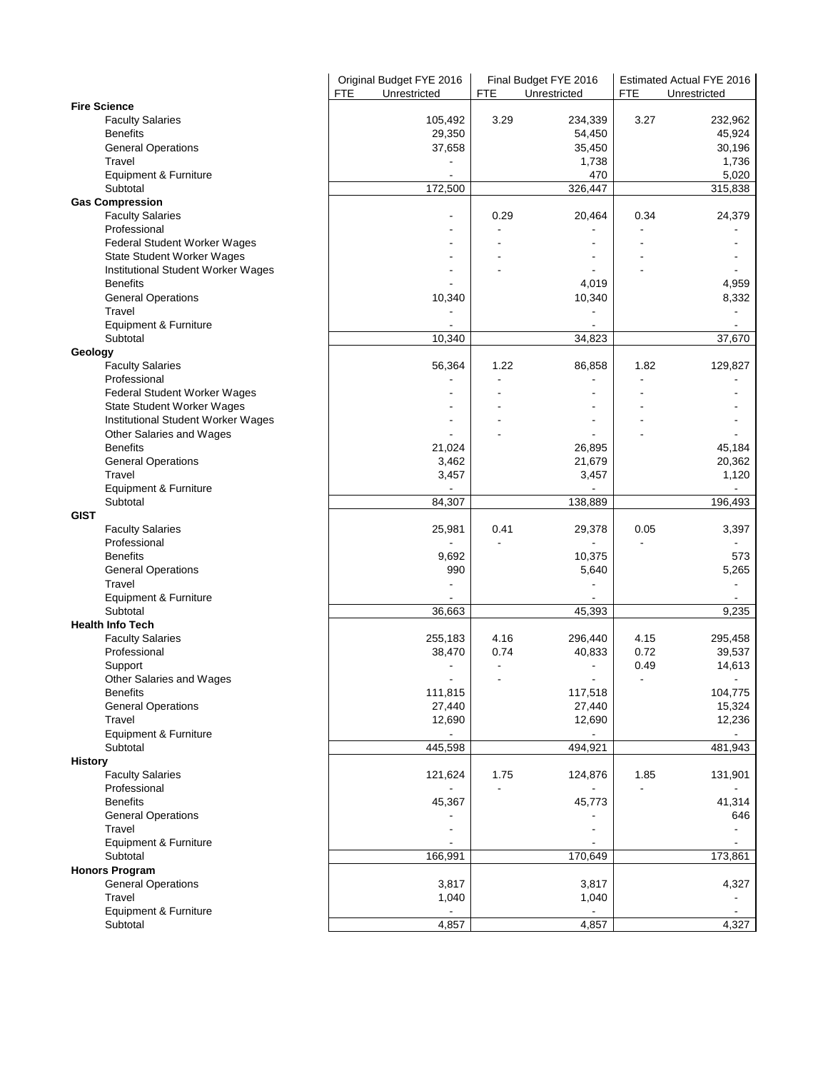|                                                       | Original Budget FYE 2016<br>Unrestricted<br>FTE | <b>FTE</b> | Final Budget FYE 2016<br>Unrestricted | <b>FTE</b> | Estimated Actual FYE 2016<br>Unrestricted |
|-------------------------------------------------------|-------------------------------------------------|------------|---------------------------------------|------------|-------------------------------------------|
| <b>Fire Science</b>                                   |                                                 |            |                                       |            |                                           |
| <b>Faculty Salaries</b>                               | 105,492                                         | 3.29       | 234,339                               | 3.27       | 232,962                                   |
| <b>Benefits</b>                                       | 29,350                                          |            | 54,450                                |            | 45,924                                    |
| <b>General Operations</b>                             | 37,658                                          |            | 35,450                                |            | 30,196                                    |
| Travel                                                |                                                 |            | 1,738                                 |            | 1,736                                     |
| Equipment & Furniture                                 |                                                 |            | 470                                   |            | 5,020                                     |
| Subtotal                                              | 172,500                                         |            | 326,447                               |            | 315,838                                   |
| <b>Gas Compression</b>                                |                                                 |            |                                       |            |                                           |
| <b>Faculty Salaries</b>                               | ٠                                               | 0.29       | 20,464                                | 0.34       | 24,379                                    |
| Professional                                          |                                                 |            |                                       |            |                                           |
| Federal Student Worker Wages                          |                                                 |            |                                       |            |                                           |
| State Student Worker Wages                            |                                                 |            |                                       |            |                                           |
| Institutional Student Worker Wages<br><b>Benefits</b> |                                                 |            | 4,019                                 |            | 4,959                                     |
| <b>General Operations</b>                             | 10,340                                          |            | 10,340                                |            | 8,332                                     |
| Travel                                                |                                                 |            |                                       |            |                                           |
| Equipment & Furniture                                 |                                                 |            |                                       |            |                                           |
| Subtotal                                              | 10,340                                          |            | 34,823                                |            | 37,670                                    |
| Geology                                               |                                                 |            |                                       |            |                                           |
| <b>Faculty Salaries</b>                               | 56,364                                          | 1.22       | 86,858                                | 1.82       | 129,827                                   |
| Professional                                          |                                                 |            |                                       |            |                                           |
| Federal Student Worker Wages                          |                                                 |            |                                       |            |                                           |
| <b>State Student Worker Wages</b>                     |                                                 |            |                                       |            |                                           |
| Institutional Student Worker Wages                    |                                                 |            |                                       |            |                                           |
| Other Salaries and Wages                              |                                                 |            |                                       |            |                                           |
| <b>Benefits</b>                                       | 21,024                                          |            | 26,895                                |            | 45,184                                    |
| <b>General Operations</b>                             | 3,462                                           |            | 21,679                                |            | 20,362                                    |
| Travel                                                | 3,457                                           |            | 3,457                                 |            | 1,120                                     |
| Equipment & Furniture                                 |                                                 |            |                                       |            |                                           |
| Subtotal                                              | 84,307                                          |            | 138,889                               |            | 196,493                                   |
| <b>GIST</b>                                           |                                                 |            |                                       |            |                                           |
| <b>Faculty Salaries</b>                               | 25,981                                          | 0.41       | 29,378                                | 0.05       | 3,397                                     |
| Professional                                          |                                                 |            | $\blacksquare$                        |            |                                           |
| <b>Benefits</b>                                       | 9,692                                           |            | 10,375                                |            | 573                                       |
| <b>General Operations</b>                             | 990                                             |            | 5,640                                 |            | 5,265                                     |
| Travel                                                |                                                 |            |                                       |            |                                           |
| Equipment & Furniture                                 |                                                 |            |                                       |            |                                           |
| Subtotal                                              | 36,663                                          |            | 45,393                                |            | 9,235                                     |
| <b>Health Info Tech</b>                               |                                                 |            |                                       |            |                                           |
| <b>Faculty Salaries</b>                               | 255,183                                         | 4.16       | 296,440                               | 4.15       | 295,458                                   |
| Professional                                          | 38,470                                          | 0.74       | 40,833                                | 0.72       | 39,537                                    |
| Support                                               |                                                 |            |                                       | 0.49       | 14,613                                    |
| Other Salaries and Wages                              |                                                 |            |                                       |            |                                           |
| <b>Benefits</b>                                       | 111,815                                         |            | 117,518                               |            | 104,775                                   |
| <b>General Operations</b>                             | 27,440                                          |            | 27,440                                |            | 15,324                                    |
| Travel                                                | 12,690                                          |            | 12,690                                |            | 12,236                                    |
| Equipment & Furniture                                 |                                                 |            |                                       |            |                                           |
| Subtotal                                              | 445,598                                         |            | 494,921                               |            | 481,943                                   |
| <b>History</b>                                        |                                                 |            |                                       |            |                                           |
| <b>Faculty Salaries</b>                               | 121,624                                         | 1.75       | 124,876                               | 1.85       | 131,901                                   |
| Professional                                          |                                                 |            |                                       |            |                                           |
| <b>Benefits</b>                                       | 45,367                                          |            | 45,773                                |            | 41,314                                    |
| <b>General Operations</b>                             |                                                 |            |                                       |            | 646                                       |
| Travel                                                |                                                 |            |                                       |            |                                           |
|                                                       |                                                 |            |                                       |            |                                           |
| Equipment & Furniture<br>Subtotal                     |                                                 |            |                                       |            |                                           |
| <b>Honors Program</b>                                 | 166,991                                         |            | 170,649                               |            | 173,861                                   |
|                                                       | 3,817                                           |            | 3,817                                 |            | 4,327                                     |
| <b>General Operations</b><br>Travel                   |                                                 |            |                                       |            |                                           |
| Equipment & Furniture                                 | 1,040                                           |            | 1,040                                 |            |                                           |
|                                                       |                                                 |            |                                       |            |                                           |
| Subtotal                                              | 4,857                                           |            | 4,857                                 |            | 4,327                                     |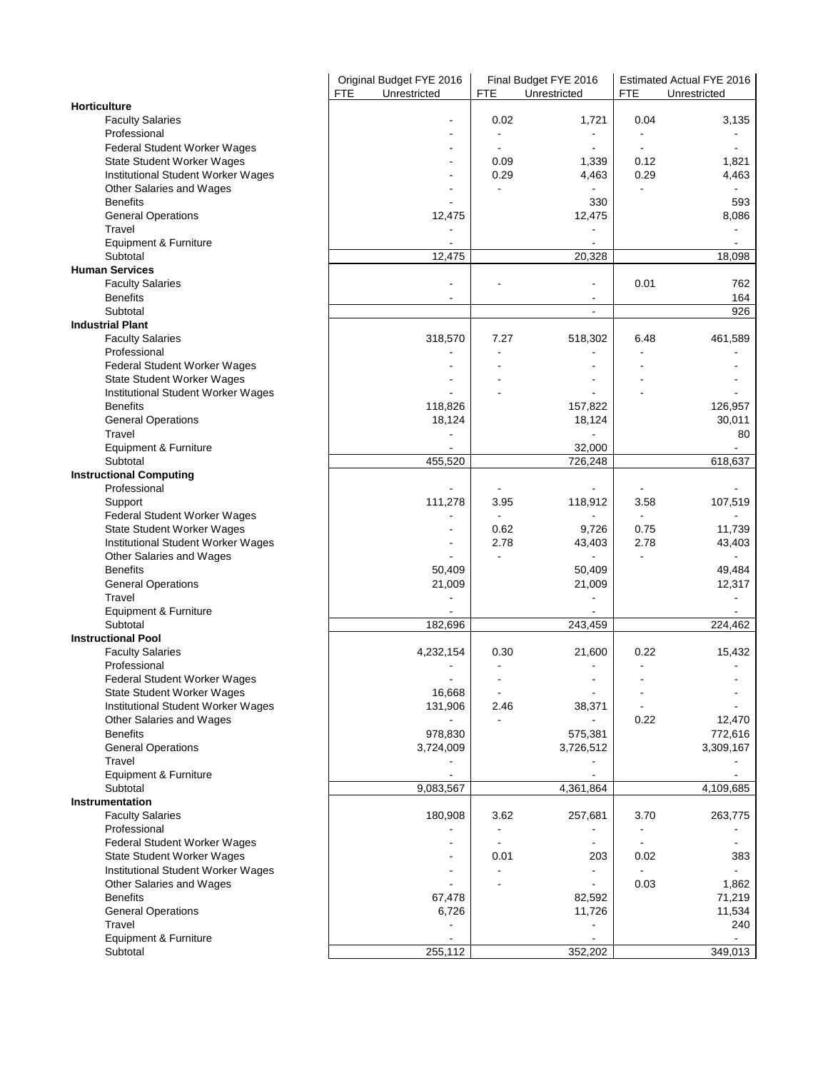|                                                       | Original Budget FYE 2016<br><b>FTE</b><br>Unrestricted | Final Budget FYE 2016<br><b>FTE</b><br>Unrestricted |                          | Estimated Actual FYE 2016<br><b>FTE</b><br>Unrestricted |                          |
|-------------------------------------------------------|--------------------------------------------------------|-----------------------------------------------------|--------------------------|---------------------------------------------------------|--------------------------|
| Horticulture                                          |                                                        |                                                     |                          |                                                         |                          |
| <b>Faculty Salaries</b>                               |                                                        | 0.02                                                | 1,721                    | 0.04                                                    | 3,135                    |
| Professional                                          |                                                        |                                                     | ÷,                       |                                                         |                          |
| Federal Student Worker Wages                          |                                                        |                                                     | $\overline{\phantom{a}}$ |                                                         |                          |
| <b>State Student Worker Wages</b>                     |                                                        | 0.09                                                | 1,339                    | 0.12                                                    | 1,821                    |
| Institutional Student Worker Wages                    |                                                        | 0.29                                                | 4,463                    | 0.29                                                    | 4,463                    |
| Other Salaries and Wages                              |                                                        |                                                     |                          |                                                         |                          |
| <b>Benefits</b>                                       |                                                        |                                                     | 330                      |                                                         | 593                      |
| <b>General Operations</b>                             | 12,475                                                 |                                                     | 12,475                   |                                                         | 8,086                    |
| Travel                                                |                                                        |                                                     |                          |                                                         |                          |
| Equipment & Furniture                                 |                                                        |                                                     |                          |                                                         |                          |
| Subtotal                                              | 12,475                                                 |                                                     | 20,328                   |                                                         | 18,098                   |
| <b>Human Services</b>                                 |                                                        |                                                     |                          |                                                         |                          |
| <b>Faculty Salaries</b>                               |                                                        |                                                     |                          | 0.01                                                    | 762                      |
| <b>Benefits</b>                                       | $\blacksquare$                                         |                                                     | $\blacksquare$           |                                                         | 164                      |
| Subtotal                                              |                                                        |                                                     | $\blacksquare$           |                                                         | 926                      |
| <b>Industrial Plant</b>                               |                                                        |                                                     |                          |                                                         |                          |
| <b>Faculty Salaries</b>                               | 318,570                                                | 7.27                                                | 518,302                  | 6.48                                                    | 461,589                  |
| Professional                                          |                                                        |                                                     |                          |                                                         |                          |
| Federal Student Worker Wages                          |                                                        |                                                     |                          |                                                         |                          |
| State Student Worker Wages                            |                                                        |                                                     |                          |                                                         |                          |
|                                                       |                                                        |                                                     |                          |                                                         |                          |
| Institutional Student Worker Wages<br><b>Benefits</b> | 118,826                                                |                                                     |                          |                                                         |                          |
|                                                       |                                                        |                                                     | 157,822                  |                                                         | 126,957                  |
| <b>General Operations</b>                             | 18,124                                                 |                                                     | 18,124                   |                                                         | 30,011                   |
| Travel                                                |                                                        |                                                     |                          |                                                         | 80                       |
| Equipment & Furniture                                 |                                                        |                                                     | 32,000                   |                                                         |                          |
| Subtotal                                              | 455,520                                                |                                                     | 726,248                  |                                                         | 618,637                  |
| <b>Instructional Computing</b>                        |                                                        |                                                     |                          |                                                         |                          |
| Professional                                          |                                                        |                                                     |                          |                                                         |                          |
| Support                                               | 111,278                                                | 3.95                                                | 118,912                  | 3.58                                                    | 107,519                  |
| Federal Student Worker Wages                          | $\overline{\phantom{0}}$                               | $\blacksquare$                                      |                          | $\blacksquare$                                          |                          |
| State Student Worker Wages                            |                                                        | 0.62                                                | 9,726                    | 0.75                                                    | 11,739                   |
| Institutional Student Worker Wages                    |                                                        | 2.78                                                | 43,403                   | 2.78                                                    | 43,403                   |
| Other Salaries and Wages                              |                                                        | L.                                                  |                          | $\blacksquare$                                          |                          |
| <b>Benefits</b>                                       | 50,409                                                 |                                                     | 50,409                   |                                                         | 49,484                   |
| <b>General Operations</b>                             | 21,009                                                 |                                                     | 21,009                   |                                                         | 12,317                   |
| Travel                                                |                                                        |                                                     | $\overline{\phantom{a}}$ |                                                         | $\overline{\phantom{a}}$ |
| Equipment & Furniture                                 |                                                        |                                                     |                          |                                                         |                          |
| Subtotal                                              | 182,696                                                |                                                     | 243,459                  |                                                         | 224,462                  |
| <b>Instructional Pool</b>                             |                                                        |                                                     |                          |                                                         |                          |
| <b>Faculty Salaries</b>                               | 4,232,154                                              | 0.30                                                | 21,600                   | 0.22                                                    | 15,432                   |
| Professional                                          |                                                        | $\overline{\phantom{a}}$                            |                          | $\overline{a}$                                          |                          |
| Federal Student Worker Wages                          |                                                        |                                                     |                          |                                                         |                          |
| <b>State Student Worker Wages</b>                     | 16,668                                                 | $\overline{\phantom{a}}$                            |                          |                                                         |                          |
| Institutional Student Worker Wages                    | 131,906                                                | 2.46                                                | 38,371                   |                                                         |                          |
| Other Salaries and Wages                              |                                                        |                                                     |                          | 0.22                                                    | 12,470                   |
| <b>Benefits</b>                                       | 978,830                                                |                                                     | 575,381                  |                                                         | 772,616                  |
| <b>General Operations</b>                             | 3,724,009                                              |                                                     | 3,726,512                |                                                         | 3,309,167                |
| Travel                                                |                                                        |                                                     |                          |                                                         |                          |
| Equipment & Furniture                                 |                                                        |                                                     |                          |                                                         |                          |
| Subtotal                                              | 9,083,567                                              |                                                     | 4,361,864                |                                                         | 4,109,685                |
| <b>Instrumentation</b>                                |                                                        |                                                     |                          |                                                         |                          |
| <b>Faculty Salaries</b>                               | 180,908                                                | 3.62                                                | 257,681                  | 3.70                                                    | 263,775                  |
| Professional                                          |                                                        |                                                     |                          |                                                         |                          |
| Federal Student Worker Wages                          |                                                        |                                                     |                          |                                                         |                          |
|                                                       |                                                        |                                                     |                          |                                                         |                          |
| <b>State Student Worker Wages</b>                     | ٠                                                      | 0.01                                                | 203                      | 0.02                                                    | 383                      |
| Institutional Student Worker Wages                    |                                                        |                                                     |                          |                                                         |                          |
| Other Salaries and Wages                              |                                                        |                                                     |                          | 0.03                                                    | 1,862                    |
| <b>Benefits</b>                                       | 67,478                                                 |                                                     | 82,592                   |                                                         | 71,219                   |
| <b>General Operations</b>                             | 6,726                                                  |                                                     | 11,726                   |                                                         | 11,534                   |
| Travel                                                |                                                        |                                                     |                          |                                                         | 240                      |
| Equipment & Furniture                                 |                                                        |                                                     |                          |                                                         |                          |
| Subtotal                                              | 255,112                                                |                                                     | 352,202                  |                                                         | 349,013                  |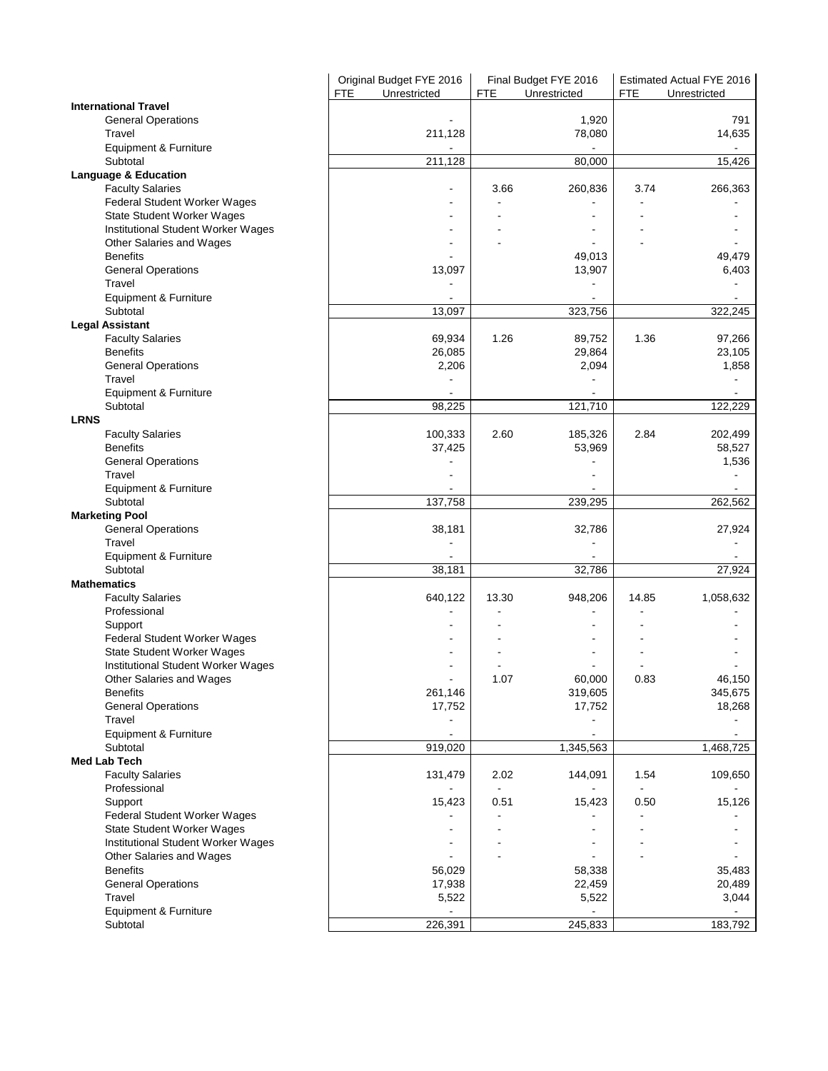|                                         | Original Budget FYE 2016<br>Unrestricted<br><b>FTE</b> | <b>FTE</b> | Final Budget FYE 2016<br>Unrestricted | <b>FTE</b> | Estimated Actual FYE 2016<br>Unrestricted |
|-----------------------------------------|--------------------------------------------------------|------------|---------------------------------------|------------|-------------------------------------------|
| <b>International Travel</b>             |                                                        |            |                                       |            |                                           |
| <b>General Operations</b><br>Travel     | 211,128                                                |            | 1,920<br>78,080                       |            | 791<br>14,635                             |
| Equipment & Furniture                   |                                                        |            |                                       |            |                                           |
| Subtotal                                | 211,128                                                |            | 80,000                                |            | 15,426                                    |
| <b>Language &amp; Education</b>         |                                                        |            |                                       |            |                                           |
| <b>Faculty Salaries</b>                 |                                                        | 3.66       | 260,836                               | 3.74       | 266,363                                   |
| Federal Student Worker Wages            |                                                        |            |                                       |            |                                           |
| State Student Worker Wages              |                                                        |            |                                       |            |                                           |
| Institutional Student Worker Wages      |                                                        |            |                                       |            |                                           |
| Other Salaries and Wages                |                                                        |            |                                       |            |                                           |
| <b>Benefits</b>                         |                                                        |            | 49,013                                |            | 49,479                                    |
| <b>General Operations</b><br>Travel     | 13,097                                                 |            | 13,907                                |            | 6,403                                     |
| Equipment & Furniture                   | $\blacksquare$                                         |            |                                       |            |                                           |
| Subtotal                                | 13,097                                                 |            | 323,756                               |            | 322,245                                   |
| <b>Legal Assistant</b>                  |                                                        |            |                                       |            |                                           |
| <b>Faculty Salaries</b>                 | 69,934                                                 | 1.26       | 89,752                                | 1.36       | 97,266                                    |
| <b>Benefits</b>                         | 26,085                                                 |            | 29,864                                |            | 23,105                                    |
| <b>General Operations</b>               | 2,206                                                  |            | 2,094                                 |            | 1,858                                     |
| Travel                                  |                                                        |            |                                       |            |                                           |
| Equipment & Furniture                   |                                                        |            |                                       |            |                                           |
| Subtotal                                | 98,225                                                 |            | 121,710                               |            | 122,229                                   |
| <b>LRNS</b>                             |                                                        |            |                                       |            |                                           |
| <b>Faculty Salaries</b>                 | 100,333                                                | 2.60       | 185,326                               | 2.84       | 202,499                                   |
| <b>Benefits</b>                         | 37,425                                                 |            | 53,969                                |            | 58,527                                    |
| <b>General Operations</b>               |                                                        |            |                                       |            | 1,536                                     |
| Travel                                  |                                                        |            |                                       |            |                                           |
| Equipment & Furniture                   |                                                        |            |                                       |            |                                           |
| Subtotal                                | 137,758                                                |            | 239,295                               |            | 262,562                                   |
| <b>Marketing Pool</b>                   |                                                        |            | 32,786                                |            |                                           |
| <b>General Operations</b><br>Travel     | 38,181                                                 |            |                                       |            | 27,924                                    |
| Equipment & Furniture                   |                                                        |            |                                       |            |                                           |
| Subtotal                                | 38,181                                                 |            | 32,786                                |            | 27,924                                    |
| <b>Mathematics</b>                      |                                                        |            |                                       |            |                                           |
| <b>Faculty Salaries</b>                 | 640,122                                                | 13.30      | 948,206                               | 14.85      | 1,058,632                                 |
| Professional                            |                                                        |            |                                       |            |                                           |
| Support                                 |                                                        |            |                                       |            |                                           |
| Federal Student Worker Wages            |                                                        |            | ۰                                     |            |                                           |
| State Student Worker Wages              |                                                        |            |                                       |            |                                           |
| Institutional Student Worker Wages      |                                                        |            |                                       |            |                                           |
| Other Salaries and Wages                |                                                        | 1.07       | 60,000                                | 0.83       | 46,150                                    |
| <b>Benefits</b>                         | 261,146                                                |            | 319,605                               |            | 345,675                                   |
| <b>General Operations</b>               | 17,752                                                 |            | 17,752                                |            | 18,268                                    |
| Travel                                  |                                                        |            |                                       |            |                                           |
| Equipment & Furniture                   |                                                        |            |                                       |            |                                           |
| Subtotal<br><b>Med Lab Tech</b>         | 919,020                                                |            | 1,345,563                             |            | 1,468,725                                 |
|                                         |                                                        | 2.02       |                                       | 1.54       | 109,650                                   |
| <b>Faculty Salaries</b><br>Professional | 131,479                                                |            | 144,091                               |            |                                           |
| Support                                 | 15,423                                                 | 0.51       | 15,423                                | 0.50       | 15,126                                    |
| Federal Student Worker Wages            |                                                        |            |                                       |            |                                           |
| <b>State Student Worker Wages</b>       |                                                        |            |                                       |            |                                           |
| Institutional Student Worker Wages      |                                                        |            |                                       |            |                                           |
| Other Salaries and Wages                |                                                        |            |                                       |            |                                           |
| <b>Benefits</b>                         | 56,029                                                 |            | 58,338                                |            | 35,483                                    |
| <b>General Operations</b>               | 17,938                                                 |            | 22,459                                |            | 20,489                                    |
| Travel                                  | 5,522                                                  |            | 5,522                                 |            | 3,044                                     |
| Equipment & Furniture                   |                                                        |            |                                       |            |                                           |
| Subtotal                                | 226,391                                                |            | 245,833                               |            | 183,792                                   |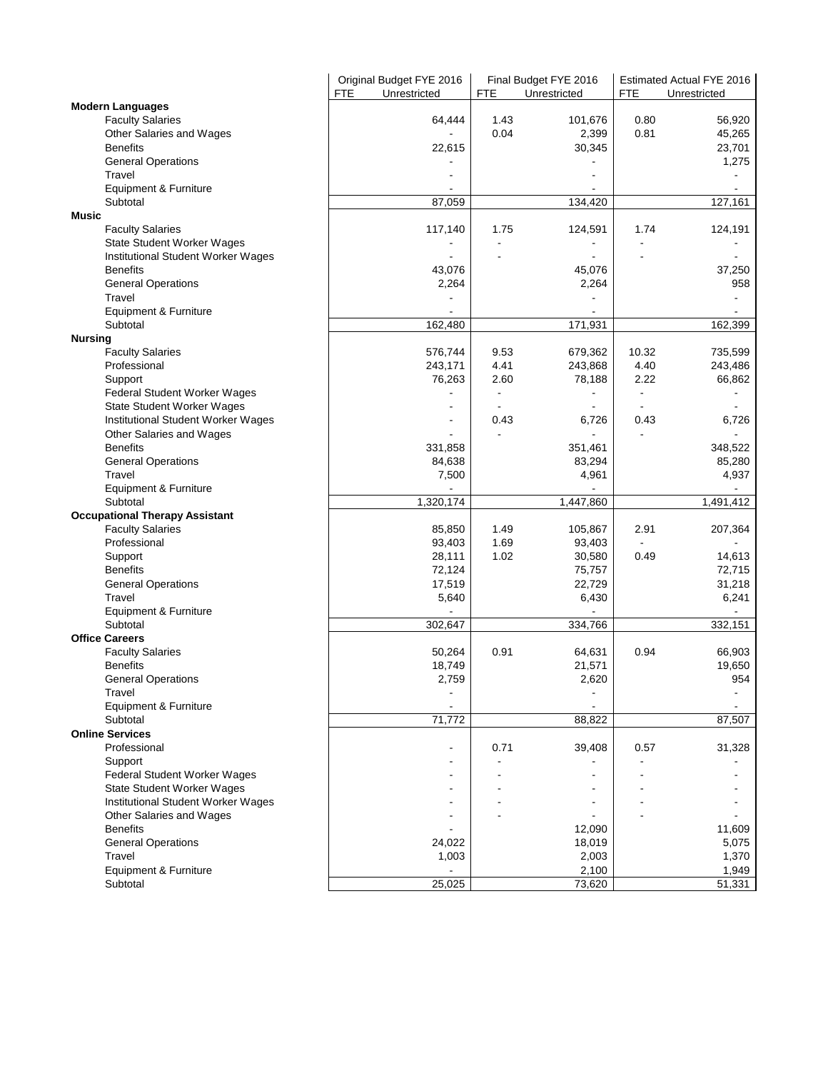|                                       | Original Budget FYE 2016   |            | Final Budget FYE 2016 |                          | Estimated Actual FYE 2016 |
|---------------------------------------|----------------------------|------------|-----------------------|--------------------------|---------------------------|
|                                       | <b>FTE</b><br>Unrestricted | <b>FTE</b> | Unrestricted          | <b>FTE</b>               | Unrestricted              |
| <b>Modern Languages</b>               |                            |            |                       |                          |                           |
| <b>Faculty Salaries</b>               | 64,444                     | 1.43       | 101,676               | 0.80                     | 56,920                    |
| Other Salaries and Wages              |                            | 0.04       | 2,399                 | 0.81                     | 45,265                    |
| <b>Benefits</b>                       | 22,615                     |            | 30,345                |                          | 23,701                    |
| <b>General Operations</b>             |                            |            |                       |                          | 1,275                     |
| Travel                                |                            |            |                       |                          |                           |
| Equipment & Furniture                 |                            |            |                       |                          |                           |
| Subtotal                              | 87,059                     |            | 134,420               |                          | 127,161                   |
| Music                                 |                            |            |                       |                          |                           |
| <b>Faculty Salaries</b>               | 117,140                    | 1.75       | 124,591               | 1.74                     | 124,191                   |
| <b>State Student Worker Wages</b>     |                            |            |                       |                          |                           |
| Institutional Student Worker Wages    |                            |            |                       |                          |                           |
| <b>Benefits</b>                       | 43,076                     |            | 45,076                |                          | 37,250                    |
| <b>General Operations</b>             | 2,264                      |            | 2,264                 |                          | 958                       |
| Travel                                |                            |            |                       |                          |                           |
| Equipment & Furniture                 |                            |            |                       |                          |                           |
| Subtotal                              | 162,480                    |            | 171,931               |                          | 162,399                   |
| <b>Nursing</b>                        |                            |            |                       |                          |                           |
| <b>Faculty Salaries</b>               | 576,744                    | 9.53       | 679,362               | 10.32                    | 735,599                   |
| Professional                          | 243,171                    | 4.41       | 243,868               | 4.40                     | 243,486                   |
| Support                               | 76,263                     | 2.60       | 78,188                | 2.22                     | 66,862                    |
| Federal Student Worker Wages          |                            |            |                       | $\overline{\phantom{a}}$ |                           |
| State Student Worker Wages            |                            |            |                       |                          |                           |
| Institutional Student Worker Wages    |                            | 0.43       | 6,726                 | 0.43                     | 6,726                     |
| Other Salaries and Wages              |                            |            |                       |                          |                           |
| <b>Benefits</b>                       | 331,858                    |            | 351,461               |                          | 348,522                   |
| <b>General Operations</b>             | 84,638                     |            | 83,294                |                          | 85,280                    |
| Travel                                | 7,500                      |            | 4,961                 |                          | 4,937                     |
| Equipment & Furniture                 |                            |            |                       |                          |                           |
| Subtotal                              | 1,320,174                  |            | 1,447,860             |                          | 1,491,412                 |
|                                       |                            |            |                       |                          |                           |
| <b>Occupational Therapy Assistant</b> | 85,850                     | 1.49       |                       | 2.91                     |                           |
| <b>Faculty Salaries</b>               |                            |            | 105,867               | $\overline{a}$           | 207,364                   |
| Professional                          | 93,403                     | 1.69       | 93,403                |                          | $\blacksquare$            |
| Support                               | 28,111                     | 1.02       | 30,580                | 0.49                     | 14,613                    |
| <b>Benefits</b>                       | 72,124                     |            | 75,757                |                          | 72,715                    |
| <b>General Operations</b>             | 17,519                     |            | 22,729                |                          | 31,218                    |
| Travel                                | 5,640                      |            | 6,430                 |                          | 6,241                     |
| Equipment & Furniture                 |                            |            |                       |                          |                           |
| Subtotal                              | 302,647                    |            | 334,766               |                          | 332,151                   |
| <b>Office Careers</b>                 |                            |            |                       |                          |                           |
| <b>Faculty Salaries</b>               | 50,264                     | 0.91       | 64,631                | 0.94                     | 66,903                    |
| <b>Benefits</b>                       | 18,749                     |            | 21,571                |                          | 19,650                    |
| <b>General Operations</b>             | 2,759                      |            | 2,620                 |                          | 954                       |
| Travel                                |                            |            |                       |                          |                           |
| Equipment & Furniture                 | $\blacksquare$             |            | $\blacksquare$        |                          |                           |
| Subtotal                              | 71,772                     |            | 88,822                |                          | 87,507                    |
| <b>Online Services</b>                |                            |            |                       |                          |                           |
| Professional                          |                            | 0.71       | 39,408                | 0.57                     | 31,328                    |
| Support                               |                            |            |                       |                          |                           |
| <b>Federal Student Worker Wages</b>   |                            |            |                       |                          |                           |
| State Student Worker Wages            |                            |            |                       |                          |                           |
| Institutional Student Worker Wages    |                            |            |                       |                          |                           |
| Other Salaries and Wages              |                            |            |                       |                          |                           |
| <b>Benefits</b>                       |                            |            | 12,090                |                          | 11,609                    |
| <b>General Operations</b>             | 24,022                     |            | 18,019                |                          | 5,075                     |
| Travel                                | 1,003                      |            | 2,003                 |                          | 1,370                     |
| Equipment & Furniture                 |                            |            | 2,100                 |                          | 1,949                     |
| Subtotal                              | 25,025                     |            | 73,620                |                          | 51,331                    |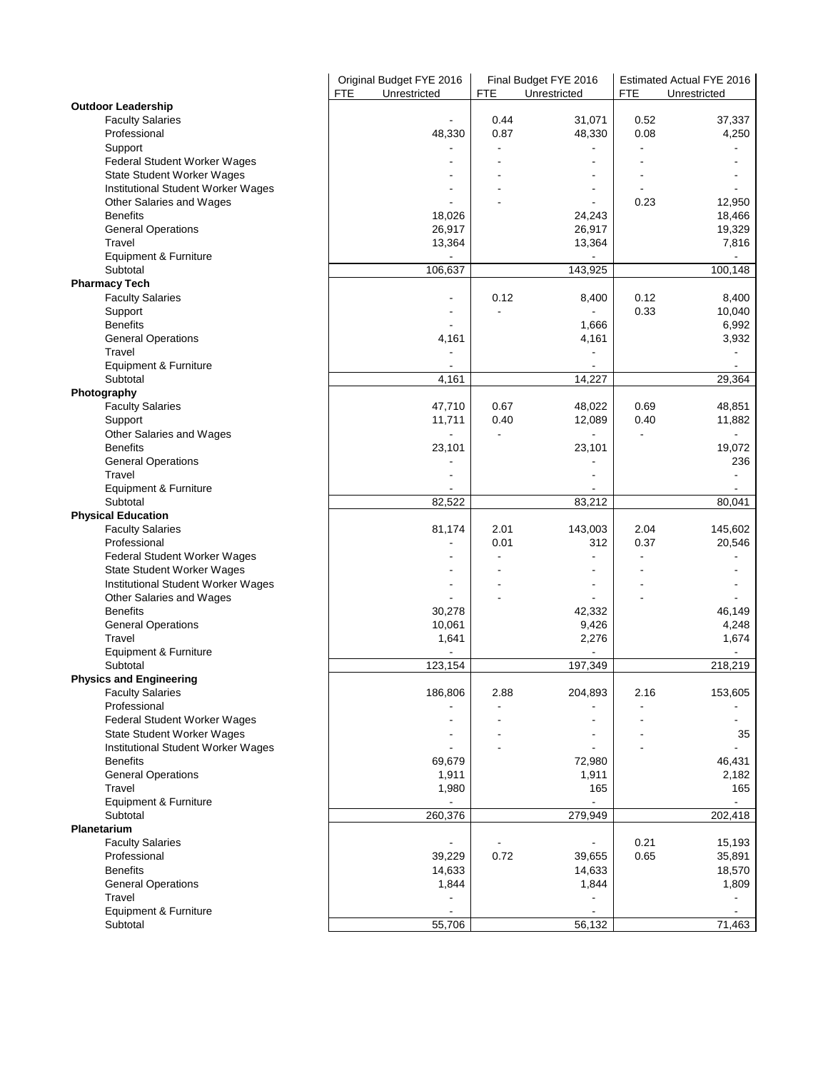|                                             | Original Budget FYE 2016   | Final Budget FYE 2016 |                          | Estimated Actual FYE 2016 |                                   |  |
|---------------------------------------------|----------------------------|-----------------------|--------------------------|---------------------------|-----------------------------------|--|
|                                             | <b>FTE</b><br>Unrestricted | <b>FTE</b>            | Unrestricted             | <b>FTE</b>                | Unrestricted                      |  |
| <b>Outdoor Leadership</b>                   |                            |                       |                          |                           |                                   |  |
| <b>Faculty Salaries</b>                     |                            | 0.44                  | 31,071                   | 0.52                      | 37,337                            |  |
| Professional                                | 48,330                     | 0.87                  | 48,330                   | 0.08                      | 4,250                             |  |
| Support                                     |                            |                       |                          |                           |                                   |  |
| Federal Student Worker Wages                |                            |                       |                          |                           |                                   |  |
| State Student Worker Wages                  |                            |                       |                          |                           |                                   |  |
| Institutional Student Worker Wages          |                            |                       | $\overline{\phantom{a}}$ | 0.23                      | 12,950                            |  |
| Other Salaries and Wages<br><b>Benefits</b> | 18,026                     |                       | 24,243                   |                           | 18,466                            |  |
|                                             |                            |                       |                          |                           |                                   |  |
| <b>General Operations</b><br>Travel         | 26,917                     |                       | 26,917                   |                           | 19,329                            |  |
| Equipment & Furniture                       | 13,364                     |                       | 13,364                   |                           | 7,816<br>$\overline{\phantom{a}}$ |  |
| Subtotal                                    | 106,637                    |                       | 143,925                  |                           | 100,148                           |  |
| <b>Pharmacy Tech</b>                        |                            |                       |                          |                           |                                   |  |
| <b>Faculty Salaries</b>                     |                            | 0.12                  | 8,400                    | 0.12                      | 8,400                             |  |
| Support                                     |                            |                       |                          | 0.33                      | 10,040                            |  |
| <b>Benefits</b>                             |                            |                       | 1,666                    |                           | 6,992                             |  |
| <b>General Operations</b>                   | 4,161                      |                       | 4,161                    |                           | 3,932                             |  |
| Travel                                      |                            |                       |                          |                           |                                   |  |
| Equipment & Furniture                       |                            |                       |                          |                           |                                   |  |
| Subtotal                                    | 4,161                      |                       | 14,227                   |                           | 29,364                            |  |
| Photography                                 |                            |                       |                          |                           |                                   |  |
| <b>Faculty Salaries</b>                     | 47,710                     | 0.67                  | 48,022                   | 0.69                      | 48,851                            |  |
| Support                                     | 11,711                     | 0.40                  | 12,089                   | 0.40                      | 11,882                            |  |
| Other Salaries and Wages                    |                            |                       | $\overline{a}$           | $\overline{\phantom{a}}$  | $\blacksquare$                    |  |
| <b>Benefits</b>                             | 23,101                     |                       | 23,101                   |                           | 19,072                            |  |
| <b>General Operations</b>                   |                            |                       |                          |                           | 236                               |  |
| Travel                                      |                            |                       |                          |                           |                                   |  |
| Equipment & Furniture                       |                            |                       |                          |                           |                                   |  |
| Subtotal                                    | 82,522                     |                       | 83,212                   |                           | 80,041                            |  |
| <b>Physical Education</b>                   |                            |                       |                          |                           |                                   |  |
| <b>Faculty Salaries</b>                     | 81,174                     | 2.01                  | 143,003                  | 2.04                      | 145,602                           |  |
| Professional                                |                            | 0.01                  | 312                      | 0.37                      | 20,546                            |  |
| Federal Student Worker Wages                | $\blacksquare$             |                       | $\blacksquare$           |                           |                                   |  |
| State Student Worker Wages                  |                            |                       |                          |                           |                                   |  |
| Institutional Student Worker Wages          |                            |                       |                          |                           |                                   |  |
| Other Salaries and Wages                    |                            |                       |                          |                           |                                   |  |
| <b>Benefits</b>                             | 30,278                     |                       | 42,332                   |                           | 46,149                            |  |
| <b>General Operations</b>                   | 10,061                     |                       | 9,426                    |                           | 4,248                             |  |
| Travel                                      | 1,641                      |                       | 2,276                    |                           | 1,674                             |  |
| Equipment & Furniture                       |                            |                       |                          |                           |                                   |  |
| Subtotal                                    | 123,154                    |                       | 197,349                  |                           | 218,219                           |  |
| <b>Physics and Engineering</b>              |                            |                       |                          |                           |                                   |  |
| <b>Faculty Salaries</b>                     | 186,806                    | 2.88                  | 204,893                  | 2.16                      | 153,605                           |  |
| Professional                                |                            |                       |                          |                           |                                   |  |
| Federal Student Worker Wages                |                            |                       |                          |                           |                                   |  |
| State Student Worker Wages                  |                            |                       |                          |                           | 35                                |  |
| Institutional Student Worker Wages          |                            |                       |                          |                           |                                   |  |
| <b>Benefits</b>                             | 69,679                     |                       | 72,980                   |                           | 46,431                            |  |
| <b>General Operations</b>                   | 1,911                      |                       | 1,911                    |                           | 2,182                             |  |
| Travel                                      | 1,980                      |                       | 165                      |                           | 165                               |  |
| Equipment & Furniture                       |                            |                       |                          |                           | $\blacksquare$                    |  |
| Subtotal                                    | 260,376                    |                       | 279,949                  |                           | 202,418                           |  |
| Planetarium                                 |                            |                       |                          |                           |                                   |  |
| <b>Faculty Salaries</b>                     |                            |                       |                          | 0.21                      | 15,193                            |  |
| Professional                                | 39,229                     | 0.72                  | 39,655                   | 0.65                      | 35,891                            |  |
| <b>Benefits</b>                             | 14,633                     |                       | 14,633<br>1,844          |                           | 18,570                            |  |
| <b>General Operations</b><br>Travel         | 1,844                      |                       |                          |                           | 1,809                             |  |
| Equipment & Furniture                       |                            |                       |                          |                           | $\overline{\phantom{a}}$          |  |
| Subtotal                                    | 55,706                     |                       | 56,132                   |                           | 71,463                            |  |
|                                             |                            |                       |                          |                           |                                   |  |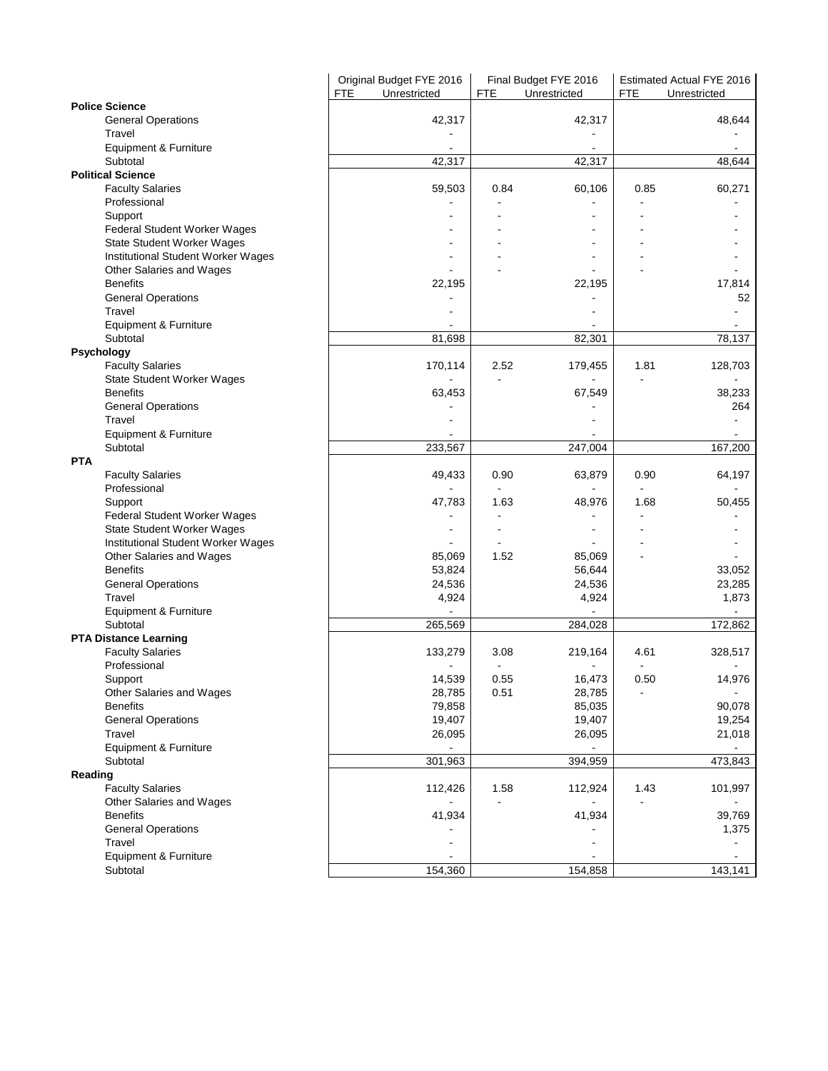|                                    | Original Budget FYE 2016<br><b>FTE</b><br>Unrestricted | Final Budget FYE 2016<br><b>FTE</b><br>Unrestricted | Estimated Actual FYE 2016<br><b>FTE</b><br>Unrestricted |
|------------------------------------|--------------------------------------------------------|-----------------------------------------------------|---------------------------------------------------------|
| <b>Police Science</b>              |                                                        |                                                     |                                                         |
| <b>General Operations</b>          | 42,317                                                 | 42,317                                              | 48,644                                                  |
| Travel                             |                                                        |                                                     |                                                         |
| Equipment & Furniture              |                                                        |                                                     |                                                         |
| Subtotal                           | 42,317                                                 | 42,317                                              | 48,644                                                  |
| <b>Political Science</b>           |                                                        |                                                     |                                                         |
| <b>Faculty Salaries</b>            | 59,503                                                 | 0.84<br>60,106                                      | 0.85<br>60,271                                          |
| Professional                       |                                                        |                                                     |                                                         |
| Support                            |                                                        |                                                     |                                                         |
| Federal Student Worker Wages       |                                                        |                                                     |                                                         |
| <b>State Student Worker Wages</b>  |                                                        |                                                     |                                                         |
| Institutional Student Worker Wages |                                                        |                                                     |                                                         |
| Other Salaries and Wages           |                                                        |                                                     |                                                         |
| <b>Benefits</b>                    | 22,195                                                 | 22,195                                              | 17,814                                                  |
| <b>General Operations</b>          |                                                        |                                                     | 52                                                      |
| Travel                             |                                                        |                                                     |                                                         |
| Equipment & Furniture              |                                                        |                                                     |                                                         |
| Subtotal                           | 81,698                                                 | 82,301                                              | 78,137                                                  |
| Psychology                         |                                                        |                                                     |                                                         |
| <b>Faculty Salaries</b>            | 170,114                                                | 2.52<br>179,455                                     | 1.81<br>128,703                                         |
| <b>State Student Worker Wages</b>  |                                                        |                                                     |                                                         |
| <b>Benefits</b>                    | 63,453                                                 | 67,549                                              | 38,233                                                  |
| <b>General Operations</b>          |                                                        |                                                     | 264                                                     |
| Travel                             |                                                        |                                                     |                                                         |
| Equipment & Furniture              |                                                        |                                                     |                                                         |
| Subtotal                           | 233,567                                                | 247,004                                             | 167,200                                                 |
| <b>PTA</b>                         |                                                        |                                                     |                                                         |
| <b>Faculty Salaries</b>            | 49,433                                                 | 0.90<br>63,879                                      | 0.90<br>64,197                                          |
| Professional                       |                                                        |                                                     |                                                         |
| Support                            | 47,783                                                 | 1.63<br>48,976                                      | 1.68<br>50,455                                          |
| Federal Student Worker Wages       |                                                        |                                                     |                                                         |
| <b>State Student Worker Wages</b>  |                                                        |                                                     |                                                         |
| Institutional Student Worker Wages |                                                        |                                                     |                                                         |
| Other Salaries and Wages           | 85,069                                                 | 1.52<br>85,069                                      |                                                         |
| <b>Benefits</b>                    | 53,824                                                 | 56,644                                              | 33,052                                                  |
| <b>General Operations</b>          | 24,536                                                 | 24,536                                              | 23,285                                                  |
| Travel                             | 4,924                                                  | 4,924                                               | 1,873                                                   |
| Equipment & Furniture              |                                                        |                                                     |                                                         |
| Subtotal                           | 265,569                                                | 284,028                                             | 172,862                                                 |
| <b>PTA Distance Learning</b>       |                                                        |                                                     |                                                         |
| <b>Faculty Salaries</b>            | 133,279                                                | 3.08<br>219,164                                     | 4.61<br>328,517                                         |
| Professional                       |                                                        |                                                     |                                                         |
| Support                            | 14,539                                                 | 0.55<br>16,473                                      | 0.50<br>14,976                                          |
| Other Salaries and Wages           | 28,785                                                 | 0.51<br>28,785                                      |                                                         |
| <b>Benefits</b>                    | 79,858                                                 | 85,035                                              | 90,078                                                  |
| <b>General Operations</b>          | 19,407                                                 | 19,407                                              | 19,254                                                  |
| Travel                             | 26,095                                                 | 26,095                                              | 21,018                                                  |
| <b>Equipment &amp; Furniture</b>   |                                                        |                                                     |                                                         |
| Subtotal                           | 301,963                                                | 394,959                                             | 473,843                                                 |
| Reading                            |                                                        |                                                     |                                                         |
| <b>Faculty Salaries</b>            | 112,426                                                | 1.58<br>112,924                                     | 101,997<br>1.43                                         |
| Other Salaries and Wages           |                                                        |                                                     |                                                         |
| <b>Benefits</b>                    | 41,934                                                 | 41,934                                              | 39,769                                                  |
| <b>General Operations</b>          |                                                        |                                                     | 1,375                                                   |
| Travel                             |                                                        |                                                     |                                                         |
| Equipment & Furniture              |                                                        |                                                     |                                                         |
| Subtotal                           | 154,360                                                | 154,858                                             | 143,141                                                 |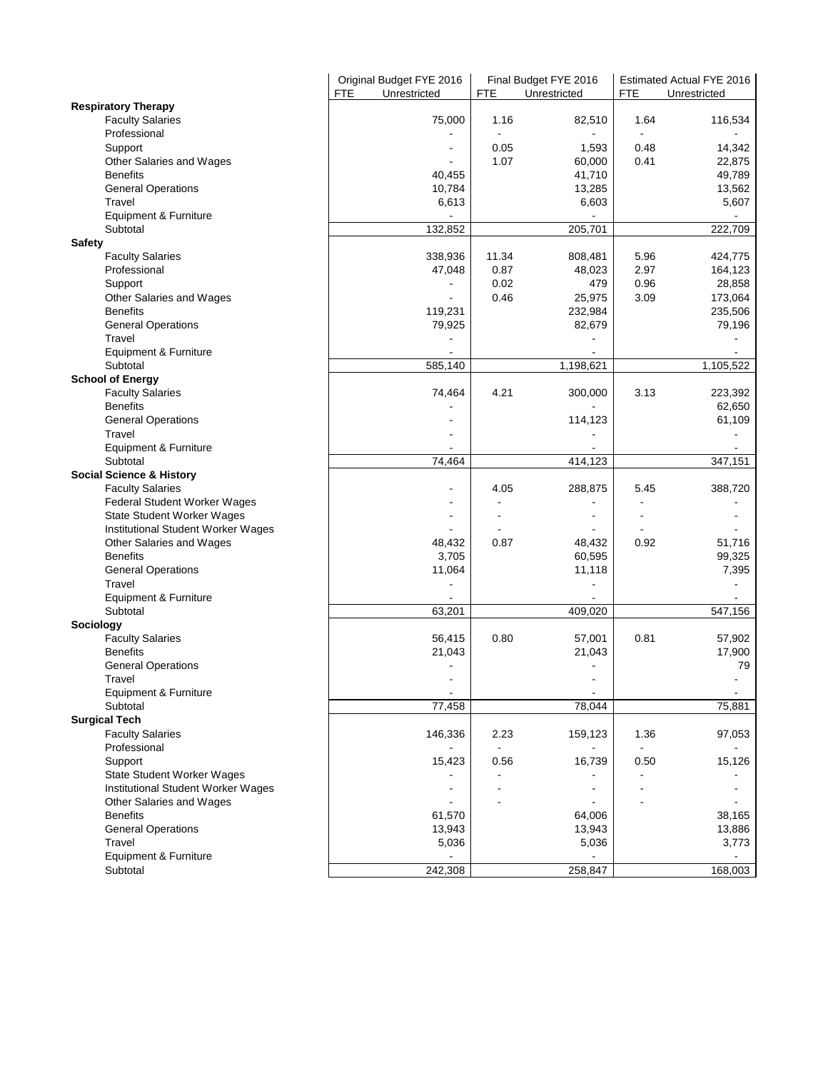|                                     | FTE | Original Budget FYE 2016<br>Unrestricted | <b>FTE</b> | Final Budget FYE 2016<br>Unrestricted | <b>FTE</b> | Estimated Actual FYE 2016<br>Unrestricted |
|-------------------------------------|-----|------------------------------------------|------------|---------------------------------------|------------|-------------------------------------------|
| <b>Respiratory Therapy</b>          |     |                                          |            |                                       |            |                                           |
| <b>Faculty Salaries</b>             |     | 75,000                                   | 1.16       | 82,510                                | 1.64       | 116,534                                   |
| Professional                        |     |                                          |            |                                       |            |                                           |
| Support                             |     |                                          | 0.05       | 1,593                                 | 0.48       | 14,342                                    |
| Other Salaries and Wages            |     |                                          | 1.07       | 60,000                                | 0.41       | 22,875                                    |
| <b>Benefits</b>                     |     | 40,455                                   |            | 41,710                                |            | 49,789                                    |
| <b>General Operations</b>           |     | 10,784                                   |            | 13,285                                |            | 13,562                                    |
| Travel                              |     | 6,613                                    |            | 6,603                                 |            | 5,607                                     |
| Equipment & Furniture               |     |                                          |            |                                       |            |                                           |
| Subtotal                            |     | 132,852                                  |            | 205,701                               |            | 222,709                                   |
| <b>Safety</b>                       |     |                                          |            |                                       |            |                                           |
| <b>Faculty Salaries</b>             |     | 338,936                                  | 11.34      | 808,481                               | 5.96       | 424,775                                   |
| Professional                        |     | 47,048                                   | 0.87       | 48,023                                | 2.97       | 164,123                                   |
| Support                             |     |                                          | 0.02       | 479                                   | 0.96       | 28,858                                    |
| Other Salaries and Wages            |     |                                          | 0.46       | 25,975                                | 3.09       | 173,064                                   |
| <b>Benefits</b>                     |     | 119,231                                  |            | 232,984                               |            | 235,506                                   |
| <b>General Operations</b>           |     | 79,925                                   |            | 82,679                                |            | 79,196                                    |
| Travel                              |     |                                          |            |                                       |            |                                           |
| Equipment & Furniture               |     |                                          |            |                                       |            |                                           |
| Subtotal                            |     | 585,140                                  |            | 1,198,621                             |            | 1,105,522                                 |
| <b>School of Energy</b>             |     |                                          |            |                                       |            |                                           |
| <b>Faculty Salaries</b>             |     | 74,464                                   | 4.21       | 300,000                               | 3.13       | 223,392                                   |
| <b>Benefits</b>                     |     |                                          |            |                                       |            | 62,650                                    |
| <b>General Operations</b>           |     |                                          |            | 114,123                               |            | 61,109                                    |
| Travel                              |     |                                          |            |                                       |            |                                           |
| Equipment & Furniture               |     |                                          |            |                                       |            |                                           |
| Subtotal                            |     | 74,464                                   |            | 414,123                               |            | 347,151                                   |
|                                     |     |                                          |            |                                       |            |                                           |
| <b>Social Science &amp; History</b> |     |                                          |            | 288,875                               |            | 388,720                                   |
| <b>Faculty Salaries</b>             |     |                                          | 4.05       |                                       | 5.45       |                                           |
| <b>Federal Student Worker Wages</b> |     |                                          |            |                                       |            |                                           |
| State Student Worker Wages          |     |                                          |            |                                       |            |                                           |
| Institutional Student Worker Wages  |     | 48,432                                   | 0.87       |                                       | 0.92       | 51,716                                    |
| Other Salaries and Wages            |     |                                          |            | 48,432                                |            |                                           |
| <b>Benefits</b>                     |     | 3,705                                    |            | 60,595                                |            | 99,325                                    |
| <b>General Operations</b>           |     | 11,064                                   |            | 11,118                                |            | 7,395                                     |
| Travel                              |     |                                          |            |                                       |            |                                           |
| Equipment & Furniture               |     |                                          |            |                                       |            |                                           |
| Subtotal                            |     | 63,201                                   |            | 409,020                               |            | 547,156                                   |
| Sociology                           |     |                                          |            |                                       |            |                                           |
| <b>Faculty Salaries</b>             |     | 56,415                                   | 0.80       | 57,001                                | 0.81       | 57,902                                    |
| <b>Benefits</b>                     |     | 21,043                                   |            | 21,043                                |            | 17,900                                    |
| <b>General Operations</b>           |     |                                          |            |                                       |            | 79                                        |
| Travel                              |     |                                          |            |                                       |            |                                           |
| <b>Equipment &amp; Furniture</b>    |     |                                          |            |                                       |            |                                           |
| Subtotal                            |     | 77,458                                   |            | 78,044                                |            | 75,881                                    |
| <b>Surgical Tech</b>                |     |                                          |            |                                       |            |                                           |
| <b>Faculty Salaries</b>             |     | 146,336                                  | 2.23       | 159,123                               | 1.36       | 97,053                                    |
| Professional                        |     |                                          |            |                                       |            |                                           |
| Support                             |     | 15,423                                   | 0.56       | 16,739                                | 0.50       | 15,126                                    |
| State Student Worker Wages          |     |                                          |            |                                       |            |                                           |
| Institutional Student Worker Wages  |     |                                          |            |                                       |            |                                           |
| Other Salaries and Wages            |     |                                          |            |                                       |            |                                           |
| <b>Benefits</b>                     |     | 61,570                                   |            | 64,006                                |            | 38,165                                    |
| <b>General Operations</b>           |     | 13,943                                   |            | 13,943                                |            | 13,886                                    |
| Travel                              |     | 5,036                                    |            | 5,036                                 |            | 3,773                                     |
| Equipment & Furniture               |     |                                          |            |                                       |            |                                           |
| Subtotal                            |     | 242,308                                  |            | 258,847                               |            | 168,003                                   |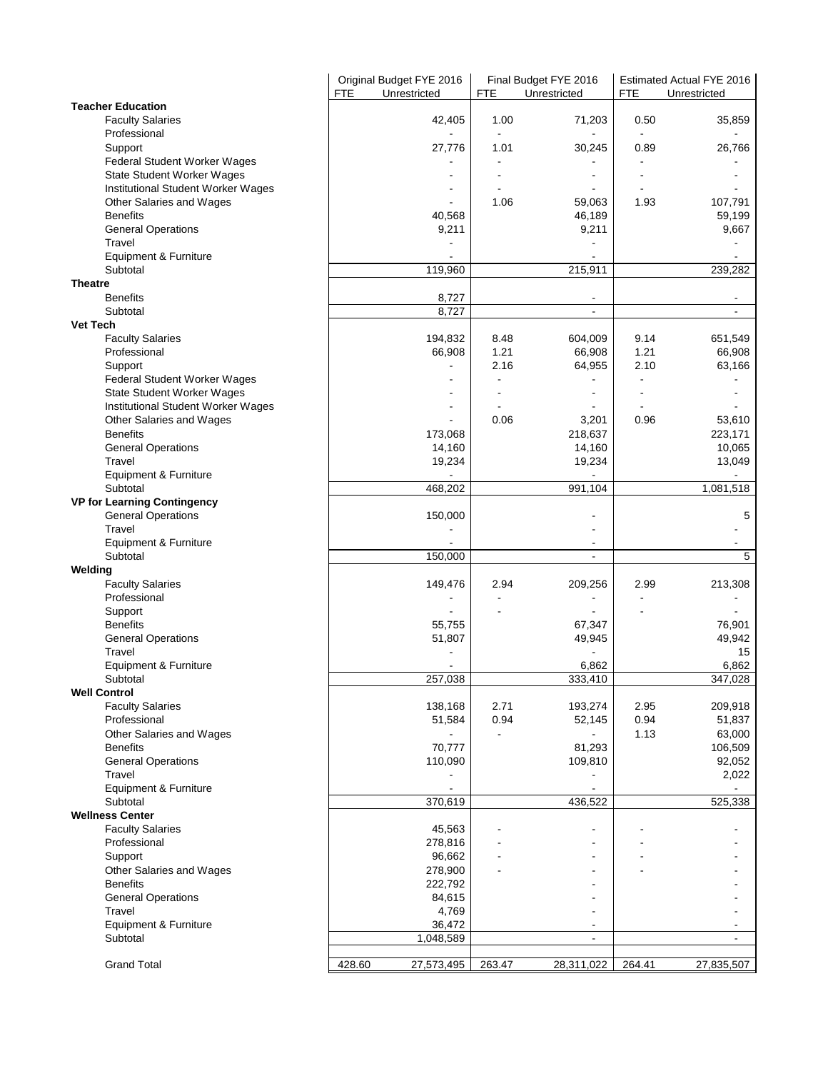|                                                                         | Original Budget FYE 2016<br><b>FTE</b><br>Unrestricted | <b>FTE</b>     | Final Budget FYE 2016<br>Unrestricted | <b>FTE</b>     | Estimated Actual FYE 2016<br>Unrestricted |
|-------------------------------------------------------------------------|--------------------------------------------------------|----------------|---------------------------------------|----------------|-------------------------------------------|
| <b>Teacher Education</b>                                                |                                                        |                |                                       |                |                                           |
| <b>Faculty Salaries</b><br>Professional                                 | 42,405                                                 | 1.00           | 71,203                                | 0.50           | 35,859                                    |
| Support                                                                 | 27,776                                                 | 1.01           | 30,245                                | 0.89           | 26,766                                    |
| Federal Student Worker Wages<br>State Student Worker Wages              |                                                        |                |                                       |                |                                           |
| Institutional Student Worker Wages                                      |                                                        |                |                                       |                |                                           |
| Other Salaries and Wages                                                |                                                        | 1.06           | 59,063                                | 1.93           | 107,791                                   |
| <b>Benefits</b>                                                         | 40,568                                                 |                | 46,189                                |                | 59,199                                    |
| <b>General Operations</b><br>Travel                                     | 9,211                                                  |                | 9,211                                 |                | 9,667                                     |
| Equipment & Furniture                                                   |                                                        |                |                                       |                |                                           |
| Subtotal                                                                | 119,960                                                |                | 215,911                               |                | 239,282                                   |
| <b>Theatre</b>                                                          |                                                        |                |                                       |                |                                           |
| <b>Benefits</b>                                                         | 8,727                                                  |                | $\blacksquare$                        |                | $\overline{\phantom{a}}$                  |
| Subtotal                                                                | 8,727                                                  |                | $\blacksquare$                        |                | $\blacksquare$                            |
| <b>Vet Tech</b>                                                         |                                                        |                |                                       |                |                                           |
| <b>Faculty Salaries</b>                                                 | 194,832                                                | 8.48           | 604,009                               | 9.14           | 651,549                                   |
| Professional                                                            | 66,908                                                 | 1.21           | 66,908                                | 1.21           | 66,908                                    |
| Support                                                                 |                                                        | 2.16           | 64,955                                | 2.10           | 63,166                                    |
| Federal Student Worker Wages                                            |                                                        |                |                                       |                |                                           |
| <b>State Student Worker Wages</b><br>Institutional Student Worker Wages |                                                        |                | $\overline{\phantom{a}}$              |                |                                           |
| Other Salaries and Wages                                                |                                                        | 0.06           | 3,201                                 | 0.96           | 53,610                                    |
| <b>Benefits</b>                                                         | 173,068                                                |                | 218,637                               |                | 223,171                                   |
| <b>General Operations</b>                                               | 14,160                                                 |                | 14,160                                |                | 10,065                                    |
| Travel                                                                  | 19,234                                                 |                | 19,234                                |                | 13,049                                    |
| Equipment & Furniture                                                   |                                                        |                |                                       |                |                                           |
| Subtotal                                                                | 468,202                                                |                | 991,104                               |                | 1,081,518                                 |
| <b>VP for Learning Contingency</b>                                      |                                                        |                |                                       |                | 5                                         |
| <b>General Operations</b><br>Travel                                     | 150,000                                                |                |                                       |                |                                           |
| Equipment & Furniture                                                   |                                                        |                | $\blacksquare$                        |                |                                           |
| Subtotal                                                                | 150,000                                                |                | $\blacksquare$                        |                | 5                                         |
| Welding                                                                 |                                                        |                |                                       |                |                                           |
| <b>Faculty Salaries</b>                                                 | 149,476                                                | 2.94           | 209,256                               | 2.99           | 213,308                                   |
| Professional                                                            |                                                        | $\blacksquare$ | $\overline{\phantom{a}}$              | $\blacksquare$ |                                           |
| Support                                                                 |                                                        |                |                                       |                |                                           |
| <b>Benefits</b><br><b>General Operations</b>                            | 55,755<br>51,807                                       |                | 67,347<br>49,945                      |                | 76,901<br>49,942                          |
| Travel                                                                  |                                                        |                |                                       |                | 15                                        |
| Equipment & Furniture                                                   |                                                        |                | 6,862                                 |                | 6,862                                     |
| Subtotal                                                                | 257,038                                                |                | 333,410                               |                | 347,028                                   |
| <b>Well Control</b>                                                     |                                                        |                |                                       |                |                                           |
| <b>Faculty Salaries</b>                                                 | 138,168                                                | 2.71           | 193,274                               | 2.95           | 209,918                                   |
| Professional                                                            | 51,584                                                 | 0.94           | 52,145                                | 0.94           | 51,837                                    |
| Other Salaries and Wages                                                | 70,777                                                 |                | 81,293                                | 1.13           | 63,000                                    |
| <b>Benefits</b><br><b>General Operations</b>                            | 110,090                                                |                | 109,810                               |                | 106,509<br>92,052                         |
| Travel                                                                  |                                                        |                |                                       |                | 2,022                                     |
| Equipment & Furniture                                                   |                                                        |                | $\blacksquare$                        |                |                                           |
| Subtotal                                                                | 370,619                                                |                | 436,522                               |                | 525,338                                   |
| <b>Wellness Center</b>                                                  |                                                        |                |                                       |                |                                           |
| <b>Faculty Salaries</b>                                                 | 45,563                                                 |                |                                       |                |                                           |
| Professional                                                            | 278,816                                                |                |                                       |                |                                           |
| Support<br>Other Salaries and Wages                                     | 96,662<br>278,900                                      |                |                                       |                |                                           |
| <b>Benefits</b>                                                         | 222,792                                                |                |                                       |                |                                           |
| <b>General Operations</b>                                               | 84,615                                                 |                |                                       |                |                                           |
| Travel                                                                  | 4,769                                                  |                |                                       |                |                                           |
| Equipment & Furniture                                                   | 36,472                                                 |                |                                       |                |                                           |
| Subtotal                                                                | 1,048,589                                              |                | $\sim$                                |                | $\blacksquare$                            |
|                                                                         |                                                        |                |                                       |                |                                           |
| <b>Grand Total</b>                                                      | 428.60<br>27,573,495                                   | 263.47         | 28,311,022                            | 264.41         | 27,835,507                                |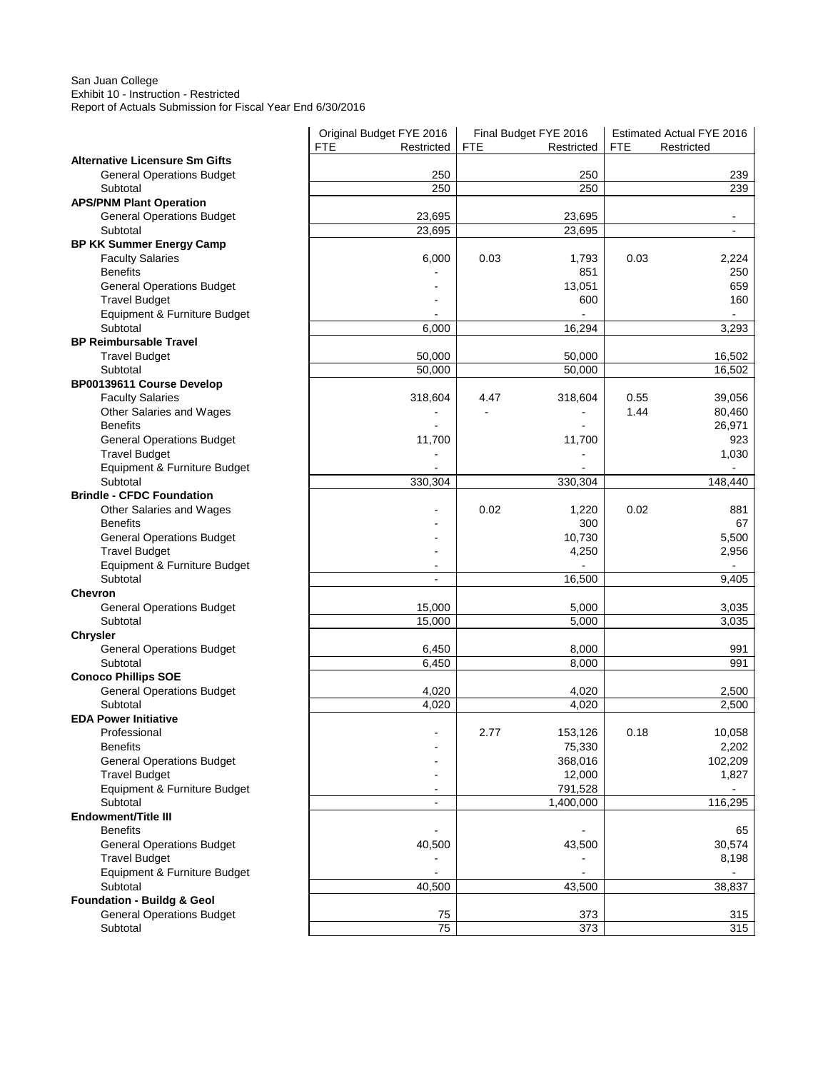#### San Juan College Exhibit 10 - Instruction - Restricted Report of Actuals Submission for Fiscal Year End 6/30/2016

|                                                   | Original Budget FYE 2016 |            | Final Budget FYE 2016 |            | Estimated Actual FYE 2016 |
|---------------------------------------------------|--------------------------|------------|-----------------------|------------|---------------------------|
|                                                   | <b>FTE</b><br>Restricted | <b>FTE</b> | Restricted            | <b>FTE</b> | Restricted                |
| <b>Alternative Licensure Sm Gifts</b>             |                          |            |                       |            |                           |
| <b>General Operations Budget</b>                  | 250                      |            | 250                   |            | 239                       |
| Subtotal                                          | 250                      |            | 250                   |            | 239                       |
| <b>APS/PNM Plant Operation</b>                    |                          |            |                       |            |                           |
| <b>General Operations Budget</b>                  | 23,695                   |            | 23,695                |            |                           |
| Subtotal                                          | 23,695                   |            | 23,695                |            | $\overline{a}$            |
| <b>BP KK Summer Energy Camp</b>                   |                          |            |                       |            |                           |
| <b>Faculty Salaries</b>                           | 6,000                    | 0.03       | 1,793                 | 0.03       | 2,224                     |
| <b>Benefits</b>                                   |                          |            | 851                   |            | 250                       |
| <b>General Operations Budget</b>                  |                          |            | 13,051                |            | 659                       |
| <b>Travel Budget</b>                              |                          |            | 600                   |            | 160                       |
| Equipment & Furniture Budget                      |                          |            |                       |            |                           |
| Subtotal                                          | 6,000                    |            | 16,294                |            | 3,293                     |
| <b>BP Reimbursable Travel</b>                     |                          |            |                       |            |                           |
| <b>Travel Budget</b>                              | 50,000                   |            | 50,000                |            | 16,502                    |
| Subtotal                                          | 50,000                   |            | 50,000                |            | 16,502                    |
| BP00139611 Course Develop                         |                          |            |                       |            |                           |
| <b>Faculty Salaries</b>                           | 318,604                  | 4.47       | 318,604               | 0.55       | 39,056                    |
| Other Salaries and Wages                          |                          |            |                       | 1.44       | 80,460                    |
| <b>Benefits</b>                                   |                          |            |                       |            | 26,971                    |
| <b>General Operations Budget</b>                  | 11,700                   |            | 11,700                |            | 923                       |
| <b>Travel Budget</b>                              |                          |            |                       |            | 1,030                     |
| Equipment & Furniture Budget                      |                          |            |                       |            |                           |
| Subtotal                                          | 330,304                  |            | 330,304               |            | 148,440                   |
| <b>Brindle - CFDC Foundation</b>                  |                          |            |                       |            |                           |
| Other Salaries and Wages                          |                          | 0.02       | 1,220                 | 0.02       | 881                       |
| <b>Benefits</b>                                   |                          |            | 300                   |            | 67                        |
| <b>General Operations Budget</b>                  |                          |            | 10,730                |            | 5,500                     |
| <b>Travel Budget</b>                              |                          |            | 4,250                 |            | 2,956                     |
| Equipment & Furniture Budget                      |                          |            |                       |            |                           |
| Subtotal                                          | $\overline{a}$           |            | 16,500                |            | 9,405                     |
| <b>Chevron</b>                                    |                          |            |                       |            |                           |
| <b>General Operations Budget</b>                  | 15,000                   |            | 5,000                 |            | 3,035                     |
| Subtotal                                          | 15,000                   |            | 5,000                 |            | 3,035                     |
| <b>Chrysler</b>                                   |                          |            |                       |            |                           |
| <b>General Operations Budget</b>                  | 6,450                    |            | 8,000                 |            | 991                       |
| Subtotal                                          | 6,450                    |            | 8,000                 |            | 991                       |
| <b>Conoco Phillips SOE</b>                        |                          |            |                       |            |                           |
| <b>General Operations Budget</b>                  | 4,020                    |            | 4,020                 |            | 2,500                     |
| Subtotal                                          | 4,020                    |            | 4,020                 |            | 2,500                     |
| <b>EDA Power Initiative</b>                       |                          |            |                       |            |                           |
| Professional                                      |                          | 2.77       | 153,126               | 0.18       | 10,058                    |
| <b>Benefits</b>                                   |                          |            | 75,330                |            | 2,202                     |
| <b>General Operations Budget</b>                  |                          |            | 368,016               |            | 102,209                   |
| <b>Travel Budget</b>                              |                          |            | 12,000                |            | 1,827                     |
| Equipment & Furniture Budget                      |                          |            | 791,528               |            |                           |
| Subtotal                                          | $\sim$                   |            | 1,400,000             |            | 116,295                   |
| Endowment/Title III                               |                          |            |                       |            |                           |
| <b>Benefits</b>                                   | ä,                       |            | $\sim$                |            | 65                        |
| <b>General Operations Budget</b>                  | 40,500                   |            | 43,500                |            | 30,574                    |
| <b>Travel Budget</b>                              |                          |            |                       |            | 8,198                     |
| Equipment & Furniture Budget                      |                          |            |                       |            |                           |
| Subtotal<br><b>Foundation - Buildg &amp; Geol</b> | 40,500                   |            | 43,500                |            | 38,837                    |
|                                                   |                          |            |                       |            |                           |
| <b>General Operations Budget</b>                  | 75<br>75                 |            | 373<br>373            |            | 315<br>315                |
| Subtotal                                          |                          |            |                       |            |                           |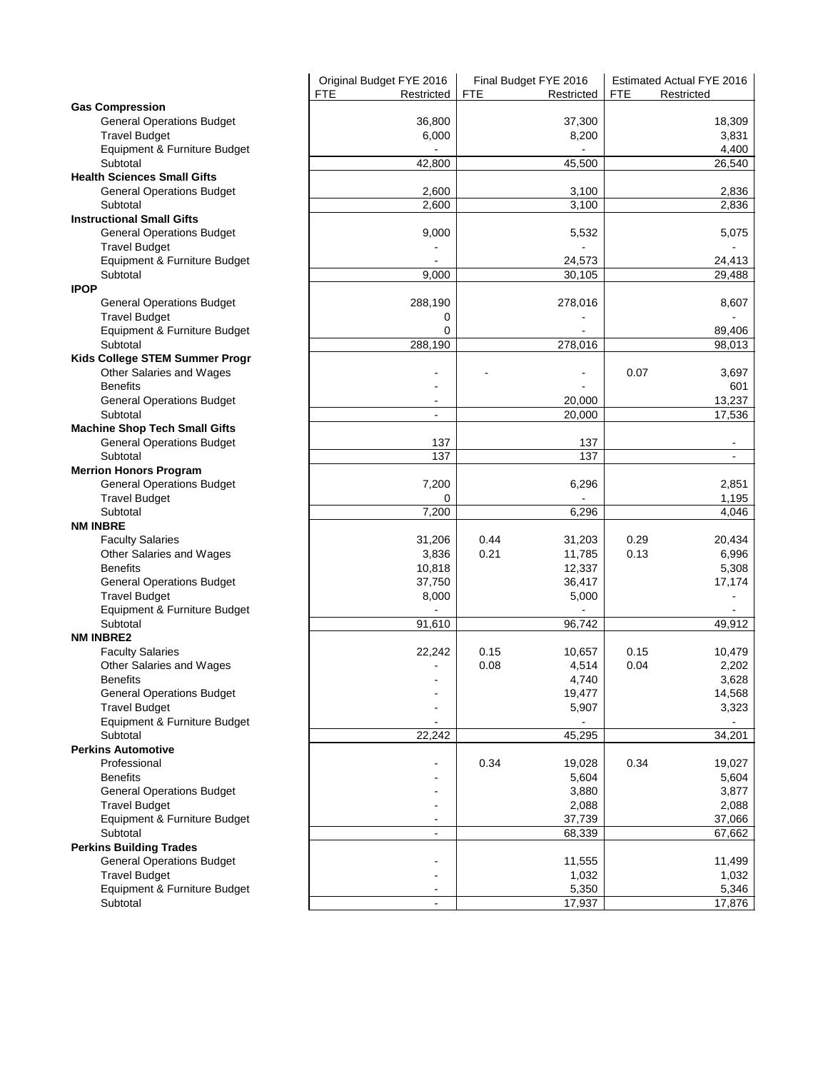|                                                      | Original Budget FYE 2016 | Final Budget FYE 2016    | Estimated Actual FYE 2016 |
|------------------------------------------------------|--------------------------|--------------------------|---------------------------|
|                                                      | <b>FTE</b><br>Restricted | <b>FTE</b><br>Restricted | <b>FTE</b><br>Restricted  |
| <b>Gas Compression</b>                               |                          |                          |                           |
| <b>General Operations Budget</b>                     | 36,800                   | 37,300                   | 18,309                    |
| <b>Travel Budget</b>                                 | 6,000                    | 8,200                    | 3,831                     |
| Equipment & Furniture Budget                         |                          |                          | 4,400                     |
| Subtotal                                             | 42,800                   | 45,500                   | 26,540                    |
| <b>Health Sciences Small Gifts</b>                   |                          |                          |                           |
| <b>General Operations Budget</b>                     | 2,600                    | 3,100                    | 2,836                     |
| Subtotal                                             | 2,600                    | 3,100                    | 2,836                     |
| <b>Instructional Small Gifts</b>                     |                          |                          |                           |
| <b>General Operations Budget</b>                     | 9,000                    | 5,532                    | 5,075                     |
| <b>Travel Budget</b>                                 |                          |                          |                           |
| Equipment & Furniture Budget                         |                          | 24,573                   | 24,413                    |
| Subtotal                                             | 9,000                    | 30,105                   | 29,488                    |
| <b>IPOP</b>                                          |                          |                          |                           |
| <b>General Operations Budget</b>                     | 288,190                  | 278,016                  | 8,607                     |
| <b>Travel Budget</b>                                 | 0                        |                          |                           |
| Equipment & Furniture Budget                         | 0                        |                          | 89,406                    |
| Subtotal                                             | 288,190                  | 278,016                  | 98.013                    |
| Kids College STEM Summer Progr                       |                          |                          |                           |
| Other Salaries and Wages                             |                          |                          | 0.07<br>3,697             |
| <b>Benefits</b>                                      |                          |                          | 601                       |
| <b>General Operations Budget</b>                     | $\blacksquare$           | 20,000                   | 13,237                    |
| Subtotal                                             | $\blacksquare$           | 20,000                   | 17,536                    |
| <b>Machine Shop Tech Small Gifts</b>                 |                          |                          |                           |
| <b>General Operations Budget</b>                     | 137                      | 137                      |                           |
| Subtotal                                             | 137                      | 137                      |                           |
| <b>Merrion Honors Program</b>                        |                          |                          |                           |
| <b>General Operations Budget</b>                     | 7,200                    | 6,296                    | 2,851                     |
| <b>Travel Budget</b><br>Subtotal                     | 0                        | 6,296                    | 1,195                     |
| <b>NM INBRE</b>                                      | 7,200                    |                          | 4,046                     |
|                                                      | 31,206                   | 0.44<br>31,203           | 0.29<br>20,434            |
| <b>Faculty Salaries</b><br>Other Salaries and Wages  | 3,836                    | 0.21<br>11,785           | 0.13<br>6,996             |
| <b>Benefits</b>                                      | 10,818                   |                          | 5,308                     |
| <b>General Operations Budget</b>                     | 37,750                   | 12,337<br>36,417         | 17,174                    |
|                                                      |                          | 5,000                    |                           |
| <b>Travel Budget</b><br>Equipment & Furniture Budget | 8,000                    |                          |                           |
| Subtotal                                             | 91,610                   | 96,742                   | 49,912                    |
| <b>NM INBRE2</b>                                     |                          |                          |                           |
| <b>Faculty Salaries</b>                              | 22,242                   | 0.15<br>10,657           | 0.15<br>10,479            |
| Other Salaries and Wages                             |                          | 0.08<br>4,514            | 0.04<br>2,202             |
| Benefits                                             |                          | 4,740                    | 3,628                     |
| <b>General Operations Budget</b>                     |                          | 19,477                   | 14,568                    |
| <b>Travel Budget</b>                                 | $\ddot{\phantom{1}}$     | 5,907                    | 3,323                     |
| Equipment & Furniture Budget                         | $\blacksquare$           |                          | Ξ.                        |
| Subtotal                                             | 22,242                   | 45,295                   | 34,201                    |
| <b>Perkins Automotive</b>                            |                          |                          |                           |
| Professional                                         | ۰                        | 0.34<br>19,028           | 0.34<br>19,027            |
| <b>Benefits</b>                                      |                          | 5,604                    | 5,604                     |
| <b>General Operations Budget</b>                     |                          | 3,880                    | 3,877                     |
| <b>Travel Budget</b>                                 |                          | 2,088                    | 2,088                     |
| Equipment & Furniture Budget                         | $\blacksquare$           | 37,739                   | 37,066                    |
| Subtotal                                             | $\sim$                   | 68,339                   | 67,662                    |
| <b>Perkins Building Trades</b>                       |                          |                          |                           |
| <b>General Operations Budget</b>                     |                          | 11,555                   | 11,499                    |
| <b>Travel Budget</b>                                 | $\blacksquare$           | 1,032                    | 1,032                     |
| Equipment & Furniture Budget                         |                          | 5,350                    | 5,346                     |
| Subtotal                                             |                          | 17,937                   | 17,876                    |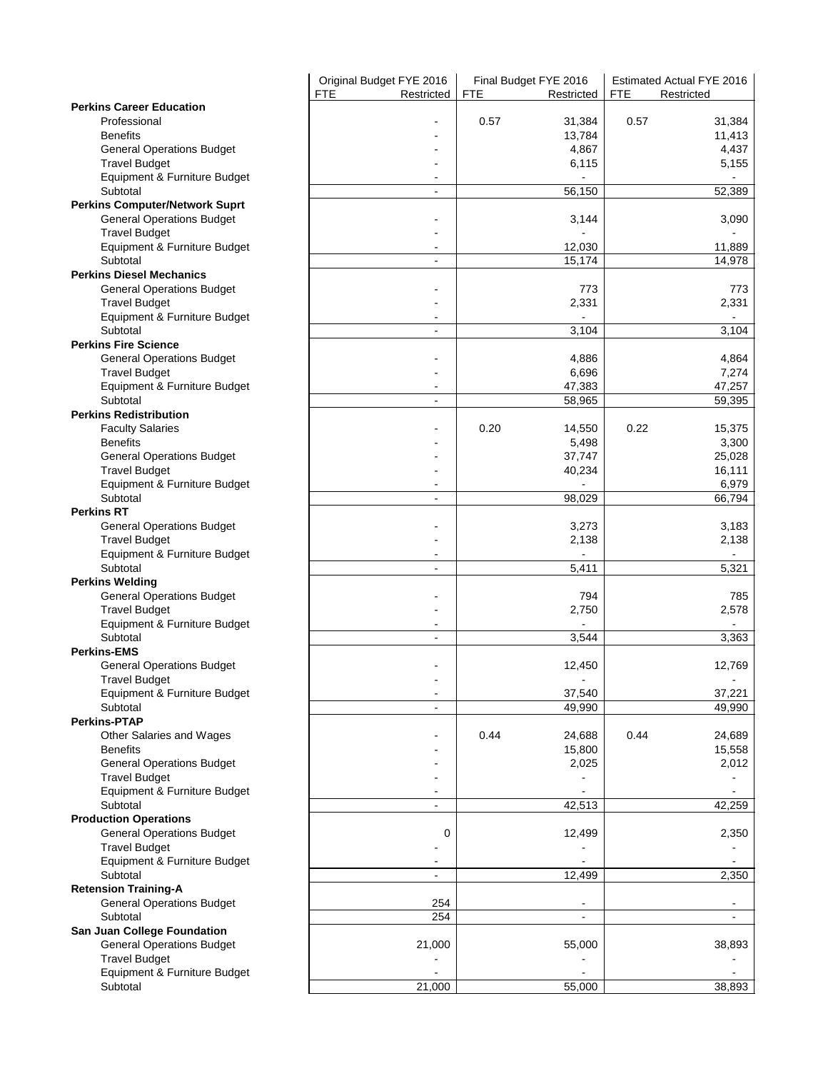|                                          | Original Budget FYE 2016 | Final Budget FYE 2016    | Estimated Actual FYE 2016 |
|------------------------------------------|--------------------------|--------------------------|---------------------------|
|                                          | <b>FTE</b><br>Restricted | <b>FTE</b><br>Restricted | <b>FTE</b><br>Restricted  |
| <b>Perkins Career Education</b>          |                          |                          |                           |
| Professional                             |                          | 0.57<br>31,384           | 0.57<br>31,384            |
| <b>Benefits</b>                          |                          | 13,784                   | 11,413                    |
| <b>General Operations Budget</b>         |                          | 4,867                    | 4,437                     |
| <b>Travel Budget</b>                     |                          | 6,115                    | 5,155                     |
| Equipment & Furniture Budget             |                          |                          |                           |
| Subtotal                                 | $\sim$                   | 56,150                   | 52,389                    |
| <b>Perkins Computer/Network Suprt</b>    |                          |                          |                           |
| <b>General Operations Budget</b>         |                          | 3,144                    | 3,090                     |
| <b>Travel Budget</b>                     |                          |                          |                           |
| Equipment & Furniture Budget             | ÷                        | 12,030                   | 11,889                    |
| Subtotal                                 | $\blacksquare$           | 15,174                   | 14,978                    |
| <b>Perkins Diesel Mechanics</b>          |                          |                          |                           |
| <b>General Operations Budget</b>         |                          | 773                      | 773                       |
| <b>Travel Budget</b>                     |                          | 2,331                    | 2,331                     |
| Equipment & Furniture Budget             |                          |                          |                           |
| Subtotal                                 | $\blacksquare$           | 3,104                    | 3,104                     |
| <b>Perkins Fire Science</b>              |                          |                          |                           |
| <b>General Operations Budget</b>         |                          | 4,886                    | 4,864                     |
| <b>Travel Budget</b>                     |                          | 6,696                    | 7,274                     |
| Equipment & Furniture Budget             | ٠                        | 47,383                   | 47,257                    |
| Subtotal                                 | $\blacksquare$           | 58,965                   | 59,395                    |
| <b>Perkins Redistribution</b>            |                          |                          |                           |
| <b>Faculty Salaries</b>                  |                          | 0.20<br>14,550           | 0.22<br>15,375            |
| <b>Benefits</b>                          |                          | 5,498                    | 3,300                     |
| <b>General Operations Budget</b>         |                          | 37,747                   | 25,028                    |
| <b>Travel Budget</b>                     |                          | 40,234                   | 16,111                    |
| Equipment & Furniture Budget             |                          |                          | 6,979                     |
| Subtotal                                 | $\sim$                   | 98,029                   | 66,794                    |
| <b>Perkins RT</b>                        |                          |                          |                           |
| <b>General Operations Budget</b>         |                          | 3,273                    | 3,183                     |
| <b>Travel Budget</b>                     |                          |                          |                           |
|                                          |                          | 2,138                    | 2,138                     |
| Equipment & Furniture Budget<br>Subtotal | $\blacksquare$           |                          |                           |
|                                          |                          | 5,411                    | 5,321                     |
| <b>Perkins Welding</b>                   |                          |                          |                           |
| <b>General Operations Budget</b>         |                          | 794                      | 785                       |
| <b>Travel Budget</b>                     |                          | 2,750                    | 2,578                     |
| Equipment & Furniture Budget             | $\blacksquare$           |                          |                           |
| Subtotal                                 |                          | 3,544                    | 3,363                     |
| <b>Perkins-EMS</b>                       |                          |                          |                           |
| <b>General Operations Budget</b>         |                          | 12,450                   | 12,769                    |
| Travel Budget                            |                          |                          |                           |
| Equipment & Furniture Budget             |                          | 37,540                   | 37,221                    |
| Subtotal                                 | $\overline{a}$           | 49,990                   | 49,990                    |
| <b>Perkins-PTAP</b>                      |                          |                          |                           |
| Other Salaries and Wages                 |                          | 0.44<br>24,688           | 0.44<br>24,689            |
| <b>Benefits</b>                          |                          | 15,800                   | 15,558                    |
| <b>General Operations Budget</b>         |                          | 2,025                    | 2,012                     |
| <b>Travel Budget</b>                     |                          |                          |                           |
| Equipment & Furniture Budget             |                          |                          |                           |
| Subtotal                                 | $\sim$                   | 42,513                   | 42,259                    |
| <b>Production Operations</b>             |                          |                          |                           |
| <b>General Operations Budget</b>         | 0                        | 12,499                   | 2,350                     |
| <b>Travel Budget</b>                     |                          |                          |                           |
| Equipment & Furniture Budget             |                          |                          |                           |
| Subtotal                                 | ä,                       | 12,499                   | 2,350                     |
| <b>Retension Training-A</b>              |                          |                          |                           |
| <b>General Operations Budget</b>         | 254                      |                          |                           |
| Subtotal                                 | 254                      | $\blacksquare$           | $\blacksquare$            |
| San Juan College Foundation              |                          |                          |                           |
| <b>General Operations Budget</b>         | 21,000                   | 55,000                   | 38,893                    |
| <b>Travel Budget</b>                     |                          |                          |                           |
| Equipment & Furniture Budget             |                          |                          |                           |
| Subtotal                                 | 21,000                   | 55,000                   | 38,893                    |
|                                          |                          |                          |                           |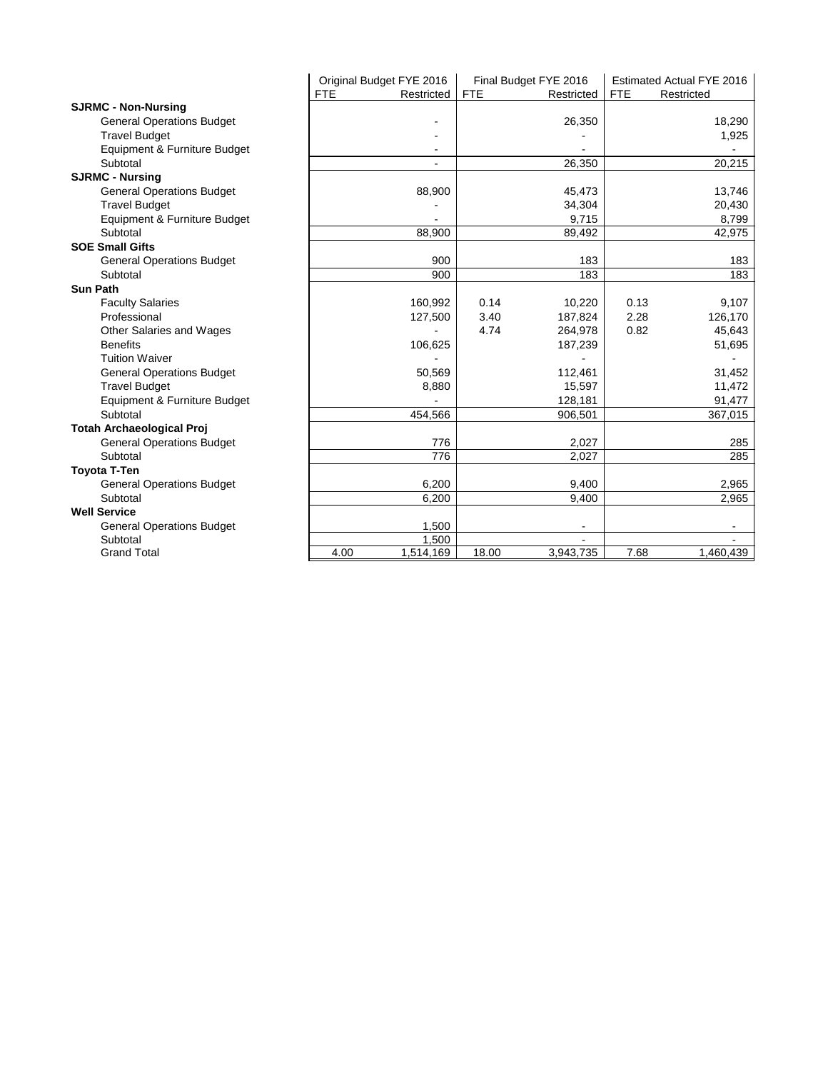|                                  | Original Budget FYE 2016 | Final Budget FYE 2016    | Estimated Actual FYE 2016 |
|----------------------------------|--------------------------|--------------------------|---------------------------|
|                                  | <b>FTE</b><br>Restricted | <b>FTE</b><br>Restricted | <b>FTE</b><br>Restricted  |
| <b>SJRMC - Non-Nursing</b>       |                          |                          |                           |
| <b>General Operations Budget</b> |                          | 26,350                   | 18,290                    |
| <b>Travel Budget</b>             |                          |                          | 1,925                     |
| Equipment & Furniture Budget     | $\blacksquare$           |                          |                           |
| Subtotal                         | $\blacksquare$           | 26,350                   | 20,215                    |
| <b>SJRMC - Nursing</b>           |                          |                          |                           |
| <b>General Operations Budget</b> | 88,900                   | 45,473                   | 13,746                    |
| <b>Travel Budget</b>             |                          | 34,304                   | 20,430                    |
| Equipment & Furniture Budget     |                          | 9,715                    | 8,799                     |
| Subtotal                         | 88,900                   | 89,492                   | 42,975                    |
| <b>SOE Small Gifts</b>           |                          |                          |                           |
| <b>General Operations Budget</b> | 900                      | 183                      | 183                       |
| Subtotal                         | 900                      | 183                      | 183                       |
| <b>Sun Path</b>                  |                          |                          |                           |
| <b>Faculty Salaries</b>          | 160,992                  | 0.14<br>10,220           | 0.13<br>9,107             |
| Professional                     | 127,500                  | 3.40<br>187,824          | 2.28<br>126,170           |
| Other Salaries and Wages         |                          | 4.74<br>264,978          | 0.82<br>45,643            |
| <b>Benefits</b>                  | 106,625                  | 187,239                  | 51,695                    |
| <b>Tuition Waiver</b>            |                          |                          |                           |
| <b>General Operations Budget</b> | 50,569                   | 112,461                  | 31,452                    |
| <b>Travel Budget</b>             | 8,880                    | 15,597                   | 11,472                    |
| Equipment & Furniture Budget     |                          | 128,181                  | 91,477                    |
| Subtotal                         | 454,566                  | 906,501                  | 367,015                   |
| <b>Totah Archaeological Proj</b> |                          |                          |                           |
| <b>General Operations Budget</b> | 776                      | 2,027                    | 285                       |
| Subtotal                         | 776                      | 2,027                    | 285                       |
| <b>Toyota T-Ten</b>              |                          |                          |                           |
| <b>General Operations Budget</b> | 6,200                    | 9,400                    | 2,965                     |
| Subtotal                         | 6,200                    | 9,400                    | 2,965                     |
| <b>Well Service</b>              |                          |                          |                           |
| <b>General Operations Budget</b> | 1,500                    | $\overline{a}$           |                           |
| Subtotal                         | 1,500                    |                          |                           |
| <b>Grand Total</b>               | 4.00<br>1,514,169        | 18.00<br>3,943,735       | 7.68<br>1,460,439         |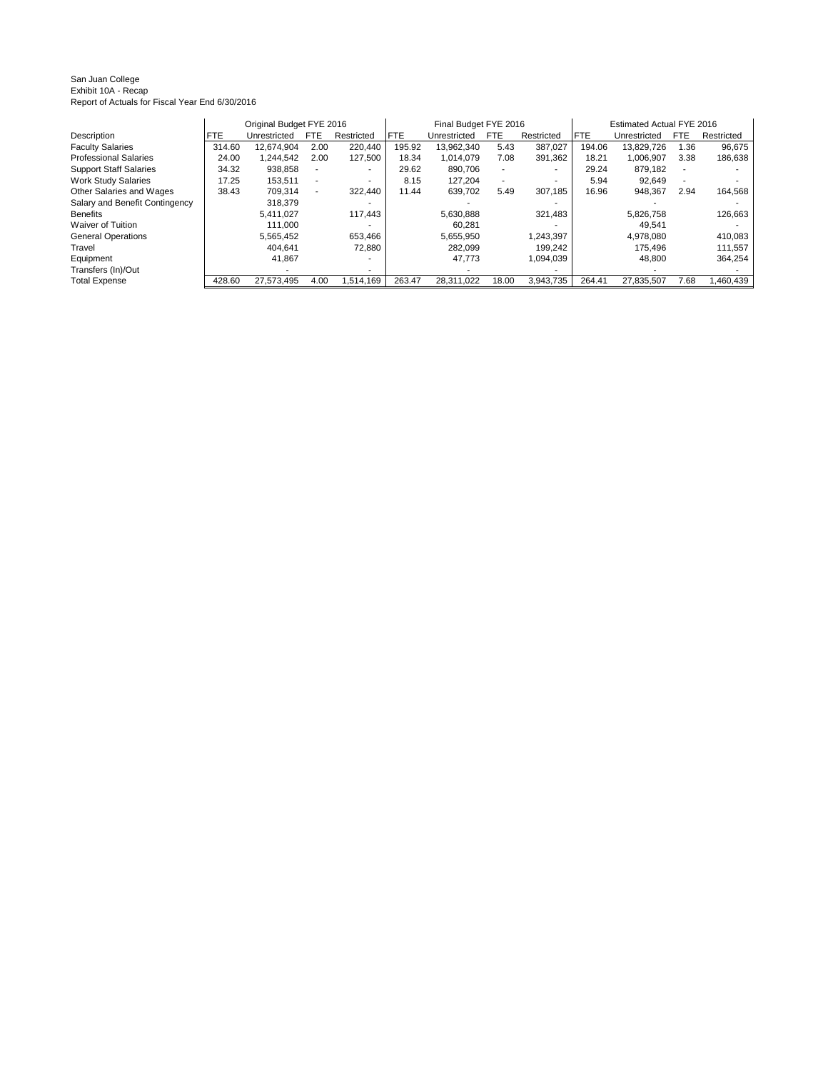#### San Juan College Exhibit 10A - Recap Report of Actuals for Fiscal Year End 6/30/2016

|                                |            | Original Budget FYE 2016 |            |                          | Final Budget FYE 2016 |              |            |            | Estimated Actual FYE 2016 |              |      |            |
|--------------------------------|------------|--------------------------|------------|--------------------------|-----------------------|--------------|------------|------------|---------------------------|--------------|------|------------|
| Description                    | <b>FTE</b> | Unrestricted             | <b>FTE</b> | Restricted               | <b>FTE</b>            | Unrestricted | <b>FTE</b> | Restricted | <b>FTE</b>                | Unrestricted | FTE  | Restricted |
| <b>Faculty Salaries</b>        | 314.60     | 12.674.904               | 2.00       | 220,440                  | 195.92                | 13.962.340   | 5.43       | 387.027    | 194.06                    | 13.829.726   | 1.36 | 96,675     |
| <b>Professional Salaries</b>   | 24.00      | 1.244.542                | 2.00       | 127.500                  | 18.34                 | 1.014.079    | 7.08       | 391.362    | 18.21                     | 1.006.907    | 3.38 | 186,638    |
| <b>Support Staff Salaries</b>  | 34.32      | 938.858                  |            |                          | 29.62                 | 890.706      |            | . .        | 29.24                     | 879,182      |      |            |
| <b>Work Study Salaries</b>     | 17.25      | 153.511                  |            | $\overline{\phantom{a}}$ | 8.15                  | 127.204      |            |            | 5.94                      | 92,649       |      |            |
| Other Salaries and Wages       | 38.43      | 709.314                  |            | 322,440                  | 11.44                 | 639.702      | 5.49       | 307.185    | 16.96                     | 948.367      | 2.94 | 164,568    |
| Salary and Benefit Contingency |            | 318.379                  |            |                          |                       |              |            |            |                           |              |      |            |
| <b>Benefits</b>                |            | 5.411.027                |            | 117.443                  |                       | 5,630,888    |            | 321.483    |                           | 5.826.758    |      | 126,663    |
| Waiver of Tuition              |            | 111.000                  |            |                          |                       | 60.281       |            |            |                           | 49,541       |      |            |
| <b>General Operations</b>      |            | 5.565.452                |            | 653.466                  |                       | 5.655.950    |            | 1.243.397  |                           | 4.978.080    |      | 410,083    |
| Travel                         |            | 404.641                  |            | 72,880                   |                       | 282.099      |            | 199.242    |                           | 175.496      |      | 111,557    |
| Equipment                      |            | 41,867                   |            | $\overline{\phantom{a}}$ |                       | 47.773       |            | 1.094.039  |                           | 48,800       |      | 364,254    |
| Transfers (In)/Out             |            |                          |            |                          |                       |              |            |            |                           |              |      |            |
| <b>Total Expense</b>           | 428.60     | 27,573,495               | 4.00       | 1.514.169                | 263.47                | 28.311.022   | 18.00      | 3,943,735  | 264.41                    | 27,835,507   | 7.68 | 1,460,439  |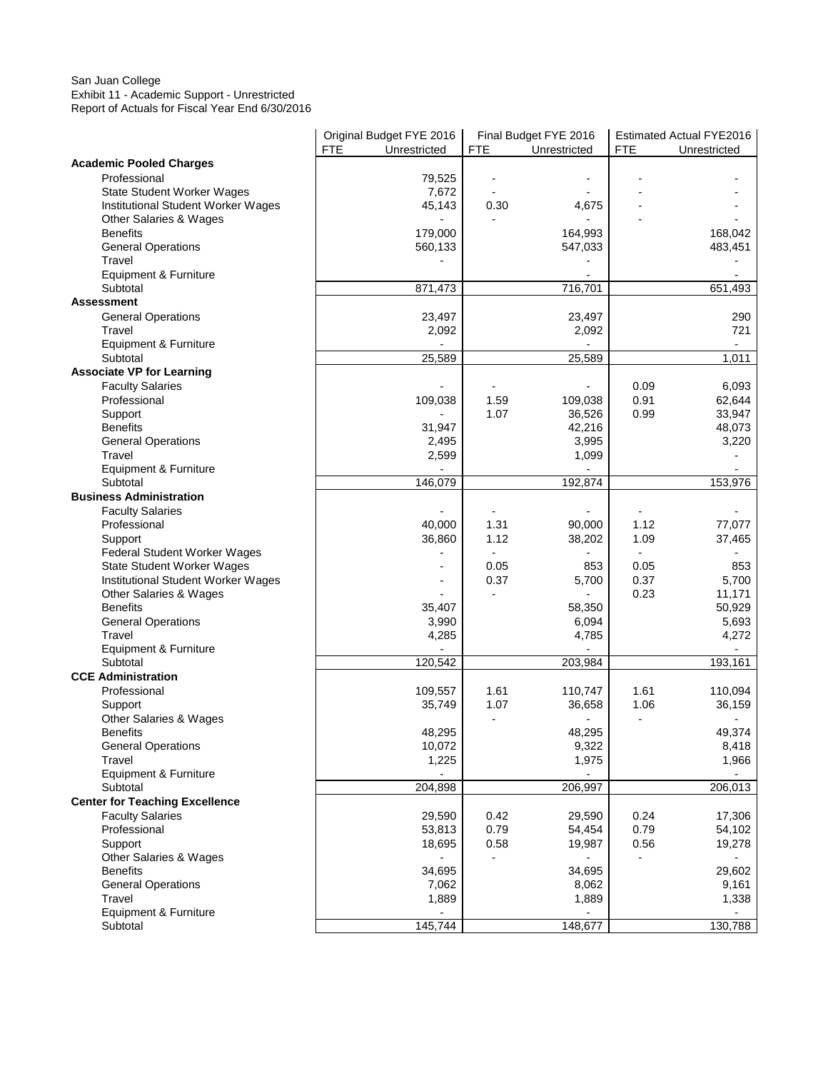#### San Juan College Exhibit 11 - Academic Support - Unrestricted Report of Actuals for Fiscal Year End 6/30/2016

|                                       | Original Budget FYE 2016<br><b>FTE</b><br>Unrestricted | <b>FTE</b>               | Final Budget FYE 2016<br>Unrestricted | <b>FTE</b>               | Estimated Actual FYE2016<br>Unrestricted |
|---------------------------------------|--------------------------------------------------------|--------------------------|---------------------------------------|--------------------------|------------------------------------------|
| <b>Academic Pooled Charges</b>        |                                                        |                          |                                       |                          |                                          |
| Professional                          | 79,525                                                 |                          |                                       |                          |                                          |
| <b>State Student Worker Wages</b>     | 7,672                                                  |                          |                                       |                          |                                          |
| Institutional Student Worker Wages    | 45,143                                                 | 0.30                     | 4,675                                 |                          |                                          |
|                                       |                                                        |                          |                                       |                          |                                          |
| Other Salaries & Wages                |                                                        |                          |                                       |                          |                                          |
| <b>Benefits</b>                       | 179,000                                                |                          | 164,993                               |                          | 168,042                                  |
| <b>General Operations</b>             | 560,133                                                |                          | 547,033                               |                          | 483,451                                  |
| Travel                                |                                                        |                          |                                       |                          |                                          |
| <b>Equipment &amp; Furniture</b>      |                                                        |                          |                                       |                          |                                          |
| Subtotal                              | 871,473                                                |                          | 716,701                               |                          | 651,493                                  |
| <b>Assessment</b>                     |                                                        |                          |                                       |                          |                                          |
| <b>General Operations</b>             | 23,497                                                 |                          | 23,497                                |                          | 290                                      |
| Travel                                | 2,092                                                  |                          | 2,092                                 |                          | 721                                      |
| Equipment & Furniture                 |                                                        |                          |                                       |                          | $\overline{\phantom{a}}$                 |
| Subtotal                              | 25,589                                                 |                          | 25,589                                |                          | 1,011                                    |
| <b>Associate VP for Learning</b>      |                                                        |                          |                                       |                          |                                          |
| <b>Faculty Salaries</b>               |                                                        |                          |                                       | 0.09                     | 6,093                                    |
| Professional                          | 109,038                                                | 1.59                     | 109,038                               | 0.91                     | 62,644                                   |
| Support                               |                                                        | 1.07                     | 36,526                                | 0.99                     | 33,947                                   |
| <b>Benefits</b>                       | 31,947                                                 |                          | 42,216                                |                          | 48,073                                   |
|                                       |                                                        |                          |                                       |                          |                                          |
| <b>General Operations</b>             | 2,495                                                  |                          | 3,995                                 |                          | 3,220                                    |
| Travel                                | 2,599                                                  |                          | 1,099                                 |                          |                                          |
| <b>Equipment &amp; Furniture</b>      |                                                        |                          |                                       |                          |                                          |
| Subtotal                              | 146,079                                                |                          | 192,874                               |                          | 153,976                                  |
| <b>Business Administration</b>        |                                                        |                          |                                       |                          |                                          |
| <b>Faculty Salaries</b>               |                                                        |                          |                                       |                          |                                          |
| Professional                          | 40,000                                                 | 1.31                     | 90,000                                | 1.12                     | 77,077                                   |
| Support                               | 36,860                                                 | 1.12                     | 38,202                                | 1.09                     | 37,465                                   |
| Federal Student Worker Wages          |                                                        |                          |                                       |                          |                                          |
| <b>State Student Worker Wages</b>     |                                                        | 0.05                     | 853                                   | 0.05                     | 853                                      |
| Institutional Student Worker Wages    |                                                        | 0.37                     | 5,700                                 | 0.37                     | 5,700                                    |
| Other Salaries & Wages                |                                                        |                          | $\overline{\phantom{a}}$              | 0.23                     | 11,171                                   |
| <b>Benefits</b>                       | 35,407                                                 |                          | 58,350                                |                          | 50,929                                   |
| <b>General Operations</b>             | 3,990                                                  |                          | 6,094                                 |                          | 5,693                                    |
| Travel                                | 4,285                                                  |                          | 4,785                                 |                          | 4,272                                    |
| Equipment & Furniture                 |                                                        |                          |                                       |                          |                                          |
| Subtotal                              | 120,542                                                |                          | 203,984                               |                          | 193,161                                  |
| <b>CCE Administration</b>             |                                                        |                          |                                       |                          |                                          |
| Professional                          | 109,557                                                | 1.61                     | 110,747                               | 1.61                     | 110,094                                  |
|                                       | 35,749                                                 | 1.07                     |                                       | 1.06                     |                                          |
| Support                               |                                                        | $\overline{\phantom{a}}$ | 36,658<br>$\blacksquare$              | $\overline{\phantom{a}}$ | 36,159                                   |
| Other Salaries & Wages                |                                                        |                          |                                       |                          |                                          |
| <b>Benefits</b>                       | 48,295                                                 |                          | 48,295                                |                          | 49,374                                   |
| <b>General Operations</b>             | 10,072                                                 |                          | 9,322                                 |                          | 8,418                                    |
| Travel                                | 1,225                                                  |                          | 1,975                                 |                          | 1,966                                    |
| Equipment & Furniture                 |                                                        |                          |                                       |                          |                                          |
| Subtotal                              | 204,898                                                |                          | 206,997                               |                          | 206,013                                  |
| <b>Center for Teaching Excellence</b> |                                                        |                          |                                       |                          |                                          |
| <b>Faculty Salaries</b>               | 29,590                                                 | 0.42                     | 29,590                                | 0.24                     | 17,306                                   |
| Professional                          | 53,813                                                 | 0.79                     | 54,454                                | 0.79                     | 54,102                                   |
| Support                               | 18,695                                                 | 0.58                     | 19,987                                | 0.56                     | 19,278                                   |
| Other Salaries & Wages                |                                                        | $\overline{a}$           |                                       | $\overline{\phantom{a}}$ |                                          |
| <b>Benefits</b>                       | 34,695                                                 |                          | 34,695                                |                          | 29,602                                   |
| <b>General Operations</b>             | 7,062                                                  |                          | 8,062                                 |                          | 9,161                                    |
| Travel                                | 1,889                                                  |                          | 1,889                                 |                          | 1,338                                    |
| Equipment & Furniture                 |                                                        |                          | $\overline{a}$                        |                          | $\overline{\phantom{a}}$                 |
| Subtotal                              | 145,744                                                |                          | 148,677                               |                          | 130,788                                  |
|                                       |                                                        |                          |                                       |                          |                                          |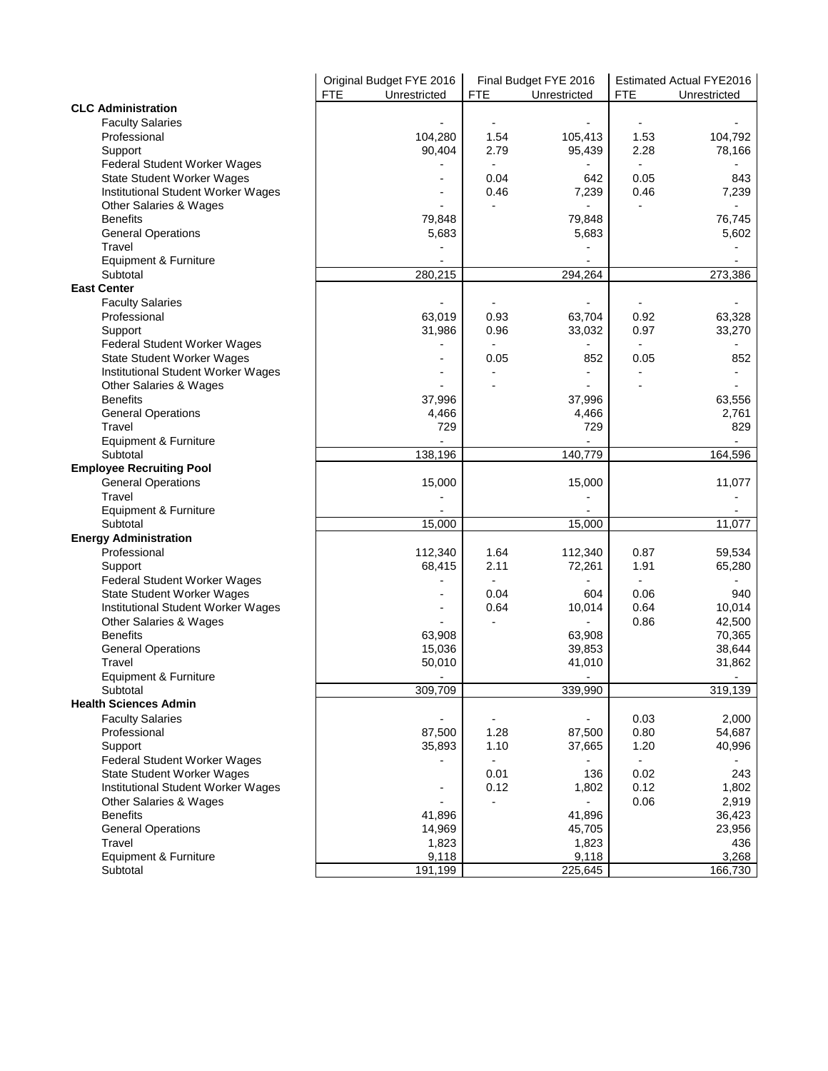|                                    |            | Original Budget FYE 2016 |                          | Final Budget FYE 2016 |                          | Estimated Actual FYE2016 |
|------------------------------------|------------|--------------------------|--------------------------|-----------------------|--------------------------|--------------------------|
|                                    | <b>FTE</b> | Unrestricted             | <b>FTE</b>               | Unrestricted          | <b>FTE</b>               | Unrestricted             |
| <b>CLC Administration</b>          |            |                          |                          |                       |                          |                          |
| <b>Faculty Salaries</b>            |            |                          |                          |                       |                          |                          |
| Professional                       |            | 104,280                  | 1.54                     | 105,413               | 1.53                     | 104,792                  |
| Support                            |            | 90,404                   | 2.79                     | 95,439                | 2.28                     | 78,166                   |
| Federal Student Worker Wages       |            |                          |                          |                       |                          |                          |
| <b>State Student Worker Wages</b>  |            |                          | 0.04                     | 642                   | 0.05                     | 843                      |
| Institutional Student Worker Wages |            |                          | 0.46                     | 7,239                 | 0.46                     | 7,239                    |
| Other Salaries & Wages             |            |                          |                          |                       |                          |                          |
| <b>Benefits</b>                    |            | 79,848                   |                          | 79,848                |                          | 76,745                   |
| <b>General Operations</b>          |            | 5,683                    |                          | 5,683                 |                          | 5,602                    |
| Travel                             |            |                          |                          |                       |                          |                          |
| Equipment & Furniture              |            |                          |                          |                       |                          |                          |
| Subtotal                           |            | 280,215                  |                          | 294,264               |                          | 273,386                  |
| <b>East Center</b>                 |            |                          |                          |                       |                          |                          |
| <b>Faculty Salaries</b>            |            |                          |                          |                       |                          |                          |
| Professional                       |            | 63,019                   | 0.93                     | 63,704                | 0.92                     | 63,328                   |
| Support                            |            | 31,986                   | 0.96                     | 33,032                | 0.97                     | 33,270                   |
| Federal Student Worker Wages       |            |                          |                          |                       |                          |                          |
| <b>State Student Worker Wages</b>  |            |                          | 0.05                     | 852                   | 0.05                     | 852                      |
| Institutional Student Worker Wages |            |                          |                          |                       |                          |                          |
| Other Salaries & Wages             |            |                          |                          |                       |                          |                          |
| <b>Benefits</b>                    |            | 37,996                   |                          | 37,996                |                          | 63,556                   |
| <b>General Operations</b>          |            | 4,466                    |                          | 4,466                 |                          | 2,761                    |
| Travel                             |            | 729                      |                          | 729                   |                          | 829                      |
| Equipment & Furniture              |            |                          |                          |                       |                          |                          |
| Subtotal                           |            | 138,196                  |                          | 140,779               |                          | 164,596                  |
| <b>Employee Recruiting Pool</b>    |            |                          |                          |                       |                          |                          |
| <b>General Operations</b>          |            | 15,000                   |                          | 15,000                |                          | 11,077                   |
| Travel                             |            |                          |                          |                       |                          |                          |
|                                    |            |                          |                          |                       |                          |                          |
| Equipment & Furniture<br>Subtotal  |            |                          |                          |                       |                          |                          |
|                                    |            | 15,000                   |                          | 15,000                |                          | 11,077                   |
| <b>Energy Administration</b>       |            |                          |                          |                       |                          |                          |
| Professional                       |            | 112,340                  | 1.64                     | 112,340               | 0.87                     | 59,534                   |
| Support                            |            | 68,415                   | 2.11                     | 72,261                | 1.91                     | 65,280                   |
| Federal Student Worker Wages       |            |                          | $\overline{\phantom{a}}$ |                       | $\overline{\phantom{a}}$ |                          |
| <b>State Student Worker Wages</b>  |            |                          | 0.04                     | 604                   | 0.06                     | 940                      |
| Institutional Student Worker Wages |            | $\overline{a}$           | 0.64                     | 10,014                | 0.64                     | 10,014                   |
| Other Salaries & Wages             |            |                          |                          |                       | 0.86                     | 42,500                   |
| <b>Benefits</b>                    |            | 63,908                   |                          | 63,908                |                          | 70,365                   |
| <b>General Operations</b>          |            | 15,036                   |                          | 39,853                |                          | 38,644                   |
| Travel                             |            | 50,010                   |                          | 41,010                |                          | 31,862                   |
| Equipment & Furniture              |            |                          |                          |                       |                          |                          |
| Subtotal                           |            | 309,709                  |                          | 339,990               |                          | 319,139                  |
| <b>Health Sciences Admin</b>       |            |                          |                          |                       |                          |                          |
| <b>Faculty Salaries</b>            |            |                          |                          |                       | 0.03                     | 2,000                    |
| Professional                       |            | 87,500                   | 1.28                     | 87,500                | 0.80                     | 54,687                   |
| Support                            |            | 35,893                   | 1.10                     | 37,665                | 1.20                     | 40,996                   |
| Federal Student Worker Wages       |            |                          | $\overline{\phantom{a}}$ |                       | $\overline{\phantom{a}}$ |                          |
| State Student Worker Wages         |            |                          | 0.01                     | 136                   | 0.02                     | 243                      |
| Institutional Student Worker Wages |            |                          | 0.12                     | 1,802                 | 0.12                     | 1,802                    |
| Other Salaries & Wages             |            |                          |                          |                       | 0.06                     | 2,919                    |
| <b>Benefits</b>                    |            | 41,896                   |                          | 41,896                |                          | 36,423                   |
| <b>General Operations</b>          |            | 14,969                   |                          | 45,705                |                          | 23,956                   |
| Travel                             |            | 1,823                    |                          | 1,823                 |                          | 436                      |
| Equipment & Furniture              |            | 9,118                    |                          | 9,118                 |                          | 3,268                    |
| Subtotal                           |            | 191,199                  |                          | 225,645               |                          | 166,730                  |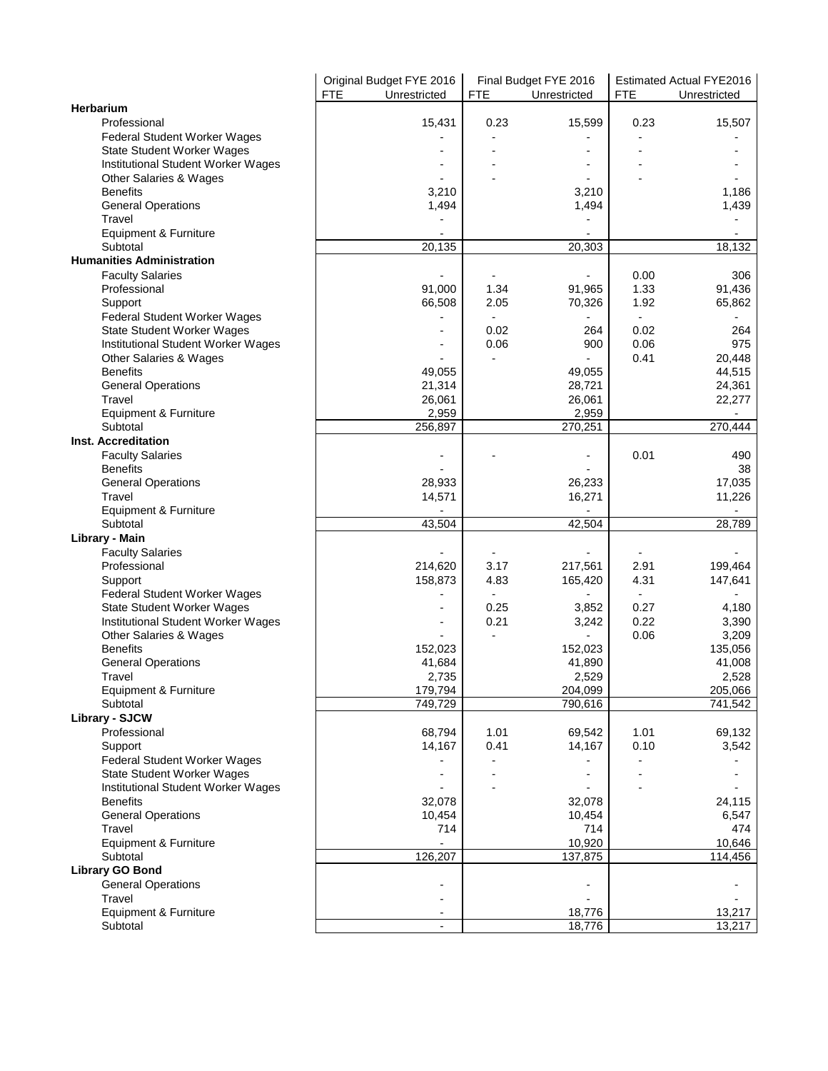|                                    | Original Budget FYE 2016   |                          | Final Budget FYE 2016    |                | <b>Estimated Actual FYE2016</b> |
|------------------------------------|----------------------------|--------------------------|--------------------------|----------------|---------------------------------|
|                                    | <b>FTE</b><br>Unrestricted | <b>FTE</b>               | Unrestricted             | <b>FTE</b>     | Unrestricted                    |
| Herbarium                          |                            |                          |                          |                |                                 |
| Professional                       | 15,431                     | 0.23                     | 15,599                   | 0.23           | 15,507                          |
| Federal Student Worker Wages       |                            |                          |                          |                |                                 |
| <b>State Student Worker Wages</b>  |                            |                          |                          |                |                                 |
| Institutional Student Worker Wages |                            |                          |                          |                |                                 |
| Other Salaries & Wages             |                            |                          |                          |                |                                 |
| <b>Benefits</b>                    | 3,210                      |                          | 3,210                    |                | 1,186                           |
| <b>General Operations</b>          | 1,494                      |                          | 1,494                    |                | 1,439                           |
| Travel                             |                            |                          |                          |                |                                 |
| Equipment & Furniture              |                            |                          |                          |                |                                 |
| Subtotal                           | 20,135                     |                          | 20,303                   |                | 18,132                          |
| <b>Humanities Administration</b>   |                            |                          |                          |                |                                 |
| <b>Faculty Salaries</b>            |                            |                          | -                        | 0.00           | 306                             |
| Professional                       | 91,000                     | 1.34                     | 91,965                   | 1.33           | 91,436                          |
| Support                            | 66,508                     | 2.05                     | 70,326                   | 1.92           | 65,862                          |
| Federal Student Worker Wages       |                            | $\overline{\phantom{a}}$ |                          | $\frac{1}{2}$  |                                 |
| <b>State Student Worker Wages</b>  |                            | 0.02                     | 264                      | 0.02           | 264                             |
| Institutional Student Worker Wages |                            | 0.06                     | 900                      | 0.06           | 975                             |
| Other Salaries & Wages             |                            |                          | $\overline{\phantom{0}}$ | 0.41           | 20.448                          |
| <b>Benefits</b>                    | 49,055                     |                          | 49,055                   |                | 44,515                          |
| <b>General Operations</b>          | 21,314                     |                          | 28,721                   |                | 24,361                          |
| Travel                             | 26,061                     |                          | 26,061                   |                | 22,277                          |
| Equipment & Furniture              | 2,959                      |                          | 2,959                    |                |                                 |
| Subtotal                           | 256,897                    |                          | 270,251                  |                | 270,444                         |
| <b>Inst. Accreditation</b>         |                            |                          |                          |                |                                 |
| <b>Faculty Salaries</b>            |                            |                          | $\overline{\phantom{0}}$ | 0.01           | 490                             |
| <b>Benefits</b>                    |                            |                          |                          |                | 38                              |
| <b>General Operations</b>          | 28,933                     |                          | 26,233                   |                | 17,035                          |
| Travel                             | 14,571                     |                          | 16,271                   |                | 11,226                          |
|                                    |                            |                          |                          |                |                                 |
| Equipment & Furniture<br>Subtotal  | 43,504                     |                          | 42,504                   |                | 28,789                          |
|                                    |                            |                          |                          |                |                                 |
| Library - Main                     |                            |                          |                          |                |                                 |
| <b>Faculty Salaries</b>            |                            |                          |                          |                |                                 |
| Professional                       | 214,620                    | 3.17                     | 217,561                  | 2.91           | 199,464                         |
| Support                            | 158,873                    | 4.83                     | 165,420                  | 4.31           | 147,641                         |
| Federal Student Worker Wages       |                            | $\blacksquare$           | $\overline{\phantom{0}}$ | $\overline{a}$ |                                 |
| State Student Worker Wages         | $\blacksquare$             | 0.25                     | 3,852                    | 0.27           | 4,180                           |
| Institutional Student Worker Wages |                            | 0.21                     | 3,242                    | 0.22           | 3,390                           |
| Other Salaries & Wages             |                            |                          | $\overline{a}$           | 0.06           | 3,209                           |
| <b>Benefits</b>                    | 152,023                    |                          | 152,023                  |                | 135,056                         |
| <b>General Operations</b>          | 41,684                     |                          | 41,890                   |                | 41,008                          |
| Travel                             | 2,735                      |                          | 2,529                    |                | 2,528                           |
| Equipment & Furniture              | 179,794                    |                          | 204,099                  |                | 205,066                         |
| Subtotal                           | 749,729                    |                          | 790,616                  |                | 741,542                         |
| <b>Library - SJCW</b>              |                            |                          |                          |                |                                 |
| Professional                       | 68,794                     | 1.01                     | 69,542                   | 1.01           | 69,132                          |
| Support                            | 14,167                     | 0.41                     | 14,167                   | 0.10           | 3,542                           |
| Federal Student Worker Wages       |                            |                          |                          |                |                                 |
| <b>State Student Worker Wages</b>  |                            |                          |                          |                |                                 |
| Institutional Student Worker Wages |                            |                          |                          |                |                                 |
| <b>Benefits</b>                    | 32,078                     |                          | 32,078                   |                | 24,115                          |
| <b>General Operations</b>          | 10,454                     |                          | 10,454                   |                | 6,547                           |
| Travel                             | 714                        |                          | 714                      |                | 474                             |
| Equipment & Furniture              |                            |                          | 10,920                   |                | 10,646                          |
| Subtotal                           | 126,207                    |                          | 137,875                  |                | 114,456                         |
| <b>Library GO Bond</b>             |                            |                          |                          |                |                                 |
| <b>General Operations</b>          |                            |                          | $\overline{a}$           |                |                                 |
| Travel                             |                            |                          |                          |                |                                 |
| Equipment & Furniture              |                            |                          | 18,776                   |                | 13,217                          |
| Subtotal                           |                            |                          | 18,776                   |                | 13,217                          |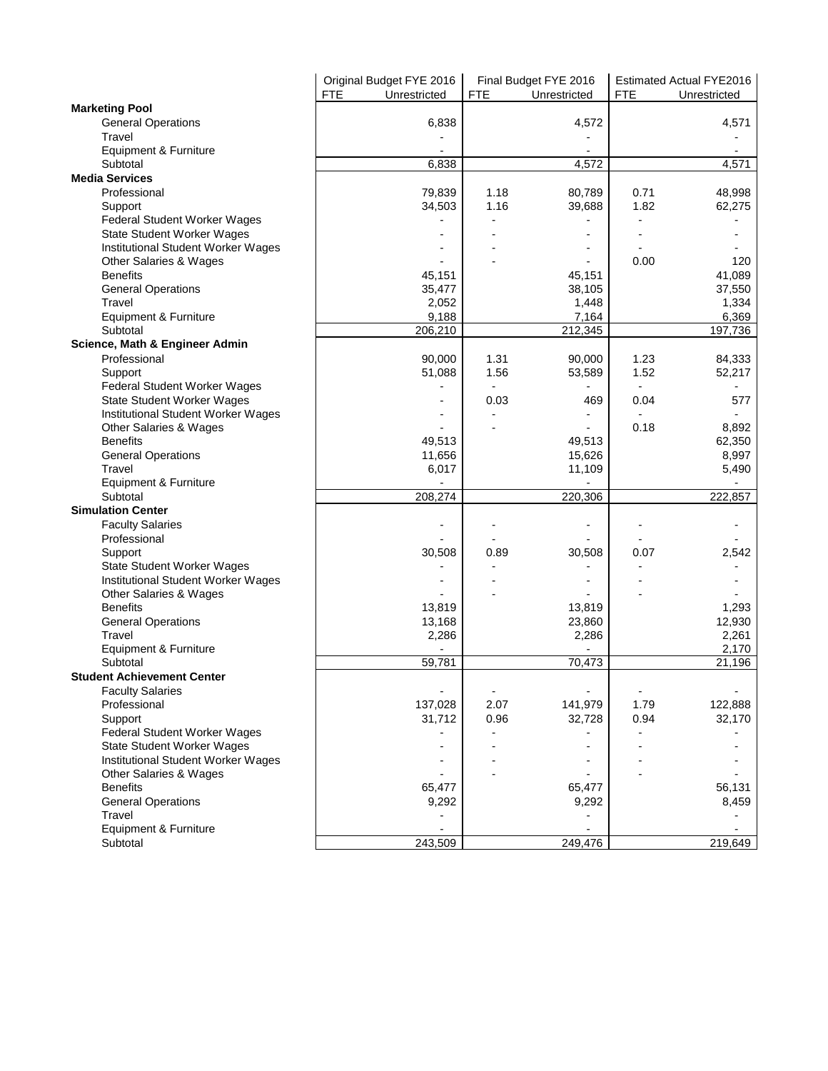|                                    | Original Budget FYE 2016   |                          | Final Budget FYE 2016 |                          | Estimated Actual FYE2016 |
|------------------------------------|----------------------------|--------------------------|-----------------------|--------------------------|--------------------------|
|                                    | <b>FTE</b><br>Unrestricted | <b>FTE</b>               | Unrestricted          | <b>FTE</b>               | Unrestricted             |
| <b>Marketing Pool</b>              |                            |                          |                       |                          |                          |
| <b>General Operations</b>          | 6,838                      |                          | 4,572                 |                          | 4,571                    |
| Travel                             |                            |                          |                       |                          |                          |
| Equipment & Furniture              |                            |                          |                       |                          |                          |
| Subtotal                           | 6,838                      |                          | 4,572                 |                          | 4,571                    |
| <b>Media Services</b>              |                            |                          |                       |                          |                          |
| Professional                       | 79,839                     | 1.18                     | 80,789                | 0.71                     | 48,998                   |
| Support                            | 34,503                     | 1.16                     | 39,688                | 1.82                     | 62,275                   |
| Federal Student Worker Wages       |                            |                          |                       |                          |                          |
| <b>State Student Worker Wages</b>  |                            |                          |                       |                          |                          |
| Institutional Student Worker Wages |                            |                          |                       |                          |                          |
| Other Salaries & Wages             |                            |                          |                       | 0.00                     | 120                      |
| <b>Benefits</b>                    | 45,151                     |                          | 45,151                |                          | 41,089                   |
| <b>General Operations</b>          | 35,477                     |                          | 38,105                |                          | 37,550                   |
| Travel                             | 2,052                      |                          | 1,448                 |                          | 1,334                    |
| Equipment & Furniture              | 9,188                      |                          | 7,164                 |                          | 6,369                    |
| Subtotal                           | 206,210                    |                          | 212,345               |                          | 197,736                  |
| Science, Math & Engineer Admin     |                            |                          |                       |                          |                          |
| Professional                       | 90,000                     | 1.31                     | 90,000                | 1.23                     | 84,333                   |
| Support                            | 51,088                     | 1.56                     | 53,589                | 1.52                     | 52,217                   |
| Federal Student Worker Wages       |                            | $\overline{\phantom{a}}$ |                       | $\overline{\phantom{a}}$ |                          |
| <b>State Student Worker Wages</b>  |                            | 0.03                     | 469                   | 0.04                     | 577                      |
| Institutional Student Worker Wages |                            |                          |                       |                          |                          |
| Other Salaries & Wages             |                            |                          |                       | 0.18                     | 8,892                    |
| <b>Benefits</b>                    | 49,513                     |                          | 49,513                |                          | 62,350                   |
| <b>General Operations</b>          | 11,656                     |                          | 15,626                |                          | 8,997                    |
| Travel                             | 6,017                      |                          | 11,109                |                          | 5,490                    |
| Equipment & Furniture              |                            |                          |                       |                          |                          |
| Subtotal                           | 208,274                    |                          | 220,306               |                          | 222,857                  |
| <b>Simulation Center</b>           |                            |                          |                       |                          |                          |
| <b>Faculty Salaries</b>            |                            |                          |                       |                          |                          |
| Professional                       |                            |                          |                       |                          |                          |
| Support                            | 30,508                     | 0.89                     | 30,508                | 0.07                     | 2,542                    |
| <b>State Student Worker Wages</b>  |                            |                          |                       |                          |                          |
| Institutional Student Worker Wages |                            |                          |                       |                          |                          |
| Other Salaries & Wages             |                            |                          |                       |                          |                          |
| <b>Benefits</b>                    | 13,819                     |                          | 13,819                |                          | 1,293                    |
| <b>General Operations</b>          | 13,168                     |                          | 23,860                |                          | 12,930                   |
| Travel                             | 2,286                      |                          | 2,286                 |                          | 2,261                    |
| Equipment & Furniture              |                            |                          |                       |                          | 2,170                    |
| Subtotal                           | 59,781                     |                          | 70,473                |                          | 21,196                   |
| <b>Student Achievement Center</b>  |                            |                          |                       |                          |                          |
| <b>Faculty Salaries</b>            |                            |                          |                       |                          |                          |
| Professional                       | 137,028                    | 2.07                     | 141,979               | 1.79                     | 122,888                  |
| Support                            | 31,712                     | 0.96                     | 32,728                | 0.94                     | 32,170                   |
| Federal Student Worker Wages       |                            |                          |                       |                          |                          |
| <b>State Student Worker Wages</b>  |                            |                          |                       |                          |                          |
| Institutional Student Worker Wages |                            |                          |                       |                          |                          |
| Other Salaries & Wages             |                            |                          |                       |                          |                          |
| <b>Benefits</b>                    | 65,477                     |                          | 65,477                |                          | 56,131                   |
| <b>General Operations</b>          | 9,292                      |                          | 9,292                 |                          | 8,459                    |
| Travel                             |                            |                          |                       |                          |                          |
| Equipment & Furniture              |                            |                          |                       |                          |                          |
| Subtotal                           | 243,509                    |                          | 249,476               |                          | 219,649                  |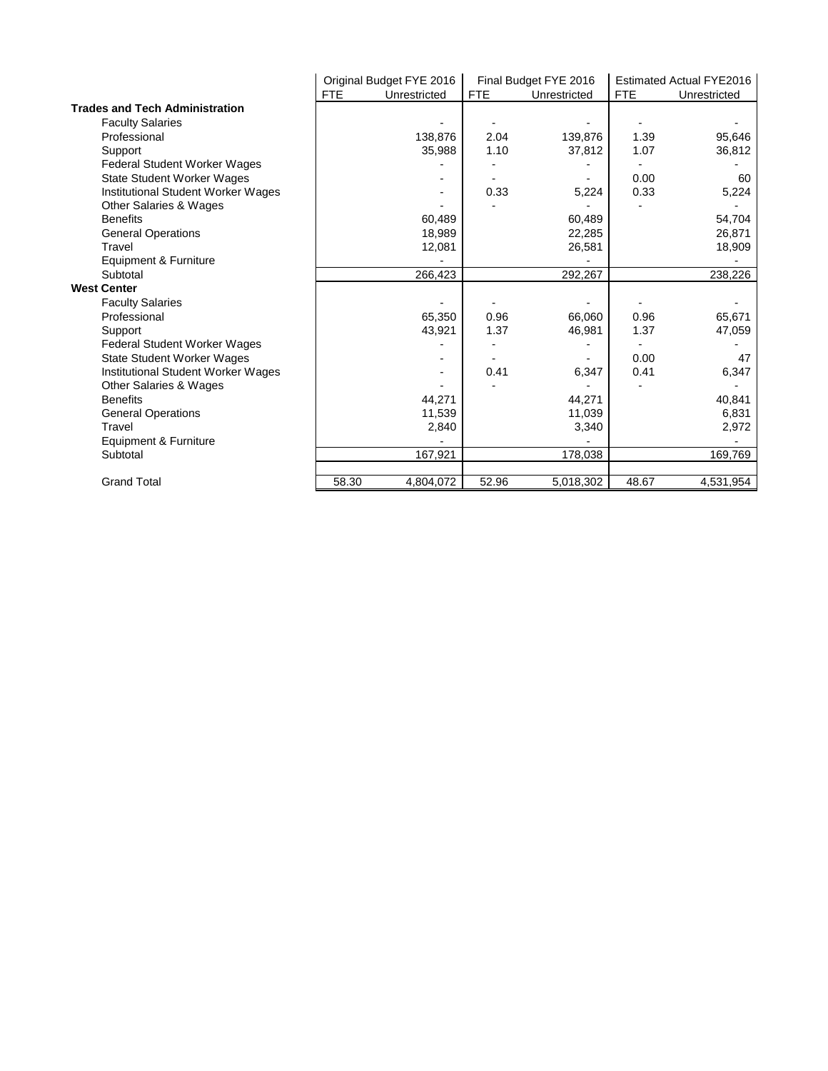|                                           | Original Budget FYE 2016   |         |            | Final Budget FYE 2016 |            | Estimated Actual FYE2016 |
|-------------------------------------------|----------------------------|---------|------------|-----------------------|------------|--------------------------|
|                                           | <b>FTE</b><br>Unrestricted |         | <b>FTE</b> | Unrestricted          | <b>FTE</b> | Unrestricted             |
| <b>Trades and Tech Administration</b>     |                            |         |            |                       |            |                          |
| <b>Faculty Salaries</b>                   |                            |         |            |                       |            |                          |
| Professional                              |                            | 138,876 | 2.04       | 139,876               | 1.39       | 95,646                   |
| Support                                   |                            | 35,988  | 1.10       | 37,812                | 1.07       | 36,812                   |
| Federal Student Worker Wages              |                            |         |            |                       |            |                          |
| <b>State Student Worker Wages</b>         |                            |         |            |                       | 0.00       | 60                       |
| Institutional Student Worker Wages        |                            |         | 0.33       | 5,224                 | 0.33       | 5,224                    |
| Other Salaries & Wages                    |                            |         |            |                       |            |                          |
| <b>Benefits</b>                           |                            | 60,489  |            | 60,489                |            | 54,704                   |
| <b>General Operations</b>                 |                            | 18,989  |            | 22,285                |            | 26,871                   |
| Travel                                    |                            | 12,081  |            | 26,581                |            | 18,909                   |
| Equipment & Furniture                     |                            |         |            |                       |            |                          |
| Subtotal                                  |                            | 266,423 |            | 292,267               |            | 238,226                  |
| <b>West Center</b>                        |                            |         |            |                       |            |                          |
| <b>Faculty Salaries</b>                   |                            |         |            |                       |            |                          |
| Professional                              |                            | 65,350  | 0.96       | 66,060                | 0.96       | 65,671                   |
| Support                                   |                            | 43,921  | 1.37       | 46,981                | 1.37       | 47,059                   |
| Federal Student Worker Wages              |                            |         |            |                       |            |                          |
| <b>State Student Worker Wages</b>         |                            |         |            |                       | 0.00       | 47                       |
| <b>Institutional Student Worker Wages</b> |                            |         | 0.41       | 6,347                 | 0.41       | 6,347                    |
| Other Salaries & Wages                    |                            |         |            |                       |            |                          |
| <b>Benefits</b>                           |                            | 44,271  |            | 44,271                |            | 40,841                   |
| <b>General Operations</b>                 |                            | 11,539  |            | 11,039                |            | 6,831                    |
| Travel                                    |                            | 2,840   |            | 3,340                 |            | 2,972                    |
| Equipment & Furniture                     |                            |         |            |                       |            |                          |
|                                           |                            |         |            |                       |            |                          |
| Subtotal                                  |                            | 167,921 |            | 178,038               |            | 169,769                  |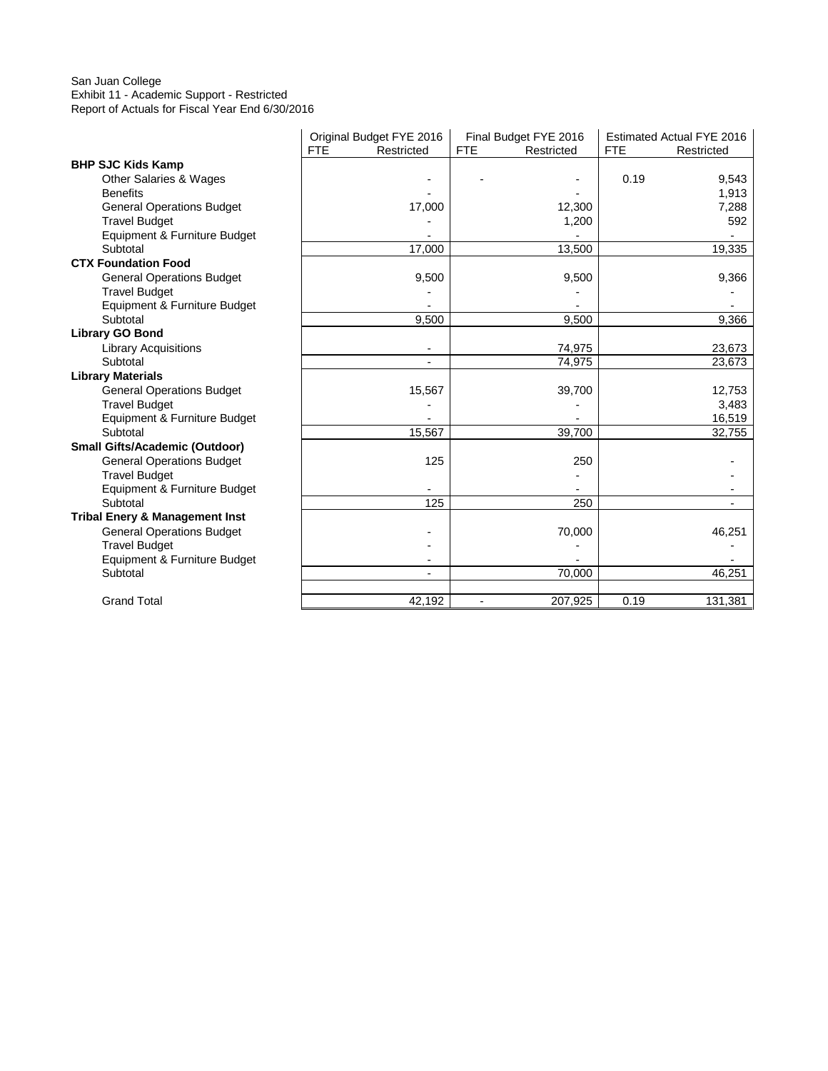#### San Juan College Exhibit 11 - Academic Support - Restricted Report of Actuals for Fiscal Year End 6/30/2016

|                                           |            | Original Budget FYE 2016 | Final Budget FYE 2016     | <b>Estimated Actual FYE 2016</b> |
|-------------------------------------------|------------|--------------------------|---------------------------|----------------------------------|
|                                           | <b>FTE</b> | Restricted               | <b>FTE</b><br>Restricted  | <b>FTE</b><br>Restricted         |
| <b>BHP SJC Kids Kamp</b>                  |            |                          |                           |                                  |
| Other Salaries & Wages                    |            |                          |                           | 0.19<br>9,543                    |
| <b>Benefits</b>                           |            |                          |                           | 1,913                            |
| <b>General Operations Budget</b>          |            | 17,000                   | 12,300                    | 7,288                            |
| <b>Travel Budget</b>                      |            |                          | 1,200                     | 592                              |
| Equipment & Furniture Budget              |            |                          |                           |                                  |
| Subtotal                                  |            | 17,000                   | 13,500                    | 19,335                           |
| <b>CTX Foundation Food</b>                |            |                          |                           |                                  |
| <b>General Operations Budget</b>          |            | 9,500                    | 9,500                     | 9,366                            |
| <b>Travel Budget</b>                      |            |                          |                           |                                  |
| Equipment & Furniture Budget              |            |                          |                           |                                  |
| Subtotal                                  |            | 9,500                    | 9,500                     | 9,366                            |
| <b>Library GO Bond</b>                    |            |                          |                           |                                  |
| <b>Library Acquisitions</b>               |            |                          | 74,975                    | 23,673                           |
| Subtotal                                  |            |                          | 74,975                    | 23,673                           |
| <b>Library Materials</b>                  |            |                          |                           |                                  |
| <b>General Operations Budget</b>          |            | 15,567                   | 39,700                    | 12,753                           |
| <b>Travel Budget</b>                      |            |                          |                           | 3,483                            |
| Equipment & Furniture Budget              |            |                          |                           | 16,519                           |
| Subtotal                                  |            | 15,567                   | 39,700                    | 32,755                           |
| <b>Small Gifts/Academic (Outdoor)</b>     |            |                          |                           |                                  |
| <b>General Operations Budget</b>          |            | 125                      | 250                       |                                  |
| <b>Travel Budget</b>                      |            |                          |                           |                                  |
| Equipment & Furniture Budget              |            |                          |                           |                                  |
| Subtotal                                  |            | 125                      | 250                       |                                  |
| <b>Tribal Enery &amp; Management Inst</b> |            |                          |                           |                                  |
| <b>General Operations Budget</b>          |            |                          | 70,000                    | 46,251                           |
| <b>Travel Budget</b>                      |            |                          |                           |                                  |
| Equipment & Furniture Budget              |            |                          |                           |                                  |
| Subtotal                                  |            |                          | 70,000                    | 46,251                           |
|                                           |            |                          |                           |                                  |
| <b>Grand Total</b>                        |            | 42,192                   | 207,925<br>$\blacksquare$ | 0.19<br>131,381                  |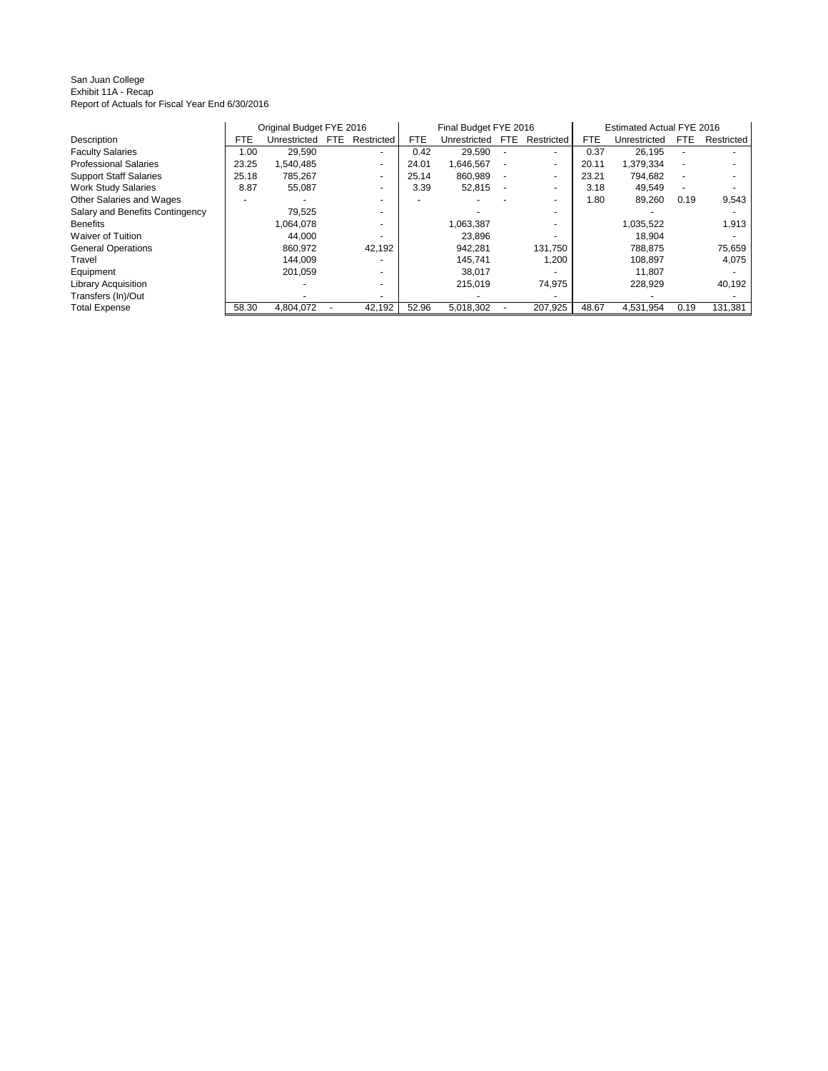#### San Juan College Exhibit 11A - Recap Report of Actuals for Fiscal Year End 6/30/2016

|                                 |            | Original Budget FYE 2016 |            |                          | Final Budget FYE 2016 |              |     |                          | Estimated Actual FYE 2016 |              |            |            |
|---------------------------------|------------|--------------------------|------------|--------------------------|-----------------------|--------------|-----|--------------------------|---------------------------|--------------|------------|------------|
| Description                     | <b>FTE</b> | Unrestricted             | <b>FTE</b> | Restricted               | <b>FTE</b>            | Unrestricted | FTE | Restricted               | <b>FTE</b>                | Unrestricted | <b>FTE</b> | Restricted |
| <b>Faculty Salaries</b>         | 1.00       | 29,590                   |            | $\overline{\phantom{a}}$ | 0.42                  | 29,590       |     |                          | 0.37                      | 26,195       |            |            |
| <b>Professional Salaries</b>    | 23.25      | 1,540,485                |            | ۰.                       | 24.01                 | 1,646,567    |     | ۰                        | 20.11                     | 1,379,334    |            |            |
| <b>Support Staff Salaries</b>   | 25.18      | 785,267                  |            | $\overline{\phantom{a}}$ | 25.14                 | 860.989      |     | $\overline{\phantom{0}}$ | 23.21                     | 794,682      |            |            |
| <b>Work Study Salaries</b>      | 8.87       | 55,087                   |            |                          | 3.39                  | 52,815       |     |                          | 3.18                      | 49,549       |            |            |
| Other Salaries and Wages        |            |                          |            |                          |                       |              |     |                          | 1.80                      | 89,260       | 0.19       | 9,543      |
| Salary and Benefits Contingency |            | 79.525                   |            |                          |                       |              |     |                          |                           |              |            |            |
| <b>Benefits</b>                 |            | 1,064,078                |            |                          |                       | 1,063,387    |     |                          |                           | 1,035,522    |            | 1,913      |
| <b>Waiver of Tuition</b>        |            | 44,000                   |            |                          |                       | 23.896       |     |                          |                           | 18,904       |            |            |
| <b>General Operations</b>       |            | 860.972                  |            | 42.192                   |                       | 942.281      |     | 131.750                  |                           | 788.875      |            | 75,659     |
| Travel                          |            | 144,009                  |            |                          |                       | 145.741      |     | 1,200                    |                           | 108,897      |            | 4,075      |
| Equipment                       |            | 201.059                  |            |                          |                       | 38.017       |     |                          |                           | 11.807       |            |            |
| <b>Library Acquisition</b>      |            |                          |            |                          |                       | 215.019      |     | 74,975                   |                           | 228.929      |            | 40,192     |
| Transfers (In)/Out              |            |                          |            |                          |                       |              |     |                          |                           |              |            |            |
| <b>Total Expense</b>            | 58.30      | 4,804,072                |            | 42,192                   | 52.96                 | 5,018,302    |     | 207,925                  | 48.67                     | 4.531.954    | 0.19       | 131,381    |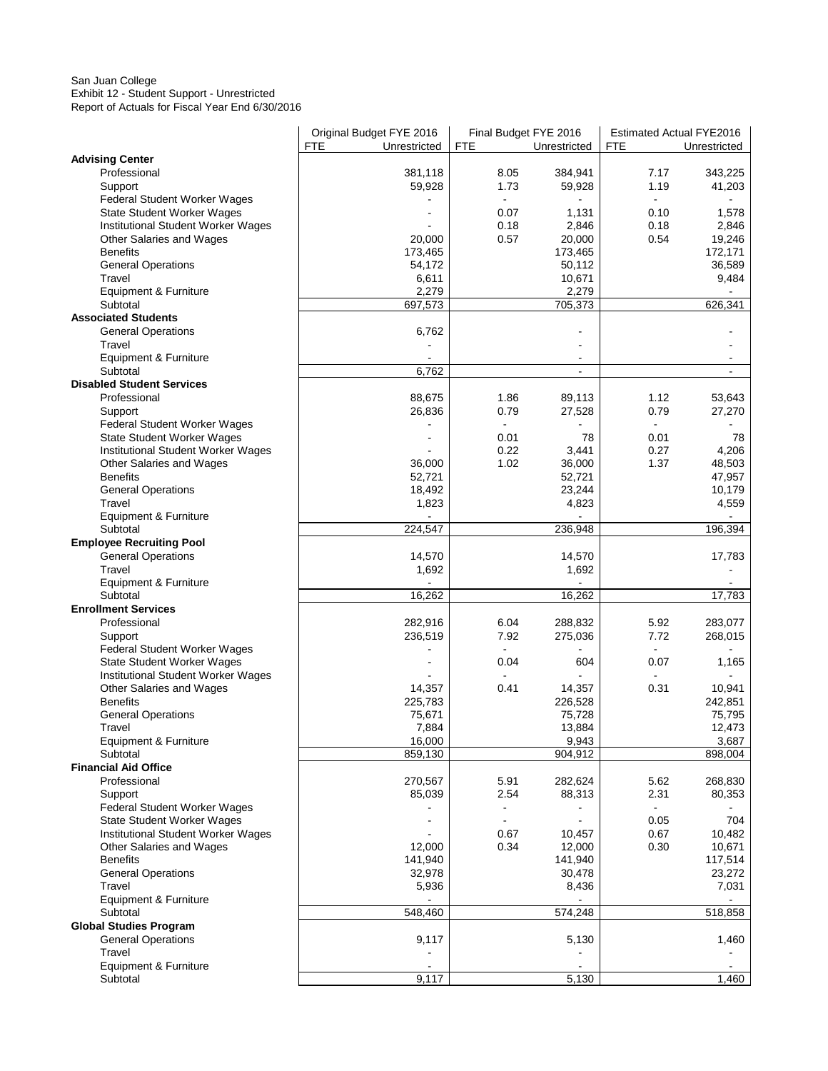#### San Juan College Exhibit 12 - Student Support - Unrestricted Report of Actuals for Fiscal Year End 6/30/2016

|                                     | Original Budget FYE 2016   | Final Budget FYE 2016 |                  | <b>Estimated Actual FYE2016</b> |                   |
|-------------------------------------|----------------------------|-----------------------|------------------|---------------------------------|-------------------|
|                                     | <b>FTE</b><br>Unrestricted | <b>FTE</b>            | Unrestricted     | FTE                             | Unrestricted      |
| <b>Advising Center</b>              |                            |                       |                  |                                 |                   |
| Professional                        | 381,118                    | 8.05                  | 384,941          | 7.17                            | 343,225           |
| Support                             | 59,928                     | 1.73                  | 59,928           | 1.19                            | 41,203            |
| <b>Federal Student Worker Wages</b> |                            |                       |                  |                                 |                   |
| <b>State Student Worker Wages</b>   |                            | 0.07                  | 1,131            | 0.10                            | 1,578             |
| Institutional Student Worker Wages  |                            | 0.18                  | 2,846            | 0.18                            | 2,846             |
| Other Salaries and Wages            | 20,000                     | 0.57                  | 20,000           | 0.54                            | 19,246            |
| <b>Benefits</b>                     | 173,465                    |                       | 173,465          |                                 | 172,171           |
| <b>General Operations</b>           | 54,172                     |                       | 50,112           |                                 | 36,589            |
| Travel                              | 6,611                      |                       | 10,671           |                                 | 9,484             |
| Equipment & Furniture<br>Subtotal   | 2,279<br>697,573           |                       | 2,279<br>705,373 |                                 | 626,341           |
| <b>Associated Students</b>          |                            |                       |                  |                                 |                   |
| <b>General Operations</b>           | 6,762                      |                       |                  |                                 |                   |
| Travel                              |                            |                       |                  |                                 |                   |
| Equipment & Furniture               |                            |                       | $\blacksquare$   |                                 |                   |
| Subtotal                            | 6,762                      |                       | $\blacksquare$   |                                 |                   |
| <b>Disabled Student Services</b>    |                            |                       |                  |                                 |                   |
| Professional                        | 88,675                     | 1.86                  | 89,113           | 1.12                            | 53,643            |
| Support                             | 26,836                     | 0.79                  | 27,528           | 0.79                            | 27,270            |
| <b>Federal Student Worker Wages</b> |                            | $\blacksquare$        |                  | $\blacksquare$                  |                   |
| State Student Worker Wages          |                            | 0.01                  | 78               | 0.01                            | 78                |
| Institutional Student Worker Wages  |                            | 0.22                  | 3,441            | 0.27                            | 4,206             |
| Other Salaries and Wages            | 36,000                     | 1.02                  | 36,000           | 1.37                            | 48,503            |
| <b>Benefits</b>                     | 52,721                     |                       | 52,721           |                                 | 47,957            |
| <b>General Operations</b>           | 18,492                     |                       | 23,244           |                                 | 10,179            |
| Travel                              | 1,823                      |                       | 4,823            |                                 | 4,559             |
| Equipment & Furniture               |                            |                       |                  |                                 |                   |
| Subtotal                            | 224,547                    |                       | 236,948          |                                 | 196,394           |
| <b>Employee Recruiting Pool</b>     |                            |                       |                  |                                 |                   |
| <b>General Operations</b>           | 14,570                     |                       | 14,570           |                                 | 17,783            |
| Travel                              | 1,692                      |                       | 1,692            |                                 |                   |
| Equipment & Furniture               |                            |                       |                  |                                 |                   |
| Subtotal                            | 16,262                     |                       | 16,262           |                                 | 17,783            |
| <b>Enrollment Services</b>          |                            |                       |                  |                                 |                   |
| Professional                        | 282,916                    | 6.04                  | 288,832          | 5.92                            | 283,077           |
| Support                             | 236,519                    | 7.92                  | 275,036          | 7.72                            | 268,015           |
| <b>Federal Student Worker Wages</b> |                            |                       |                  |                                 |                   |
| State Student Worker Wages          |                            | 0.04                  | 604              | 0.07                            | 1,165             |
| Institutional Student Worker Wages  |                            |                       |                  | $\blacksquare$                  |                   |
| Other Salaries and Wages            | 14,357                     | 0.41                  | 14,357           | 0.31                            | 10,941            |
| <b>Benefits</b>                     | 225,783                    |                       | 226,528          |                                 | 242,851<br>75,795 |
| <b>General Operations</b><br>Travel | 75,671<br>7,884            |                       | 75,728<br>13,884 |                                 | 12,473            |
| Equipment & Furniture               | 16,000                     |                       | 9,943            |                                 | 3,687             |
| Subtotal                            | 859,130                    |                       | 904,912          |                                 | 898,004           |
| <b>Financial Aid Office</b>         |                            |                       |                  |                                 |                   |
| Professional                        | 270,567                    | 5.91                  | 282,624          | 5.62                            | 268,830           |
| Support                             | 85,039                     | 2.54                  | 88,313           | 2.31                            | 80,353            |
| Federal Student Worker Wages        |                            |                       |                  |                                 |                   |
| <b>State Student Worker Wages</b>   |                            |                       |                  | 0.05                            | 704               |
| Institutional Student Worker Wages  |                            | 0.67                  | 10,457           | 0.67                            | 10,482            |
| Other Salaries and Wages            | 12,000                     | 0.34                  | 12,000           | 0.30                            | 10,671            |
| <b>Benefits</b>                     | 141,940                    |                       | 141,940          |                                 | 117,514           |
| <b>General Operations</b>           | 32,978                     |                       | 30,478           |                                 | 23,272            |
| Travel                              | 5,936                      |                       | 8,436            |                                 | 7,031             |
| Equipment & Furniture               |                            |                       |                  |                                 |                   |
| Subtotal                            | 548,460                    |                       | 574,248          |                                 | 518,858           |
| <b>Global Studies Program</b>       |                            |                       |                  |                                 |                   |
| <b>General Operations</b>           | 9,117                      |                       | 5,130            |                                 | 1,460             |
| Travel                              |                            |                       |                  |                                 |                   |
| Equipment & Furniture               |                            |                       |                  |                                 |                   |
| Subtotal                            | 9,117                      |                       | 5,130            |                                 | 1,460             |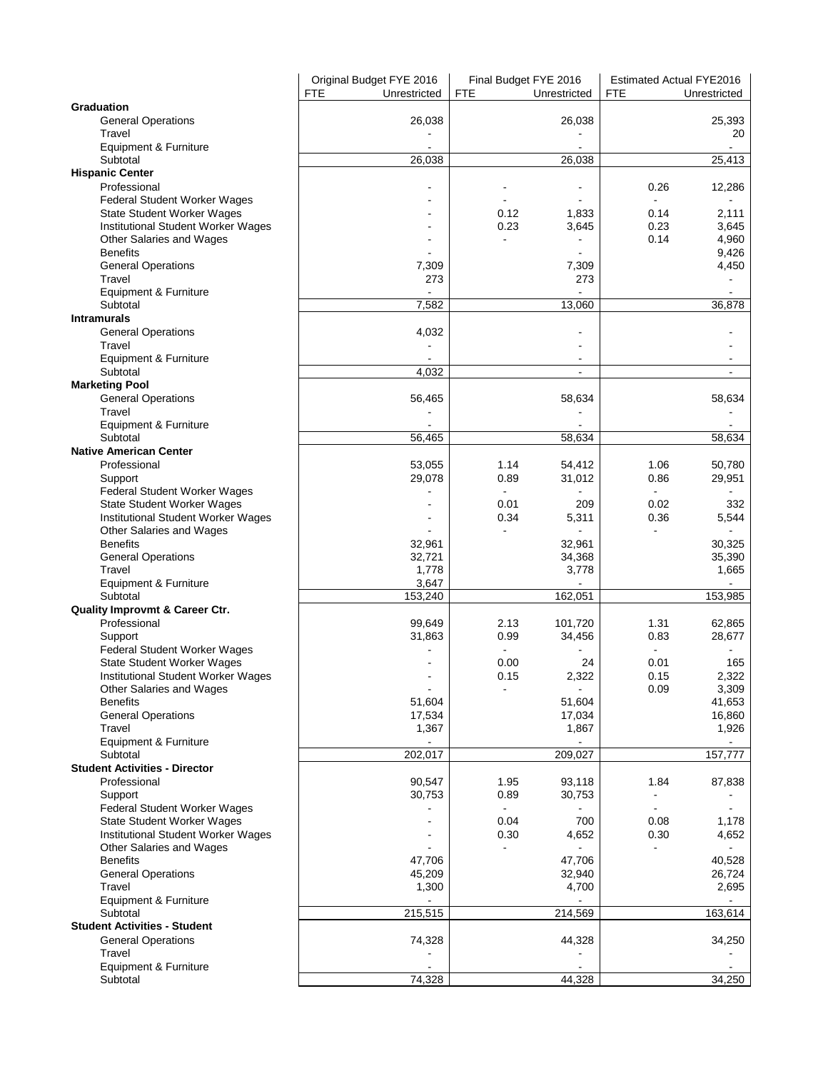|                                      | Original Budget FYE 2016   | Final Budget FYE 2016      | <b>Estimated Actual FYE2016</b> |
|--------------------------------------|----------------------------|----------------------------|---------------------------------|
|                                      | <b>FTE</b><br>Unrestricted | <b>FTE</b><br>Unrestricted | <b>FTE</b><br>Unrestricted      |
| Graduation                           |                            |                            |                                 |
| <b>General Operations</b>            | 26,038                     | 26,038                     | 25,393                          |
| Travel                               |                            |                            | 20                              |
| Equipment & Furniture                |                            |                            | $\mathbf{r}$                    |
| Subtotal                             | 26,038                     | 26,038                     | 25,413                          |
| <b>Hispanic Center</b>               |                            |                            |                                 |
| Professional                         |                            | $\blacksquare$             | 12,286<br>0.26                  |
| Federal Student Worker Wages         |                            |                            |                                 |
| State Student Worker Wages           |                            | 0.12<br>1,833              | 2,111<br>0.14                   |
| Institutional Student Worker Wages   |                            | 0.23<br>3,645              | 0.23<br>3,645                   |
| Other Salaries and Wages             |                            |                            | 0.14<br>4,960                   |
| <b>Benefits</b>                      |                            |                            | 9,426                           |
| <b>General Operations</b>            | 7,309                      | 7,309                      | 4,450                           |
| Travel                               | 273                        | 273                        |                                 |
| Equipment & Furniture                |                            | ÷,                         |                                 |
| Subtotal                             | 7,582                      | 13,060                     | 36,878                          |
| <b>Intramurals</b>                   |                            |                            |                                 |
| <b>General Operations</b>            | 4,032                      |                            |                                 |
| Travel                               |                            |                            |                                 |
| Equipment & Furniture                |                            |                            |                                 |
| Subtotal                             | 4,032                      |                            |                                 |
| <b>Marketing Pool</b>                |                            |                            |                                 |
| <b>General Operations</b>            | 56,465                     | 58,634                     | 58,634                          |
| Travel                               |                            |                            |                                 |
| Equipment & Furniture                |                            |                            |                                 |
| Subtotal                             | 56,465                     | 58,634                     | 58,634                          |
| <b>Native American Center</b>        |                            |                            |                                 |
| Professional                         | 53,055                     | 1.14<br>54,412             | 50,780<br>1.06                  |
| Support                              | 29,078                     | 0.89<br>31,012             | 29,951<br>0.86                  |
| Federal Student Worker Wages         |                            |                            | $\mathbf{r}$                    |
| <b>State Student Worker Wages</b>    |                            | 0.01<br>209                | 0.02<br>332                     |
| Institutional Student Worker Wages   |                            | 0.34<br>5,311              | 0.36<br>5,544                   |
| Other Salaries and Wages             |                            | $\blacksquare$             |                                 |
| <b>Benefits</b>                      | 32,961                     | 32,961                     | 30,325                          |
| <b>General Operations</b>            | 32,721                     | 34,368                     | 35,390                          |
| Travel                               | 1,778                      | 3,778                      | 1,665                           |
| Equipment & Furniture                | 3,647                      |                            |                                 |
| Subtotal                             | 153,240                    | 162,051                    | 153,985                         |
| Quality Improvmt & Career Ctr.       |                            |                            |                                 |
| Professional                         | 99,649                     | 2.13<br>101,720            | 1.31<br>62,865                  |
| Support                              | 31,863                     | 0.99<br>34,456             | 0.83<br>28,677                  |
| Federal Student Worker Wages         |                            |                            | $\blacksquare$                  |
| State Student Worker Wages           |                            | 0.00<br>24                 | 0.01<br>165                     |
| Institutional Student Worker Wages   |                            | 2,322<br>0.15              | 2,322<br>0.15                   |
| Other Salaries and Wages             | $\blacksquare$             | $\blacksquare$             | 3,309<br>0.09                   |
| <b>Benefits</b>                      | 51,604                     | 51,604                     | 41,653                          |
| <b>General Operations</b>            | 17,534                     | 17,034                     | 16,860                          |
| Travel                               | 1,367                      | 1,867                      | 1,926                           |
| Equipment & Furniture                |                            |                            |                                 |
| Subtotal                             | 202,017                    | 209,027                    | 157,777                         |
| <b>Student Activities - Director</b> |                            |                            |                                 |
| Professional                         | 90,547                     | 1.95<br>93,118             | 1.84<br>87,838                  |
| Support                              | 30,753                     | 0.89<br>30,753             |                                 |
| Federal Student Worker Wages         |                            |                            |                                 |
| <b>State Student Worker Wages</b>    |                            | 0.04<br>700                | 0.08<br>1,178                   |
| Institutional Student Worker Wages   |                            | 0.30<br>4,652              | 0.30<br>4,652                   |
| Other Salaries and Wages             |                            |                            |                                 |
| <b>Benefits</b>                      | 47,706                     | 47,706                     | 40,528                          |
| <b>General Operations</b>            | 45,209                     | 32,940                     | 26,724                          |
| Travel                               | 1,300                      | 4,700                      | 2,695                           |
| Equipment & Furniture                |                            |                            | $\blacksquare$                  |
| Subtotal                             | 215,515                    | 214,569                    | 163,614                         |
| <b>Student Activities - Student</b>  |                            |                            |                                 |
| <b>General Operations</b>            | 74,328                     | 44,328                     | 34,250                          |
| Travel                               |                            |                            |                                 |
| Equipment & Furniture                |                            |                            |                                 |
| Subtotal                             | 74,328                     | 44,328                     | 34,250                          |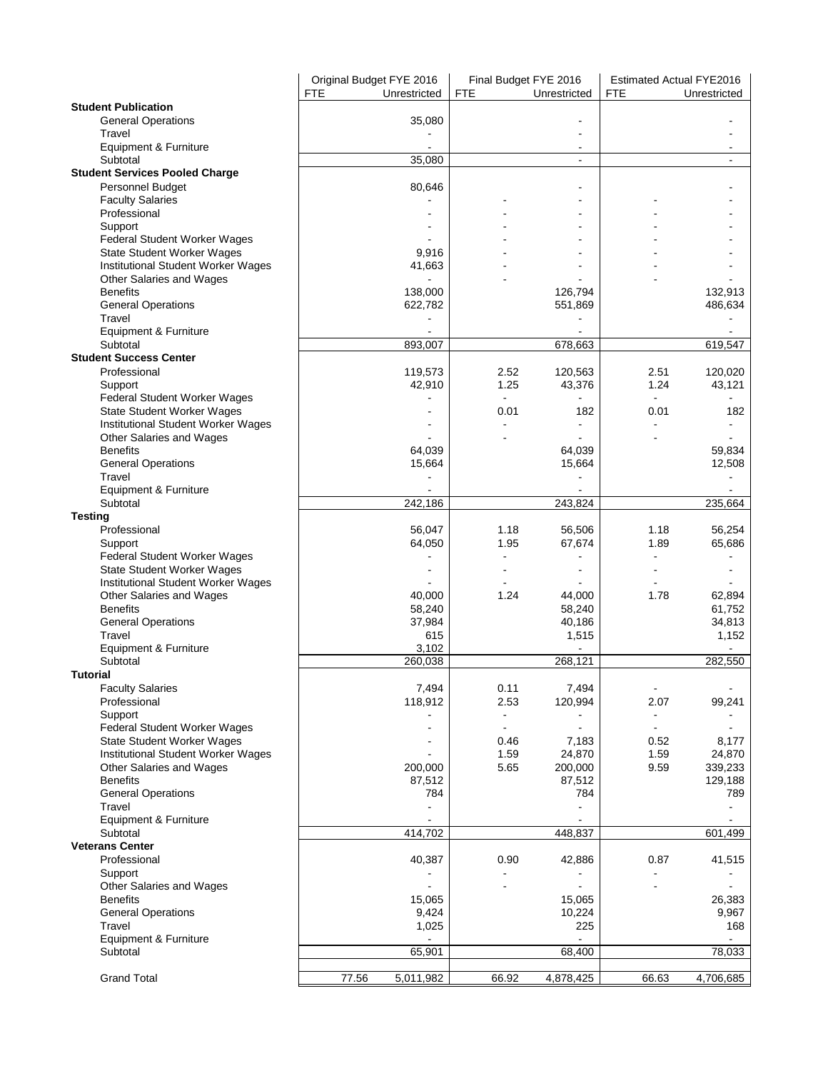| <b>General Operations</b><br>35,080<br>Travel<br>Equipment & Furniture<br>Subtotal<br>35,080<br>$\overline{a}$<br>$\blacksquare$<br><b>Student Services Pooled Charge</b><br>Personnel Budget<br>80,646<br><b>Faculty Salaries</b><br>Professional<br>Support<br>Federal Student Worker Wages<br>State Student Worker Wages<br>9,916<br>Institutional Student Worker Wages<br>41,663<br>Other Salaries and Wages<br><b>Benefits</b><br>138,000<br>126,794<br>132,913<br><b>General Operations</b><br>551,869<br>486,634<br>622,782<br>Travel<br>Equipment & Furniture<br>Subtotal<br>678,663<br>893.007<br>619,547<br><b>Student Success Center</b><br>Professional<br>119,573<br>2.52<br>120,563<br>2.51<br>120,020<br>1.25<br>1.24<br>42,910<br>43,376<br>43,121<br>Support<br>Federal Student Worker Wages<br>$\blacksquare$<br>$\blacksquare$<br>State Student Worker Wages<br>0.01<br>182<br>0.01<br>182<br>Institutional Student Worker Wages<br>Other Salaries and Wages<br><b>Benefits</b><br>64,039<br>64,039<br>59,834<br><b>General Operations</b><br>15,664<br>15,664<br>12,508<br>Travel<br>$\blacksquare$<br>Equipment & Furniture<br>Subtotal<br>242,186<br>243,824<br>235,664<br>1.18<br>56,254<br>Professional<br>56,047<br>56,506<br>1.18<br>Support<br>64,050<br>1.95<br>67,674<br>1.89<br>65,686<br>Federal Student Worker Wages<br>State Student Worker Wages<br>Institutional Student Worker Wages<br>1.24<br>1.78<br>Other Salaries and Wages<br>40,000<br>44,000<br>62,894<br><b>Benefits</b><br>58,240<br>58,240<br>61,752<br><b>General Operations</b><br>40,186<br>34,813<br>37,984<br>Travel<br>615<br>1,515<br>1,152<br>Equipment & Furniture<br>3,102<br>Subtotal<br>260,038<br>268,121<br>282,550<br><b>Tutorial</b><br>7,494<br>7,494<br><b>Faculty Salaries</b><br>0.11<br>$\blacksquare$<br>Professional<br>2.53<br>120,994<br>99,241<br>118,912<br>2.07<br>Support<br>$\blacksquare$<br>÷,<br>Federal Student Worker Wages<br>$\overline{a}$<br>L,<br>State Student Worker Wages<br>0.46<br>7,183<br>0.52<br>8,177<br>24,870<br>1.59<br>24,870<br>1.59<br>Institutional Student Worker Wages<br>5.65<br>200,000<br>200,000<br>9.59<br>339,233<br>Other Salaries and Wages<br><b>Benefits</b><br>87,512<br>87,512<br>129,188<br><b>General Operations</b><br>784<br>784<br>789<br>Travel<br>Equipment & Furniture<br>Subtotal<br>414,702<br>448,837<br>601,499<br><b>Veterans Center</b><br>Professional<br>0.90<br>42,886<br>0.87<br>41,515<br>40,387<br>Support<br>Other Salaries and Wages<br><b>Benefits</b><br>15,065<br>26,383<br>15,065<br><b>General Operations</b><br>9,424<br>10,224<br>9,967<br>Travel<br>1,025<br>225<br>168<br>Equipment & Furniture<br>Subtotal<br>65,901<br>68,400<br>78,033 |                            | Original Budget FYE 2016<br><b>FTE</b> | Unrestricted | Final Budget FYE 2016<br><b>FTE</b> | Unrestricted | <b>Estimated Actual FYE2016</b><br><b>FTE</b> | Unrestricted |
|-----------------------------------------------------------------------------------------------------------------------------------------------------------------------------------------------------------------------------------------------------------------------------------------------------------------------------------------------------------------------------------------------------------------------------------------------------------------------------------------------------------------------------------------------------------------------------------------------------------------------------------------------------------------------------------------------------------------------------------------------------------------------------------------------------------------------------------------------------------------------------------------------------------------------------------------------------------------------------------------------------------------------------------------------------------------------------------------------------------------------------------------------------------------------------------------------------------------------------------------------------------------------------------------------------------------------------------------------------------------------------------------------------------------------------------------------------------------------------------------------------------------------------------------------------------------------------------------------------------------------------------------------------------------------------------------------------------------------------------------------------------------------------------------------------------------------------------------------------------------------------------------------------------------------------------------------------------------------------------------------------------------------------------------------------------------------------------------------------------------------------------------------------------------------------------------------------------------------------------------------------------------------------------------------------------------------------------------------------------------------------------------------------------------------------------------------------------------------------------------------------------------------------------------------------------------------------------------------------------------------------------------------------------------------------------------------------------------------------------------------|----------------------------|----------------------------------------|--------------|-------------------------------------|--------------|-----------------------------------------------|--------------|
|                                                                                                                                                                                                                                                                                                                                                                                                                                                                                                                                                                                                                                                                                                                                                                                                                                                                                                                                                                                                                                                                                                                                                                                                                                                                                                                                                                                                                                                                                                                                                                                                                                                                                                                                                                                                                                                                                                                                                                                                                                                                                                                                                                                                                                                                                                                                                                                                                                                                                                                                                                                                                                                                                                                                               | <b>Student Publication</b> |                                        |              |                                     |              |                                               |              |
|                                                                                                                                                                                                                                                                                                                                                                                                                                                                                                                                                                                                                                                                                                                                                                                                                                                                                                                                                                                                                                                                                                                                                                                                                                                                                                                                                                                                                                                                                                                                                                                                                                                                                                                                                                                                                                                                                                                                                                                                                                                                                                                                                                                                                                                                                                                                                                                                                                                                                                                                                                                                                                                                                                                                               |                            |                                        |              |                                     |              |                                               |              |
|                                                                                                                                                                                                                                                                                                                                                                                                                                                                                                                                                                                                                                                                                                                                                                                                                                                                                                                                                                                                                                                                                                                                                                                                                                                                                                                                                                                                                                                                                                                                                                                                                                                                                                                                                                                                                                                                                                                                                                                                                                                                                                                                                                                                                                                                                                                                                                                                                                                                                                                                                                                                                                                                                                                                               |                            |                                        |              |                                     |              |                                               |              |
|                                                                                                                                                                                                                                                                                                                                                                                                                                                                                                                                                                                                                                                                                                                                                                                                                                                                                                                                                                                                                                                                                                                                                                                                                                                                                                                                                                                                                                                                                                                                                                                                                                                                                                                                                                                                                                                                                                                                                                                                                                                                                                                                                                                                                                                                                                                                                                                                                                                                                                                                                                                                                                                                                                                                               |                            |                                        |              |                                     |              |                                               |              |
|                                                                                                                                                                                                                                                                                                                                                                                                                                                                                                                                                                                                                                                                                                                                                                                                                                                                                                                                                                                                                                                                                                                                                                                                                                                                                                                                                                                                                                                                                                                                                                                                                                                                                                                                                                                                                                                                                                                                                                                                                                                                                                                                                                                                                                                                                                                                                                                                                                                                                                                                                                                                                                                                                                                                               |                            |                                        |              |                                     |              |                                               |              |
|                                                                                                                                                                                                                                                                                                                                                                                                                                                                                                                                                                                                                                                                                                                                                                                                                                                                                                                                                                                                                                                                                                                                                                                                                                                                                                                                                                                                                                                                                                                                                                                                                                                                                                                                                                                                                                                                                                                                                                                                                                                                                                                                                                                                                                                                                                                                                                                                                                                                                                                                                                                                                                                                                                                                               |                            |                                        |              |                                     |              |                                               |              |
|                                                                                                                                                                                                                                                                                                                                                                                                                                                                                                                                                                                                                                                                                                                                                                                                                                                                                                                                                                                                                                                                                                                                                                                                                                                                                                                                                                                                                                                                                                                                                                                                                                                                                                                                                                                                                                                                                                                                                                                                                                                                                                                                                                                                                                                                                                                                                                                                                                                                                                                                                                                                                                                                                                                                               |                            |                                        |              |                                     |              |                                               |              |
|                                                                                                                                                                                                                                                                                                                                                                                                                                                                                                                                                                                                                                                                                                                                                                                                                                                                                                                                                                                                                                                                                                                                                                                                                                                                                                                                                                                                                                                                                                                                                                                                                                                                                                                                                                                                                                                                                                                                                                                                                                                                                                                                                                                                                                                                                                                                                                                                                                                                                                                                                                                                                                                                                                                                               |                            |                                        |              |                                     |              |                                               |              |
|                                                                                                                                                                                                                                                                                                                                                                                                                                                                                                                                                                                                                                                                                                                                                                                                                                                                                                                                                                                                                                                                                                                                                                                                                                                                                                                                                                                                                                                                                                                                                                                                                                                                                                                                                                                                                                                                                                                                                                                                                                                                                                                                                                                                                                                                                                                                                                                                                                                                                                                                                                                                                                                                                                                                               |                            |                                        |              |                                     |              |                                               |              |
|                                                                                                                                                                                                                                                                                                                                                                                                                                                                                                                                                                                                                                                                                                                                                                                                                                                                                                                                                                                                                                                                                                                                                                                                                                                                                                                                                                                                                                                                                                                                                                                                                                                                                                                                                                                                                                                                                                                                                                                                                                                                                                                                                                                                                                                                                                                                                                                                                                                                                                                                                                                                                                                                                                                                               |                            |                                        |              |                                     |              |                                               |              |
|                                                                                                                                                                                                                                                                                                                                                                                                                                                                                                                                                                                                                                                                                                                                                                                                                                                                                                                                                                                                                                                                                                                                                                                                                                                                                                                                                                                                                                                                                                                                                                                                                                                                                                                                                                                                                                                                                                                                                                                                                                                                                                                                                                                                                                                                                                                                                                                                                                                                                                                                                                                                                                                                                                                                               |                            |                                        |              |                                     |              |                                               |              |
|                                                                                                                                                                                                                                                                                                                                                                                                                                                                                                                                                                                                                                                                                                                                                                                                                                                                                                                                                                                                                                                                                                                                                                                                                                                                                                                                                                                                                                                                                                                                                                                                                                                                                                                                                                                                                                                                                                                                                                                                                                                                                                                                                                                                                                                                                                                                                                                                                                                                                                                                                                                                                                                                                                                                               |                            |                                        |              |                                     |              |                                               |              |
|                                                                                                                                                                                                                                                                                                                                                                                                                                                                                                                                                                                                                                                                                                                                                                                                                                                                                                                                                                                                                                                                                                                                                                                                                                                                                                                                                                                                                                                                                                                                                                                                                                                                                                                                                                                                                                                                                                                                                                                                                                                                                                                                                                                                                                                                                                                                                                                                                                                                                                                                                                                                                                                                                                                                               |                            |                                        |              |                                     |              |                                               |              |
|                                                                                                                                                                                                                                                                                                                                                                                                                                                                                                                                                                                                                                                                                                                                                                                                                                                                                                                                                                                                                                                                                                                                                                                                                                                                                                                                                                                                                                                                                                                                                                                                                                                                                                                                                                                                                                                                                                                                                                                                                                                                                                                                                                                                                                                                                                                                                                                                                                                                                                                                                                                                                                                                                                                                               |                            |                                        |              |                                     |              |                                               |              |
|                                                                                                                                                                                                                                                                                                                                                                                                                                                                                                                                                                                                                                                                                                                                                                                                                                                                                                                                                                                                                                                                                                                                                                                                                                                                                                                                                                                                                                                                                                                                                                                                                                                                                                                                                                                                                                                                                                                                                                                                                                                                                                                                                                                                                                                                                                                                                                                                                                                                                                                                                                                                                                                                                                                                               |                            |                                        |              |                                     |              |                                               |              |
|                                                                                                                                                                                                                                                                                                                                                                                                                                                                                                                                                                                                                                                                                                                                                                                                                                                                                                                                                                                                                                                                                                                                                                                                                                                                                                                                                                                                                                                                                                                                                                                                                                                                                                                                                                                                                                                                                                                                                                                                                                                                                                                                                                                                                                                                                                                                                                                                                                                                                                                                                                                                                                                                                                                                               |                            |                                        |              |                                     |              |                                               |              |
|                                                                                                                                                                                                                                                                                                                                                                                                                                                                                                                                                                                                                                                                                                                                                                                                                                                                                                                                                                                                                                                                                                                                                                                                                                                                                                                                                                                                                                                                                                                                                                                                                                                                                                                                                                                                                                                                                                                                                                                                                                                                                                                                                                                                                                                                                                                                                                                                                                                                                                                                                                                                                                                                                                                                               |                            |                                        |              |                                     |              |                                               |              |
|                                                                                                                                                                                                                                                                                                                                                                                                                                                                                                                                                                                                                                                                                                                                                                                                                                                                                                                                                                                                                                                                                                                                                                                                                                                                                                                                                                                                                                                                                                                                                                                                                                                                                                                                                                                                                                                                                                                                                                                                                                                                                                                                                                                                                                                                                                                                                                                                                                                                                                                                                                                                                                                                                                                                               |                            |                                        |              |                                     |              |                                               |              |
|                                                                                                                                                                                                                                                                                                                                                                                                                                                                                                                                                                                                                                                                                                                                                                                                                                                                                                                                                                                                                                                                                                                                                                                                                                                                                                                                                                                                                                                                                                                                                                                                                                                                                                                                                                                                                                                                                                                                                                                                                                                                                                                                                                                                                                                                                                                                                                                                                                                                                                                                                                                                                                                                                                                                               |                            |                                        |              |                                     |              |                                               |              |
|                                                                                                                                                                                                                                                                                                                                                                                                                                                                                                                                                                                                                                                                                                                                                                                                                                                                                                                                                                                                                                                                                                                                                                                                                                                                                                                                                                                                                                                                                                                                                                                                                                                                                                                                                                                                                                                                                                                                                                                                                                                                                                                                                                                                                                                                                                                                                                                                                                                                                                                                                                                                                                                                                                                                               |                            |                                        |              |                                     |              |                                               |              |
|                                                                                                                                                                                                                                                                                                                                                                                                                                                                                                                                                                                                                                                                                                                                                                                                                                                                                                                                                                                                                                                                                                                                                                                                                                                                                                                                                                                                                                                                                                                                                                                                                                                                                                                                                                                                                                                                                                                                                                                                                                                                                                                                                                                                                                                                                                                                                                                                                                                                                                                                                                                                                                                                                                                                               |                            |                                        |              |                                     |              |                                               |              |
|                                                                                                                                                                                                                                                                                                                                                                                                                                                                                                                                                                                                                                                                                                                                                                                                                                                                                                                                                                                                                                                                                                                                                                                                                                                                                                                                                                                                                                                                                                                                                                                                                                                                                                                                                                                                                                                                                                                                                                                                                                                                                                                                                                                                                                                                                                                                                                                                                                                                                                                                                                                                                                                                                                                                               |                            |                                        |              |                                     |              |                                               |              |
|                                                                                                                                                                                                                                                                                                                                                                                                                                                                                                                                                                                                                                                                                                                                                                                                                                                                                                                                                                                                                                                                                                                                                                                                                                                                                                                                                                                                                                                                                                                                                                                                                                                                                                                                                                                                                                                                                                                                                                                                                                                                                                                                                                                                                                                                                                                                                                                                                                                                                                                                                                                                                                                                                                                                               |                            |                                        |              |                                     |              |                                               |              |
|                                                                                                                                                                                                                                                                                                                                                                                                                                                                                                                                                                                                                                                                                                                                                                                                                                                                                                                                                                                                                                                                                                                                                                                                                                                                                                                                                                                                                                                                                                                                                                                                                                                                                                                                                                                                                                                                                                                                                                                                                                                                                                                                                                                                                                                                                                                                                                                                                                                                                                                                                                                                                                                                                                                                               |                            |                                        |              |                                     |              |                                               |              |
|                                                                                                                                                                                                                                                                                                                                                                                                                                                                                                                                                                                                                                                                                                                                                                                                                                                                                                                                                                                                                                                                                                                                                                                                                                                                                                                                                                                                                                                                                                                                                                                                                                                                                                                                                                                                                                                                                                                                                                                                                                                                                                                                                                                                                                                                                                                                                                                                                                                                                                                                                                                                                                                                                                                                               |                            |                                        |              |                                     |              |                                               |              |
|                                                                                                                                                                                                                                                                                                                                                                                                                                                                                                                                                                                                                                                                                                                                                                                                                                                                                                                                                                                                                                                                                                                                                                                                                                                                                                                                                                                                                                                                                                                                                                                                                                                                                                                                                                                                                                                                                                                                                                                                                                                                                                                                                                                                                                                                                                                                                                                                                                                                                                                                                                                                                                                                                                                                               |                            |                                        |              |                                     |              |                                               |              |
|                                                                                                                                                                                                                                                                                                                                                                                                                                                                                                                                                                                                                                                                                                                                                                                                                                                                                                                                                                                                                                                                                                                                                                                                                                                                                                                                                                                                                                                                                                                                                                                                                                                                                                                                                                                                                                                                                                                                                                                                                                                                                                                                                                                                                                                                                                                                                                                                                                                                                                                                                                                                                                                                                                                                               |                            |                                        |              |                                     |              |                                               |              |
|                                                                                                                                                                                                                                                                                                                                                                                                                                                                                                                                                                                                                                                                                                                                                                                                                                                                                                                                                                                                                                                                                                                                                                                                                                                                                                                                                                                                                                                                                                                                                                                                                                                                                                                                                                                                                                                                                                                                                                                                                                                                                                                                                                                                                                                                                                                                                                                                                                                                                                                                                                                                                                                                                                                                               | Testing                    |                                        |              |                                     |              |                                               |              |
|                                                                                                                                                                                                                                                                                                                                                                                                                                                                                                                                                                                                                                                                                                                                                                                                                                                                                                                                                                                                                                                                                                                                                                                                                                                                                                                                                                                                                                                                                                                                                                                                                                                                                                                                                                                                                                                                                                                                                                                                                                                                                                                                                                                                                                                                                                                                                                                                                                                                                                                                                                                                                                                                                                                                               |                            |                                        |              |                                     |              |                                               |              |
|                                                                                                                                                                                                                                                                                                                                                                                                                                                                                                                                                                                                                                                                                                                                                                                                                                                                                                                                                                                                                                                                                                                                                                                                                                                                                                                                                                                                                                                                                                                                                                                                                                                                                                                                                                                                                                                                                                                                                                                                                                                                                                                                                                                                                                                                                                                                                                                                                                                                                                                                                                                                                                                                                                                                               |                            |                                        |              |                                     |              |                                               |              |
|                                                                                                                                                                                                                                                                                                                                                                                                                                                                                                                                                                                                                                                                                                                                                                                                                                                                                                                                                                                                                                                                                                                                                                                                                                                                                                                                                                                                                                                                                                                                                                                                                                                                                                                                                                                                                                                                                                                                                                                                                                                                                                                                                                                                                                                                                                                                                                                                                                                                                                                                                                                                                                                                                                                                               |                            |                                        |              |                                     |              |                                               |              |
|                                                                                                                                                                                                                                                                                                                                                                                                                                                                                                                                                                                                                                                                                                                                                                                                                                                                                                                                                                                                                                                                                                                                                                                                                                                                                                                                                                                                                                                                                                                                                                                                                                                                                                                                                                                                                                                                                                                                                                                                                                                                                                                                                                                                                                                                                                                                                                                                                                                                                                                                                                                                                                                                                                                                               |                            |                                        |              |                                     |              |                                               |              |
|                                                                                                                                                                                                                                                                                                                                                                                                                                                                                                                                                                                                                                                                                                                                                                                                                                                                                                                                                                                                                                                                                                                                                                                                                                                                                                                                                                                                                                                                                                                                                                                                                                                                                                                                                                                                                                                                                                                                                                                                                                                                                                                                                                                                                                                                                                                                                                                                                                                                                                                                                                                                                                                                                                                                               |                            |                                        |              |                                     |              |                                               |              |
|                                                                                                                                                                                                                                                                                                                                                                                                                                                                                                                                                                                                                                                                                                                                                                                                                                                                                                                                                                                                                                                                                                                                                                                                                                                                                                                                                                                                                                                                                                                                                                                                                                                                                                                                                                                                                                                                                                                                                                                                                                                                                                                                                                                                                                                                                                                                                                                                                                                                                                                                                                                                                                                                                                                                               |                            |                                        |              |                                     |              |                                               |              |
|                                                                                                                                                                                                                                                                                                                                                                                                                                                                                                                                                                                                                                                                                                                                                                                                                                                                                                                                                                                                                                                                                                                                                                                                                                                                                                                                                                                                                                                                                                                                                                                                                                                                                                                                                                                                                                                                                                                                                                                                                                                                                                                                                                                                                                                                                                                                                                                                                                                                                                                                                                                                                                                                                                                                               |                            |                                        |              |                                     |              |                                               |              |
|                                                                                                                                                                                                                                                                                                                                                                                                                                                                                                                                                                                                                                                                                                                                                                                                                                                                                                                                                                                                                                                                                                                                                                                                                                                                                                                                                                                                                                                                                                                                                                                                                                                                                                                                                                                                                                                                                                                                                                                                                                                                                                                                                                                                                                                                                                                                                                                                                                                                                                                                                                                                                                                                                                                                               |                            |                                        |              |                                     |              |                                               |              |
|                                                                                                                                                                                                                                                                                                                                                                                                                                                                                                                                                                                                                                                                                                                                                                                                                                                                                                                                                                                                                                                                                                                                                                                                                                                                                                                                                                                                                                                                                                                                                                                                                                                                                                                                                                                                                                                                                                                                                                                                                                                                                                                                                                                                                                                                                                                                                                                                                                                                                                                                                                                                                                                                                                                                               |                            |                                        |              |                                     |              |                                               |              |
|                                                                                                                                                                                                                                                                                                                                                                                                                                                                                                                                                                                                                                                                                                                                                                                                                                                                                                                                                                                                                                                                                                                                                                                                                                                                                                                                                                                                                                                                                                                                                                                                                                                                                                                                                                                                                                                                                                                                                                                                                                                                                                                                                                                                                                                                                                                                                                                                                                                                                                                                                                                                                                                                                                                                               |                            |                                        |              |                                     |              |                                               |              |
|                                                                                                                                                                                                                                                                                                                                                                                                                                                                                                                                                                                                                                                                                                                                                                                                                                                                                                                                                                                                                                                                                                                                                                                                                                                                                                                                                                                                                                                                                                                                                                                                                                                                                                                                                                                                                                                                                                                                                                                                                                                                                                                                                                                                                                                                                                                                                                                                                                                                                                                                                                                                                                                                                                                                               |                            |                                        |              |                                     |              |                                               |              |
|                                                                                                                                                                                                                                                                                                                                                                                                                                                                                                                                                                                                                                                                                                                                                                                                                                                                                                                                                                                                                                                                                                                                                                                                                                                                                                                                                                                                                                                                                                                                                                                                                                                                                                                                                                                                                                                                                                                                                                                                                                                                                                                                                                                                                                                                                                                                                                                                                                                                                                                                                                                                                                                                                                                                               |                            |                                        |              |                                     |              |                                               |              |
|                                                                                                                                                                                                                                                                                                                                                                                                                                                                                                                                                                                                                                                                                                                                                                                                                                                                                                                                                                                                                                                                                                                                                                                                                                                                                                                                                                                                                                                                                                                                                                                                                                                                                                                                                                                                                                                                                                                                                                                                                                                                                                                                                                                                                                                                                                                                                                                                                                                                                                                                                                                                                                                                                                                                               |                            |                                        |              |                                     |              |                                               |              |
|                                                                                                                                                                                                                                                                                                                                                                                                                                                                                                                                                                                                                                                                                                                                                                                                                                                                                                                                                                                                                                                                                                                                                                                                                                                                                                                                                                                                                                                                                                                                                                                                                                                                                                                                                                                                                                                                                                                                                                                                                                                                                                                                                                                                                                                                                                                                                                                                                                                                                                                                                                                                                                                                                                                                               |                            |                                        |              |                                     |              |                                               |              |
|                                                                                                                                                                                                                                                                                                                                                                                                                                                                                                                                                                                                                                                                                                                                                                                                                                                                                                                                                                                                                                                                                                                                                                                                                                                                                                                                                                                                                                                                                                                                                                                                                                                                                                                                                                                                                                                                                                                                                                                                                                                                                                                                                                                                                                                                                                                                                                                                                                                                                                                                                                                                                                                                                                                                               |                            |                                        |              |                                     |              |                                               |              |
|                                                                                                                                                                                                                                                                                                                                                                                                                                                                                                                                                                                                                                                                                                                                                                                                                                                                                                                                                                                                                                                                                                                                                                                                                                                                                                                                                                                                                                                                                                                                                                                                                                                                                                                                                                                                                                                                                                                                                                                                                                                                                                                                                                                                                                                                                                                                                                                                                                                                                                                                                                                                                                                                                                                                               |                            |                                        |              |                                     |              |                                               |              |
|                                                                                                                                                                                                                                                                                                                                                                                                                                                                                                                                                                                                                                                                                                                                                                                                                                                                                                                                                                                                                                                                                                                                                                                                                                                                                                                                                                                                                                                                                                                                                                                                                                                                                                                                                                                                                                                                                                                                                                                                                                                                                                                                                                                                                                                                                                                                                                                                                                                                                                                                                                                                                                                                                                                                               |                            |                                        |              |                                     |              |                                               |              |
|                                                                                                                                                                                                                                                                                                                                                                                                                                                                                                                                                                                                                                                                                                                                                                                                                                                                                                                                                                                                                                                                                                                                                                                                                                                                                                                                                                                                                                                                                                                                                                                                                                                                                                                                                                                                                                                                                                                                                                                                                                                                                                                                                                                                                                                                                                                                                                                                                                                                                                                                                                                                                                                                                                                                               |                            |                                        |              |                                     |              |                                               |              |
|                                                                                                                                                                                                                                                                                                                                                                                                                                                                                                                                                                                                                                                                                                                                                                                                                                                                                                                                                                                                                                                                                                                                                                                                                                                                                                                                                                                                                                                                                                                                                                                                                                                                                                                                                                                                                                                                                                                                                                                                                                                                                                                                                                                                                                                                                                                                                                                                                                                                                                                                                                                                                                                                                                                                               |                            |                                        |              |                                     |              |                                               |              |
|                                                                                                                                                                                                                                                                                                                                                                                                                                                                                                                                                                                                                                                                                                                                                                                                                                                                                                                                                                                                                                                                                                                                                                                                                                                                                                                                                                                                                                                                                                                                                                                                                                                                                                                                                                                                                                                                                                                                                                                                                                                                                                                                                                                                                                                                                                                                                                                                                                                                                                                                                                                                                                                                                                                                               |                            |                                        |              |                                     |              |                                               |              |
|                                                                                                                                                                                                                                                                                                                                                                                                                                                                                                                                                                                                                                                                                                                                                                                                                                                                                                                                                                                                                                                                                                                                                                                                                                                                                                                                                                                                                                                                                                                                                                                                                                                                                                                                                                                                                                                                                                                                                                                                                                                                                                                                                                                                                                                                                                                                                                                                                                                                                                                                                                                                                                                                                                                                               |                            |                                        |              |                                     |              |                                               |              |
|                                                                                                                                                                                                                                                                                                                                                                                                                                                                                                                                                                                                                                                                                                                                                                                                                                                                                                                                                                                                                                                                                                                                                                                                                                                                                                                                                                                                                                                                                                                                                                                                                                                                                                                                                                                                                                                                                                                                                                                                                                                                                                                                                                                                                                                                                                                                                                                                                                                                                                                                                                                                                                                                                                                                               |                            |                                        |              |                                     |              |                                               |              |
|                                                                                                                                                                                                                                                                                                                                                                                                                                                                                                                                                                                                                                                                                                                                                                                                                                                                                                                                                                                                                                                                                                                                                                                                                                                                                                                                                                                                                                                                                                                                                                                                                                                                                                                                                                                                                                                                                                                                                                                                                                                                                                                                                                                                                                                                                                                                                                                                                                                                                                                                                                                                                                                                                                                                               |                            |                                        |              |                                     |              |                                               |              |
|                                                                                                                                                                                                                                                                                                                                                                                                                                                                                                                                                                                                                                                                                                                                                                                                                                                                                                                                                                                                                                                                                                                                                                                                                                                                                                                                                                                                                                                                                                                                                                                                                                                                                                                                                                                                                                                                                                                                                                                                                                                                                                                                                                                                                                                                                                                                                                                                                                                                                                                                                                                                                                                                                                                                               |                            |                                        |              |                                     |              |                                               |              |
|                                                                                                                                                                                                                                                                                                                                                                                                                                                                                                                                                                                                                                                                                                                                                                                                                                                                                                                                                                                                                                                                                                                                                                                                                                                                                                                                                                                                                                                                                                                                                                                                                                                                                                                                                                                                                                                                                                                                                                                                                                                                                                                                                                                                                                                                                                                                                                                                                                                                                                                                                                                                                                                                                                                                               |                            |                                        |              |                                     |              |                                               |              |
|                                                                                                                                                                                                                                                                                                                                                                                                                                                                                                                                                                                                                                                                                                                                                                                                                                                                                                                                                                                                                                                                                                                                                                                                                                                                                                                                                                                                                                                                                                                                                                                                                                                                                                                                                                                                                                                                                                                                                                                                                                                                                                                                                                                                                                                                                                                                                                                                                                                                                                                                                                                                                                                                                                                                               |                            |                                        |              |                                     |              |                                               |              |
|                                                                                                                                                                                                                                                                                                                                                                                                                                                                                                                                                                                                                                                                                                                                                                                                                                                                                                                                                                                                                                                                                                                                                                                                                                                                                                                                                                                                                                                                                                                                                                                                                                                                                                                                                                                                                                                                                                                                                                                                                                                                                                                                                                                                                                                                                                                                                                                                                                                                                                                                                                                                                                                                                                                                               |                            |                                        |              |                                     |              |                                               |              |
|                                                                                                                                                                                                                                                                                                                                                                                                                                                                                                                                                                                                                                                                                                                                                                                                                                                                                                                                                                                                                                                                                                                                                                                                                                                                                                                                                                                                                                                                                                                                                                                                                                                                                                                                                                                                                                                                                                                                                                                                                                                                                                                                                                                                                                                                                                                                                                                                                                                                                                                                                                                                                                                                                                                                               |                            |                                        |              |                                     |              |                                               |              |
|                                                                                                                                                                                                                                                                                                                                                                                                                                                                                                                                                                                                                                                                                                                                                                                                                                                                                                                                                                                                                                                                                                                                                                                                                                                                                                                                                                                                                                                                                                                                                                                                                                                                                                                                                                                                                                                                                                                                                                                                                                                                                                                                                                                                                                                                                                                                                                                                                                                                                                                                                                                                                                                                                                                                               |                            |                                        |              |                                     |              |                                               |              |
|                                                                                                                                                                                                                                                                                                                                                                                                                                                                                                                                                                                                                                                                                                                                                                                                                                                                                                                                                                                                                                                                                                                                                                                                                                                                                                                                                                                                                                                                                                                                                                                                                                                                                                                                                                                                                                                                                                                                                                                                                                                                                                                                                                                                                                                                                                                                                                                                                                                                                                                                                                                                                                                                                                                                               | <b>Grand Total</b>         | 77.56                                  | 5,011,982    | 66.92                               | 4,878,425    | 66.63                                         | 4,706,685    |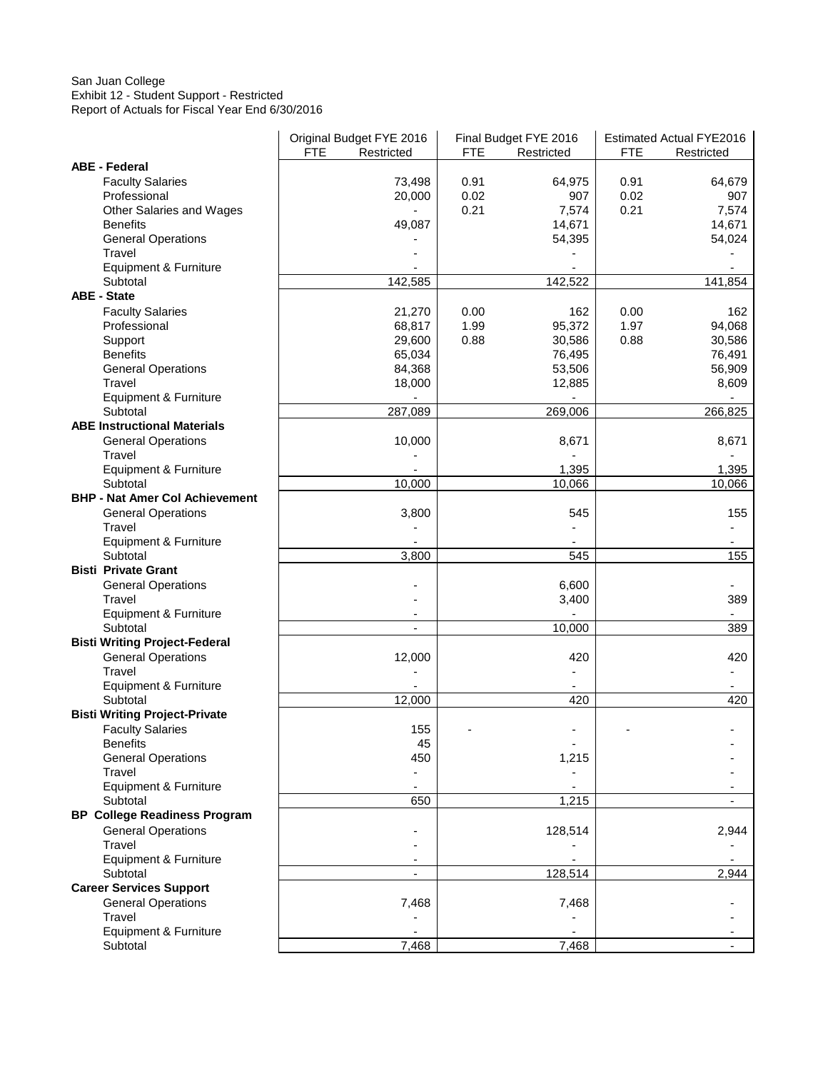#### San Juan College Exhibit 12 - Student Support - Restricted

Report of Actuals for Fiscal Year End 6/30/2016

|                                       | Original Budget FYE 2016<br><b>FTE</b><br>Restricted | <b>FTE</b> | Final Budget FYE 2016<br>Restricted | <b>Estimated Actual FYE2016</b><br><b>FTE</b><br>Restricted |                          |  |
|---------------------------------------|------------------------------------------------------|------------|-------------------------------------|-------------------------------------------------------------|--------------------------|--|
| <b>ABE - Federal</b>                  |                                                      |            |                                     |                                                             |                          |  |
| <b>Faculty Salaries</b>               | 73,498                                               | 0.91       | 64,975                              | 0.91                                                        | 64,679                   |  |
| Professional                          | 20,000                                               | 0.02       | 907                                 | 0.02                                                        | 907                      |  |
| Other Salaries and Wages              |                                                      | 0.21       | 7,574                               | 0.21                                                        | 7,574                    |  |
| <b>Benefits</b>                       |                                                      |            |                                     |                                                             |                          |  |
|                                       | 49,087                                               |            | 14,671                              |                                                             | 14,671                   |  |
| <b>General Operations</b>             |                                                      |            | 54,395                              |                                                             | 54,024                   |  |
| Travel                                |                                                      |            |                                     |                                                             |                          |  |
| Equipment & Furniture                 |                                                      |            |                                     |                                                             |                          |  |
| Subtotal                              | 142,585                                              |            | 142,522                             |                                                             | 141,854                  |  |
| <b>ABE - State</b>                    |                                                      |            |                                     |                                                             |                          |  |
| <b>Faculty Salaries</b>               | 21,270                                               | 0.00       | 162                                 | 0.00                                                        | 162                      |  |
| Professional                          | 68,817                                               | 1.99       | 95,372                              | 1.97                                                        | 94,068                   |  |
| Support                               | 29,600                                               | 0.88       | 30,586                              | 0.88                                                        | 30,586                   |  |
| <b>Benefits</b>                       | 65,034                                               |            | 76,495                              |                                                             | 76,491                   |  |
| <b>General Operations</b>             | 84,368                                               |            | 53,506                              |                                                             | 56,909                   |  |
| Travel                                | 18,000                                               |            | 12,885                              |                                                             | 8,609                    |  |
| Equipment & Furniture                 |                                                      |            |                                     |                                                             |                          |  |
| Subtotal                              | 287,089                                              |            | 269,006                             |                                                             | 266,825                  |  |
| <b>ABE Instructional Materials</b>    |                                                      |            |                                     |                                                             |                          |  |
|                                       |                                                      |            |                                     |                                                             |                          |  |
| <b>General Operations</b>             | 10,000                                               |            | 8,671                               |                                                             | 8,671                    |  |
| Travel                                |                                                      |            |                                     |                                                             |                          |  |
| Equipment & Furniture                 |                                                      |            | 1,395                               |                                                             | 1,395                    |  |
| Subtotal                              | 10,000                                               |            | 10,066                              |                                                             | 10,066                   |  |
| <b>BHP - Nat Amer Col Achievement</b> |                                                      |            |                                     |                                                             |                          |  |
| <b>General Operations</b>             | 3,800                                                |            | 545                                 |                                                             | 155                      |  |
| Travel                                |                                                      |            |                                     |                                                             |                          |  |
| Equipment & Furniture                 |                                                      |            |                                     |                                                             |                          |  |
| Subtotal                              | 3,800                                                |            | 545                                 |                                                             | 155                      |  |
| <b>Bisti Private Grant</b>            |                                                      |            |                                     |                                                             |                          |  |
| <b>General Operations</b>             |                                                      |            | 6,600                               |                                                             |                          |  |
| Travel                                |                                                      |            | 3,400                               |                                                             | 389                      |  |
| Equipment & Furniture                 | $\overline{\phantom{m}}$                             |            |                                     |                                                             |                          |  |
| Subtotal                              |                                                      |            |                                     |                                                             |                          |  |
|                                       | $\overline{\phantom{m}}$                             |            | 10,000                              |                                                             | 389                      |  |
| <b>Bisti Writing Project-Federal</b>  |                                                      |            |                                     |                                                             |                          |  |
| <b>General Operations</b>             | 12,000                                               |            | 420                                 |                                                             | 420                      |  |
| Travel                                |                                                      |            |                                     |                                                             |                          |  |
| Equipment & Furniture                 |                                                      |            |                                     |                                                             |                          |  |
| Subtotal                              | 12,000                                               |            | 420                                 |                                                             | 420                      |  |
| <b>Bisti Writing Project-Private</b>  |                                                      |            |                                     |                                                             |                          |  |
| <b>Faculty Salaries</b>               | 155                                                  |            |                                     |                                                             |                          |  |
| <b>Benefits</b>                       | 45                                                   |            |                                     |                                                             |                          |  |
| <b>General Operations</b>             | 450                                                  |            | 1,215                               |                                                             |                          |  |
| Travel                                |                                                      |            |                                     |                                                             |                          |  |
| Equipment & Furniture                 |                                                      |            |                                     |                                                             |                          |  |
| Subtotal                              | 650                                                  |            | 1,215                               |                                                             |                          |  |
| <b>BP College Readiness Program</b>   |                                                      |            |                                     |                                                             |                          |  |
| <b>General Operations</b>             |                                                      |            | 128,514                             |                                                             | 2,944                    |  |
| Travel                                |                                                      |            |                                     |                                                             |                          |  |
|                                       |                                                      |            |                                     |                                                             |                          |  |
| Equipment & Furniture                 |                                                      |            |                                     |                                                             |                          |  |
| Subtotal                              | $\overline{\phantom{a}}$                             |            | 128,514                             |                                                             | 2,944                    |  |
| <b>Career Services Support</b>        |                                                      |            |                                     |                                                             |                          |  |
| <b>General Operations</b>             | 7,468                                                |            | 7,468                               |                                                             |                          |  |
| Travel                                |                                                      |            |                                     |                                                             |                          |  |
| Equipment & Furniture                 |                                                      |            |                                     |                                                             |                          |  |
| Subtotal                              | 7,468                                                |            | 7,468                               |                                                             | $\overline{\phantom{a}}$ |  |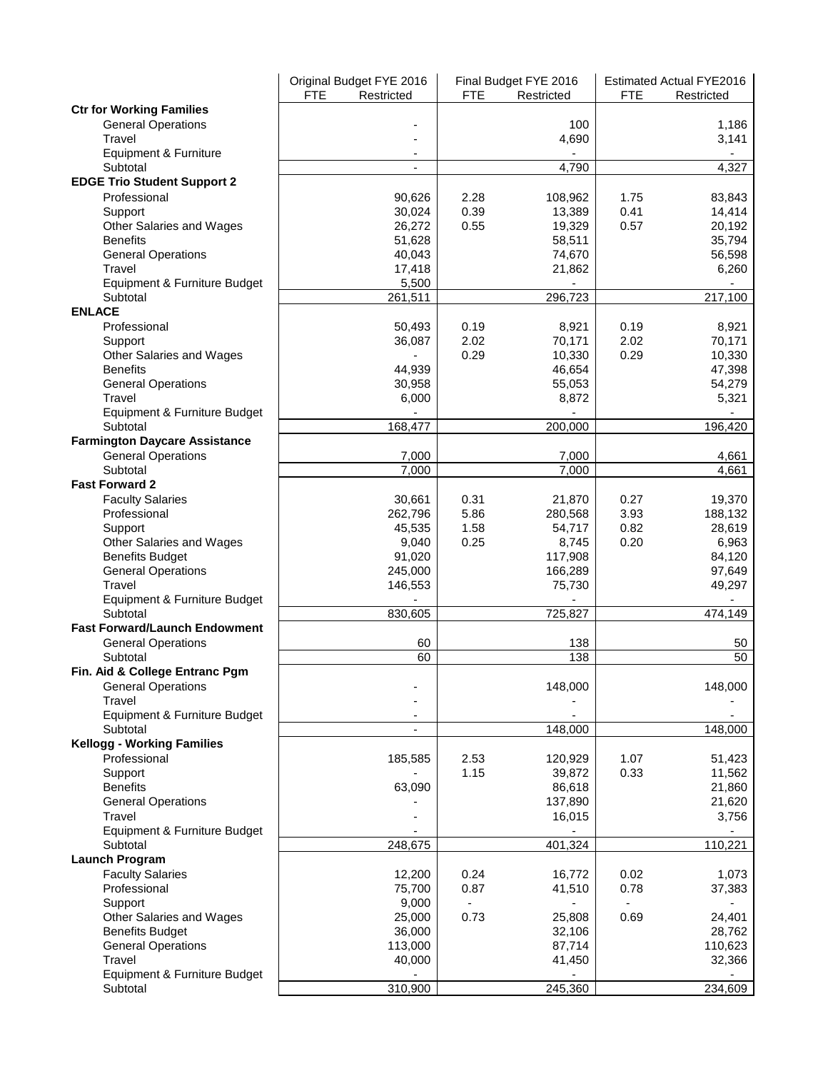|                                      | Original Budget FYE 2016<br><b>FTE</b><br>Restricted | <b>FTE</b> | Final Budget FYE 2016<br>Restricted | <b>FTE</b> | <b>Estimated Actual FYE2016</b><br>Restricted |
|--------------------------------------|------------------------------------------------------|------------|-------------------------------------|------------|-----------------------------------------------|
| <b>Ctr for Working Families</b>      |                                                      |            |                                     |            |                                               |
| <b>General Operations</b>            |                                                      |            | 100                                 |            | 1,186                                         |
| Travel                               |                                                      |            | 4,690                               |            | 3,141                                         |
| Equipment & Furniture                |                                                      |            |                                     |            |                                               |
| Subtotal                             | $\overline{\phantom{a}}$                             |            | 4,790                               |            | 4,327                                         |
| <b>EDGE Trio Student Support 2</b>   |                                                      |            |                                     |            |                                               |
| Professional                         | 90,626                                               | 2.28       | 108,962                             | 1.75       | 83,843                                        |
| Support                              | 30,024                                               | 0.39       | 13,389                              | 0.41       | 14,414                                        |
| Other Salaries and Wages             | 26,272                                               | 0.55       | 19,329                              | 0.57       | 20,192                                        |
| <b>Benefits</b>                      | 51,628                                               |            | 58,511                              |            | 35,794                                        |
| <b>General Operations</b><br>Travel  | 40,043<br>17,418                                     |            | 74,670<br>21,862                    |            | 56,598<br>6,260                               |
| Equipment & Furniture Budget         | 5,500                                                |            |                                     |            |                                               |
| Subtotal                             | 261,511                                              |            | 296,723                             |            | 217,100                                       |
| <b>ENLACE</b>                        |                                                      |            |                                     |            |                                               |
| Professional                         | 50,493                                               | 0.19       | 8,921                               | 0.19       | 8,921                                         |
| Support                              | 36,087                                               | 2.02       | 70,171                              | 2.02       | 70,171                                        |
| Other Salaries and Wages             |                                                      | 0.29       | 10,330                              | 0.29       | 10,330                                        |
| <b>Benefits</b>                      | 44,939                                               |            | 46,654                              |            | 47,398                                        |
| <b>General Operations</b>            | 30,958                                               |            | 55,053                              |            | 54,279                                        |
| Travel                               | 6,000                                                |            | 8,872                               |            | 5,321                                         |
| Equipment & Furniture Budget         |                                                      |            |                                     |            |                                               |
| Subtotal                             | 168,477                                              |            | 200,000                             |            | 196,420                                       |
| <b>Farmington Daycare Assistance</b> |                                                      |            |                                     |            |                                               |
| <b>General Operations</b>            | 7,000                                                |            | 7,000                               |            | 4,661                                         |
| Subtotal                             | 7.000                                                |            | 7,000                               |            | 4,661                                         |
| <b>Fast Forward 2</b>                |                                                      |            |                                     |            |                                               |
| <b>Faculty Salaries</b>              | 30,661                                               | 0.31       | 21,870                              | 0.27       | 19,370                                        |
| Professional                         | 262,796                                              | 5.86       | 280,568                             | 3.93       | 188,132                                       |
| Support                              | 45,535                                               | 1.58       | 54,717                              | 0.82       | 28,619                                        |
| Other Salaries and Wages             | 9,040                                                | 0.25       | 8,745                               | 0.20       | 6,963                                         |
| <b>Benefits Budget</b>               | 91,020                                               |            | 117,908                             |            | 84,120                                        |
| <b>General Operations</b><br>Travel  | 245,000                                              |            | 166,289                             |            | 97,649<br>49,297                              |
| Equipment & Furniture Budget         | 146,553                                              |            | 75,730                              |            |                                               |
| Subtotal                             | 830,605                                              |            | 725,827                             |            | 474,149                                       |
| <b>Fast Forward/Launch Endowment</b> |                                                      |            |                                     |            |                                               |
| <b>General Operations</b>            | 60                                                   |            | 138                                 |            | 50                                            |
| Subtotal                             | 60                                                   |            | 138                                 |            | 50                                            |
| Fin. Aid & College Entranc Pgm       |                                                      |            |                                     |            |                                               |
| <b>General Operations</b>            |                                                      |            | 148,000                             |            | 148,000                                       |
| Travel                               |                                                      |            |                                     |            |                                               |
| Equipment & Furniture Budget         |                                                      |            |                                     |            |                                               |
| Subtotal                             | $\overline{\phantom{a}}$                             |            | 148,000                             |            | 148,000                                       |
| <b>Kellogg - Working Families</b>    |                                                      |            |                                     |            |                                               |
| Professional                         | 185,585                                              | 2.53       | 120,929                             | 1.07       | 51,423                                        |
| Support                              |                                                      | 1.15       | 39,872                              | 0.33       | 11,562                                        |
| <b>Benefits</b>                      | 63,090                                               |            | 86,618                              |            | 21,860                                        |
| <b>General Operations</b>            |                                                      |            | 137,890                             |            | 21,620                                        |
| Travel                               |                                                      |            | 16,015                              |            | 3,756                                         |
| Equipment & Furniture Budget         |                                                      |            |                                     |            |                                               |
| Subtotal                             | 248,675                                              |            | 401,324                             |            | 110,221                                       |
| <b>Launch Program</b>                |                                                      |            |                                     |            |                                               |
| <b>Faculty Salaries</b>              | 12,200                                               | 0.24       | 16,772                              | 0.02       | 1,073                                         |
| Professional                         | 75,700                                               | 0.87       | 41,510                              | 0.78       | 37,383                                        |
| Support<br>Other Salaries and Wages  | 9,000<br>25,000                                      | 0.73       |                                     | 0.69       |                                               |
| <b>Benefits Budget</b>               | 36,000                                               |            | 25,808<br>32,106                    |            | 24,401<br>28,762                              |
| <b>General Operations</b>            | 113,000                                              |            | 87,714                              |            | 110,623                                       |
| Travel                               | 40,000                                               |            | 41,450                              |            | 32,366                                        |
| Equipment & Furniture Budget         |                                                      |            |                                     |            |                                               |
| Subtotal                             | 310,900                                              |            | 245,360                             |            | 234,609                                       |
|                                      |                                                      |            |                                     |            |                                               |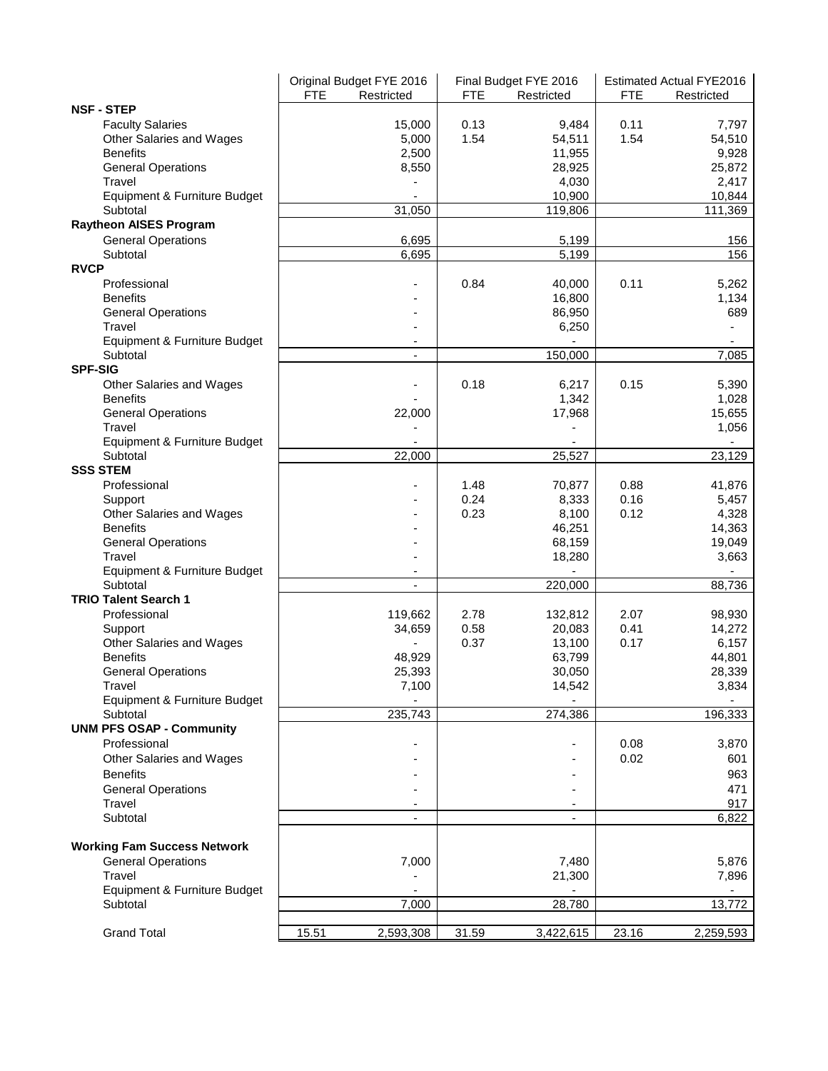|                                          |       | Original Budget FYE 2016 |            | Final Budget FYE 2016 | <b>Estimated Actual FYE2016</b> |                |  |
|------------------------------------------|-------|--------------------------|------------|-----------------------|---------------------------------|----------------|--|
|                                          | FTE   | Restricted               | <b>FTE</b> | Restricted            | <b>FTE</b>                      | Restricted     |  |
| <b>NSF - STEP</b>                        |       |                          |            |                       |                                 |                |  |
| <b>Faculty Salaries</b>                  |       | 15,000                   | 0.13       | 9,484                 | 0.11                            | 7,797          |  |
| Other Salaries and Wages                 |       | 5,000                    | 1.54       | 54,511                | 1.54                            | 54,510         |  |
| <b>Benefits</b>                          |       | 2,500                    |            | 11,955                |                                 | 9,928          |  |
| <b>General Operations</b>                |       | 8,550                    |            | 28,925                |                                 | 25,872         |  |
| Travel                                   |       |                          |            | 4,030                 |                                 | 2,417          |  |
| Equipment & Furniture Budget<br>Subtotal |       | 31,050                   |            | 10,900                |                                 | 10,844         |  |
|                                          |       |                          |            | 119,806               |                                 | 111,369        |  |
| <b>Raytheon AISES Program</b>            |       |                          |            |                       |                                 |                |  |
| <b>General Operations</b>                |       | 6,695<br>6,695           |            | 5,199<br>5,199        |                                 | 156<br>156     |  |
| Subtotal<br><b>RVCP</b>                  |       |                          |            |                       |                                 |                |  |
| Professional                             |       |                          | 0.84       |                       | 0.11                            |                |  |
| <b>Benefits</b>                          |       |                          |            | 40,000                |                                 | 5,262<br>1,134 |  |
| <b>General Operations</b>                |       |                          |            | 16,800<br>86,950      |                                 | 689            |  |
| Travel                                   |       |                          |            | 6,250                 |                                 |                |  |
| Equipment & Furniture Budget             |       | $\overline{\phantom{a}}$ |            |                       |                                 | ۰              |  |
| Subtotal                                 |       | $\blacksquare$           |            | 150,000               |                                 | 7,085          |  |
| <b>SPF-SIG</b>                           |       |                          |            |                       |                                 |                |  |
| Other Salaries and Wages                 |       |                          | 0.18       | 6,217                 | 0.15                            | 5,390          |  |
| <b>Benefits</b>                          |       |                          |            | 1,342                 |                                 | 1,028          |  |
| <b>General Operations</b>                |       | 22,000                   |            | 17,968                |                                 | 15,655         |  |
| Travel                                   |       |                          |            |                       |                                 | 1,056          |  |
| Equipment & Furniture Budget             |       |                          |            |                       |                                 |                |  |
| Subtotal                                 |       | 22,000                   |            | 25,527                |                                 | 23,129         |  |
| <b>SSS STEM</b>                          |       |                          |            |                       |                                 |                |  |
| Professional                             |       |                          | 1.48       | 70,877                | 0.88                            | 41,876         |  |
| Support                                  |       |                          | 0.24       | 8,333                 | 0.16                            | 5,457          |  |
| Other Salaries and Wages                 |       |                          | 0.23       | 8,100                 | 0.12                            | 4,328          |  |
| <b>Benefits</b>                          |       |                          |            | 46,251                |                                 | 14,363         |  |
| <b>General Operations</b>                |       |                          |            | 68,159                |                                 | 19,049         |  |
| Travel                                   |       |                          |            | 18,280                |                                 | 3,663          |  |
| Equipment & Furniture Budget             |       |                          |            |                       |                                 |                |  |
| Subtotal                                 |       | $\blacksquare$           |            | 220,000               |                                 | 88,736         |  |
| <b>TRIO Talent Search 1</b>              |       |                          |            |                       |                                 |                |  |
| Professional                             |       | 119,662                  | 2.78       | 132,812               | 2.07                            | 98,930         |  |
| Support                                  |       | 34,659                   | 0.58       | 20,083                | 0.41                            | 14,272         |  |
| Other Salaries and Wages                 |       |                          | 0.37       | 13,100                | 0.17                            | 6,157          |  |
| <b>Benefits</b>                          |       | 48,929                   |            | 63,799                |                                 | 44,801         |  |
| <b>General Operations</b>                |       | 25,393                   |            | 30,050                |                                 | 28,339         |  |
| Travel                                   |       | 7,100                    |            | 14,542                |                                 | 3,834          |  |
| Equipment & Furniture Budget             |       |                          |            |                       |                                 |                |  |
| Subtotal                                 |       | 235,743                  |            | 274,386               |                                 | 196,333        |  |
| <b>UNM PFS OSAP - Community</b>          |       |                          |            |                       |                                 |                |  |
| Professional                             |       |                          |            |                       | 0.08                            | 3,870          |  |
| Other Salaries and Wages                 |       |                          |            |                       | 0.02                            | 601            |  |
| <b>Benefits</b>                          |       |                          |            |                       |                                 | 963            |  |
| <b>General Operations</b>                |       |                          |            |                       |                                 | 471            |  |
| Travel                                   |       |                          |            | ٠                     |                                 | 917            |  |
| Subtotal                                 |       |                          |            | ٠                     |                                 | 6,822          |  |
|                                          |       |                          |            |                       |                                 |                |  |
| <b>Working Fam Success Network</b>       |       |                          |            |                       |                                 |                |  |
| <b>General Operations</b>                |       | 7,000                    |            | 7,480                 |                                 | 5,876          |  |
| Travel                                   |       |                          |            | 21,300                |                                 | 7,896          |  |
| Equipment & Furniture Budget             |       |                          |            |                       |                                 |                |  |
| Subtotal                                 |       | 7,000                    |            | 28,780                |                                 | 13,772         |  |
|                                          |       |                          |            |                       |                                 |                |  |
| <b>Grand Total</b>                       | 15.51 | 2,593,308                | 31.59      | 3,422,615             | 23.16                           | 2,259,593      |  |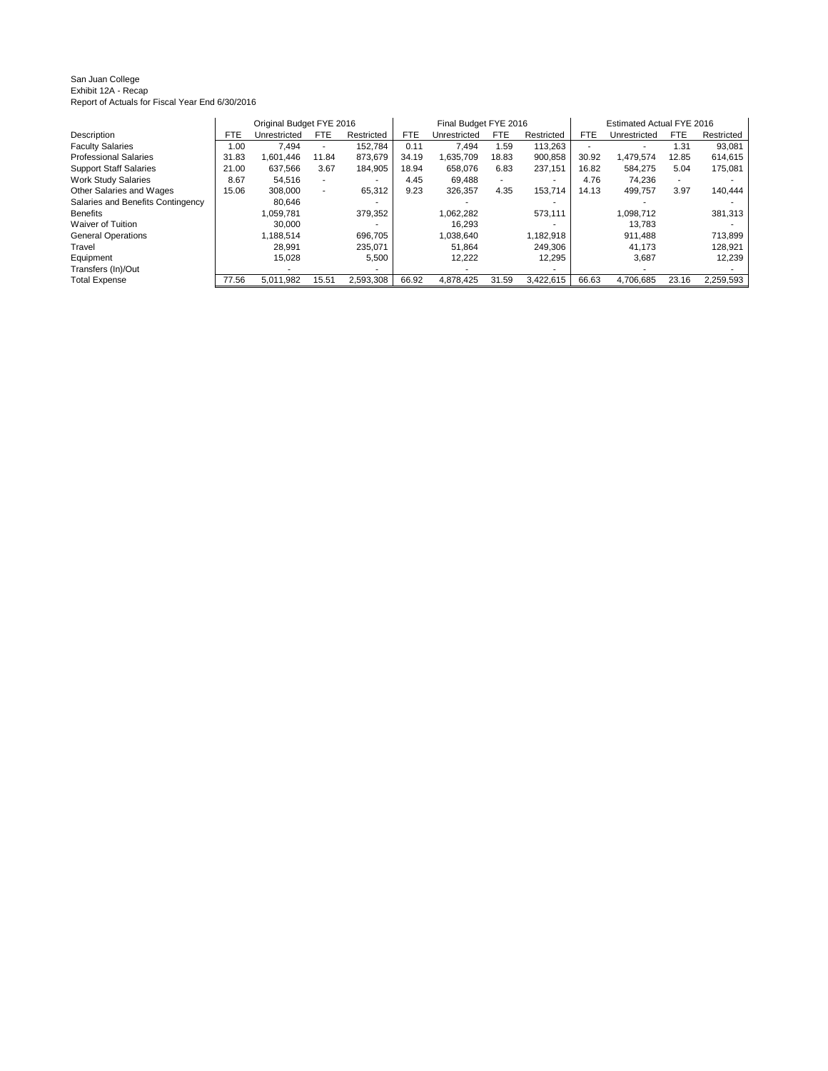San Juan College Exhibit 12A - Recap Report of Actuals for Fiscal Year End 6/30/2016

|                                   |            | Original Budget FYE 2016 |                          |            |       | Final Budget FYE 2016 |            |                          | Estimated Actual FYE 2016 |              |            |            |
|-----------------------------------|------------|--------------------------|--------------------------|------------|-------|-----------------------|------------|--------------------------|---------------------------|--------------|------------|------------|
| Description                       | <b>FTE</b> | Unrestricted             | <b>FTE</b>               | Restricted | FTE   | Unrestricted          | <b>FTE</b> | Restricted               | <b>FTE</b>                | Unrestricted | <b>FTE</b> | Restricted |
| <b>Faculty Salaries</b>           | 0.00       | 7.494                    |                          | 152.784    | 0.11  | 7.494                 | 1.59       | 113.263                  |                           | ۰.           | 1.31       | 93,081     |
| <b>Professional Salaries</b>      | 31.83      | 1.601.446                | 11.84                    | 873.679    | 34.19 | 1.635.709             | 18.83      | 900.858                  | 30.92                     | 1.479.574    | 12.85      | 614,615    |
| <b>Support Staff Salaries</b>     | 21.00      | 637.566                  | 3.67                     | 184.905    | 18.94 | 658.076               | 6.83       | 237.151                  | 16.82                     | 584.275      | 5.04       | 175.081    |
| <b>Work Study Salaries</b>        | 8.67       | 54.516                   | $\overline{\phantom{a}}$ |            | 4.45  | 69.488                | ۰.         | $\overline{\phantom{a}}$ | 4.76                      | 74.236       |            |            |
| Other Salaries and Wages          | 15.06      | 308.000                  |                          | 65.312     | 9.23  | 326.357               | 4.35       | 153.714                  | 14.13                     | 499.757      | 3.97       | 140.444    |
| Salaries and Benefits Contingency |            | 80.646                   |                          |            |       |                       |            | $\overline{\phantom{a}}$ |                           |              |            |            |
| <b>Benefits</b>                   |            | 1.059.781                |                          | 379,352    |       | 1.062.282             |            | 573.111                  |                           | 1.098.712    |            | 381,313    |
| <b>Waiver of Tuition</b>          |            | 30.000                   |                          |            |       | 16.293                |            |                          |                           | 13.783       |            |            |
| <b>General Operations</b>         |            | 1.188.514                |                          | 696.705    |       | 1.038.640             |            | 1,182,918                |                           | 911.488      |            | 713.899    |
| Travel                            |            | 28.991                   |                          | 235.071    |       | 51.864                |            | 249.306                  |                           | 41.173       |            | 128,921    |
| Equipment                         |            | 15.028                   |                          | 5,500      |       | 12.222                |            | 12,295                   |                           | 3.687        |            | 12,239     |
| Transfers (In)/Out                |            | ۰                        |                          |            |       |                       |            |                          |                           |              |            |            |
| <b>Total Expense</b>              | 77.56      | 5.011.982                | 15.51                    | 2.593.308  | 66.92 | 4.878.425             | 31.59      | 3,422,615                | 66.63                     | 4.706.685    | 23.16      | 2,259,593  |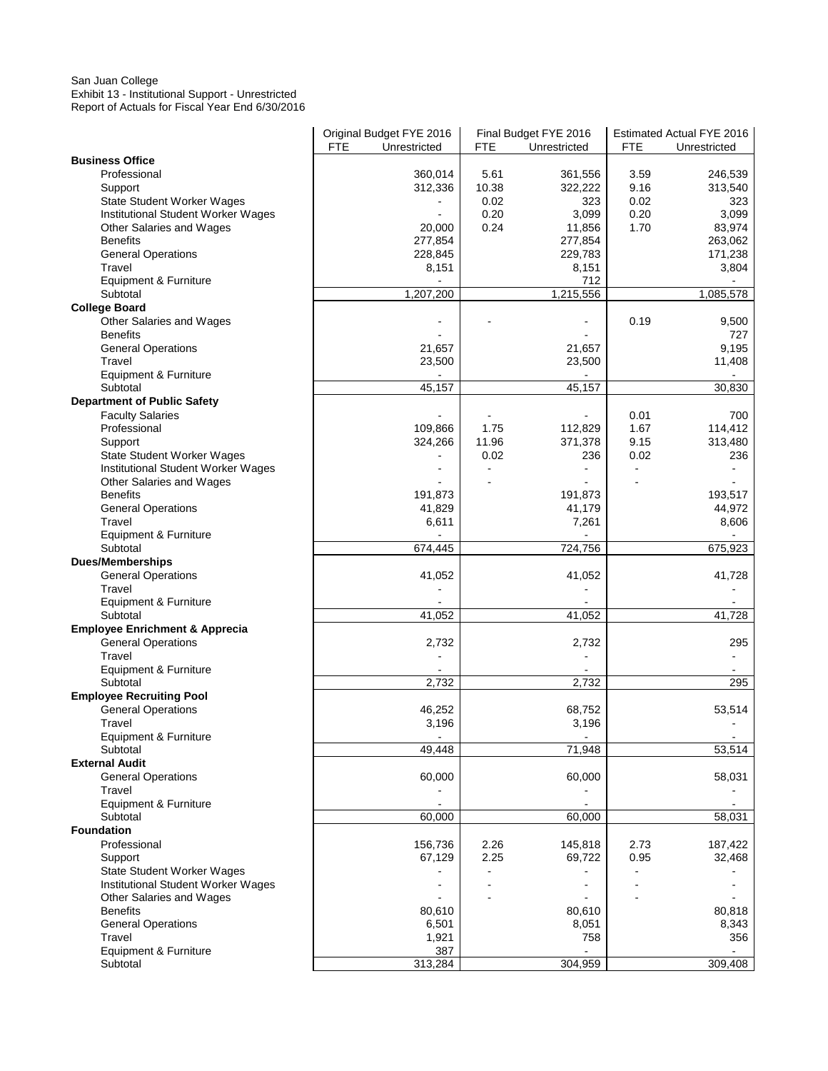### San Juan College Exhibit 13 - Institutional Support - Unrestricted Report of Actuals for Fiscal Year End 6/30/2016

|                                             | <b>FTE</b> | Original Budget FYE 2016<br>Unrestricted |               | Final Budget FYE 2016    |              | Estimated Actual FYE 2016 |
|---------------------------------------------|------------|------------------------------------------|---------------|--------------------------|--------------|---------------------------|
| <b>Business Office</b>                      |            |                                          | FTE           | Unrestricted             | FTE          | Unrestricted              |
| Professional                                |            | 360,014                                  | 5.61          | 361,556                  | 3.59         | 246,539                   |
|                                             |            |                                          |               |                          |              |                           |
| Support                                     |            | 312,336                                  | 10.38<br>0.02 | 322,222                  | 9.16         | 313,540                   |
| <b>State Student Worker Wages</b>           |            |                                          | 0.20          | 323<br>3,099             | 0.02<br>0.20 | 323                       |
| Institutional Student Worker Wages          |            | $\blacksquare$                           | 0.24          |                          |              | 3,099                     |
| Other Salaries and Wages<br><b>Benefits</b> |            | 20,000                                   |               | 11,856                   | 1.70         | 83,974                    |
|                                             |            | 277,854                                  |               | 277,854                  |              | 263,062                   |
| <b>General Operations</b><br>Travel         |            | 228,845                                  |               | 229,783                  |              | 171,238<br>3,804          |
|                                             |            | 8,151                                    |               | 8,151<br>712             |              |                           |
| Equipment & Furniture<br>Subtotal           |            |                                          |               | 1,215,556                |              |                           |
| <b>College Board</b>                        |            | 1,207,200                                |               |                          |              | 1,085,578                 |
| Other Salaries and Wages                    |            |                                          |               |                          | 0.19         | 9,500                     |
| <b>Benefits</b>                             |            |                                          |               |                          |              | 727                       |
| <b>General Operations</b>                   |            | 21,657                                   |               | 21,657                   |              | 9,195                     |
| Travel                                      |            | 23,500                                   |               | 23,500                   |              | 11,408                    |
| Equipment & Furniture                       |            |                                          |               |                          |              |                           |
| Subtotal                                    |            | 45,157                                   |               | 45,157                   |              | 30,830                    |
| <b>Department of Public Safety</b>          |            |                                          |               |                          |              |                           |
| <b>Faculty Salaries</b>                     |            |                                          |               |                          | 0.01         | 700                       |
| Professional                                |            | 109,866                                  | 1.75          | 112,829                  | 1.67         | 114,412                   |
| Support                                     |            | 324,266                                  | 11.96         | 371,378                  | 9.15         | 313,480                   |
| State Student Worker Wages                  |            |                                          | 0.02          | 236                      | 0.02         | 236                       |
| Institutional Student Worker Wages          |            |                                          |               |                          |              |                           |
| Other Salaries and Wages                    |            |                                          |               |                          |              |                           |
| <b>Benefits</b>                             |            | 191,873                                  |               | 191,873                  |              | 193,517                   |
| <b>General Operations</b>                   |            | 41,829                                   |               | 41,179                   |              | 44,972                    |
| Travel                                      |            | 6,611                                    |               | 7,261                    |              | 8,606                     |
| Equipment & Furniture                       |            |                                          |               |                          |              |                           |
| Subtotal                                    |            | 674,445                                  |               | 724,756                  |              | 675,923                   |
| <b>Dues/Memberships</b>                     |            |                                          |               |                          |              |                           |
| <b>General Operations</b>                   |            | 41,052                                   |               | 41,052                   |              | 41,728                    |
| Travel                                      |            |                                          |               | $\overline{a}$           |              |                           |
| Equipment & Furniture                       |            |                                          |               |                          |              |                           |
| Subtotal                                    |            | 41,052                                   |               | 41,052                   |              | 41,728                    |
| <b>Employee Enrichment &amp; Apprecia</b>   |            |                                          |               |                          |              |                           |
| <b>General Operations</b>                   |            | 2,732                                    |               | 2,732                    |              | 295                       |
| Travel                                      |            | ÷                                        |               |                          |              | $\blacksquare$            |
| Equipment & Furniture                       |            |                                          |               |                          |              |                           |
| Subtotal                                    |            | 2,732                                    |               | 2,732                    |              | 295                       |
| <b>Employee Recruiting Pool</b>             |            |                                          |               |                          |              |                           |
| <b>General Operations</b>                   |            | 46,252                                   |               | 68,752                   |              | 53,514                    |
| Travel                                      |            | 3,196                                    |               | 3,196                    |              |                           |
| Equipment & Furniture                       |            | $\overline{a}$                           |               | $\blacksquare$           |              | $\blacksquare$            |
| Subtotal                                    |            | 49,448                                   |               | 71,948                   |              | 53,514                    |
| <b>External Audit</b>                       |            |                                          |               |                          |              |                           |
| <b>General Operations</b>                   |            | 60,000                                   |               | 60,000                   |              | 58,031                    |
| Travel                                      |            |                                          |               |                          |              |                           |
| Equipment & Furniture                       |            | $\overline{a}$                           |               | $\overline{\phantom{a}}$ |              | ä,                        |
| Subtotal                                    |            | 60,000                                   |               | 60,000                   |              | 58,031                    |
| <b>Foundation</b>                           |            |                                          |               |                          |              |                           |
| Professional                                |            | 156,736                                  | 2.26          | 145,818                  | 2.73         | 187,422                   |
| Support                                     |            | 67,129                                   | 2.25          | 69,722                   | 0.95         | 32,468                    |
| <b>State Student Worker Wages</b>           |            |                                          |               |                          |              |                           |
| Institutional Student Worker Wages          |            |                                          |               |                          |              |                           |
| Other Salaries and Wages                    |            |                                          |               |                          |              |                           |
| <b>Benefits</b>                             |            | 80,610                                   |               | 80,610                   |              | 80,818                    |
| <b>General Operations</b>                   |            | 6,501                                    |               | 8,051                    |              | 8,343                     |
| Travel                                      |            | 1,921                                    |               | 758                      |              | 356                       |
| Equipment & Furniture                       |            | 387                                      |               |                          |              |                           |
| Subtotal                                    |            | 313,284                                  |               | 304,959                  |              | 309,408                   |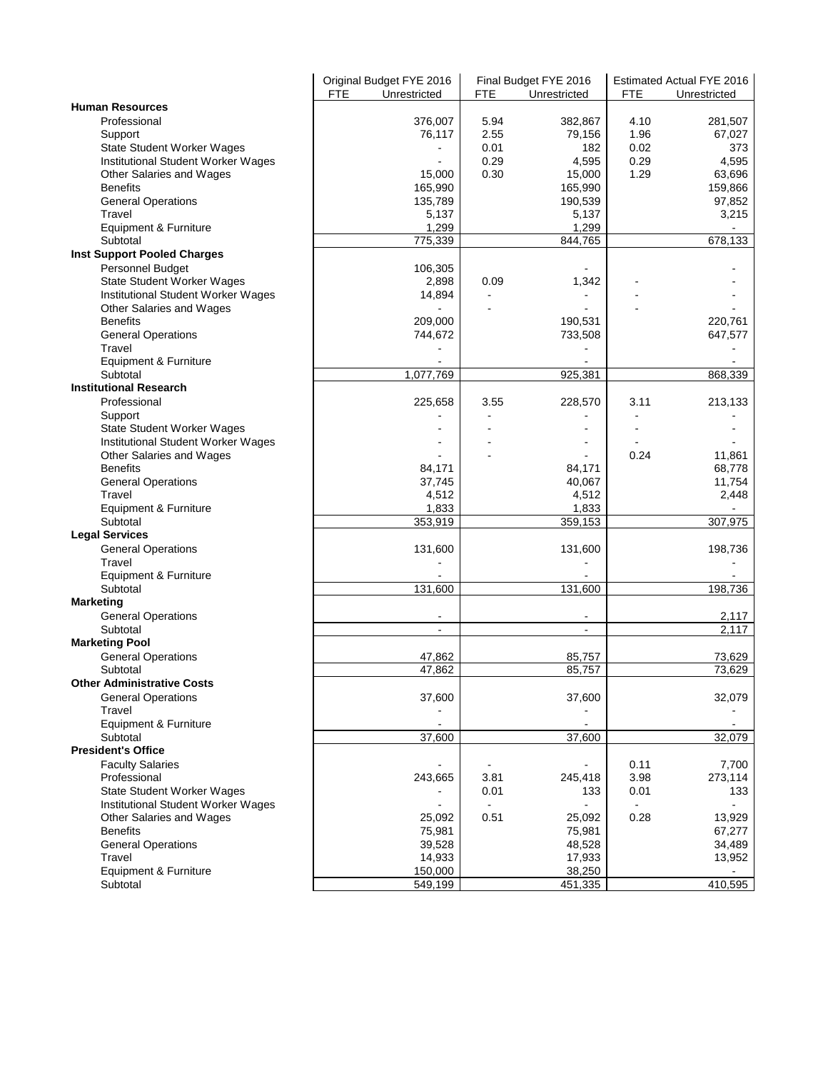|                                    |            | Original Budget FYE 2016 |      | Final Budget FYE 2016    |      | Estimated Actual FYE 2016 |
|------------------------------------|------------|--------------------------|------|--------------------------|------|---------------------------|
|                                    | <b>FTE</b> | Unrestricted             | FTE. | Unrestricted             | FTE  | Unrestricted              |
| <b>Human Resources</b>             |            |                          |      |                          |      |                           |
| Professional                       |            | 376,007                  | 5.94 | 382,867                  | 4.10 | 281,507                   |
| Support                            |            | 76,117                   | 2.55 | 79,156                   | 1.96 | 67,027                    |
| State Student Worker Wages         |            |                          | 0.01 | 182                      | 0.02 | 373                       |
| Institutional Student Worker Wages |            |                          | 0.29 | 4,595                    | 0.29 | 4,595                     |
| Other Salaries and Wages           |            | 15,000                   | 0.30 | 15,000                   | 1.29 | 63,696                    |
| <b>Benefits</b>                    |            | 165,990                  |      | 165,990                  |      | 159,866                   |
|                                    |            |                          |      |                          |      |                           |
| <b>General Operations</b>          |            | 135,789                  |      | 190,539                  |      | 97,852                    |
| Travel                             |            | 5,137                    |      | 5,137                    |      | 3,215                     |
| Equipment & Furniture              |            | 1,299                    |      | 1,299                    |      |                           |
| Subtotal                           |            | 775,339                  |      | 844,765                  |      | 678,133                   |
| <b>Inst Support Pooled Charges</b> |            |                          |      |                          |      |                           |
| Personnel Budget                   |            | 106,305                  |      |                          |      |                           |
| <b>State Student Worker Wages</b>  |            | 2,898                    | 0.09 | 1,342                    |      |                           |
| Institutional Student Worker Wages |            | 14,894                   |      |                          |      |                           |
| Other Salaries and Wages           |            |                          |      |                          |      |                           |
| <b>Benefits</b>                    |            | 209,000                  |      | 190,531                  |      | 220,761                   |
| <b>General Operations</b>          |            | 744,672                  |      | 733,508                  |      | 647,577                   |
| Travel                             |            |                          |      |                          |      |                           |
| Equipment & Furniture              |            |                          |      |                          |      |                           |
| Subtotal                           |            | 1,077,769                |      | 925,381                  |      | 868.339                   |
| <b>Institutional Research</b>      |            |                          |      |                          |      |                           |
| Professional                       |            | 225,658                  | 3.55 | 228,570                  | 3.11 | 213,133                   |
| Support                            |            |                          |      |                          |      |                           |
| State Student Worker Wages         |            |                          |      |                          |      |                           |
| Institutional Student Worker Wages |            |                          |      |                          |      |                           |
|                                    |            |                          |      |                          | 0.24 | 11,861                    |
| Other Salaries and Wages           |            |                          |      |                          |      |                           |
| <b>Benefits</b>                    |            | 84,171                   |      | 84,171                   |      | 68,778                    |
| <b>General Operations</b>          |            | 37,745                   |      | 40,067                   |      | 11,754                    |
| Travel                             |            | 4,512                    |      | 4,512                    |      | 2,448                     |
| Equipment & Furniture              |            | 1,833                    |      | 1,833                    |      |                           |
| Subtotal                           |            | 353,919                  |      | 359,153                  |      | 307,975                   |
| <b>Legal Services</b>              |            |                          |      |                          |      |                           |
| <b>General Operations</b>          |            | 131,600                  |      | 131,600                  |      | 198,736                   |
| Travel                             |            |                          |      |                          |      |                           |
| Equipment & Furniture              |            |                          |      |                          |      |                           |
| Subtotal                           |            | 131,600                  |      | 131,600                  |      | 198,736                   |
| <b>Marketing</b>                   |            |                          |      |                          |      |                           |
| <b>General Operations</b>          |            |                          |      | $\overline{\phantom{a}}$ |      | 2,117                     |
| Subtotal                           |            | $\sim$                   |      | $\blacksquare$           |      | 2,117                     |
| <b>Marketing Pool</b>              |            |                          |      |                          |      |                           |
| <b>General Operations</b>          |            | 47,862                   |      | 85,757                   |      | 73,629                    |
| Subtotal                           |            | 47,862                   |      | 85,757                   |      | 73,629                    |
| <b>Other Administrative Costs</b>  |            |                          |      |                          |      |                           |
| <b>General Operations</b>          |            | 37,600                   |      | 37,600                   |      | 32,079                    |
| Travel                             |            |                          |      |                          |      |                           |
| Equipment & Furniture              |            |                          |      | $\blacksquare$           |      | $\blacksquare$            |
| Subtotal                           |            | 37,600                   |      | 37,600                   |      | 32,079                    |
| <b>President's Office</b>          |            |                          |      |                          |      |                           |
|                                    |            |                          |      |                          | 0.11 | 7,700                     |
| <b>Faculty Salaries</b>            |            |                          |      | 245,418                  |      | 273,114                   |
| Professional                       |            | 243,665                  | 3.81 |                          | 3.98 |                           |
| <b>State Student Worker Wages</b>  |            |                          | 0.01 | 133                      | 0.01 | 133                       |
| Institutional Student Worker Wages |            |                          |      |                          |      |                           |
| Other Salaries and Wages           |            | 25,092                   | 0.51 | 25,092                   | 0.28 | 13,929                    |
| <b>Benefits</b>                    |            | 75,981                   |      | 75,981                   |      | 67,277                    |
| <b>General Operations</b>          |            | 39,528                   |      | 48,528                   |      | 34,489                    |
| Travel                             |            | 14,933                   |      | 17,933                   |      | 13,952                    |
| Equipment & Furniture              |            | 150,000                  |      | 38,250                   |      |                           |
| Subtotal                           |            | 549,199                  |      | 451,335                  |      | 410,595                   |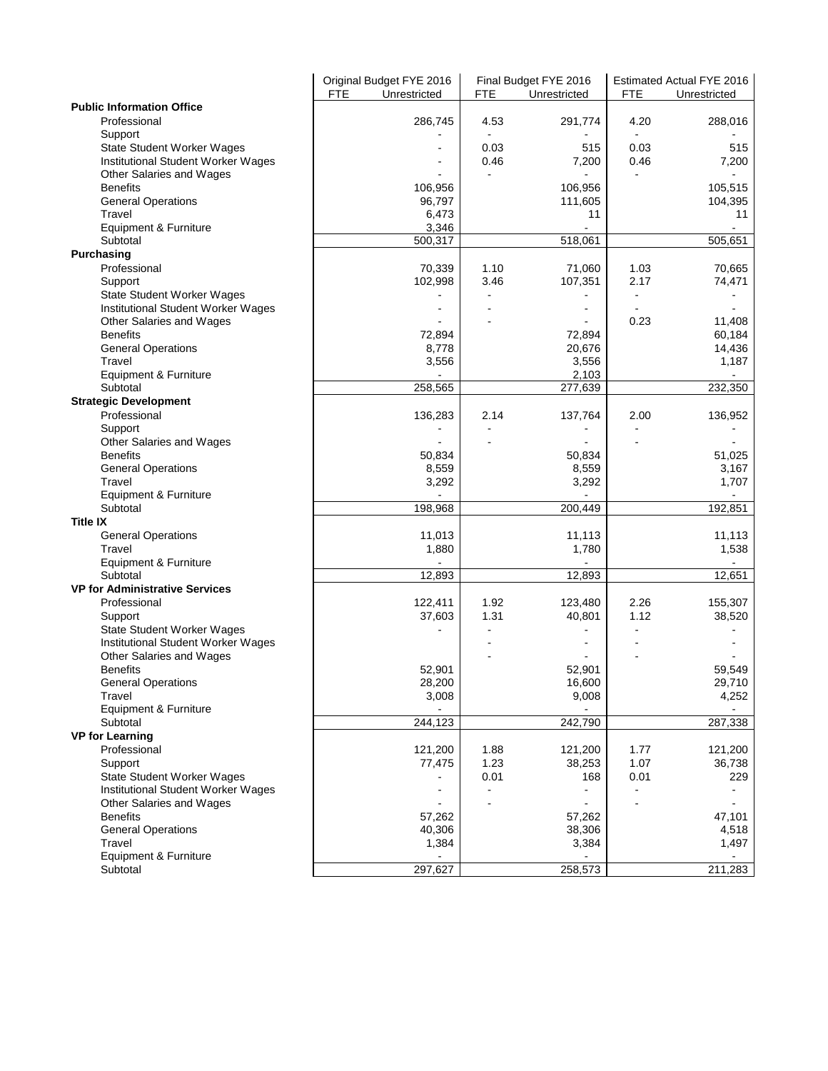|                                       |            | Original Budget FYE 2016 |                | Final Budget FYE 2016 |      | Estimated Actual FYE 2016 |
|---------------------------------------|------------|--------------------------|----------------|-----------------------|------|---------------------------|
|                                       | <b>FTE</b> | Unrestricted             | FTE            | Unrestricted          | FTE  | Unrestricted              |
| <b>Public Information Office</b>      |            |                          |                |                       |      |                           |
| Professional                          |            | 286,745                  | 4.53           | 291,774               | 4.20 | 288,016                   |
| Support                               |            |                          |                |                       |      |                           |
| <b>State Student Worker Wages</b>     |            |                          | 0.03           | 515                   | 0.03 | 515                       |
| Institutional Student Worker Wages    |            |                          | 0.46           | 7,200                 | 0.46 | 7,200                     |
|                                       |            |                          |                |                       |      |                           |
| Other Salaries and Wages              |            |                          |                |                       |      |                           |
| <b>Benefits</b>                       |            | 106,956                  |                | 106,956               |      | 105,515                   |
| <b>General Operations</b>             |            | 96,797                   |                | 111,605               |      | 104,395                   |
| Travel                                |            | 6,473                    |                | 11                    |      | 11                        |
| Equipment & Furniture                 |            | 3,346                    |                |                       |      |                           |
| Subtotal                              |            | 500,317                  |                | 518,061               |      | 505,651                   |
| Purchasing                            |            |                          |                |                       |      |                           |
| Professional                          |            | 70,339                   | 1.10           | 71,060                | 1.03 | 70,665                    |
| Support                               |            | 102,998                  | 3.46           | 107,351               | 2.17 | 74,471                    |
|                                       |            |                          |                |                       |      |                           |
| <b>State Student Worker Wages</b>     |            |                          |                |                       |      |                           |
| Institutional Student Worker Wages    |            |                          |                |                       |      |                           |
| Other Salaries and Wages              |            |                          |                |                       | 0.23 | 11,408                    |
| <b>Benefits</b>                       |            | 72,894                   |                | 72,894                |      | 60,184                    |
| <b>General Operations</b>             |            | 8,778                    |                | 20,676                |      | 14,436                    |
| Travel                                |            | 3,556                    |                | 3,556                 |      | 1,187                     |
| Equipment & Furniture                 |            |                          |                | 2,103                 |      |                           |
| Subtotal                              |            | 258,565                  |                | 277,639               |      | 232,350                   |
| <b>Strategic Development</b>          |            |                          |                |                       |      |                           |
| Professional                          |            |                          | 2.14           | 137,764               |      |                           |
|                                       |            | 136,283                  |                |                       | 2.00 | 136,952                   |
| Support                               |            | $\overline{a}$           |                | $\overline{a}$        |      |                           |
| Other Salaries and Wages              |            |                          |                |                       |      |                           |
| <b>Benefits</b>                       |            | 50,834                   |                | 50,834                |      | 51,025                    |
| <b>General Operations</b>             |            | 8,559                    |                | 8,559                 |      | 3,167                     |
| Travel                                |            | 3,292                    |                | 3,292                 |      | 1,707                     |
| Equipment & Furniture                 |            |                          |                |                       |      |                           |
| Subtotal                              |            | 198,968                  |                | 200,449               |      | 192,851                   |
| <b>Title IX</b>                       |            |                          |                |                       |      |                           |
| <b>General Operations</b>             |            | 11,013                   |                | 11,113                |      | 11,113                    |
| Travel                                |            | 1,880                    |                | 1,780                 |      | 1,538                     |
|                                       |            | $\sim$                   |                | $\sim$                |      | $\blacksquare$            |
| Equipment & Furniture                 |            |                          |                |                       |      |                           |
| Subtotal                              |            | 12,893                   |                | 12,893                |      | 12,651                    |
| <b>VP for Administrative Services</b> |            |                          |                |                       |      |                           |
| Professional                          |            | 122,411                  | 1.92           | 123,480               | 2.26 | 155,307                   |
| Support                               |            | 37,603                   | 1.31           | 40,801                | 1.12 | 38,520                    |
| State Student Worker Wages            |            |                          |                |                       |      |                           |
| Institutional Student Worker Wages    |            |                          |                |                       |      |                           |
| Other Salaries and Wages              |            |                          |                |                       |      |                           |
| <b>Benefits</b>                       |            | 52,901                   |                | 52,901                |      | 59,549                    |
| <b>General Operations</b>             |            | 28,200                   |                | 16,600                |      | 29,710                    |
| Travel                                |            | 3,008                    |                | 9,008                 |      | 4,252                     |
|                                       |            |                          |                |                       |      |                           |
| Equipment & Furniture                 |            |                          |                |                       |      |                           |
| Subtotal                              |            | 244,123                  |                | 242,790               |      | 287,338                   |
| <b>VP for Learning</b>                |            |                          |                |                       |      |                           |
| Professional                          |            | 121,200                  | 1.88           | 121,200               | 1.77 | 121,200                   |
| Support                               |            | 77,475                   | 1.23           | 38,253                | 1.07 | 36,738                    |
| <b>State Student Worker Wages</b>     |            |                          | 0.01           | 168                   | 0.01 | 229                       |
| Institutional Student Worker Wages    |            |                          | $\blacksquare$ |                       | ۰    |                           |
| Other Salaries and Wages              |            |                          |                |                       |      |                           |
| <b>Benefits</b>                       |            | 57,262                   |                | 57,262                |      | 47,101                    |
|                                       |            |                          |                |                       |      |                           |
| <b>General Operations</b>             |            | 40,306                   |                | 38,306                |      | 4,518                     |
| Travel                                |            | 1,384                    |                | 3,384                 |      | 1,497                     |
| Equipment & Furniture                 |            |                          |                |                       |      |                           |
| Subtotal                              |            | 297,627                  |                | 258,573               |      | 211,283                   |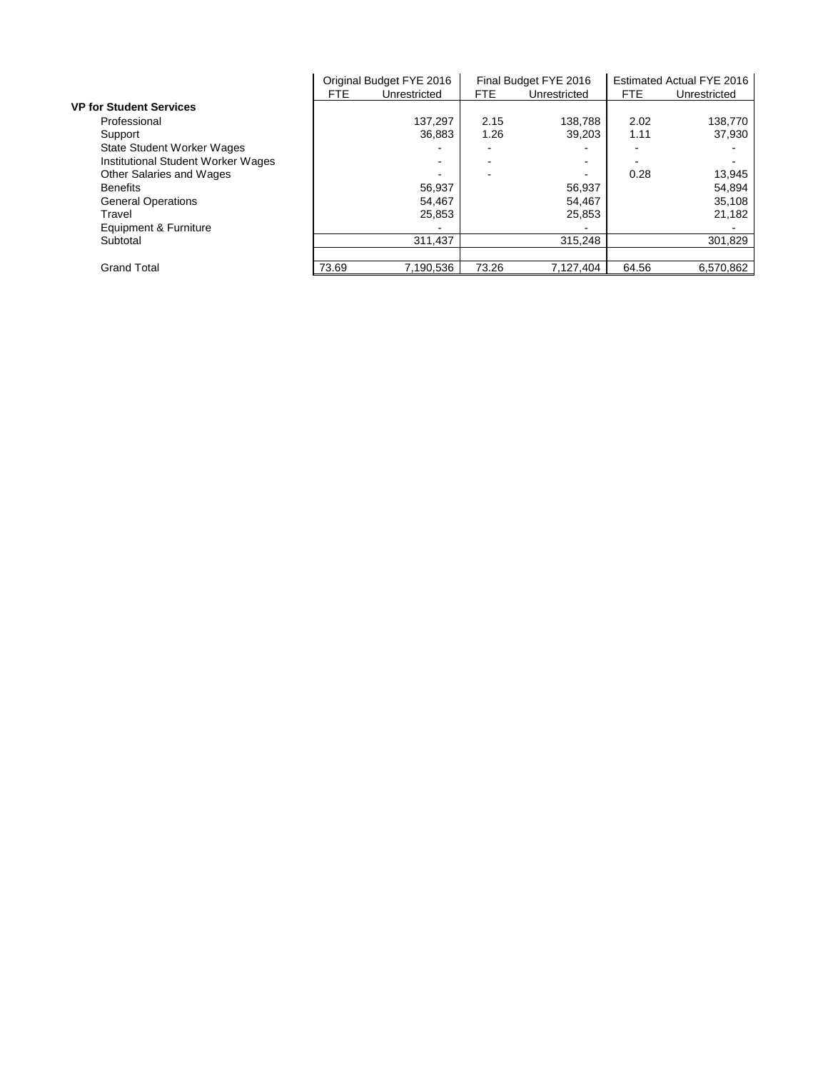|                                    |       | Original Budget FYE 2016 |       | Final Budget FYE 2016 |       | Estimated Actual FYE 2016 |
|------------------------------------|-------|--------------------------|-------|-----------------------|-------|---------------------------|
|                                    | FTE.  | Unrestricted             | FTE.  | Unrestricted          | FTE.  | Unrestricted              |
| <b>VP for Student Services</b>     |       |                          |       |                       |       |                           |
| Professional                       |       | 137.297                  | 2.15  | 138,788               | 2.02  | 138,770                   |
| Support                            |       | 36.883                   | 1.26  | 39.203                | 1.11  | 37.930                    |
| <b>State Student Worker Wages</b>  |       |                          |       |                       |       |                           |
| Institutional Student Worker Wages |       | $\blacksquare$           |       | -                     |       |                           |
| Other Salaries and Wages           |       |                          |       | -                     | 0.28  | 13.945                    |
| <b>Benefits</b>                    |       | 56,937                   |       | 56,937                |       | 54,894                    |
| <b>General Operations</b>          |       | 54.467                   |       | 54,467                |       | 35.108                    |
| Travel                             |       | 25,853                   |       | 25,853                |       | 21,182                    |
| Equipment & Furniture              |       |                          |       |                       |       |                           |
| Subtotal                           |       | 311,437                  |       | 315,248               |       | 301,829                   |
|                                    |       |                          |       |                       |       |                           |
| <b>Grand Total</b>                 | 73.69 | 7.190.536                | 73.26 | 7,127,404             | 64.56 | 6.570.862                 |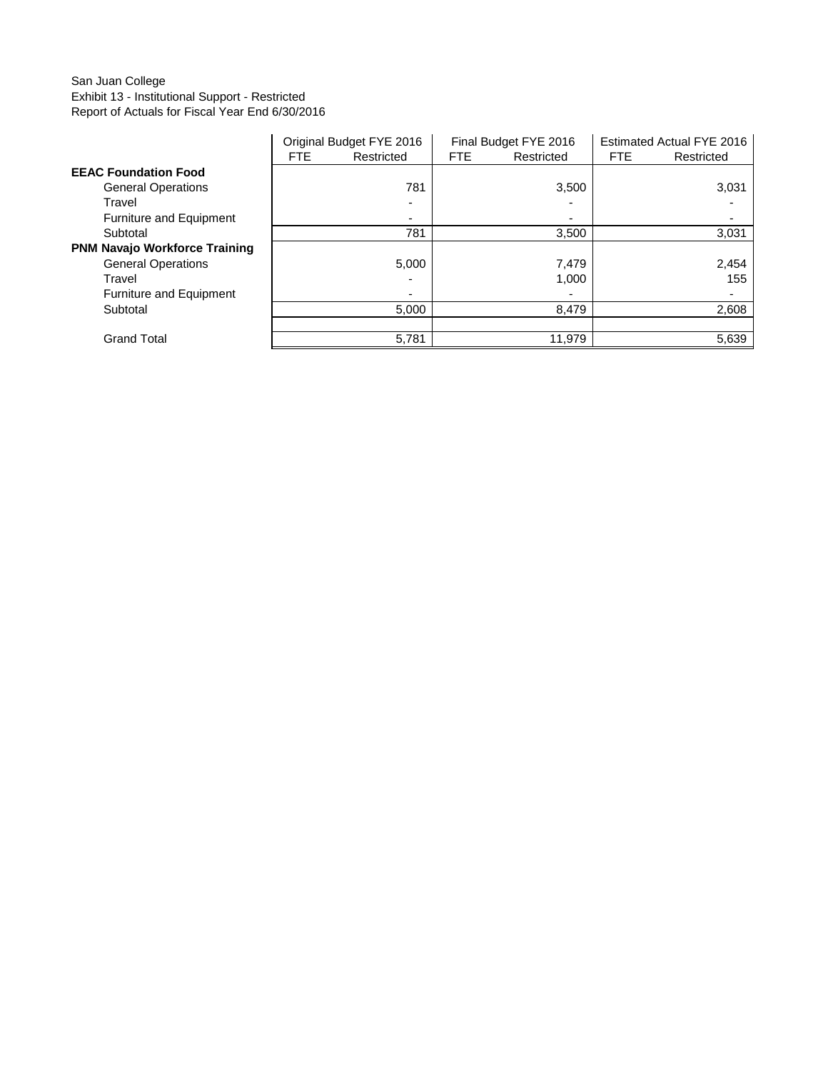## San Juan College Exhibit 13 - Institutional Support - Restricted Report of Actuals for Fiscal Year End 6/30/2016

|                                      |      | Original Budget FYE 2016 |            | Final Budget FYE 2016 |            | Estimated Actual FYE 2016 |
|--------------------------------------|------|--------------------------|------------|-----------------------|------------|---------------------------|
|                                      | FTE. | Restricted               | <b>FTE</b> | Restricted            | <b>FTE</b> | Restricted                |
| <b>EEAC Foundation Food</b>          |      |                          |            |                       |            |                           |
| <b>General Operations</b>            |      | 781                      |            | 3,500                 |            | 3,031                     |
| Travel                               |      |                          |            |                       |            |                           |
| <b>Furniture and Equipment</b>       |      |                          |            |                       |            |                           |
| Subtotal                             |      | 781                      |            | 3,500                 |            | 3,031                     |
| <b>PNM Navajo Workforce Training</b> |      |                          |            |                       |            |                           |
| <b>General Operations</b>            |      | 5,000                    |            | 7,479                 |            | 2,454                     |
| Travel                               |      |                          |            | 1.000                 |            | 155                       |
| Furniture and Equipment              |      |                          |            |                       |            |                           |
| Subtotal                             |      | 5,000                    |            | 8,479                 |            | 2,608                     |
|                                      |      |                          |            |                       |            |                           |
| <b>Grand Total</b>                   |      | 5.781                    |            | 11.979                |            | 5,639                     |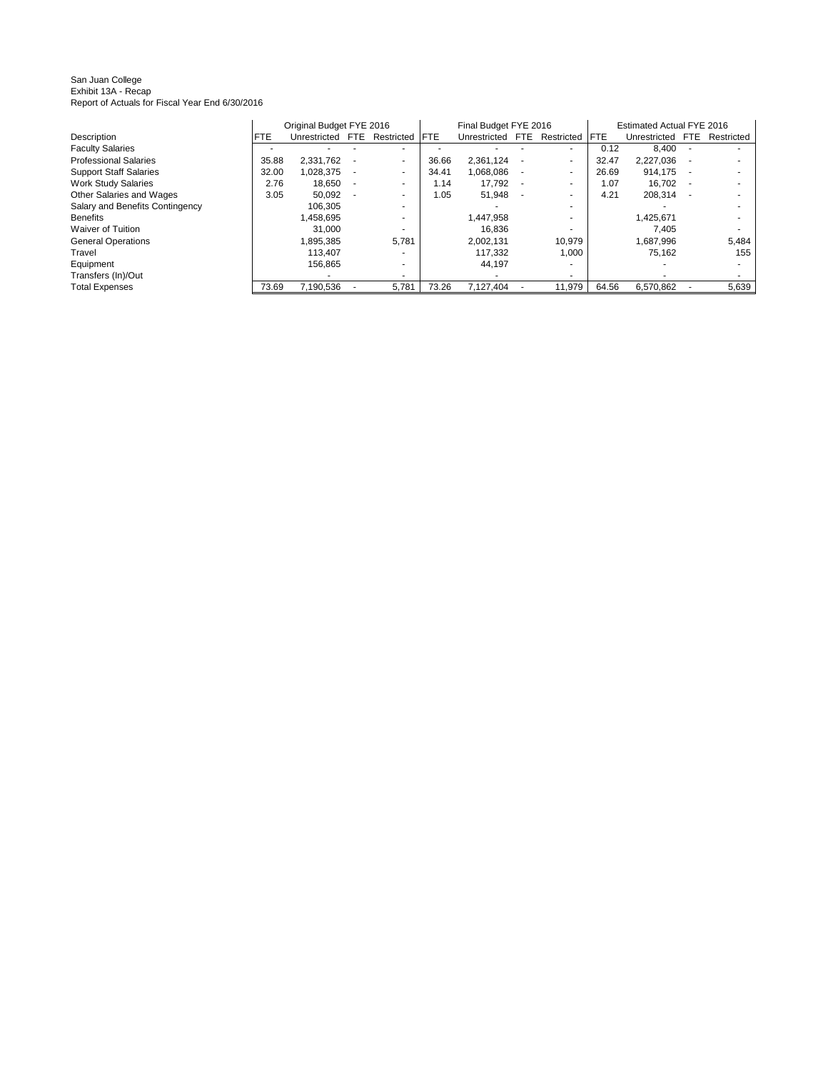San Juan College Exhibit 13A - Recap Report of Actuals for Fiscal Year End 6/30/2016

|                                 |            | Original Budget FYE 2016 |                          |             | Final Budget FYE 2016 |      |                          |       | Estimated Actual FYE 2016 |      |                          |
|---------------------------------|------------|--------------------------|--------------------------|-------------|-----------------------|------|--------------------------|-------|---------------------------|------|--------------------------|
| Description                     | <b>FTE</b> | Unrestricted FTE         | Restricted               | <b>IFTE</b> | Unrestricted          | FTE. | Restricted               | FTE.  | Unrestricted              | FTE. | Restricted               |
| <b>Faculty Salaries</b>         |            |                          | $\overline{\phantom{a}}$ |             |                       |      | $\overline{\phantom{a}}$ | 0.12  | 8.400                     |      | $\overline{\phantom{a}}$ |
| <b>Professional Salaries</b>    | 35.88      | 2.331.762                | $\overline{a}$           | 36.66       | 2.361.124             |      | $\sim$                   | 32.47 | 2.227.036                 |      |                          |
| <b>Support Staff Salaries</b>   | 32.00      | 1.028.375                | ٠                        | 34.41       | 1.068.086             |      | $\overline{\phantom{a}}$ | 26.69 | 914.175                   | ۰    |                          |
| <b>Work Study Salaries</b>      | 2.76       | 18,650                   |                          | 1.14        | 17.792                |      | $\overline{\phantom{a}}$ | 1.07  | 16,702                    | ۰    | $\overline{\phantom{a}}$ |
| Other Salaries and Wages        | 3.05       | 50,092                   | $\overline{\phantom{a}}$ | 1.05        | 51,948                |      |                          | 4.21  | 208.314                   |      |                          |
| Salary and Benefits Contingency |            | 106.305                  | $\overline{\phantom{a}}$ |             |                       |      | $\overline{\phantom{a}}$ |       |                           |      |                          |
| <b>Benefits</b>                 |            | 1,458,695                | $\overline{\phantom{a}}$ |             | 1,447,958             |      | $\overline{\phantom{a}}$ |       | 1,425,671                 |      |                          |
| <b>Waiver of Tuition</b>        |            | 31.000                   |                          |             | 16.836                |      | $\overline{\phantom{a}}$ |       | 7.405                     |      |                          |
| <b>General Operations</b>       |            | .895.385                 | 5.781                    |             | 2.002.131             |      | 10.979                   |       | 1.687.996                 |      | 5,484                    |
| Travel                          |            | 113.407                  |                          |             | 117.332               |      | 1,000                    |       | 75,162                    |      | 155                      |
| Equipment                       |            | 156.865                  | ۰                        |             | 44.197                |      |                          |       |                           |      |                          |
| Transfers (In)/Out              |            |                          | $\overline{\phantom{a}}$ |             |                       |      |                          |       |                           |      |                          |
| <b>Total Expenses</b>           | 73.69      | 7,190,536                | 5,781                    | 73.26       | 7,127,404             |      | 11,979                   | 64.56 | 6,570,862                 |      | 5,639                    |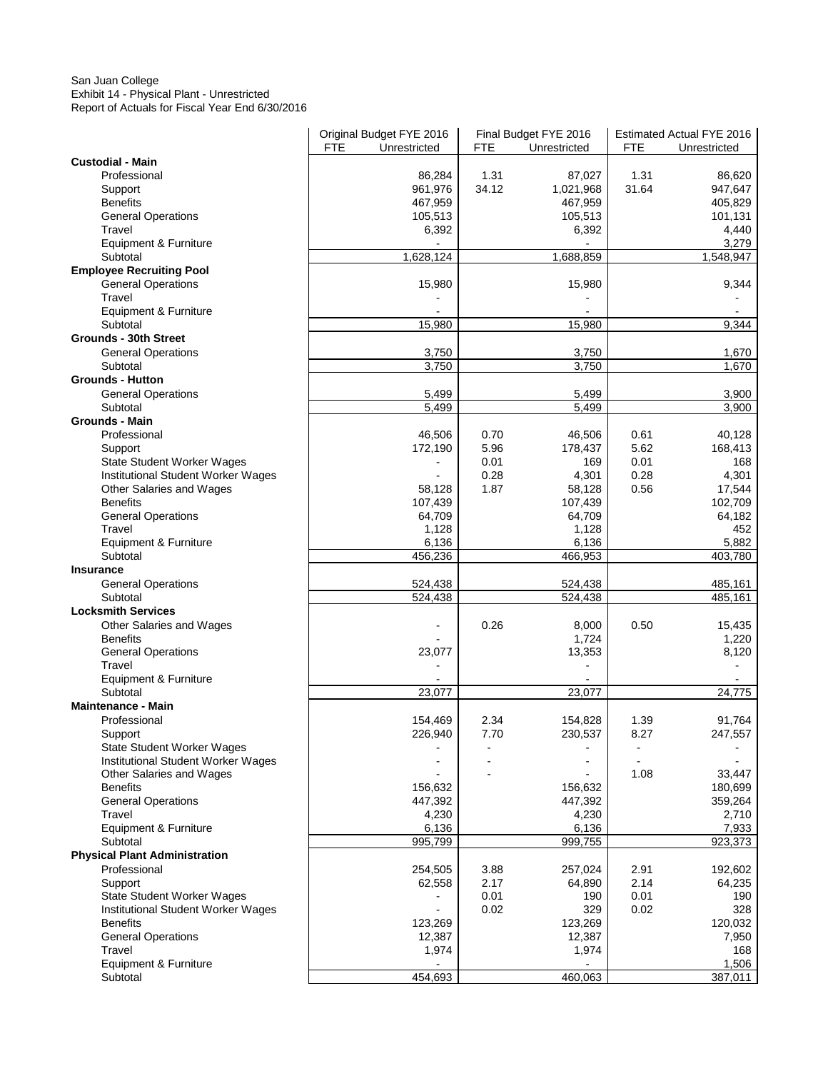#### San Juan College Exhibit 14 - Physical Plant - Unrestricted Report of Actuals for Fiscal Year End 6/30/2016

|                                                                | Original Budget FYE 2016     |       | Final Budget FYE 2016 |       | <b>Estimated Actual FYE 2016</b> |
|----------------------------------------------------------------|------------------------------|-------|-----------------------|-------|----------------------------------|
| <b>Custodial - Main</b>                                        | <b>FTE</b><br>Unrestricted   | FTE   | Unrestricted          | FTE   | Unrestricted                     |
| Professional                                                   | 86,284                       | 1.31  | 87,027                | 1.31  | 86,620                           |
| Support                                                        | 961,976                      | 34.12 | 1,021,968             | 31.64 | 947,647                          |
| <b>Benefits</b>                                                | 467,959                      |       | 467,959               |       | 405,829                          |
| <b>General Operations</b>                                      | 105,513                      |       | 105,513               |       | 101,131                          |
| Travel                                                         | 6,392                        |       | 6,392                 |       | 4,440                            |
| Equipment & Furniture                                          | $\overline{\phantom{a}}$     |       | $\blacksquare$        |       | 3,279                            |
| Subtotal                                                       | 1,628,124                    |       | 1,688,859             |       | 1,548,947                        |
| <b>Employee Recruiting Pool</b>                                |                              |       |                       |       |                                  |
| <b>General Operations</b>                                      | 15,980                       |       | 15,980                |       | 9,344                            |
| Travel                                                         |                              |       |                       |       |                                  |
| Equipment & Furniture                                          |                              |       |                       |       |                                  |
| Subtotal                                                       | 15,980                       |       | 15,980                |       | 9,344                            |
| Grounds - 30th Street                                          |                              |       |                       |       |                                  |
| <b>General Operations</b>                                      | 3,750                        |       | 3,750                 |       | 1,670                            |
| Subtotal                                                       | 3,750                        |       | 3,750                 |       | 1,670                            |
| <b>Grounds - Hutton</b>                                        |                              |       |                       |       |                                  |
| <b>General Operations</b>                                      | 5,499                        |       | 5,499                 |       | 3,900                            |
| Subtotal                                                       | 5,499                        |       | 5,499                 |       | 3,900                            |
| Grounds - Main                                                 |                              |       |                       |       |                                  |
| Professional                                                   | 46,506                       | 0.70  | 46,506                | 0.61  | 40,128                           |
| Support                                                        | 172,190                      | 5.96  | 178,437               | 5.62  | 168,413                          |
| <b>State Student Worker Wages</b>                              | $\qquad \qquad \blacksquare$ | 0.01  | 169                   | 0.01  | 168                              |
| Institutional Student Worker Wages                             | $\overline{\phantom{a}}$     | 0.28  | 4,301                 | 0.28  | 4,301                            |
| Other Salaries and Wages                                       | 58,128                       | 1.87  | 58,128                | 0.56  | 17,544                           |
| <b>Benefits</b>                                                | 107,439                      |       | 107,439               |       | 102,709                          |
| <b>General Operations</b>                                      | 64,709                       |       | 64,709                |       | 64,182                           |
| Travel                                                         | 1,128                        |       | 1,128                 |       | 452                              |
| Equipment & Furniture                                          | 6,136                        |       | 6,136                 |       | 5,882                            |
| Subtotal                                                       | 456,236                      |       | 466,953               |       | 403,780                          |
| <b>Insurance</b>                                               |                              |       |                       |       |                                  |
| <b>General Operations</b>                                      | 524,438                      |       | 524,438               |       | 485,161                          |
| Subtotal                                                       | 524,438                      |       | 524,438               |       | 485,161                          |
| <b>Locksmith Services</b>                                      |                              |       |                       |       |                                  |
| Other Salaries and Wages                                       |                              | 0.26  | 8,000                 | 0.50  | 15,435                           |
| <b>Benefits</b>                                                |                              |       | 1,724                 |       | 1,220                            |
| <b>General Operations</b>                                      | 23,077                       |       | 13,353                |       | 8,120                            |
| Travel                                                         |                              |       |                       |       |                                  |
| Equipment & Furniture                                          |                              |       |                       |       |                                  |
| Subtotal                                                       | 23,077                       |       | 23,077                |       | 24,775                           |
| <b>Maintenance - Main</b>                                      |                              |       |                       |       |                                  |
| Professional                                                   | 154,469                      | 2.34  | 154,828               | 1.39  | 91,764                           |
| Support                                                        | 226,940                      | 7.70  | 230,537               | 8.27  | 247,557                          |
| <b>State Student Worker Wages</b>                              |                              |       |                       |       |                                  |
| Institutional Student Worker Wages<br>Other Salaries and Wages |                              |       |                       | 1.08  | 33,447                           |
| <b>Benefits</b>                                                | 156,632                      |       | 156,632               |       | 180,699                          |
| <b>General Operations</b>                                      | 447,392                      |       | 447,392               |       | 359,264                          |
| Travel                                                         | 4,230                        |       | 4,230                 |       | 2,710                            |
| Equipment & Furniture                                          | 6,136                        |       | 6,136                 |       | 7,933                            |
| Subtotal                                                       | 995,799                      |       | 999,755               |       | 923,373                          |
| <b>Physical Plant Administration</b>                           |                              |       |                       |       |                                  |
| Professional                                                   | 254,505                      | 3.88  | 257,024               | 2.91  | 192,602                          |
| Support                                                        | 62,558                       | 2.17  | 64,890                | 2.14  | 64,235                           |
| <b>State Student Worker Wages</b>                              | $\blacksquare$               | 0.01  | 190                   | 0.01  | 190                              |
| Institutional Student Worker Wages                             |                              | 0.02  | 329                   | 0.02  | 328                              |
| <b>Benefits</b>                                                | 123,269                      |       | 123,269               |       | 120,032                          |
| <b>General Operations</b>                                      | 12,387                       |       | 12,387                |       | 7,950                            |
| Travel                                                         | 1,974                        |       | 1,974                 |       | 168                              |
| Equipment & Furniture                                          |                              |       |                       |       | 1,506                            |
| Subtotal                                                       | 454,693                      |       | 460,063               |       | 387,011                          |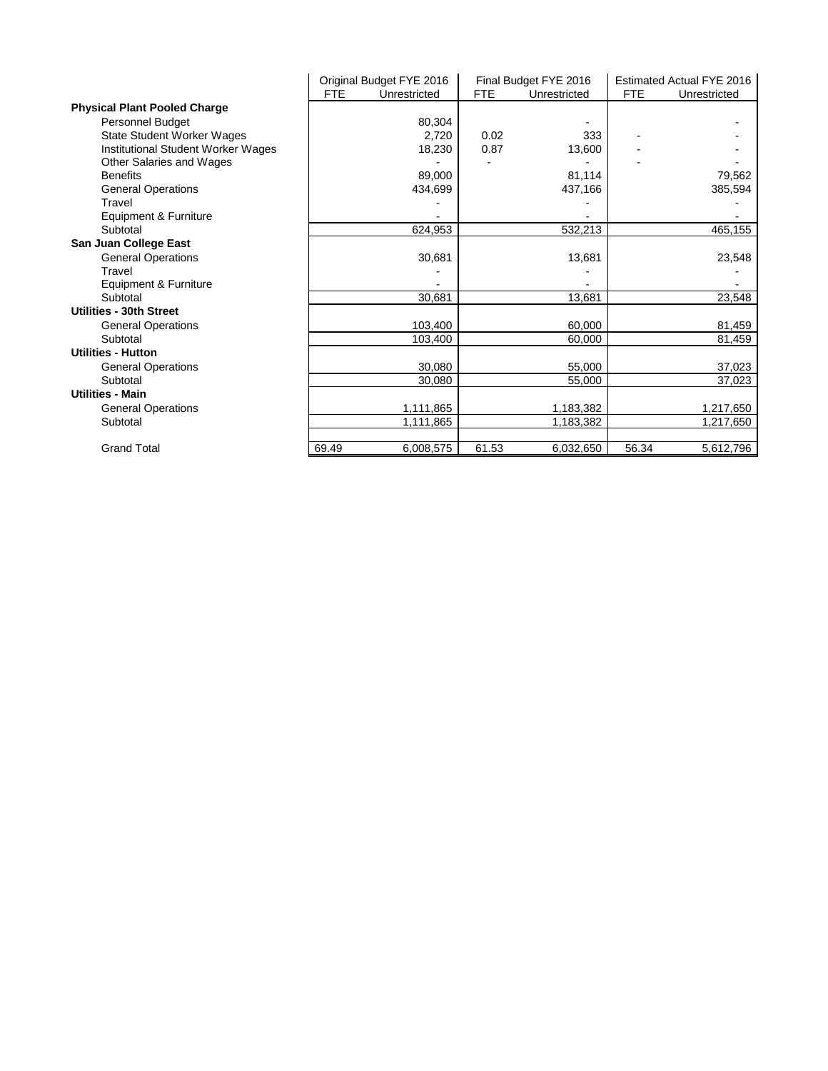|                                     |            | Original Budget FYE 2016 |            | Final Budget FYE 2016 |       | Estimated Actual FYE 2016 |
|-------------------------------------|------------|--------------------------|------------|-----------------------|-------|---------------------------|
|                                     | <b>FTE</b> | Unrestricted             | <b>FTE</b> | Unrestricted          | FTE.  | Unrestricted              |
| <b>Physical Plant Pooled Charge</b> |            |                          |            |                       |       |                           |
| <b>Personnel Budget</b>             |            | 80,304                   |            |                       |       |                           |
| <b>State Student Worker Wages</b>   |            | 2.720                    | 0.02       | 333                   |       |                           |
| Institutional Student Worker Wages  |            | 18,230                   | 0.87       | 13,600                |       |                           |
| Other Salaries and Wages            |            |                          |            |                       |       |                           |
| <b>Benefits</b>                     |            | 89,000                   |            | 81,114                |       | 79,562                    |
| <b>General Operations</b>           |            | 434,699                  |            | 437,166               |       | 385,594                   |
| Travel                              |            |                          |            |                       |       |                           |
| Equipment & Furniture               |            |                          |            |                       |       |                           |
| Subtotal                            |            | 624,953                  |            | 532,213               |       | 465,155                   |
| San Juan College East               |            |                          |            |                       |       |                           |
| <b>General Operations</b>           |            | 30,681                   |            | 13,681                |       | 23,548                    |
| Travel                              |            |                          |            |                       |       |                           |
| Equipment & Furniture               |            |                          |            |                       |       |                           |
| Subtotal                            |            | 30,681                   |            | 13,681                |       | 23,548                    |
| Utilities - 30th Street             |            |                          |            |                       |       |                           |
| <b>General Operations</b>           |            | 103,400                  |            | 60.000                |       | 81,459                    |
| Subtotal                            |            | 103,400                  |            | 60,000                |       | 81,459                    |
| <b>Utilities - Hutton</b>           |            |                          |            |                       |       |                           |
| <b>General Operations</b>           |            | 30,080                   |            | 55,000                |       | 37,023                    |
| Subtotal                            |            | 30.080                   |            | 55,000                |       | 37,023                    |
| <b>Utilities - Main</b>             |            |                          |            |                       |       |                           |
| <b>General Operations</b>           |            | 1,111,865                |            | 1,183,382             |       | 1,217,650                 |
| Subtotal                            |            | 1,111,865                |            | 1,183,382             |       | 1,217,650                 |
|                                     |            |                          |            |                       |       |                           |
| <b>Grand Total</b>                  | 69.49      | 6,008,575                | 61.53      | 6,032,650             | 56.34 | 5,612,796                 |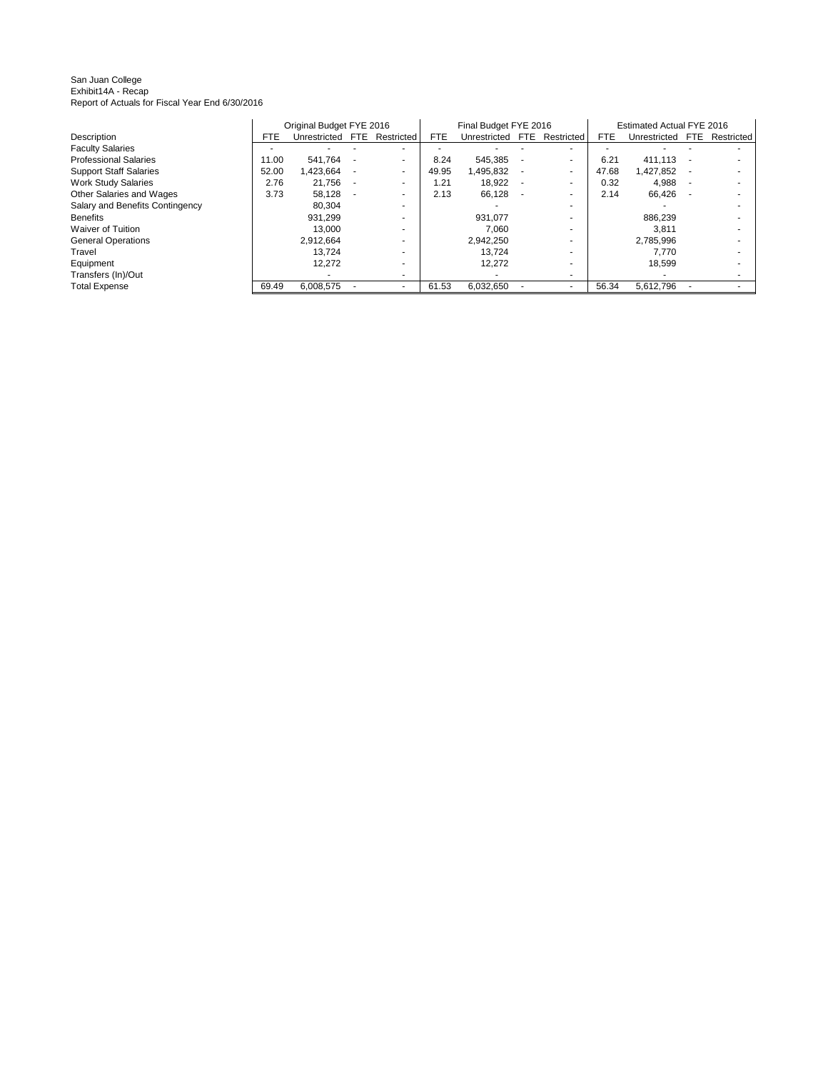San Juan College Exhibit14A - Recap Report of Actuals for Fiscal Year End 6/30/2016

|                                 |            | Original Budget FYE 2016 |                          |            | Final Budget FYE 2016 |      |                          |       | <b>Estimated Actual FYE 2016</b> |                          |
|---------------------------------|------------|--------------------------|--------------------------|------------|-----------------------|------|--------------------------|-------|----------------------------------|--------------------------|
| Description                     | <b>FTE</b> | Unrestricted FTE         | Restricted               | <b>FTE</b> | Unrestricted          | FTE. | Restricted               | FTE.  | Unrestricted                     | FTE Restricted           |
| <b>Faculty Salaries</b>         |            |                          | $\overline{\phantom{a}}$ |            |                       |      | $\overline{\phantom{a}}$ |       |                                  | ۰                        |
| <b>Professional Salaries</b>    | 11.00      | 541.764                  | $\sim$                   | 8.24       | 545,385               |      |                          | 6.21  | 411.113                          |                          |
| <b>Support Staff Salaries</b>   | 52.00      | 1,423,664                | ۰                        | 49.95      | 1,495,832             |      | ٠                        | 47.68 | .427,852                         | ۰                        |
| <b>Work Study Salaries</b>      | 2.76       | 21,756                   | $\overline{\phantom{a}}$ | 1.21       | 18,922                |      | $\overline{\phantom{a}}$ | 0.32  | 4,988                            | $\overline{\phantom{a}}$ |
| Other Salaries and Wages        | 3.73       | 58,128                   | $\overline{\phantom{a}}$ | 2.13       | 66,128                |      | $\overline{\phantom{a}}$ | 2.14  | 66.426                           | ۰                        |
| Salary and Benefits Contingency |            | 80.304                   | $\overline{\phantom{a}}$ |            |                       |      | $\overline{\phantom{a}}$ |       |                                  | ۰                        |
| <b>Benefits</b>                 |            | 931.299                  |                          |            | 931.077               |      |                          |       | 886.239                          | ۰                        |
| <b>Waiver of Tuition</b>        |            | 13.000                   | $\overline{\phantom{a}}$ |            | 7.060                 |      |                          |       | 3.811                            |                          |
| <b>General Operations</b>       |            | 2,912,664                |                          |            | 2,942,250             |      |                          |       | 2,785,996                        | ۰                        |
| Travel                          |            | 13.724                   | $\overline{\phantom{a}}$ |            | 13,724                |      |                          |       | 7,770                            | ۰                        |
| Equipment                       |            | 12.272                   |                          |            | 12.272                |      |                          |       | 18.599                           | ۰                        |
| Transfers (In)/Out              |            |                          | ٠                        |            |                       |      |                          |       |                                  |                          |
| <b>Total Expense</b>            | 69.49      | 6,008,575                |                          | 61.53      | 6,032,650             |      | $\overline{\phantom{a}}$ | 56.34 | 5,612,796                        |                          |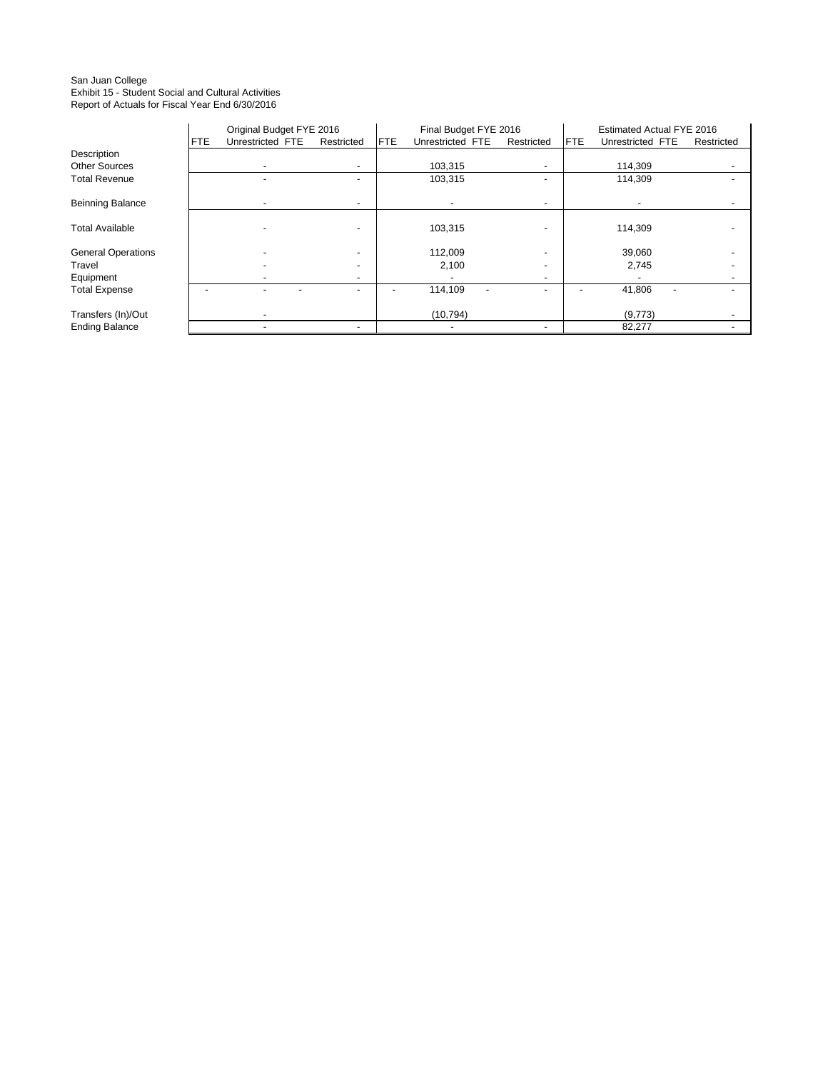#### San Juan College Exhibit 15 - Student Social and Cultural Activities Report of Actuals for Fiscal Year End 6/30/2016

|                           |     | Original Budget FYE 2016 |            |            | Final Budget FYE 2016    |                          |            | Estimated Actual FYE 2016 |            |
|---------------------------|-----|--------------------------|------------|------------|--------------------------|--------------------------|------------|---------------------------|------------|
|                           | FTE | Unrestricted FTE         | Restricted | <b>FTE</b> | Unrestricted FTE         | Restricted               | <b>FTE</b> | Unrestricted FTE          | Restricted |
| Description               |     |                          |            |            |                          |                          |            |                           |            |
| <b>Other Sources</b>      |     |                          |            |            | 103,315                  | $\overline{\phantom{a}}$ |            | 114,309                   |            |
| <b>Total Revenue</b>      |     |                          |            |            | 103,315                  |                          |            | 114,309                   |            |
| <b>Beinning Balance</b>   |     |                          |            |            |                          | $\overline{\phantom{0}}$ |            |                           |            |
| <b>Total Available</b>    |     |                          |            |            | 103,315                  |                          |            | 114,309                   |            |
| <b>General Operations</b> |     |                          |            |            | 112,009                  |                          |            | 39,060                    |            |
| Travel                    |     |                          |            |            | 2,100                    | $\overline{\phantom{0}}$ |            | 2,745                     |            |
| Equipment                 |     |                          | -          |            |                          | $\overline{\phantom{a}}$ |            |                           |            |
| <b>Total Expense</b>      |     |                          |            |            | 114,109                  | -                        |            | 41,806                    |            |
| Transfers (In)/Out        |     | $\overline{\phantom{0}}$ |            |            | (10, 794)                |                          |            | (9,773)                   |            |
| <b>Ending Balance</b>     |     | -                        |            |            | $\overline{\phantom{a}}$ | $\overline{\phantom{a}}$ |            | 82,277                    |            |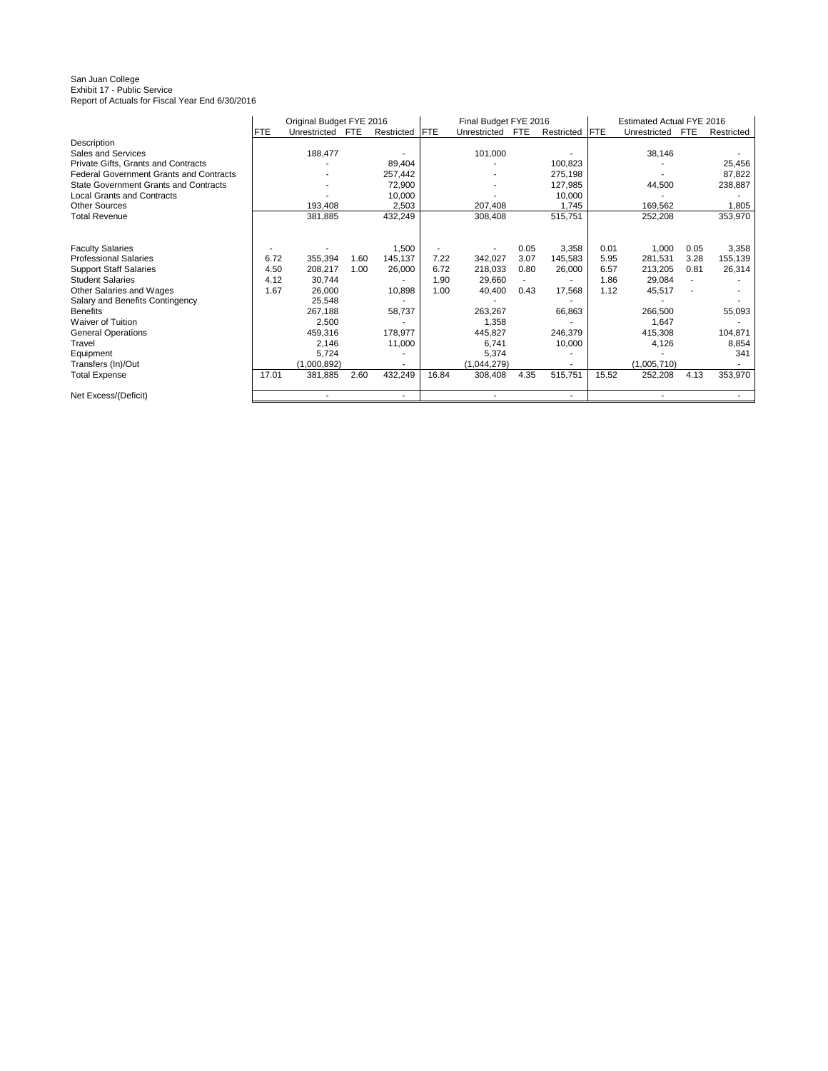# San Juan College Exhibit 17 - Public Service Report of Actuals for Fiscal Year End 6/30/2016

|                                                |            | Original Budget FYE 2016 |            |            |            | Final Budget FYE 2016 |            |            |            | Estimated Actual FYE 2016 |            |            |
|------------------------------------------------|------------|--------------------------|------------|------------|------------|-----------------------|------------|------------|------------|---------------------------|------------|------------|
|                                                | <b>FTE</b> | Unrestricted             | <b>FTE</b> | Restricted | <b>FTE</b> | Unrestricted          | <b>FTE</b> | Restricted | <b>FTE</b> | Unrestricted              | <b>FTE</b> | Restricted |
| Description                                    |            |                          |            |            |            |                       |            |            |            |                           |            |            |
| Sales and Services                             |            | 188,477                  |            |            |            | 101,000               |            |            |            | 38,146                    |            |            |
| Private Gifts, Grants and Contracts            |            |                          |            | 89,404     |            |                       |            | 100,823    |            |                           |            | 25,456     |
| <b>Federal Government Grants and Contracts</b> |            |                          |            | 257,442    |            |                       |            | 275,198    |            |                           |            | 87,822     |
| <b>State Government Grants and Contracts</b>   |            |                          |            | 72,900     |            |                       |            | 127,985    |            | 44,500                    |            | 238,887    |
| <b>Local Grants and Contracts</b>              |            |                          |            | 10,000     |            |                       |            | 10,000     |            |                           |            |            |
| <b>Other Sources</b>                           |            | 193,408                  |            | 2,503      |            | 207,408               |            | 1,745      |            | 169,562                   |            | 1,805      |
| <b>Total Revenue</b>                           |            | 381,885                  |            | 432,249    |            | 308,408               |            | 515,751    |            | 252,208                   |            | 353,970    |
|                                                |            |                          |            |            |            |                       |            |            |            |                           |            |            |
|                                                |            |                          |            |            |            |                       |            |            |            |                           |            |            |
| <b>Faculty Salaries</b>                        |            |                          |            | 1,500      |            |                       | 0.05       | 3,358      | 0.01       | 1,000                     | 0.05       | 3,358      |
| <b>Professional Salaries</b>                   | 6.72       | 355,394                  | 1.60       | 145,137    | 7.22       | 342.027               | 3.07       | 145,583    | 5.95       | 281.531                   | 3.28       | 155,139    |
| <b>Support Staff Salaries</b>                  | 4.50       | 208,217                  | 1.00       | 26,000     | 6.72       | 218,033               | 0.80       | 26,000     | 6.57       | 213,205                   | 0.81       | 26,314     |
| <b>Student Salaries</b>                        | 4.12       | 30,744                   |            |            | 1.90       | 29,660                |            |            | 1.86       | 29,084                    |            |            |
| Other Salaries and Wages                       | 1.67       | 26,000                   |            | 10,898     | 1.00       | 40,400                | 0.43       | 17,568     | 1.12       | 45,517                    |            |            |
| Salary and Benefits Contingency                |            | 25,548                   |            |            |            |                       |            |            |            |                           |            |            |
| <b>Benefits</b>                                |            | 267,188                  |            | 58,737     |            | 263,267               |            | 66,863     |            | 266,500                   |            | 55,093     |
| <b>Waiver of Tuition</b>                       |            | 2,500                    |            |            |            | 1,358                 |            |            |            | 1,647                     |            |            |
| <b>General Operations</b>                      |            | 459,316                  |            | 178,977    |            | 445,827               |            | 246,379    |            | 415,308                   |            | 104,871    |
| Travel                                         |            | 2,146                    |            | 11,000     |            | 6,741                 |            | 10,000     |            | 4,126                     |            | 8,854      |
| Equipment                                      |            | 5,724                    |            |            |            | 5,374                 |            |            |            |                           |            | 341        |
| Transfers (In)/Out                             |            | (1,000,892)              |            |            |            | (1,044,279)           |            |            |            | (1.005.710)               |            |            |
| <b>Total Expense</b>                           | 17.01      | 381,885                  | 2.60       | 432,249    | 16.84      | 308,408               | 4.35       | 515,751    | 15.52      | 252,208                   | 4.13       | 353,970    |
| Net Excess/(Deficit)                           |            |                          |            | ٠          |            |                       |            |            |            |                           |            |            |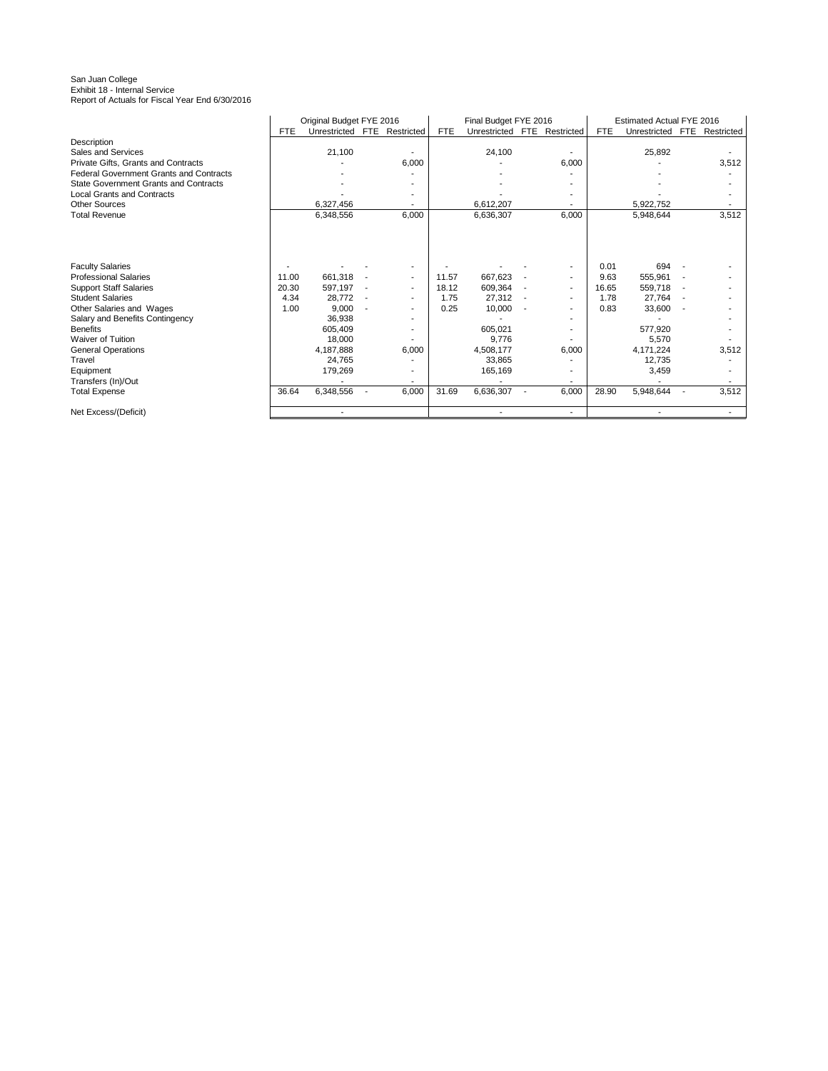## San Juan College Exhibit 18 - Internal Service Report of Actuals for Fiscal Year End 6/30/2016

|                                                |            | Original Budget FYE 2016    |       |            | Final Budget FYE 2016       |       |            | Estimated Actual FYE 2016 |            |
|------------------------------------------------|------------|-----------------------------|-------|------------|-----------------------------|-------|------------|---------------------------|------------|
|                                                | <b>FTE</b> | Unrestricted FTE Restricted |       | <b>FTE</b> | Unrestricted FTE Restricted |       | <b>FTE</b> | Unrestricted FTE          | Restricted |
| Description                                    |            |                             |       |            |                             |       |            |                           |            |
| Sales and Services                             |            | 21,100                      |       |            | 24,100                      |       |            | 25,892                    |            |
| Private Gifts, Grants and Contracts            |            |                             | 6,000 |            |                             | 6,000 |            |                           | 3,512      |
| <b>Federal Government Grants and Contracts</b> |            |                             |       |            |                             |       |            |                           |            |
| <b>State Government Grants and Contracts</b>   |            |                             |       |            |                             |       |            |                           |            |
| <b>Local Grants and Contracts</b>              |            |                             |       |            |                             |       |            |                           |            |
| <b>Other Sources</b>                           |            | 6,327,456                   |       |            | 6,612,207                   |       |            | 5,922,752                 |            |
| <b>Total Revenue</b>                           |            | 6,348,556                   | 6,000 |            | 6,636,307                   | 6,000 |            | 5,948,644                 | 3,512      |
|                                                |            |                             |       |            |                             |       |            |                           |            |
|                                                |            |                             |       |            |                             |       |            |                           |            |
| <b>Faculty Salaries</b>                        |            |                             |       |            |                             | ٠     | 0.01       | 694                       |            |
| <b>Professional Salaries</b>                   | 11.00      | 661,318                     |       | 11.57      | 667,623                     |       | 9.63       | 555,961                   |            |
| <b>Support Staff Salaries</b>                  | 20.30      | 597,197                     |       | 18.12      | 609,364                     | ٠     | 16.65      | 559,718                   |            |
| <b>Student Salaries</b>                        | 4.34       | 28,772                      |       | 1.75       | 27,312                      |       | 1.78       | 27,764                    |            |
| Other Salaries and Wages                       | 1.00       | 9,000                       |       | 0.25       | 10,000                      |       | 0.83       | 33,600                    |            |
| Salary and Benefits Contingency                |            | 36,938                      |       |            |                             |       |            |                           |            |
| <b>Benefits</b>                                |            | 605,409                     |       |            | 605,021                     |       |            | 577,920                   |            |
| Waiver of Tuition                              |            | 18.000                      |       |            | 9,776                       |       |            | 5,570                     |            |
| <b>General Operations</b>                      |            | 4,187,888                   | 6,000 |            | 4,508,177                   | 6,000 |            | 4,171,224                 | 3,512      |
| Travel                                         |            | 24,765                      |       |            | 33,865                      |       |            | 12,735                    |            |
| Equipment                                      |            | 179,269                     |       |            | 165,169                     |       |            | 3,459                     |            |
| Transfers (In)/Out                             |            |                             |       |            |                             |       |            |                           |            |
| <b>Total Expense</b>                           | 36.64      | 6,348,556                   | 6,000 | 31.69      | 6,636,307                   | 6,000 | 28.90      | 5,948,644                 | 3,512      |
| Net Excess/(Deficit)                           |            |                             |       |            |                             |       |            |                           |            |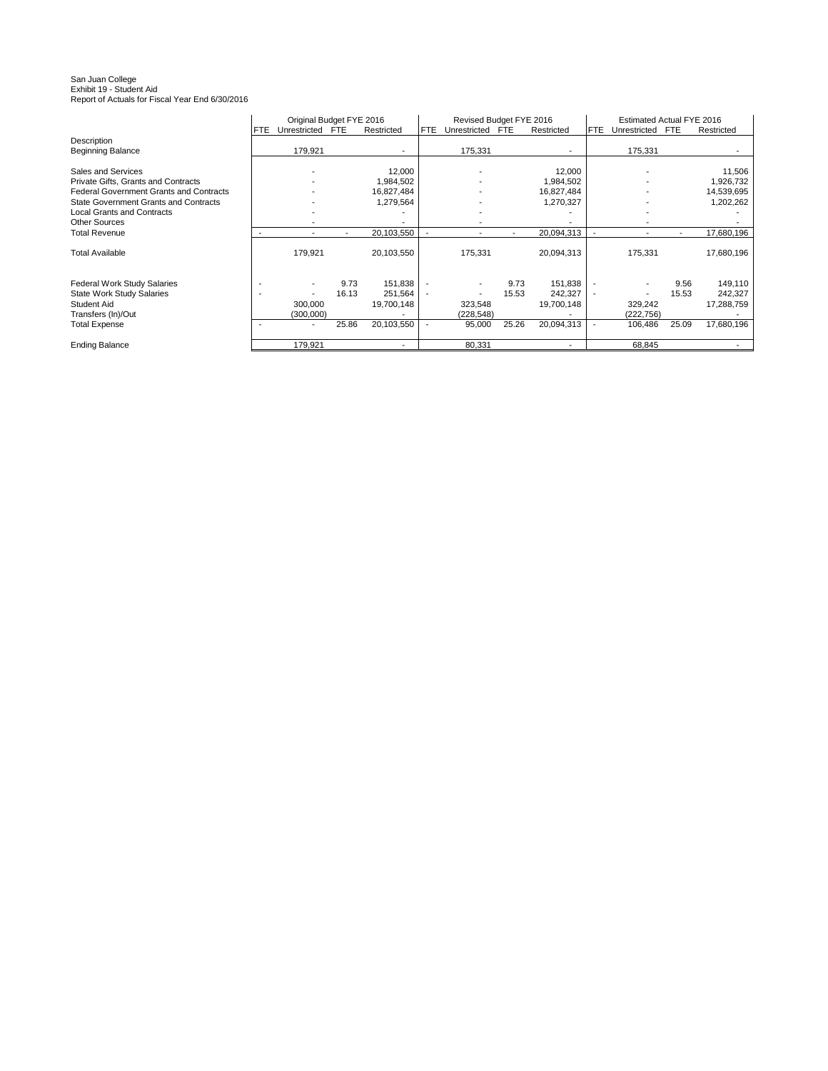# San Juan College Exhibit 19 - Student Aid Report of Actuals for Fiscal Year End 6/30/2016

|                                                |            | Original Budget FYE 2016 |            |                          |      | Revised Budget FYE 2016  |            |            |                          | Estimated Actual FYE 2016 |            |            |
|------------------------------------------------|------------|--------------------------|------------|--------------------------|------|--------------------------|------------|------------|--------------------------|---------------------------|------------|------------|
|                                                | <b>FTE</b> | Unrestricted             | <b>FTE</b> | Restricted               | FTE. | Unrestricted             | <b>FTE</b> | Restricted | FTE.                     | Unrestricted              | <b>FTE</b> | Restricted |
| Description                                    |            |                          |            |                          |      |                          |            |            |                          |                           |            |            |
| <b>Beginning Balance</b>                       |            | 179,921                  |            | $\overline{\phantom{a}}$ |      | 175,331                  |            |            |                          | 175,331                   |            |            |
|                                                |            |                          |            |                          |      |                          |            |            |                          |                           |            |            |
| Sales and Services                             |            |                          |            | 12,000                   |      |                          |            | 12,000     |                          |                           |            | 11,506     |
| Private Gifts, Grants and Contracts            |            |                          |            | 1,984,502                |      |                          |            | 1,984,502  |                          |                           |            | 1,926,732  |
| <b>Federal Government Grants and Contracts</b> |            |                          |            | 16,827,484               |      |                          |            | 16,827,484 |                          |                           |            | 14,539,695 |
| <b>State Government Grants and Contracts</b>   |            |                          |            | 1,279,564                |      |                          |            | 1,270,327  |                          |                           |            | 1,202,262  |
| <b>Local Grants and Contracts</b>              |            |                          |            |                          |      |                          |            |            |                          |                           |            |            |
| <b>Other Sources</b>                           |            |                          |            |                          |      |                          |            |            |                          |                           |            |            |
| <b>Total Revenue</b>                           |            | $\overline{\phantom{a}}$ |            | 20,103,550               |      |                          |            | 20,094,313 |                          |                           |            | 17,680,196 |
|                                                |            |                          |            |                          |      |                          |            |            |                          |                           |            |            |
| <b>Total Available</b>                         |            | 179,921                  |            | 20,103,550               |      | 175,331                  |            | 20,094,313 |                          | 175,331                   |            | 17,680,196 |
|                                                |            |                          |            |                          |      |                          |            |            |                          |                           |            |            |
| <b>Federal Work Study Salaries</b>             |            |                          | 9.73       | 151.838                  |      |                          | 9.73       | 151,838    |                          |                           | 9.56       | 149,110    |
| <b>State Work Study Salaries</b>               |            |                          | 16.13      | 251,564                  |      | $\overline{\phantom{a}}$ | 15.53      | 242,327    | $\overline{\phantom{a}}$ |                           | 15.53      | 242,327    |
| <b>Student Aid</b>                             |            | 300,000                  |            | 19,700,148               |      | 323,548                  |            | 19,700,148 |                          | 329,242                   |            | 17,288,759 |
| Transfers (In)/Out                             |            | (300,000)                |            |                          |      | (228,548)                |            |            |                          | (222, 756)                |            |            |
| <b>Total Expense</b>                           |            | $\overline{\phantom{a}}$ | 25.86      | 20,103,550               |      | 95,000                   | 25.26      | 20,094,313 |                          | 106,486                   | 25.09      | 17,680,196 |
| <b>Ending Balance</b>                          |            | 179,921                  |            | $\overline{\phantom{a}}$ |      | 80.331                   |            |            |                          | 68,845                    |            |            |
|                                                |            |                          |            |                          |      |                          |            |            |                          |                           |            |            |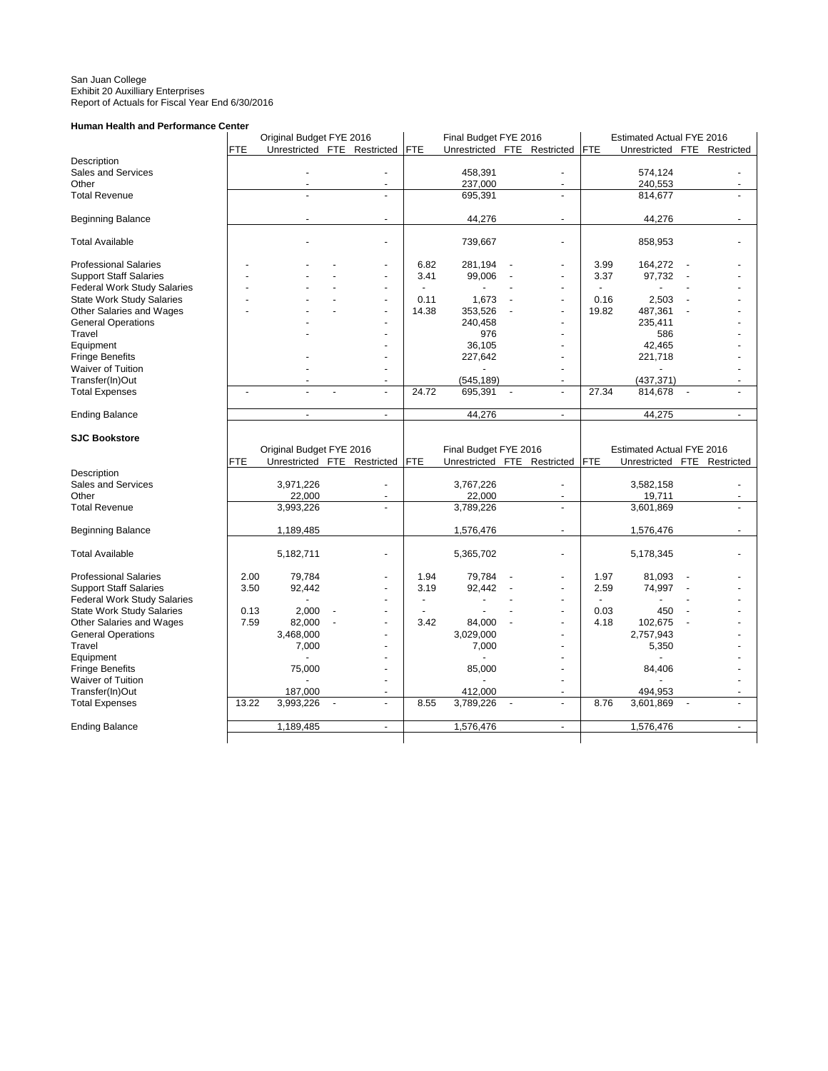#### San Juan College Exhibit 20 Auxilliary Enterprises Report of Actuals for Fiscal Year End 6/30/2016

### **Human Health and Performance Center**

|                                          |              | Original Budget FYE 2016    |                          |                          |              | Final Budget FYE 2016 |                             |              | Estimated Actual FYE 2016   |                          |   |
|------------------------------------------|--------------|-----------------------------|--------------------------|--------------------------|--------------|-----------------------|-----------------------------|--------------|-----------------------------|--------------------------|---|
|                                          | <b>FTE</b>   | Unrestricted FTE Restricted |                          |                          | FTE          |                       | Unrestricted FTE Restricted | <b>FTE</b>   | Unrestricted FTE Restricted |                          |   |
| Description                              |              |                             |                          |                          |              |                       |                             |              |                             |                          |   |
| Sales and Services                       |              |                             |                          |                          |              | 458,391               |                             |              | 574,124                     |                          |   |
| Other                                    |              |                             |                          | ÷.                       |              | 237,000               | $\overline{\phantom{a}}$    |              | 240,553                     |                          |   |
| <b>Total Revenue</b>                     |              |                             |                          | L,                       |              | 695,391               |                             |              | 814,677                     |                          |   |
| <b>Beginning Balance</b>                 |              |                             |                          | ä,                       |              | 44,276                | $\blacksquare$              |              | 44,276                      |                          |   |
| <b>Total Available</b>                   |              |                             |                          | ä,                       |              | 739,667               | $\blacksquare$              |              | 858,953                     |                          |   |
| <b>Professional Salaries</b>             |              |                             |                          |                          | 6.82         | 281,194               |                             | 3.99         | 164,272                     |                          |   |
| <b>Support Staff Salaries</b>            |              |                             |                          | ٠                        | 3.41         | 99,006                | $\blacksquare$              | 3.37         | 97,732                      |                          |   |
| Federal Work Study Salaries              |              |                             |                          | ä,                       | $\sim$       | $\sim$                | $\sim$                      |              |                             |                          |   |
| <b>State Work Study Salaries</b>         |              |                             |                          | ÷,                       | 0.11         | 1,673                 | $\overline{a}$              | 0.16         | 2,503                       |                          |   |
| Other Salaries and Wages                 |              |                             |                          | L,                       | 14.38        | 353,526               | $\blacksquare$              | 19.82        | 487,361                     |                          |   |
| <b>General Operations</b>                |              |                             |                          |                          |              | 240,458               |                             |              | 235,411                     |                          |   |
| Travel                                   |              |                             |                          |                          |              | 976                   | ÷,                          |              | 586                         |                          |   |
| Equipment                                |              |                             |                          |                          |              | 36,105                | $\overline{a}$              |              | 42,465                      |                          |   |
| <b>Fringe Benefits</b>                   |              |                             |                          |                          |              | 227,642               | ÷,                          |              | 221,718                     |                          |   |
| Waiver of Tuition                        |              |                             |                          |                          |              |                       |                             |              |                             |                          |   |
| Transfer(In)Out                          |              |                             |                          | $\overline{a}$           |              | (545, 189)            |                             |              | (437, 371)                  |                          |   |
| <b>Total Expenses</b>                    | ÷,           |                             |                          | $\overline{a}$           | 24.72        | 695,391               | $\overline{a}$              | 27.34        | 814,678                     | $\blacksquare$           |   |
| <b>Ending Balance</b>                    |              | $\overline{\phantom{a}}$    |                          | $\overline{a}$           |              | 44,276                | $\overline{\phantom{a}}$    |              | 44,275                      |                          |   |
|                                          |              |                             |                          |                          |              |                       |                             |              |                             |                          |   |
| <b>SJC Bookstore</b>                     |              |                             |                          |                          |              |                       |                             |              |                             |                          |   |
|                                          |              |                             |                          |                          |              |                       |                             |              |                             |                          |   |
|                                          |              | Original Budget FYE 2016    |                          |                          |              | Final Budget FYE 2016 |                             |              | Estimated Actual FYE 2016   |                          |   |
|                                          | <b>FTE</b>   | Unrestricted FTE Restricted |                          |                          | <b>FTE</b>   |                       | Unrestricted FTE Restricted | <b>FTE</b>   | Unrestricted FTE Restricted |                          |   |
| Description                              |              |                             |                          |                          |              |                       |                             |              |                             |                          |   |
| Sales and Services                       |              | 3,971,226                   |                          | ÷,                       |              | 3,767,226             |                             |              | 3,582,158                   |                          |   |
| Other                                    |              | 22,000                      |                          |                          |              | 22,000                |                             |              | 19,711                      |                          |   |
| <b>Total Revenue</b>                     |              | 3,993,226                   |                          | $\overline{a}$           |              | 3,789,226             | $\overline{a}$              |              | 3,601,869                   |                          |   |
| <b>Beginning Balance</b>                 |              | 1,189,485                   |                          |                          |              | 1,576,476             | $\overline{\phantom{a}}$    |              | 1,576,476                   |                          |   |
| <b>Total Available</b>                   |              | 5,182,711                   |                          |                          |              | 5,365,702             | $\overline{\phantom{a}}$    |              | 5,178,345                   |                          |   |
|                                          |              |                             |                          |                          |              |                       | ٠                           |              |                             |                          |   |
| <b>Professional Salaries</b>             | 2.00         | 79,784                      |                          | L,                       | 1.94<br>3.19 | 79,784                | $\overline{\phantom{a}}$    | 1.97         | 81,093                      |                          |   |
| <b>Support Staff Salaries</b>            | 3.50         | 92,442                      |                          |                          |              | 92,442                | $\overline{a}$              | 2.59         | 74,997                      |                          |   |
| <b>Federal Work Study Salaries</b>       |              |                             |                          |                          |              |                       | Ĭ.                          |              |                             |                          |   |
| <b>State Work Study Salaries</b>         | 0.13<br>7.59 | 2,000                       |                          | ä,                       | 3.42         |                       | ÷,                          | 0.03<br>4.18 | 450                         |                          |   |
| Other Salaries and Wages                 |              | 82,000                      |                          |                          |              | 84,000                |                             |              | 102,675                     |                          |   |
| <b>General Operations</b>                |              | 3,468,000                   |                          |                          |              | 3,029,000             | ä,                          |              | 2,757,943                   |                          |   |
| Travel                                   |              | 7,000                       |                          |                          |              | 7,000                 |                             |              | 5,350                       |                          |   |
| Equipment                                |              |                             |                          |                          |              |                       |                             |              |                             |                          |   |
| <b>Fringe Benefits</b>                   |              | 75,000                      |                          | ä,                       |              | 85,000                | ٠                           |              | 84,406                      |                          |   |
| Waiver of Tuition                        |              |                             |                          |                          |              |                       |                             |              |                             |                          |   |
| Transfer(In)Out<br><b>Total Expenses</b> | 13.22        | 187,000<br>3,993,226        | $\overline{\phantom{a}}$ | $\overline{a}$           | 8.55         | 412,000<br>3,789,226  | $\overline{a}$              | 8.76         | 494,953<br>3,601,869        | $\overline{\phantom{a}}$ |   |
|                                          |              |                             |                          |                          |              |                       |                             |              |                             |                          | ٠ |
| <b>Ending Balance</b>                    |              | 1,189,485                   |                          | $\overline{\phantom{a}}$ |              | 1,576,476             | $\overline{\phantom{a}}$    |              | 1,576,476                   |                          |   |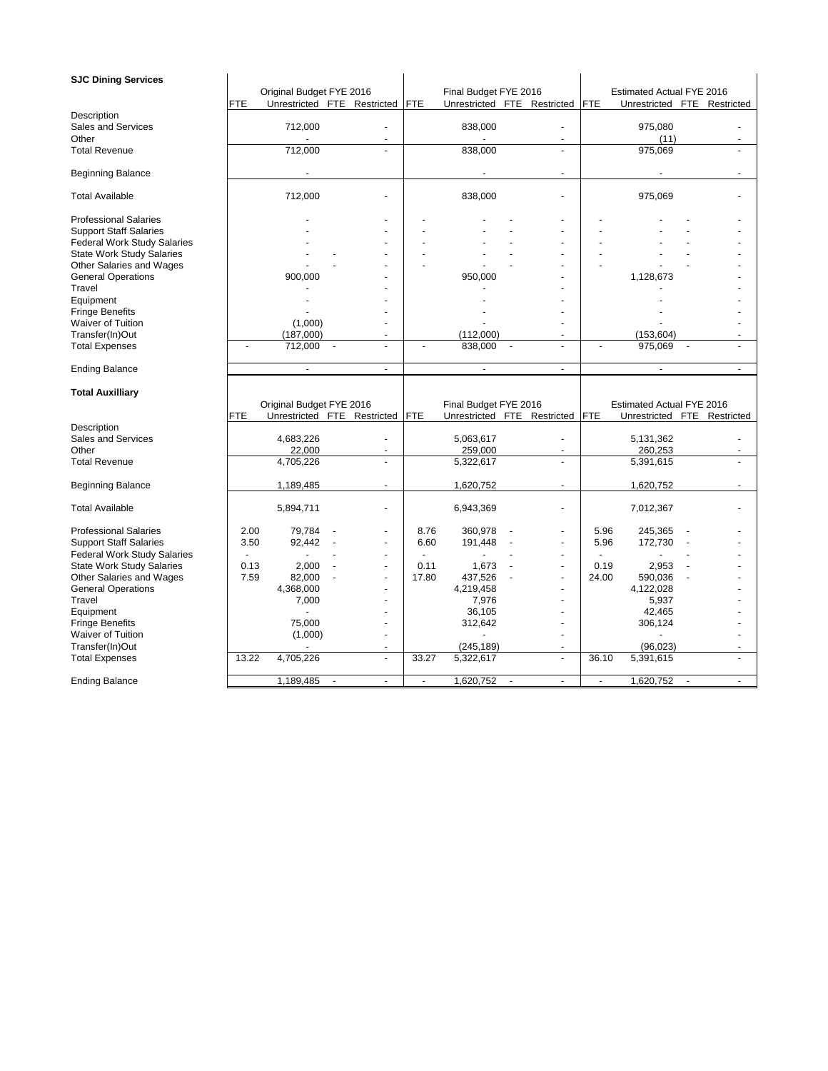| <b>SJC Dining Services</b>                  |                |                             |                          |            |                             |                |            |                             |  |
|---------------------------------------------|----------------|-----------------------------|--------------------------|------------|-----------------------------|----------------|------------|-----------------------------|--|
|                                             |                | Original Budget FYE 2016    |                          |            | Final Budget FYE 2016       |                |            | Estimated Actual FYE 2016   |  |
|                                             | FTE            | Unrestricted FTE Restricted |                          | <b>FTE</b> | Unrestricted FTE Restricted |                | FTE        | Unrestricted FTE Restricted |  |
| Description                                 |                |                             |                          |            |                             |                |            |                             |  |
| Sales and Services                          |                | 712,000                     |                          |            | 838,000                     |                |            | 975,080                     |  |
| Other                                       |                |                             |                          |            |                             | $\blacksquare$ |            | (11)                        |  |
| <b>Total Revenue</b>                        |                | 712,000                     |                          |            | 838,000                     | ÷,             |            | 975,069                     |  |
|                                             |                |                             |                          |            |                             |                |            |                             |  |
| <b>Beginning Balance</b>                    |                |                             |                          |            |                             |                |            |                             |  |
|                                             |                |                             |                          |            |                             |                |            |                             |  |
| <b>Total Available</b>                      |                | 712,000                     |                          |            | 838,000                     |                |            | 975,069                     |  |
|                                             |                |                             |                          |            |                             |                |            |                             |  |
| <b>Professional Salaries</b>                |                |                             |                          |            |                             |                |            |                             |  |
| <b>Support Staff Salaries</b>               |                |                             |                          |            |                             |                |            |                             |  |
| <b>Federal Work Study Salaries</b>          |                |                             |                          |            |                             |                |            |                             |  |
| <b>State Work Study Salaries</b>            |                |                             |                          |            |                             |                |            |                             |  |
| Other Salaries and Wages                    |                |                             |                          |            |                             |                |            |                             |  |
| <b>General Operations</b>                   |                | 900,000                     |                          |            | 950,000                     |                |            | 1,128,673                   |  |
| Travel                                      |                |                             |                          |            |                             |                |            |                             |  |
| Equipment                                   |                |                             |                          |            |                             |                |            |                             |  |
| <b>Fringe Benefits</b><br>Waiver of Tuition |                | (1,000)                     |                          |            |                             |                |            |                             |  |
| Transfer(In)Out                             |                | (187,000)                   |                          |            | (112,000)                   |                |            | (153, 604)                  |  |
| <b>Total Expenses</b>                       | $\blacksquare$ | 712,000                     | ÷,                       |            | 838,000                     |                |            | 975,069                     |  |
|                                             |                |                             |                          |            |                             |                |            |                             |  |
| <b>Ending Balance</b>                       |                | $\blacksquare$              | $\blacksquare$           |            | $\blacksquare$              | $\blacksquare$ |            | $\blacksquare$              |  |
|                                             |                |                             |                          |            |                             |                |            |                             |  |
|                                             |                |                             |                          |            |                             |                |            |                             |  |
|                                             |                |                             |                          |            |                             |                |            |                             |  |
| <b>Total Auxilliary</b>                     |                |                             |                          |            |                             |                |            |                             |  |
|                                             | FTE            | Original Budget FYE 2016    |                          | <b>FTE</b> | Final Budget FYE 2016       |                | <b>FTE</b> | Estimated Actual FYE 2016   |  |
| Description                                 |                | Unrestricted FTE Restricted |                          |            | Unrestricted FTE Restricted |                |            | Unrestricted FTE Restricted |  |
| Sales and Services                          |                | 4,683,226                   |                          |            | 5,063,617                   |                |            | 5,131,362                   |  |
| Other                                       |                | 22,000                      |                          |            | 259,000                     | $\overline{a}$ |            | 260,253                     |  |
| <b>Total Revenue</b>                        |                | 4,705,226                   | L.                       |            | 5,322,617                   |                |            | 5,391,615                   |  |
|                                             |                |                             |                          |            |                             |                |            |                             |  |
| <b>Beginning Balance</b>                    |                | 1,189,485                   | $\overline{\phantom{a}}$ |            | 1,620,752                   | $\blacksquare$ |            | 1,620,752                   |  |
|                                             |                |                             |                          |            |                             |                |            |                             |  |
| <b>Total Available</b>                      |                | 5,894,711                   |                          |            | 6,943,369                   |                |            | 7,012,367                   |  |
|                                             |                |                             |                          |            |                             |                |            |                             |  |
| <b>Professional Salaries</b>                | 2.00           | 79,784                      |                          | 8.76       | 360,978                     |                | 5.96       | 245,365                     |  |
| <b>Support Staff Salaries</b>               | 3.50           | 92,442                      | $\overline{\phantom{a}}$ | 6.60       | 191,448                     | $\overline{a}$ | 5.96       | 172,730                     |  |
| <b>Federal Work Study Salaries</b>          |                |                             |                          |            |                             |                |            |                             |  |
| <b>State Work Study Salaries</b>            | 0.13           | 2,000                       |                          | 0.11       | 1,673                       | $\overline{a}$ | 0.19       | 2,953                       |  |
| Other Salaries and Wages                    | 7.59           | 82,000                      |                          | 17.80      | 437,526                     |                | 24.00      | 590,036                     |  |
| <b>General Operations</b>                   |                | 4,368,000                   |                          |            | 4,219,458                   |                |            | 4,122,028                   |  |
| Travel                                      |                | 7,000                       |                          |            | 7,976                       |                |            | 5,937                       |  |
| Equipment                                   |                |                             |                          |            | 36,105                      |                |            | 42,465                      |  |
| <b>Fringe Benefits</b>                      |                | 75,000                      |                          |            | 312,642                     |                |            | 306,124                     |  |
| <b>Waiver of Tuition</b>                    |                | (1,000)                     |                          |            |                             | $\overline{a}$ |            |                             |  |
| Transfer(In)Out                             |                |                             |                          |            | (245, 189)                  | ÷.             |            | (96, 023)                   |  |
| <b>Total Expenses</b>                       | 13.22          | 4,705,226                   | $\blacksquare$           | 33.27      | 5,322,617                   |                | 36.10      | 5,391,615                   |  |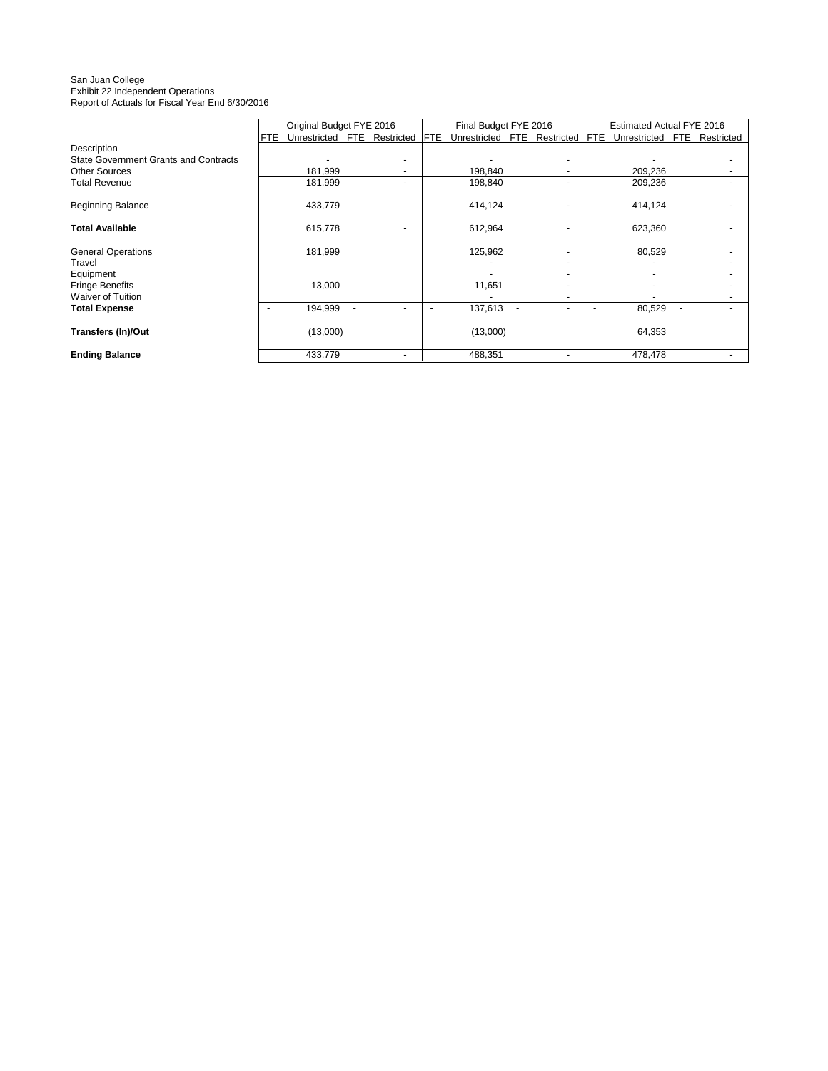#### San Juan College Exhibit 22 Independent Operations Report of Actuals for Fiscal Year End 6/30/2016

|                                              | Original Budget FYE 2016 |                             |  | Final Budget FYE 2016 |             |                             | Estimated Actual FYE 2016 |  |             |              |     |            |
|----------------------------------------------|--------------------------|-----------------------------|--|-----------------------|-------------|-----------------------------|---------------------------|--|-------------|--------------|-----|------------|
|                                              | FTE                      | Unrestricted FTE Restricted |  |                       | <b>IFTE</b> | Unrestricted FTE Restricted |                           |  | <b>IFTE</b> | Unrestricted | FTE | Restricted |
| Description                                  |                          |                             |  |                       |             |                             |                           |  |             |              |     |            |
| <b>State Government Grants and Contracts</b> |                          |                             |  |                       |             |                             |                           |  |             |              |     |            |
| <b>Other Sources</b>                         |                          | 181,999                     |  |                       |             | 198,840                     |                           |  |             | 209,236      |     |            |
| <b>Total Revenue</b>                         |                          | 181,999                     |  |                       |             | 198,840                     |                           |  |             | 209,236      |     |            |
| <b>Beginning Balance</b>                     |                          | 433,779                     |  |                       |             | 414,124                     |                           |  |             | 414,124      |     |            |
| <b>Total Available</b>                       |                          | 615,778                     |  |                       |             | 612,964                     |                           |  |             | 623,360      |     |            |
| <b>General Operations</b><br>Travel          |                          | 181,999                     |  |                       |             | 125,962                     |                           |  |             | 80,529       |     |            |
| Equipment                                    |                          |                             |  |                       |             |                             |                           |  |             |              |     |            |
| <b>Fringe Benefits</b>                       |                          | 13,000                      |  |                       |             | 11,651                      |                           |  |             |              |     |            |
| <b>Waiver of Tuition</b>                     |                          |                             |  |                       |             |                             |                           |  |             |              |     |            |
| <b>Total Expense</b>                         |                          | 194,999                     |  |                       |             | 137,613                     |                           |  |             | 80,529       |     |            |
| Transfers (In)/Out                           |                          | (13,000)                    |  |                       |             | (13,000)                    |                           |  |             | 64,353       |     |            |
| <b>Ending Balance</b>                        |                          | 433,779                     |  |                       |             | 488,351                     |                           |  |             | 478,478      |     |            |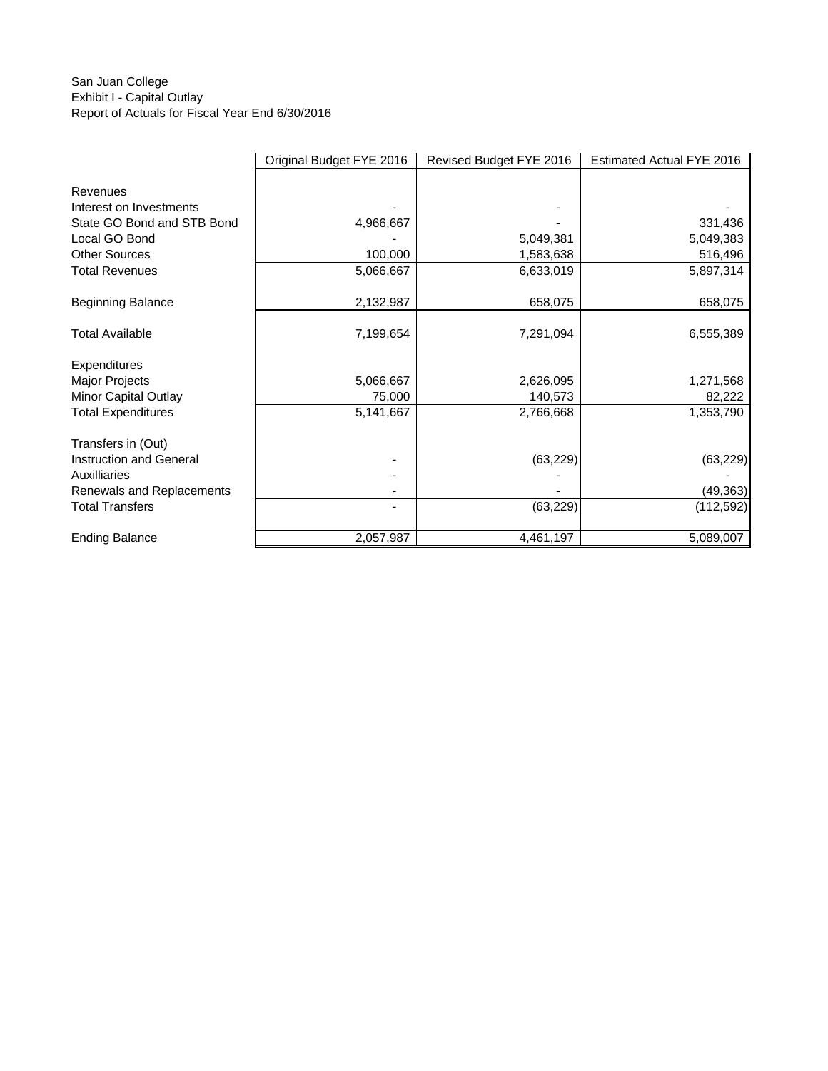## San Juan College Exhibit I - Capital Outlay Report of Actuals for Fiscal Year End 6/30/2016

|                            | Original Budget FYE 2016 | Revised Budget FYE 2016 | Estimated Actual FYE 2016 |
|----------------------------|--------------------------|-------------------------|---------------------------|
|                            |                          |                         |                           |
| Revenues                   |                          |                         |                           |
| Interest on Investments    |                          |                         |                           |
| State GO Bond and STB Bond | 4,966,667                |                         | 331,436                   |
| Local GO Bond              |                          | 5,049,381               | 5,049,383                 |
| <b>Other Sources</b>       | 100,000                  | 1,583,638               | 516,496                   |
| <b>Total Revenues</b>      | 5,066,667                | 6,633,019               | 5,897,314                 |
| <b>Beginning Balance</b>   | 2,132,987                | 658,075                 | 658,075                   |
|                            |                          |                         |                           |
| <b>Total Available</b>     | 7,199,654                | 7,291,094               | 6,555,389                 |
| Expenditures               |                          |                         |                           |
| Major Projects             | 5,066,667                | 2,626,095               | 1,271,568                 |
| Minor Capital Outlay       | 75,000                   | 140,573                 | 82,222                    |
| <b>Total Expenditures</b>  | 5,141,667                | 2,766,668               | 1,353,790                 |
| Transfers in (Out)         |                          |                         |                           |
| Instruction and General    |                          | (63, 229)               | (63, 229)                 |
| Auxilliaries               |                          |                         |                           |
| Renewals and Replacements  |                          |                         | (49, 363)                 |
| <b>Total Transfers</b>     |                          | (63, 229)               | (112, 592)                |
| <b>Ending Balance</b>      | 2,057,987                | 4,461,197               | 5,089,007                 |
|                            |                          |                         |                           |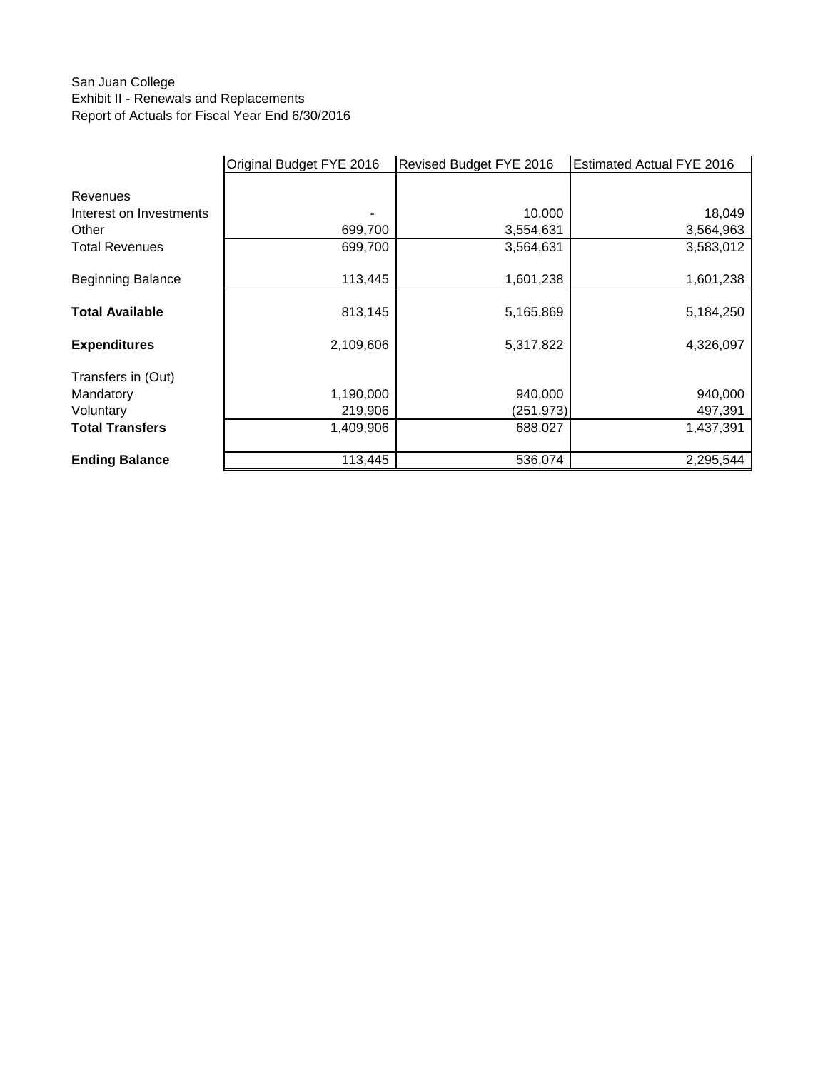# San Juan College Exhibit II - Renewals and Replacements Report of Actuals for Fiscal Year End 6/30/2016

|                          | Original Budget FYE 2016 | Revised Budget FYE 2016 | <b>Estimated Actual FYE 2016</b> |  |
|--------------------------|--------------------------|-------------------------|----------------------------------|--|
|                          |                          |                         |                                  |  |
| Revenues                 |                          |                         |                                  |  |
| Interest on Investments  |                          | 10,000                  | 18,049                           |  |
| Other                    | 699,700                  | 3,554,631               | 3,564,963                        |  |
| <b>Total Revenues</b>    | 699,700                  | 3,564,631               | 3,583,012                        |  |
|                          |                          |                         |                                  |  |
| <b>Beginning Balance</b> | 113,445                  | 1,601,238               | 1,601,238                        |  |
| <b>Total Available</b>   | 813,145                  | 5,165,869               | 5,184,250                        |  |
|                          |                          |                         |                                  |  |
| <b>Expenditures</b>      | 2,109,606                | 5,317,822               | 4,326,097                        |  |
| Transfers in (Out)       |                          |                         |                                  |  |
| Mandatory                | 1,190,000                | 940,000                 | 940,000                          |  |
| Voluntary                | 219,906                  | (251,973)               | 497,391                          |  |
| <b>Total Transfers</b>   | 1,409,906                | 688,027                 | 1,437,391                        |  |
|                          |                          |                         |                                  |  |
| <b>Ending Balance</b>    | 113,445                  | 536,074                 | 2,295,544                        |  |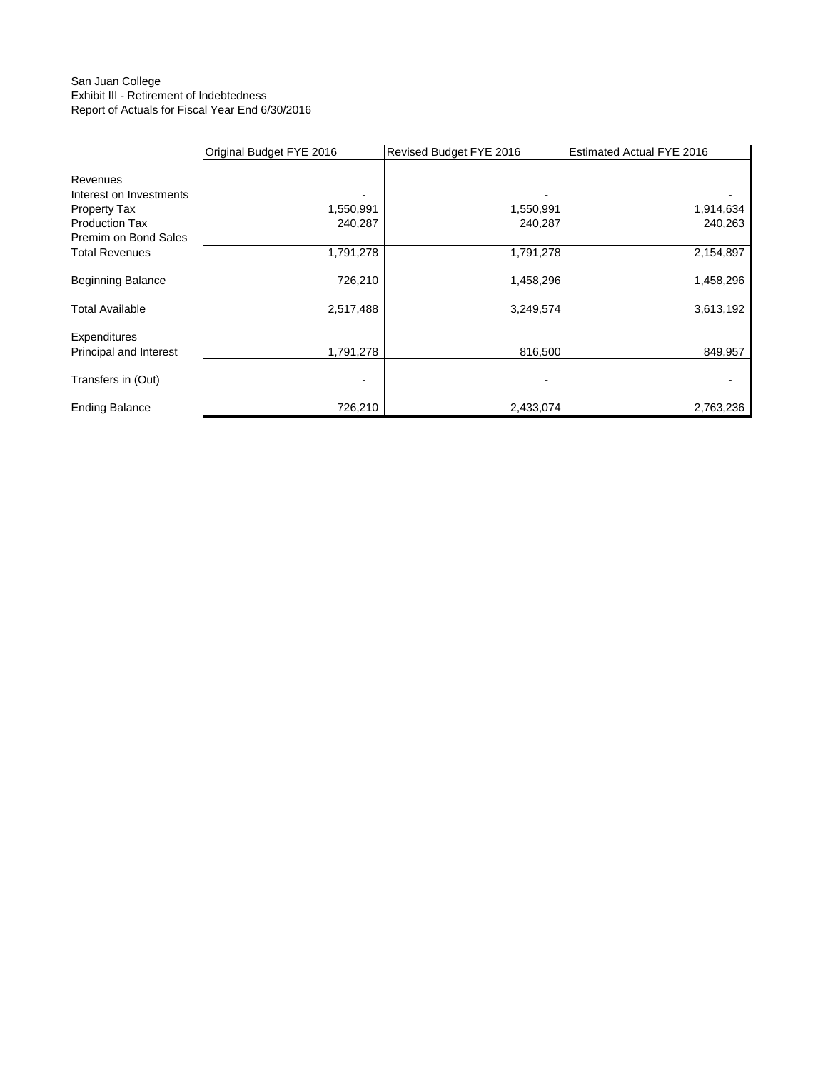## San Juan College Exhibit III - Retirement of Indebtedness Report of Actuals for Fiscal Year End 6/30/2016

|                          | Original Budget FYE 2016 | Revised Budget FYE 2016 | <b>Estimated Actual FYE 2016</b> |
|--------------------------|--------------------------|-------------------------|----------------------------------|
|                          |                          |                         |                                  |
| Revenues                 |                          |                         |                                  |
| Interest on Investments  |                          |                         |                                  |
| Property Tax             | 1,550,991                | 1,550,991               | 1,914,634                        |
| <b>Production Tax</b>    | 240,287                  | 240,287                 | 240,263                          |
| Premim on Bond Sales     |                          |                         |                                  |
| <b>Total Revenues</b>    | 1,791,278                | 1,791,278               | 2,154,897                        |
|                          |                          |                         |                                  |
| <b>Beginning Balance</b> | 726,210                  | 1,458,296               | 1,458,296                        |
| <b>Total Available</b>   | 2,517,488                | 3,249,574               | 3,613,192                        |
| Expenditures             |                          |                         |                                  |
| Principal and Interest   | 1,791,278                | 816,500                 | 849,957                          |
|                          |                          |                         |                                  |
| Transfers in (Out)       | -                        | $\blacksquare$          |                                  |
|                          |                          |                         |                                  |
| <b>Ending Balance</b>    | 726,210                  | 2,433,074               | 2,763,236                        |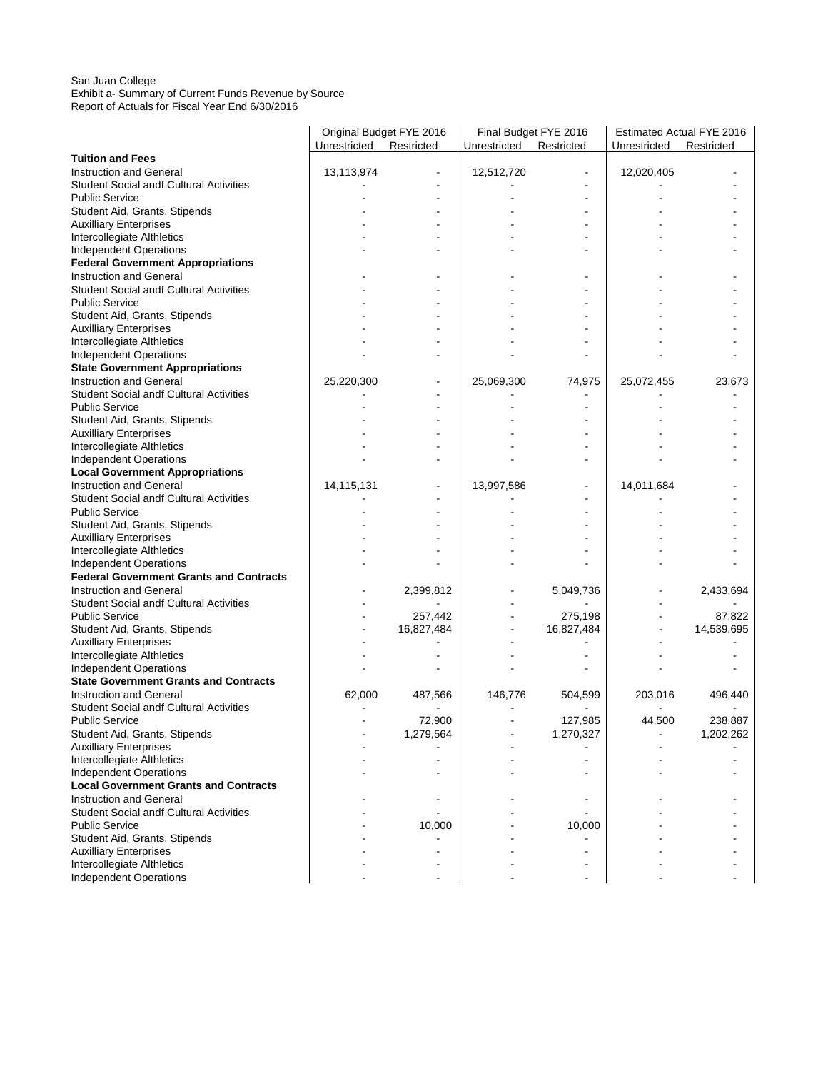#### San Juan College Exhibit a- Summary of Current Funds Revenue by Source Report of Actuals for Fiscal Year End 6/30/2016

|                                                | Original Budget FYE 2016 |            | Final Budget FYE 2016 |            | Estimated Actual FYE 2016 |            |
|------------------------------------------------|--------------------------|------------|-----------------------|------------|---------------------------|------------|
|                                                | Unrestricted Restricted  |            | Unrestricted          | Restricted | Unrestricted              | Restricted |
| <b>Tuition and Fees</b>                        |                          |            |                       |            |                           |            |
| Instruction and General                        | 13,113,974               |            | 12,512,720            |            | 12,020,405                |            |
| <b>Student Social andf Cultural Activities</b> |                          |            |                       |            |                           |            |
| <b>Public Service</b>                          |                          |            |                       |            |                           |            |
| Student Aid, Grants, Stipends                  |                          |            |                       |            |                           |            |
| <b>Auxilliary Enterprises</b>                  |                          |            |                       |            |                           |            |
| Intercollegiate Althletics                     |                          |            |                       |            |                           |            |
| <b>Independent Operations</b>                  |                          |            |                       |            |                           |            |
| <b>Federal Government Appropriations</b>       |                          |            |                       |            |                           |            |
| <b>Instruction and General</b>                 |                          |            |                       |            |                           |            |
| <b>Student Social andf Cultural Activities</b> |                          |            |                       |            |                           |            |
| <b>Public Service</b>                          |                          |            |                       |            |                           |            |
| Student Aid, Grants, Stipends                  |                          |            |                       |            |                           |            |
| <b>Auxilliary Enterprises</b>                  |                          |            |                       |            |                           |            |
| Intercollegiate Althletics                     |                          |            |                       |            |                           |            |
| <b>Independent Operations</b>                  |                          |            |                       |            |                           |            |
| <b>State Government Appropriations</b>         |                          |            |                       |            |                           |            |
| Instruction and General                        | 25,220,300               |            | 25,069,300            | 74,975     | 25,072,455                | 23,673     |
| <b>Student Social andf Cultural Activities</b> |                          |            |                       |            |                           |            |
| <b>Public Service</b>                          |                          |            |                       |            |                           |            |
| Student Aid, Grants, Stipends                  |                          |            |                       |            |                           |            |
| <b>Auxilliary Enterprises</b>                  |                          |            |                       |            |                           |            |
| Intercollegiate Althletics                     |                          |            |                       |            |                           |            |
| <b>Independent Operations</b>                  |                          |            |                       |            |                           |            |
| <b>Local Government Appropriations</b>         |                          |            |                       |            |                           |            |
| <b>Instruction and General</b>                 | 14,115,131               |            | 13,997,586            |            | 14,011,684                |            |
| <b>Student Social andf Cultural Activities</b> |                          |            |                       |            |                           |            |
| <b>Public Service</b>                          |                          |            |                       |            |                           |            |
| Student Aid, Grants, Stipends                  |                          |            |                       |            |                           |            |
| <b>Auxilliary Enterprises</b>                  |                          |            |                       |            |                           |            |
| Intercollegiate Althletics                     |                          |            |                       |            |                           |            |
| <b>Independent Operations</b>                  |                          |            |                       |            |                           |            |
| <b>Federal Government Grants and Contracts</b> |                          |            |                       |            |                           |            |
| <b>Instruction and General</b>                 |                          | 2,399,812  |                       | 5,049,736  |                           | 2,433,694  |
| <b>Student Social andf Cultural Activities</b> |                          |            |                       |            |                           |            |
| <b>Public Service</b>                          |                          | 257,442    |                       | 275,198    |                           | 87,822     |
| Student Aid, Grants, Stipends                  |                          | 16,827,484 |                       | 16,827,484 |                           | 14,539,695 |
| <b>Auxilliary Enterprises</b>                  |                          |            |                       |            |                           |            |
| Intercollegiate Althletics                     |                          |            |                       |            |                           |            |
| <b>Independent Operations</b>                  |                          |            |                       |            |                           |            |
| <b>State Government Grants and Contracts</b>   |                          |            |                       |            |                           |            |
| Instruction and General                        | 62,000                   | 487,566    | 146,776               | 504,599    | 203,016                   | 496,440    |
| <b>Student Social andf Cultural Activities</b> |                          |            |                       |            |                           |            |
| <b>Public Service</b>                          |                          | 72,900     |                       | 127,985    | 44,500                    | 238,887    |
| Student Aid, Grants, Stipends                  |                          | 1,279,564  |                       | 1,270,327  |                           | 1,202,262  |
| <b>Auxilliary Enterprises</b>                  |                          |            |                       |            |                           |            |
| Intercollegiate Althletics                     |                          |            |                       |            |                           |            |
| <b>Independent Operations</b>                  |                          |            |                       |            |                           |            |
| <b>Local Government Grants and Contracts</b>   |                          |            |                       |            |                           |            |
| Instruction and General                        |                          |            |                       |            |                           |            |
| <b>Student Social andf Cultural Activities</b> |                          |            |                       |            |                           |            |
| <b>Public Service</b>                          |                          | 10,000     |                       | 10,000     |                           |            |
| Student Aid, Grants, Stipends                  |                          |            |                       |            |                           |            |
| <b>Auxilliary Enterprises</b>                  |                          |            |                       |            |                           |            |
| Intercollegiate Althletics                     |                          |            |                       |            |                           |            |
| <b>Independent Operations</b>                  |                          |            |                       |            |                           |            |
|                                                |                          |            |                       |            |                           |            |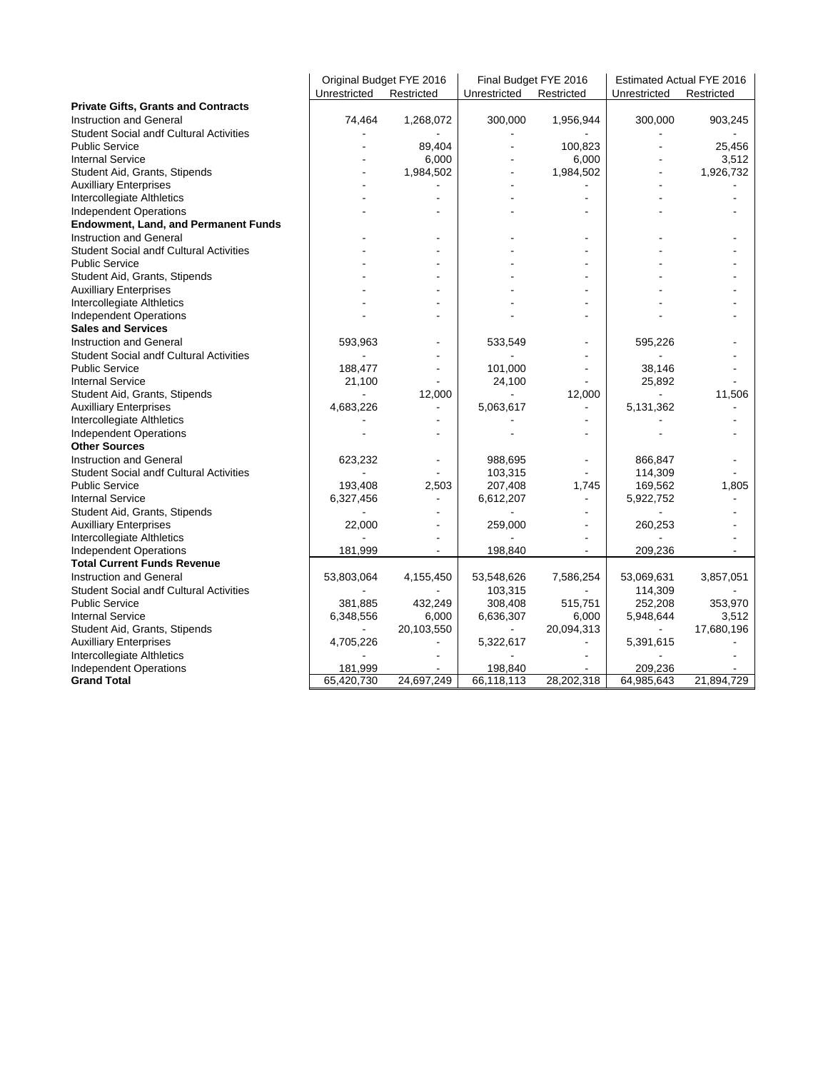|                                                | Original Budget FYE 2016 |                          | Final Budget FYE 2016 |                | Estimated Actual FYE 2016 |                |  |
|------------------------------------------------|--------------------------|--------------------------|-----------------------|----------------|---------------------------|----------------|--|
|                                                | Unrestricted             | Restricted               | Unrestricted          | Restricted     | Unrestricted              | Restricted     |  |
| <b>Private Gifts, Grants and Contracts</b>     |                          |                          |                       |                |                           |                |  |
| <b>Instruction and General</b>                 | 74,464                   | 1,268,072                | 300,000               | 1,956,944      | 300,000                   | 903,245        |  |
| <b>Student Social andf Cultural Activities</b> |                          |                          |                       |                |                           |                |  |
| <b>Public Service</b>                          |                          | 89,404                   |                       | 100,823        |                           | 25,456         |  |
| <b>Internal Service</b>                        |                          | 6,000                    |                       | 6,000          |                           | 3,512          |  |
| Student Aid, Grants, Stipends                  |                          | 1,984,502                |                       | 1,984,502      |                           | 1,926,732      |  |
| <b>Auxilliary Enterprises</b>                  |                          |                          |                       |                |                           |                |  |
| Intercollegiate Althletics                     |                          |                          |                       | ÷,             |                           |                |  |
| <b>Independent Operations</b>                  |                          |                          |                       |                |                           |                |  |
| <b>Endowment, Land, and Permanent Funds</b>    |                          |                          |                       |                |                           |                |  |
| <b>Instruction and General</b>                 |                          | $\blacksquare$           |                       |                |                           |                |  |
| <b>Student Social andf Cultural Activities</b> |                          |                          |                       |                |                           |                |  |
| <b>Public Service</b>                          |                          |                          |                       |                |                           |                |  |
| Student Aid, Grants, Stipends                  |                          |                          |                       |                |                           |                |  |
| <b>Auxilliary Enterprises</b>                  |                          | $\overline{a}$           |                       |                |                           |                |  |
| Intercollegiate Althletics                     |                          |                          |                       |                |                           |                |  |
| Independent Operations                         |                          |                          |                       |                |                           |                |  |
| <b>Sales and Services</b>                      |                          |                          |                       |                |                           |                |  |
| <b>Instruction and General</b>                 | 593,963                  |                          | 533,549               |                | 595,226                   |                |  |
| <b>Student Social andf Cultural Activities</b> |                          |                          |                       |                |                           |                |  |
| <b>Public Service</b>                          | 188,477                  |                          | 101,000               |                | 38,146                    |                |  |
| <b>Internal Service</b>                        | 21,100                   | $\overline{\phantom{a}}$ | 24,100                |                | 25,892                    |                |  |
| Student Aid, Grants, Stipends                  |                          | 12,000                   |                       | 12,000         |                           | 11,506         |  |
| <b>Auxilliary Enterprises</b>                  | 4,683,226                | $\blacksquare$           | 5,063,617             | ä,             | 5,131,362                 | $\sim$         |  |
| Intercollegiate Althletics                     |                          | ٠                        |                       |                |                           |                |  |
| <b>Independent Operations</b>                  |                          | $\blacksquare$           |                       |                |                           |                |  |
| <b>Other Sources</b>                           |                          |                          |                       |                |                           |                |  |
| Instruction and General                        | 623,232                  |                          | 988,695               |                | 866,847                   | L.             |  |
| <b>Student Social andf Cultural Activities</b> |                          |                          | 103,315               |                | 114,309                   |                |  |
| <b>Public Service</b>                          | 193,408                  | 2,503                    | 207,408               | 1,745          | 169,562                   | 1,805          |  |
| <b>Internal Service</b>                        | 6,327,456                | $\blacksquare$           | 6,612,207             |                | 5,922,752                 | ÷,             |  |
| Student Aid, Grants, Stipends                  |                          | $\blacksquare$           |                       |                |                           |                |  |
| <b>Auxilliary Enterprises</b>                  | 22,000                   | ÷,                       | 259,000               |                | 260,253                   |                |  |
| Intercollegiate Althletics                     |                          |                          |                       |                |                           |                |  |
| <b>Independent Operations</b>                  | 181,999                  | $\blacksquare$           | 198,840               | $\blacksquare$ | 209,236                   | $\blacksquare$ |  |
| <b>Total Current Funds Revenue</b>             |                          |                          |                       |                |                           |                |  |
| <b>Instruction and General</b>                 | 53,803,064               | 4,155,450                | 53,548,626            | 7,586,254      | 53,069,631                | 3,857,051      |  |
| <b>Student Social andf Cultural Activities</b> |                          |                          | 103,315               |                | 114,309                   |                |  |
| <b>Public Service</b>                          | 381,885                  | 432,249                  | 308,408               | 515,751        | 252,208                   | 353,970        |  |
| <b>Internal Service</b>                        | 6,348,556                | 6,000                    | 6,636,307             | 6,000          | 5,948,644                 | 3,512          |  |
| Student Aid, Grants, Stipends                  |                          | 20,103,550               |                       | 20,094,313     |                           | 17,680,196     |  |
| <b>Auxilliary Enterprises</b>                  | 4,705,226                | $\blacksquare$           | 5,322,617             | $\overline{a}$ | 5,391,615                 |                |  |
| Intercollegiate Althletics                     |                          |                          |                       |                |                           |                |  |
| <b>Independent Operations</b>                  | 181,999                  |                          | 198,840               |                | 209,236                   |                |  |
| <b>Grand Total</b>                             | 65,420,730               | 24,697,249               | 66,118,113            | 28,202,318     | 64,985,643                | 21,894,729     |  |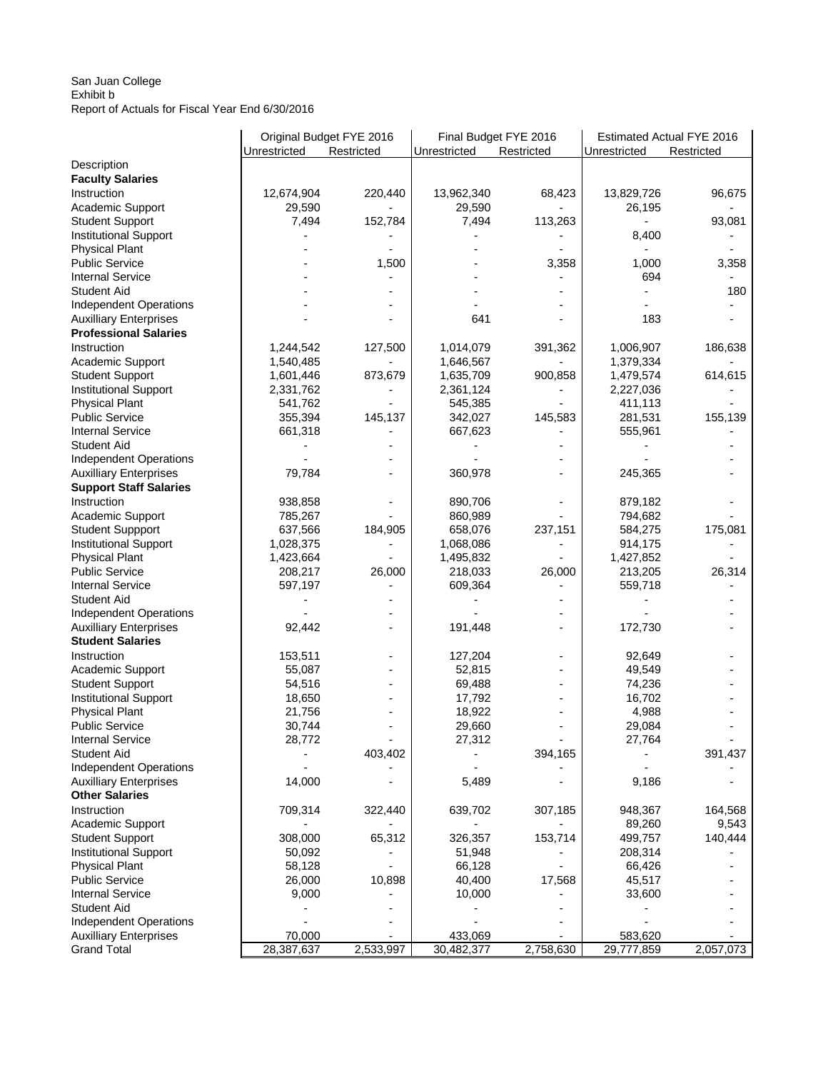## San Juan College Exhibit b Report of Actuals for Fiscal Year End 6/30/2016

|                               | Original Budget FYE 2016<br>Unrestricted | Restricted | Final Budget FYE 2016<br>Unrestricted | Restricted | Estimated Actual FYE 2016<br>Unrestricted<br>Restricted |           |  |
|-------------------------------|------------------------------------------|------------|---------------------------------------|------------|---------------------------------------------------------|-----------|--|
| Description                   |                                          |            |                                       |            |                                                         |           |  |
| <b>Faculty Salaries</b>       |                                          |            |                                       |            |                                                         |           |  |
| Instruction                   | 12,674,904                               | 220,440    | 13,962,340                            | 68,423     | 13,829,726                                              | 96,675    |  |
| Academic Support              | 29,590                                   |            | 29,590                                |            | 26,195                                                  |           |  |
| <b>Student Support</b>        | 7,494                                    | 152,784    | 7,494                                 | 113,263    |                                                         | 93,081    |  |
| <b>Institutional Support</b>  |                                          |            |                                       |            | 8,400                                                   |           |  |
| <b>Physical Plant</b>         |                                          |            |                                       |            |                                                         |           |  |
| <b>Public Service</b>         |                                          | 1,500      |                                       | 3,358      | 1,000                                                   | 3,358     |  |
| <b>Internal Service</b>       |                                          |            |                                       |            | 694                                                     |           |  |
| <b>Student Aid</b>            |                                          |            |                                       |            |                                                         | 180       |  |
| <b>Independent Operations</b> |                                          |            |                                       |            |                                                         |           |  |
| <b>Auxilliary Enterprises</b> |                                          |            | 641                                   |            | 183                                                     |           |  |
| <b>Professional Salaries</b>  |                                          |            |                                       |            |                                                         |           |  |
| Instruction                   | 1,244,542                                | 127,500    | 1,014,079                             | 391,362    | 1,006,907                                               | 186,638   |  |
| Academic Support              | 1,540,485                                |            | 1,646,567                             |            | 1,379,334                                               |           |  |
| <b>Student Support</b>        | 1,601,446                                | 873,679    | 1,635,709                             | 900,858    | 1,479,574                                               | 614,615   |  |
| <b>Institutional Support</b>  | 2,331,762                                |            | 2,361,124                             |            | 2,227,036                                               |           |  |
| <b>Physical Plant</b>         | 541,762                                  |            | 545,385                               |            | 411,113                                                 |           |  |
| <b>Public Service</b>         | 355,394                                  | 145,137    | 342,027                               | 145,583    |                                                         | 155,139   |  |
| <b>Internal Service</b>       |                                          |            |                                       |            | 281,531                                                 |           |  |
|                               | 661,318                                  |            | 667,623                               |            | 555,961                                                 |           |  |
| <b>Student Aid</b>            |                                          |            |                                       |            |                                                         |           |  |
| <b>Independent Operations</b> |                                          |            |                                       |            |                                                         |           |  |
| <b>Auxilliary Enterprises</b> | 79,784                                   |            | 360,978                               |            | 245,365                                                 |           |  |
| <b>Support Staff Salaries</b> |                                          |            |                                       |            |                                                         |           |  |
| Instruction                   | 938,858                                  |            | 890,706                               |            | 879,182                                                 |           |  |
| Academic Support              | 785,267                                  |            | 860,989                               |            | 794,682                                                 |           |  |
| <b>Student Suppport</b>       | 637,566                                  | 184,905    | 658,076                               | 237,151    | 584,275                                                 | 175,081   |  |
| <b>Institutional Support</b>  | 1,028,375                                |            | 1,068,086                             |            | 914,175                                                 |           |  |
| <b>Physical Plant</b>         | 1,423,664                                |            | 1,495,832                             |            | 1,427,852                                               |           |  |
| <b>Public Service</b>         | 208,217                                  | 26,000     | 218,033                               | 26,000     | 213,205                                                 | 26,314    |  |
| <b>Internal Service</b>       | 597,197                                  |            | 609,364                               |            | 559,718                                                 |           |  |
| Student Aid                   |                                          |            |                                       |            |                                                         |           |  |
| Independent Operations        |                                          |            |                                       |            |                                                         |           |  |
| <b>Auxilliary Enterprises</b> | 92,442                                   |            | 191,448                               |            | 172,730                                                 |           |  |
| <b>Student Salaries</b>       |                                          |            |                                       |            |                                                         |           |  |
| Instruction                   | 153,511                                  |            | 127,204                               |            | 92,649                                                  |           |  |
| Academic Support              | 55,087                                   |            | 52,815                                |            | 49,549                                                  |           |  |
| <b>Student Support</b>        | 54,516                                   |            | 69,488                                |            | 74,236                                                  |           |  |
| <b>Institutional Support</b>  | 18,650                                   |            | 17,792                                |            | 16,702                                                  |           |  |
| <b>Physical Plant</b>         | 21,756                                   |            | 18,922                                |            | 4,988                                                   |           |  |
| <b>Public Service</b>         | 30,744                                   |            | 29,660                                |            | 29,084                                                  |           |  |
| <b>Internal Service</b>       | 28,772                                   |            | 27,312                                |            | 27,764                                                  |           |  |
| <b>Student Aid</b>            |                                          | 403,402    |                                       | 394,165    |                                                         | 391,437   |  |
| <b>Independent Operations</b> |                                          |            |                                       |            |                                                         |           |  |
| <b>Auxilliary Enterprises</b> | 14,000                                   |            | 5,489                                 |            | 9,186                                                   |           |  |
| <b>Other Salaries</b>         |                                          |            |                                       |            |                                                         |           |  |
| Instruction                   | 709,314                                  | 322,440    | 639,702                               | 307,185    | 948,367                                                 | 164,568   |  |
| Academic Support              |                                          |            |                                       |            | 89,260                                                  | 9,543     |  |
| <b>Student Support</b>        | 308,000                                  | 65,312     | 326,357                               | 153,714    | 499,757                                                 | 140,444   |  |
| <b>Institutional Support</b>  | 50,092                                   |            | 51,948                                |            | 208,314                                                 |           |  |
| <b>Physical Plant</b>         | 58,128                                   |            | 66,128                                |            | 66,426                                                  |           |  |
| <b>Public Service</b>         | 26,000                                   | 10,898     | 40,400                                | 17,568     | 45,517                                                  |           |  |
| <b>Internal Service</b>       | 9,000                                    |            | 10,000                                |            | 33,600                                                  |           |  |
| <b>Student Aid</b>            |                                          |            |                                       |            |                                                         |           |  |
| <b>Independent Operations</b> |                                          |            |                                       |            |                                                         |           |  |
| <b>Auxilliary Enterprises</b> | 70,000                                   |            | 433,069                               |            | 583,620                                                 |           |  |
| <b>Grand Total</b>            | 28,387,637                               | 2,533,997  | 30,482,377                            | 2,758,630  | 29,777,859                                              | 2,057,073 |  |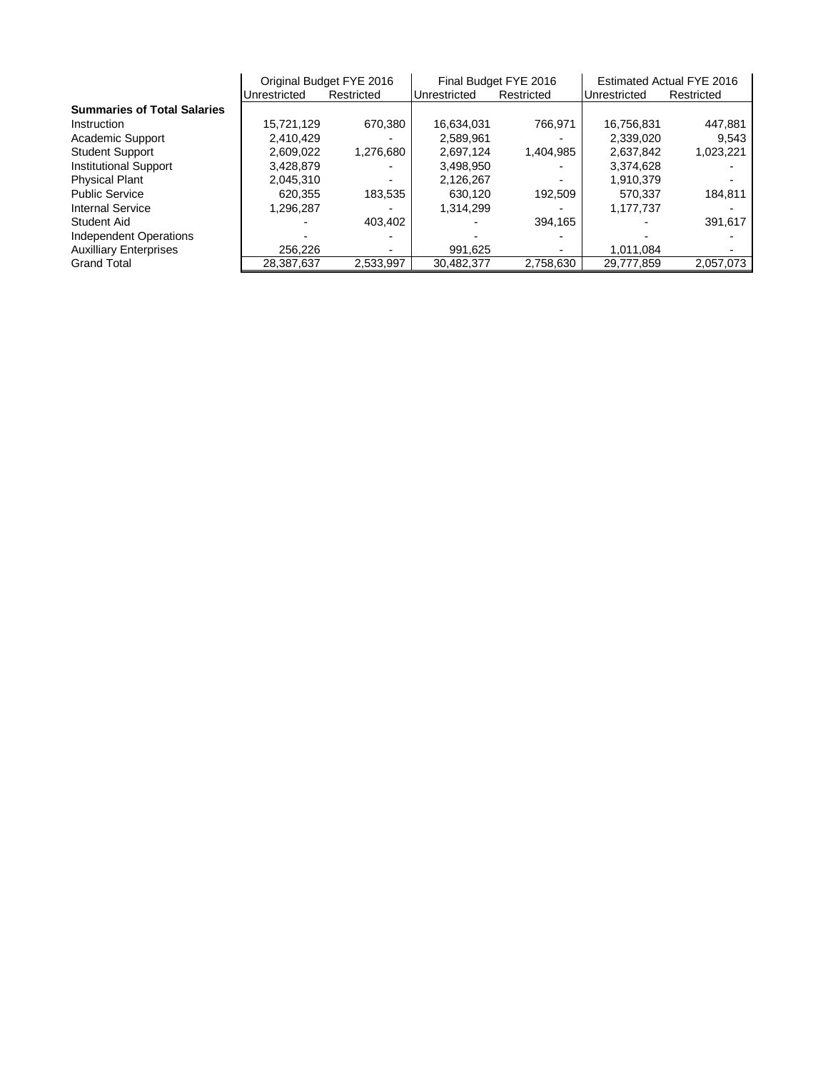|                                    |              | Original Budget FYE 2016 |            | Final Budget FYE 2016                      | <b>Estimated Actual FYE 2016</b> |                          |  |
|------------------------------------|--------------|--------------------------|------------|--------------------------------------------|----------------------------------|--------------------------|--|
|                                    | Unrestricted | Restricted               |            | Restricted<br>Unrestricted<br>Unrestricted |                                  | Restricted               |  |
| <b>Summaries of Total Salaries</b> |              |                          |            |                                            |                                  |                          |  |
| Instruction                        | 15,721,129   | 670.380                  | 16,634,031 | 766.971                                    | 16,756,831                       | 447,881                  |  |
| Academic Support                   | 2.410.429    |                          | 2.589.961  |                                            | 2.339.020                        | 9.543                    |  |
| <b>Student Support</b>             | 2,609,022    | 1,276,680                | 2.697.124  | 1,404,985                                  | 2,637,842                        | 1,023,221                |  |
| <b>Institutional Support</b>       | 3.428.879    |                          | 3.498.950  |                                            | 3.374.628                        |                          |  |
| <b>Physical Plant</b>              | 2,045,310    | ۰.                       | 2,126,267  |                                            | 1,910,379                        | ۰                        |  |
| <b>Public Service</b>              | 620.355      | 183.535                  | 630.120    | 192.509                                    | 570.337                          | 184.811                  |  |
| Internal Service                   | 1,296,287    |                          | 1,314,299  |                                            | 1,177,737                        |                          |  |
| Student Aid                        |              | 403.402                  |            | 394.165                                    |                                  | 391,617                  |  |
| Independent Operations             |              |                          |            |                                            |                                  |                          |  |
| <b>Auxilliary Enterprises</b>      | 256,226      | $\overline{\phantom{0}}$ | 991,625    |                                            | 1.011.084                        | $\overline{\phantom{0}}$ |  |
| <b>Grand Total</b>                 | 28,387,637   | 2,533,997                | 30,482,377 | 2,758,630                                  | 29,777,859                       | 2,057,073                |  |